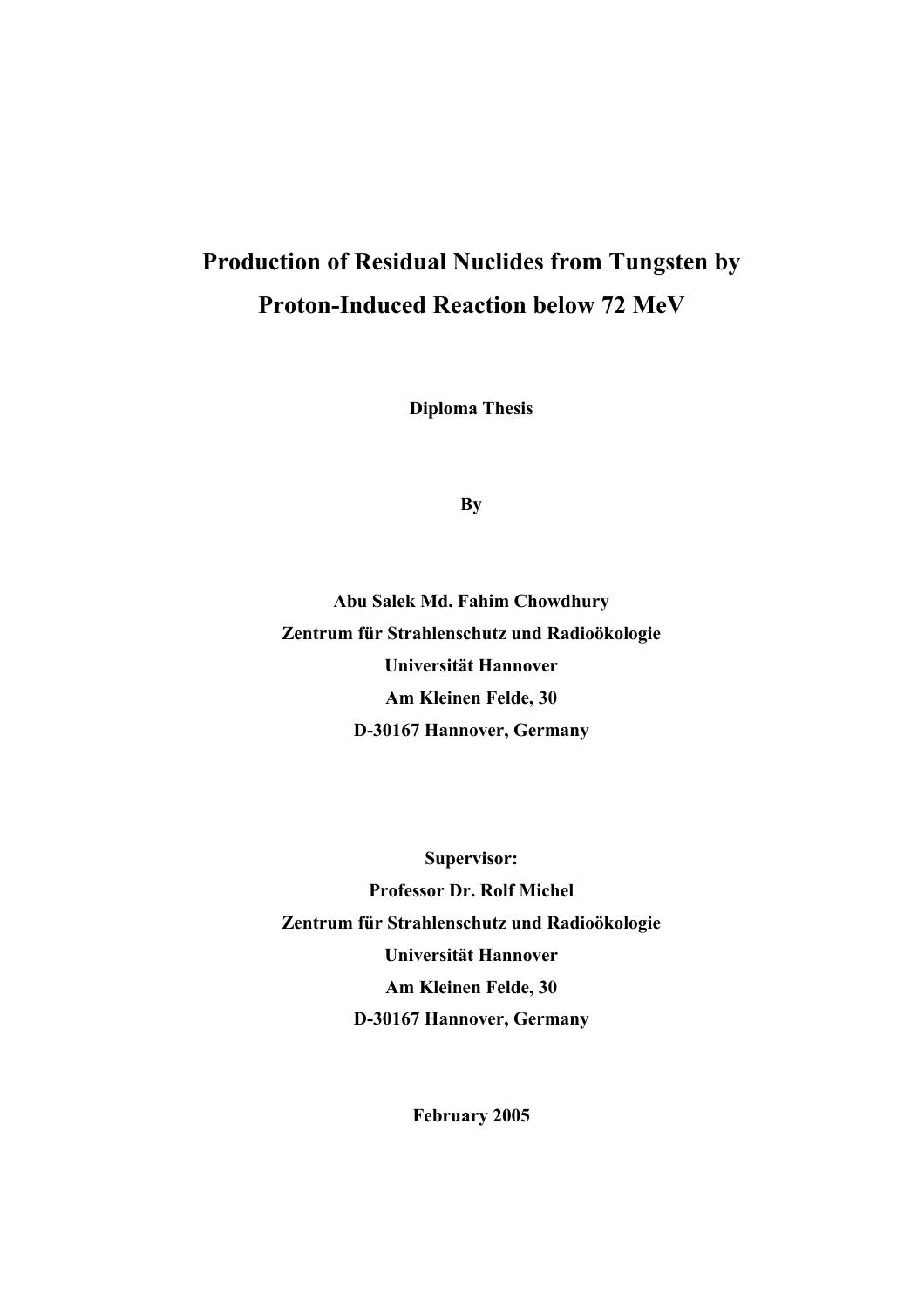# **Production of Residual Nuclides from Tungsten by Proton-Induced Reaction below 72 MeV**

**Diploma Thesis** 

**By** 

**Abu Salek Md. Fahim Chowdhury Zentrum für Strahlenschutz und Radioökologie Universität Hannover Am Kleinen Felde, 30 D-30167 Hannover, Germany** 

**Supervisor: Professor Dr. Rolf Michel Zentrum für Strahlenschutz und Radioökologie Universität Hannover Am Kleinen Felde, 30 D-30167 Hannover, Germany** 

**February 2005**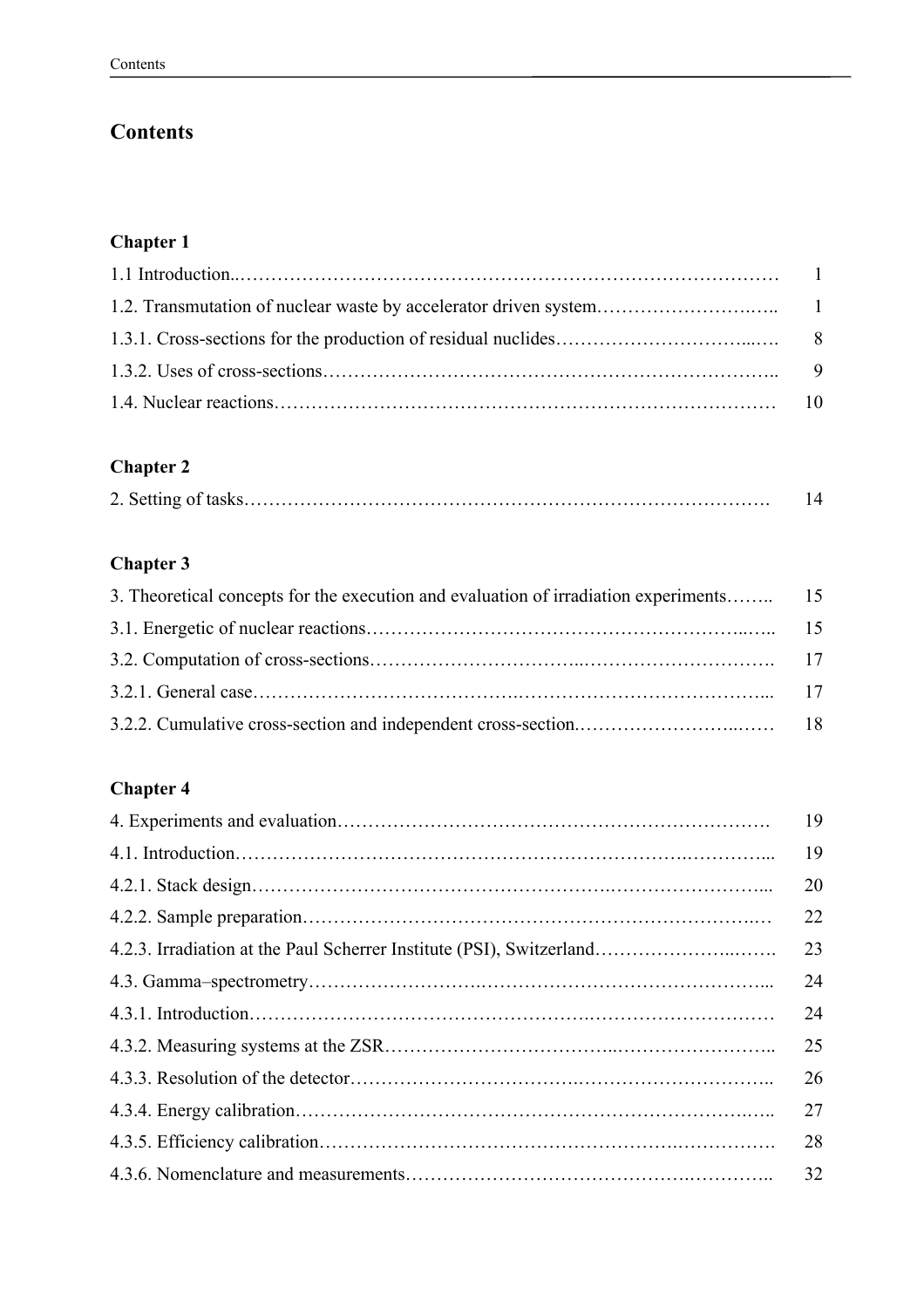# **Contents**

# **Chapter 1**

## **Chapter 2**

# **Chapter 3**

# **Chapter 4**

|                                                                      | 19 |
|----------------------------------------------------------------------|----|
|                                                                      | 19 |
|                                                                      | 20 |
|                                                                      | 22 |
| 4.2.3. Irradiation at the Paul Scherrer Institute (PSI), Switzerland | 23 |
|                                                                      | 24 |
|                                                                      | 24 |
|                                                                      | 25 |
|                                                                      | 26 |
|                                                                      | 27 |
|                                                                      | 28 |
|                                                                      | 32 |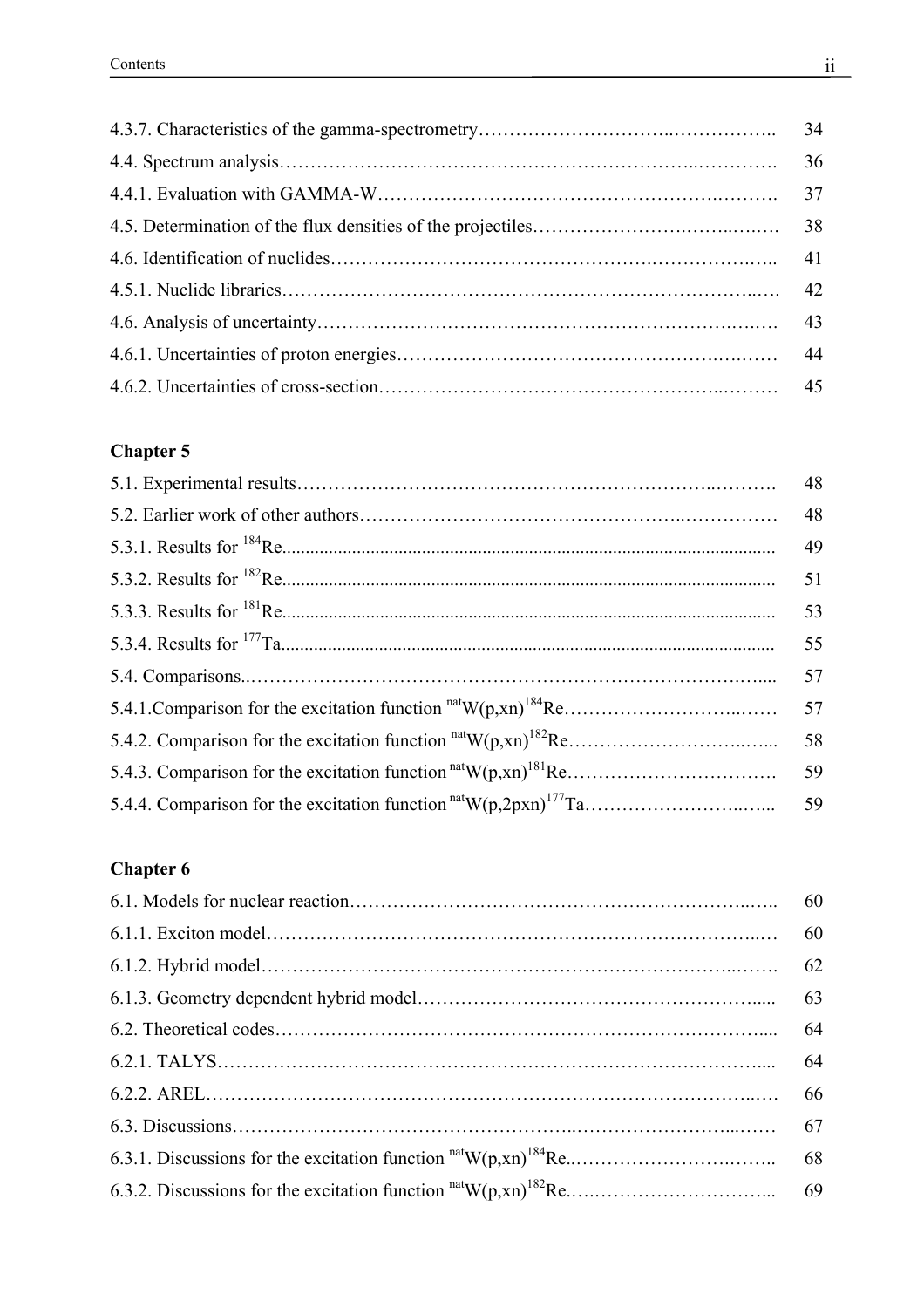## **Chapter 5**

|                                                                 | 48 |
|-----------------------------------------------------------------|----|
|                                                                 | 48 |
|                                                                 | 49 |
|                                                                 | 51 |
|                                                                 | 53 |
|                                                                 | 55 |
|                                                                 | 57 |
|                                                                 | 57 |
| 5.4.2. Comparison for the excitation function $natW(p,xn)182Re$ | 58 |
|                                                                 | 59 |
|                                                                 | 59 |

# **Chapter 6**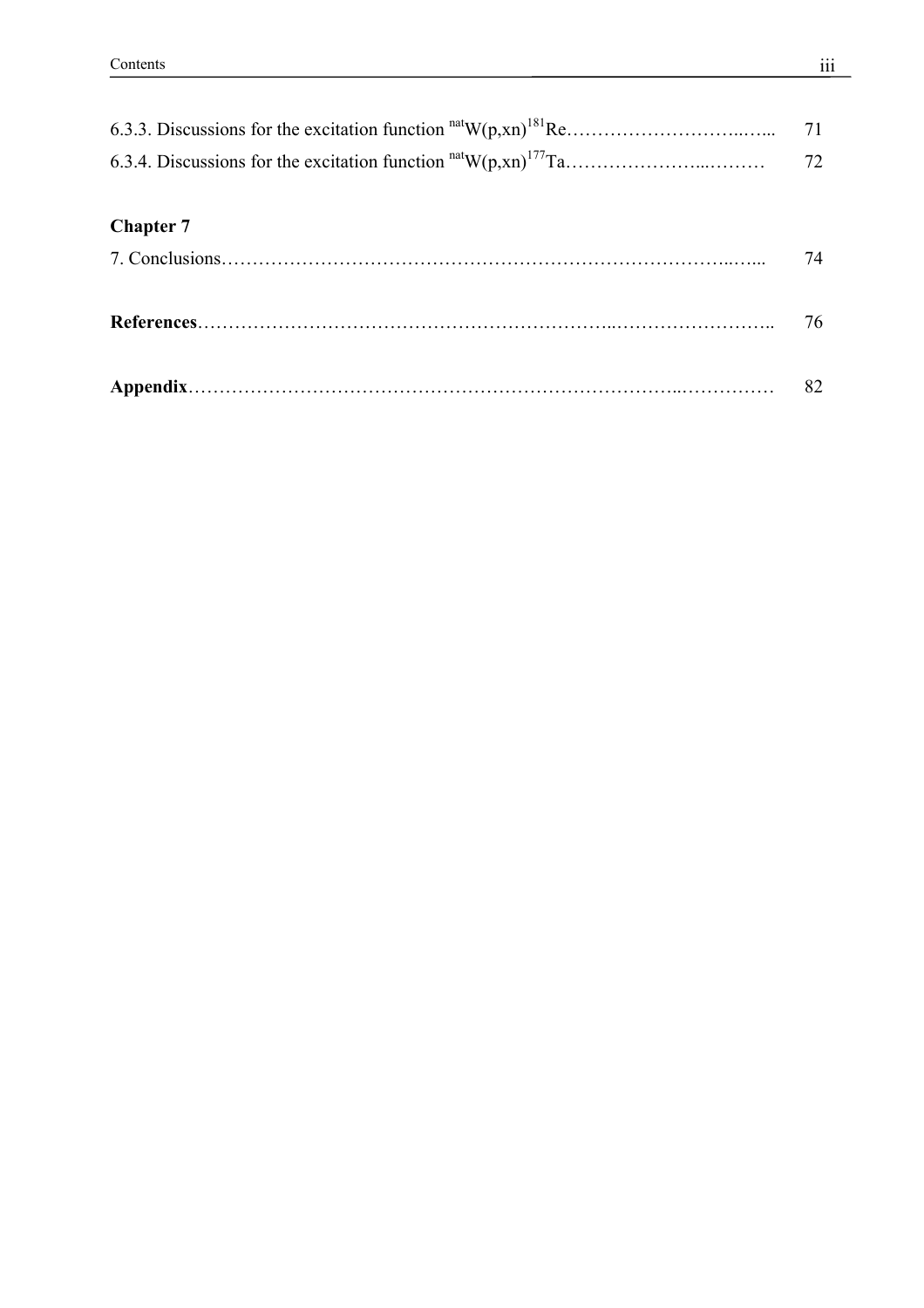| 6.3.3. Discussions for the excitation function $natW(p,xn)181Re$ | 71 |
|------------------------------------------------------------------|----|
|                                                                  | 72 |
| <b>Chapter 7</b>                                                 |    |
|                                                                  | 74 |
|                                                                  | 76 |
|                                                                  | 82 |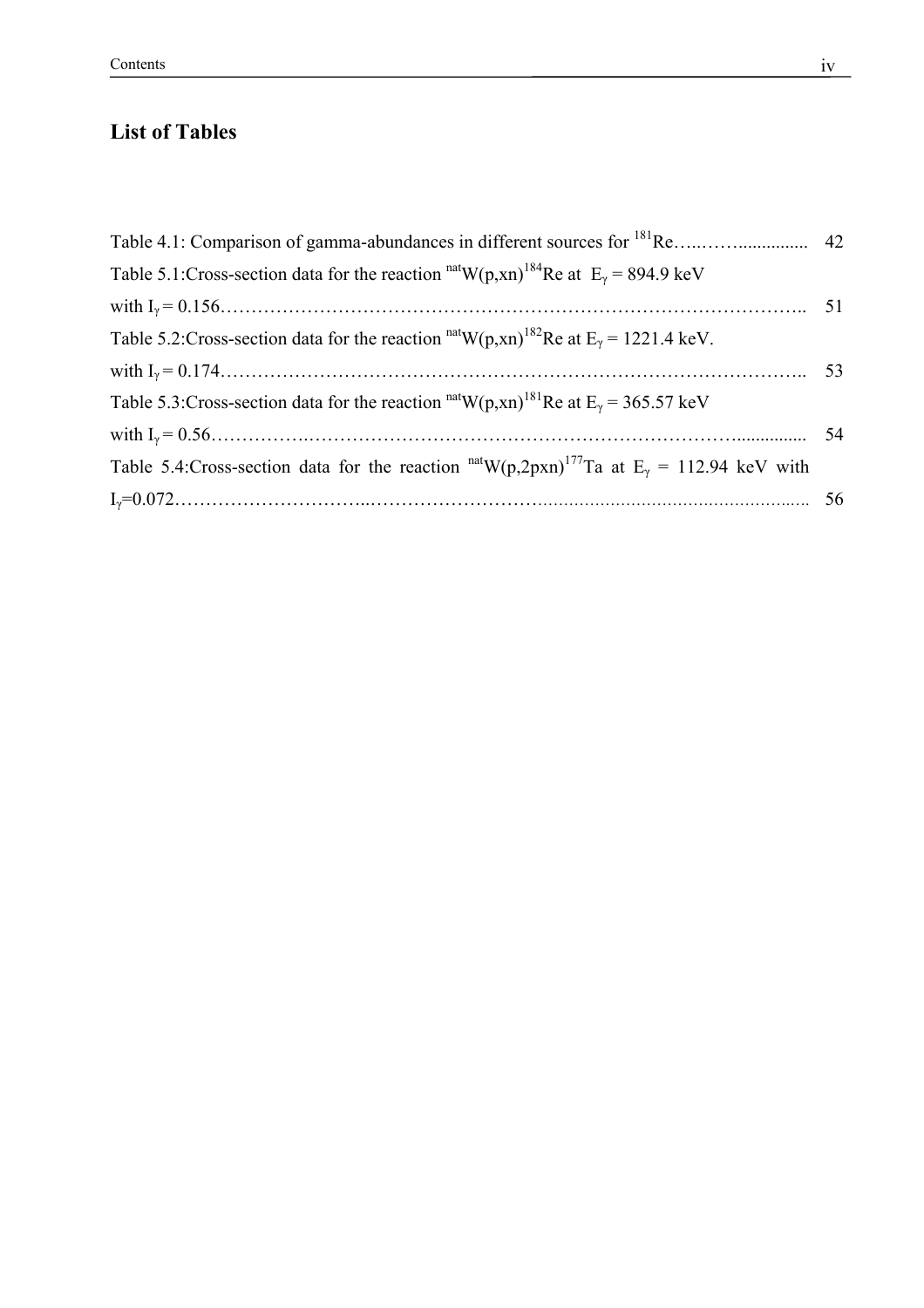# **List of Tables**

| Table 5.1:Cross-section data for the reaction $natW(p,xn)184$ Re at $Ey = 894.9$ keV                                  |  |
|-----------------------------------------------------------------------------------------------------------------------|--|
|                                                                                                                       |  |
| Table 5.2: Cross-section data for the reaction $\frac{\text{nat}}{W(p, xn)}^{182}$ Re at E <sub>y</sub> = 1221.4 keV. |  |
|                                                                                                                       |  |
| Table 5.3: Cross-section data for the reaction $\text{nat}_{W(p,xn)}^{181}$ Re at $E_y = 365.57$ keV                  |  |
|                                                                                                                       |  |
| Table 5.4: Cross-section data for the reaction $natW(p,2pxn)177Ta$ at E <sub>y</sub> = 112.94 keV with                |  |
|                                                                                                                       |  |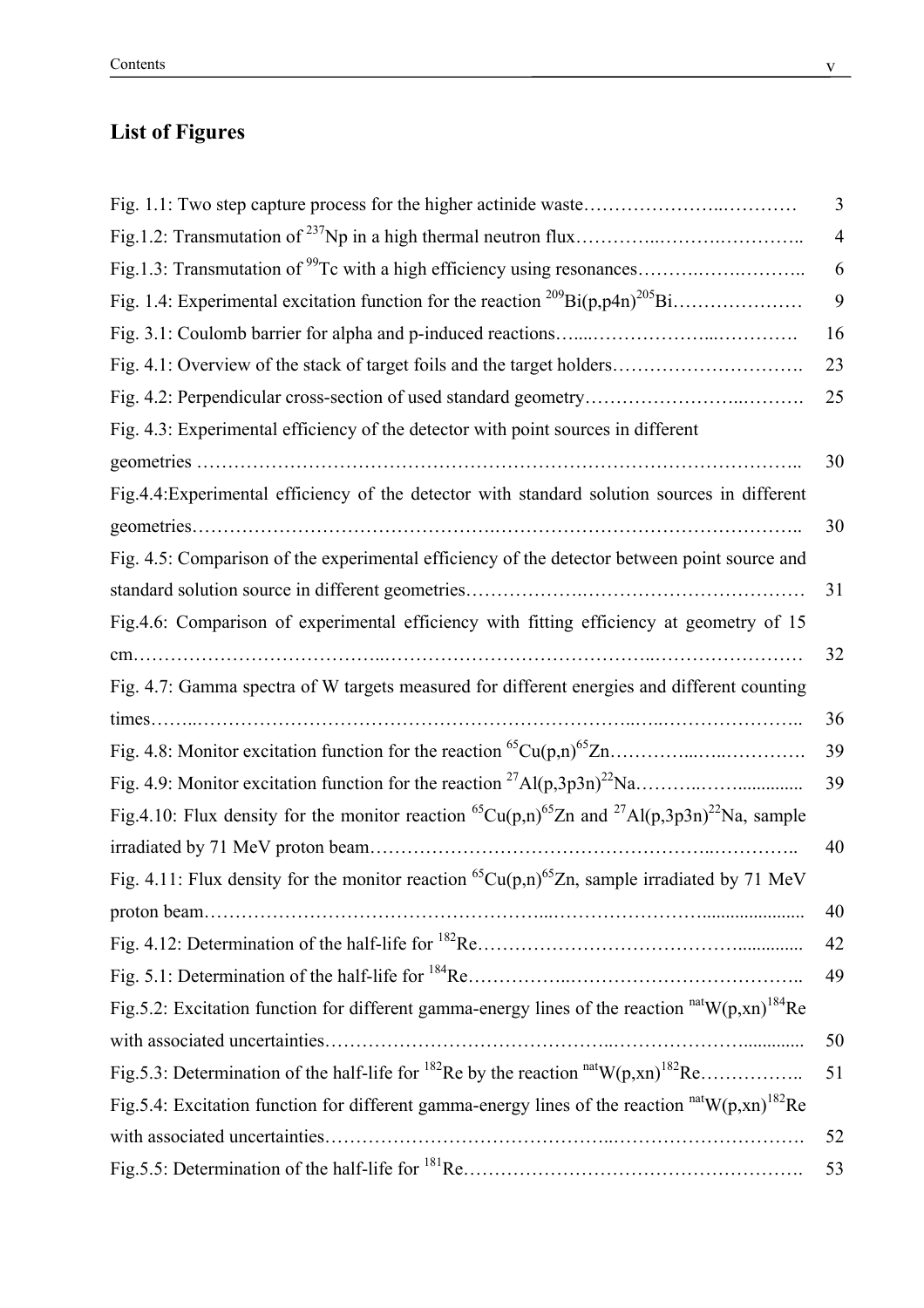# **List of Figures**

|                                                                                                                                              | 3              |
|----------------------------------------------------------------------------------------------------------------------------------------------|----------------|
|                                                                                                                                              | $\overline{4}$ |
| Fig.1.3: Transmutation of <sup>99</sup> Tc with a high efficiency using resonances                                                           | 6              |
|                                                                                                                                              | 9              |
|                                                                                                                                              | 16             |
| Fig. 4.1: Overview of the stack of target foils and the target holders                                                                       | 23             |
|                                                                                                                                              | 25             |
| Fig. 4.3: Experimental efficiency of the detector with point sources in different                                                            |                |
|                                                                                                                                              | 30             |
| Fig.4.4: Experimental efficiency of the detector with standard solution sources in different                                                 |                |
|                                                                                                                                              | 30             |
| Fig. 4.5: Comparison of the experimental efficiency of the detector between point source and                                                 |                |
|                                                                                                                                              | 31             |
| Fig.4.6: Comparison of experimental efficiency with fitting efficiency at geometry of 15                                                     |                |
|                                                                                                                                              | 32             |
| Fig. 4.7: Gamma spectra of W targets measured for different energies and different counting                                                  |                |
|                                                                                                                                              | 36             |
|                                                                                                                                              | 39             |
|                                                                                                                                              | 39             |
| Fig.4.10: Flux density for the monitor reaction <sup>65</sup> Cu(p,n) <sup>65</sup> Zn and <sup>27</sup> Al(p,3p3n) <sup>22</sup> Na, sample |                |
|                                                                                                                                              | 40             |
| Fig. 4.11: Flux density for the monitor reaction <sup>65</sup> Cu(p,n) <sup>65</sup> Zn, sample irradiated by 71 MeV                         |                |
|                                                                                                                                              | 40             |
|                                                                                                                                              | 42             |
|                                                                                                                                              | 49             |
| Fig. 5.2: Excitation function for different gamma-energy lines of the reaction $\text{natW}(p, xn)^{184}$ Re                                 |                |
|                                                                                                                                              | 50             |
| Fig. 5.3: Determination of the half-life for <sup>182</sup> Re by the reaction $natW(p,xn)182$ Re                                            | 51             |
| Fig. 5.4: Excitation function for different gamma-energy lines of the reaction $\text{nat}W(p, xn)^{182}$ Re                                 |                |
|                                                                                                                                              | 52             |
|                                                                                                                                              | 53             |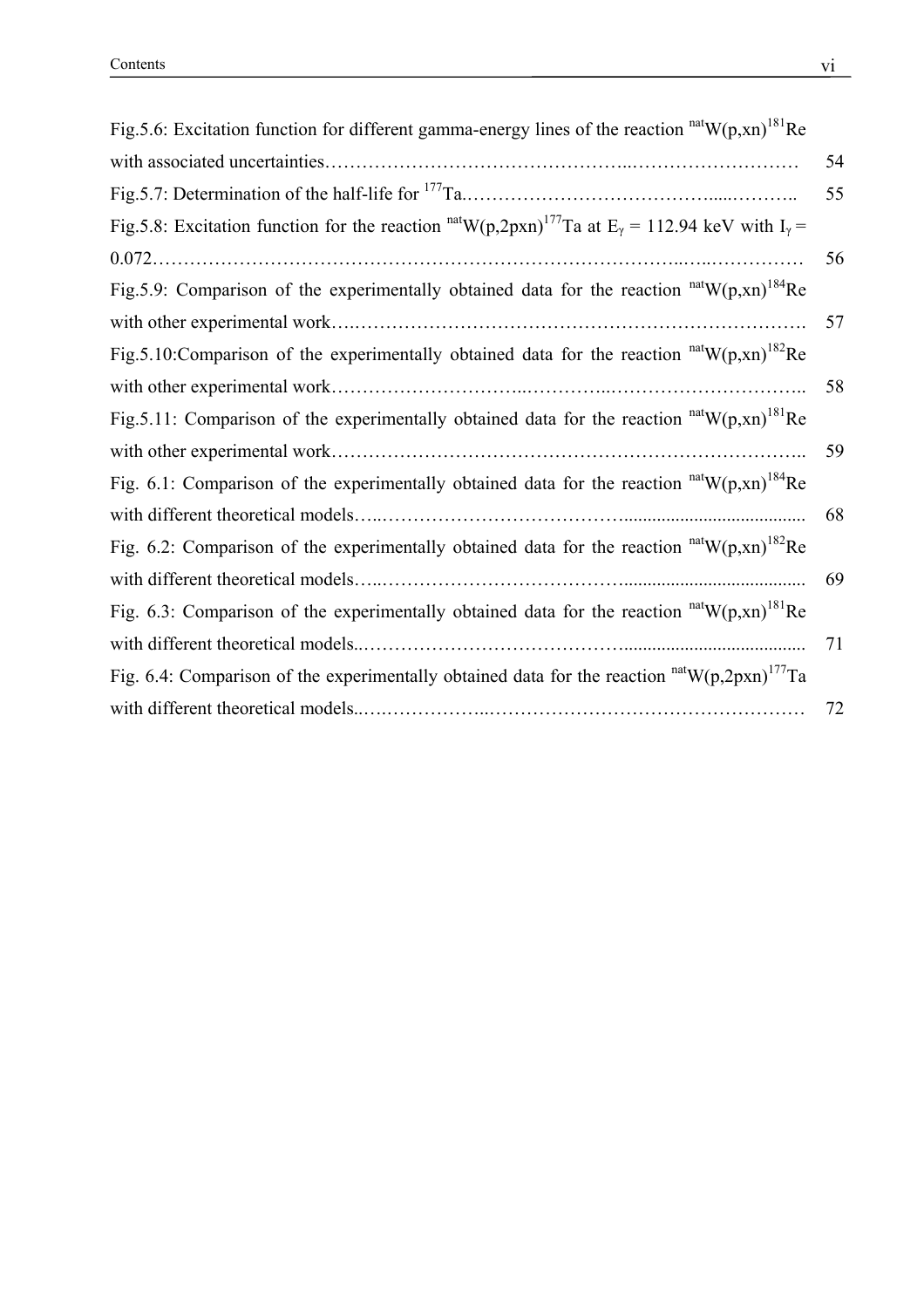| Fig. 5.6: Excitation function for different gamma-energy lines of the reaction $natW(p, xn)181Re$                                 |    |
|-----------------------------------------------------------------------------------------------------------------------------------|----|
|                                                                                                                                   | 54 |
|                                                                                                                                   | 55 |
| Fig.5.8: Excitation function for the reaction $\text{natW}(p,2pxn)^{177}$ Ta at E <sub>y</sub> = 112.94 keV with I <sub>y</sub> = |    |
|                                                                                                                                   | 56 |
| Fig. 5.9: Comparison of the experimentally obtained data for the reaction $^{nat}W(p, xn)^{184}$ Re                               |    |
|                                                                                                                                   | 57 |
| Fig.5.10: Comparison of the experimentally obtained data for the reaction $natW(p,xn)182$ Re                                      |    |
|                                                                                                                                   | 58 |
| Fig. 5.11: Comparison of the experimentally obtained data for the reaction $natW(p,xn)181Re$                                      |    |
|                                                                                                                                   | 59 |
| Fig. 6.1: Comparison of the experimentally obtained data for the reaction $natW(p,xn)184Re$                                       |    |
|                                                                                                                                   | 68 |
| Fig. 6.2: Comparison of the experimentally obtained data for the reaction $^{nat}W(p,xn)^{182}$ Re                                |    |
|                                                                                                                                   | 69 |
| Fig. 6.3: Comparison of the experimentally obtained data for the reaction $natW(p,xn)181Re$                                       |    |
|                                                                                                                                   | 71 |
| Fig. 6.4: Comparison of the experimentally obtained data for the reaction $natW(p,2pxn)^{177}Ta$                                  |    |
|                                                                                                                                   | 72 |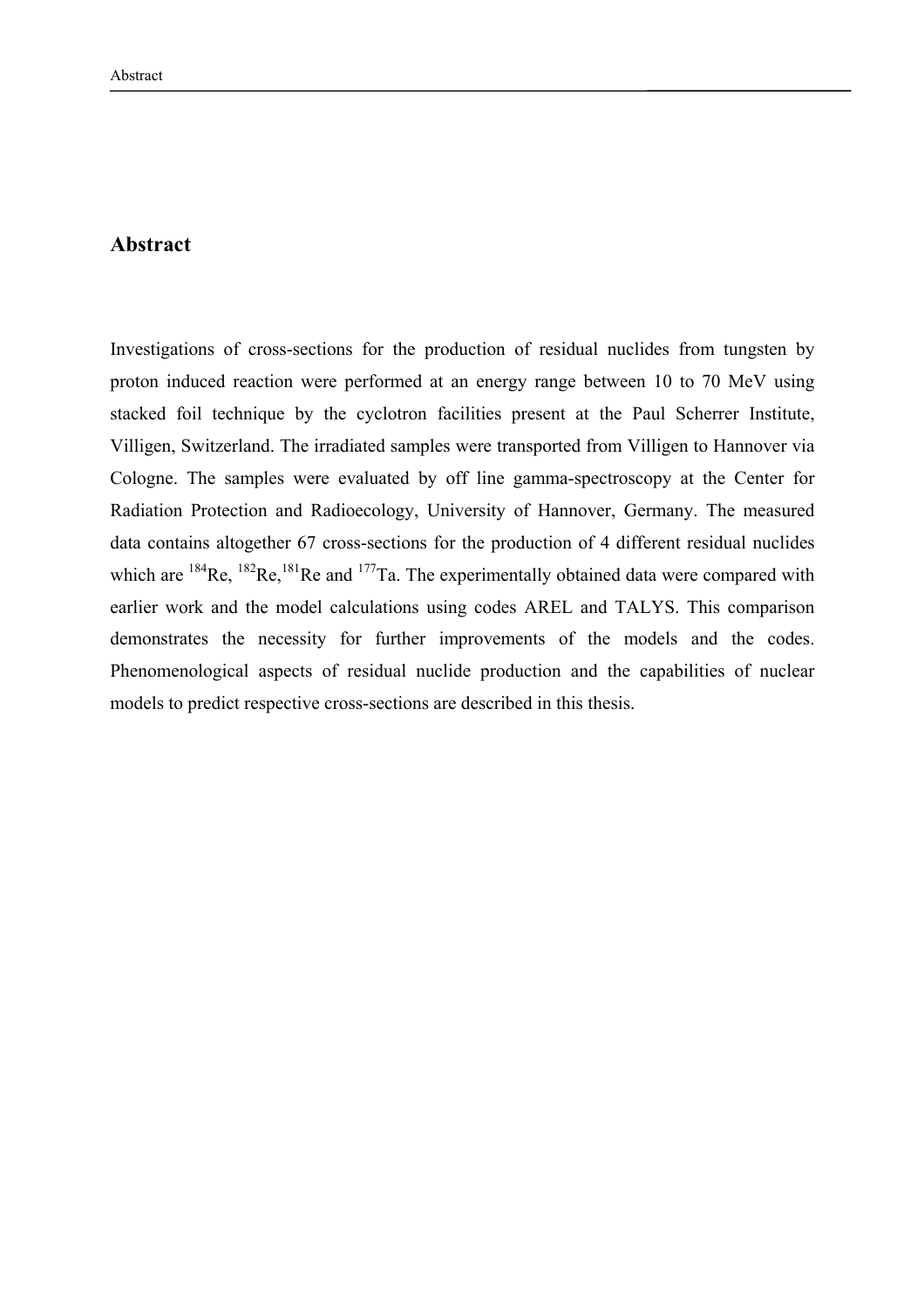### **Abstract**

Investigations of cross-sections for the production of residual nuclides from tungsten by proton induced reaction were performed at an energy range between 10 to 70 MeV using stacked foil technique by the cyclotron facilities present at the Paul Scherrer Institute, Villigen, Switzerland. The irradiated samples were transported from Villigen to Hannover via Cologne. The samples were evaluated by off line gamma-spectroscopy at the Center for Radiation Protection and Radioecology, University of Hannover, Germany. The measured data contains altogether 67 cross-sections for the production of 4 different residual nuclides which are  $^{184}$ Re,  $^{182}$ Re,  $^{181}$ Re and  $^{177}$ Ta. The experimentally obtained data were compared with earlier work and the model calculations using codes AREL and TALYS. This comparison demonstrates the necessity for further improvements of the models and the codes. Phenomenological aspects of residual nuclide production and the capabilities of nuclear models to predict respective cross-sections are described in this thesis.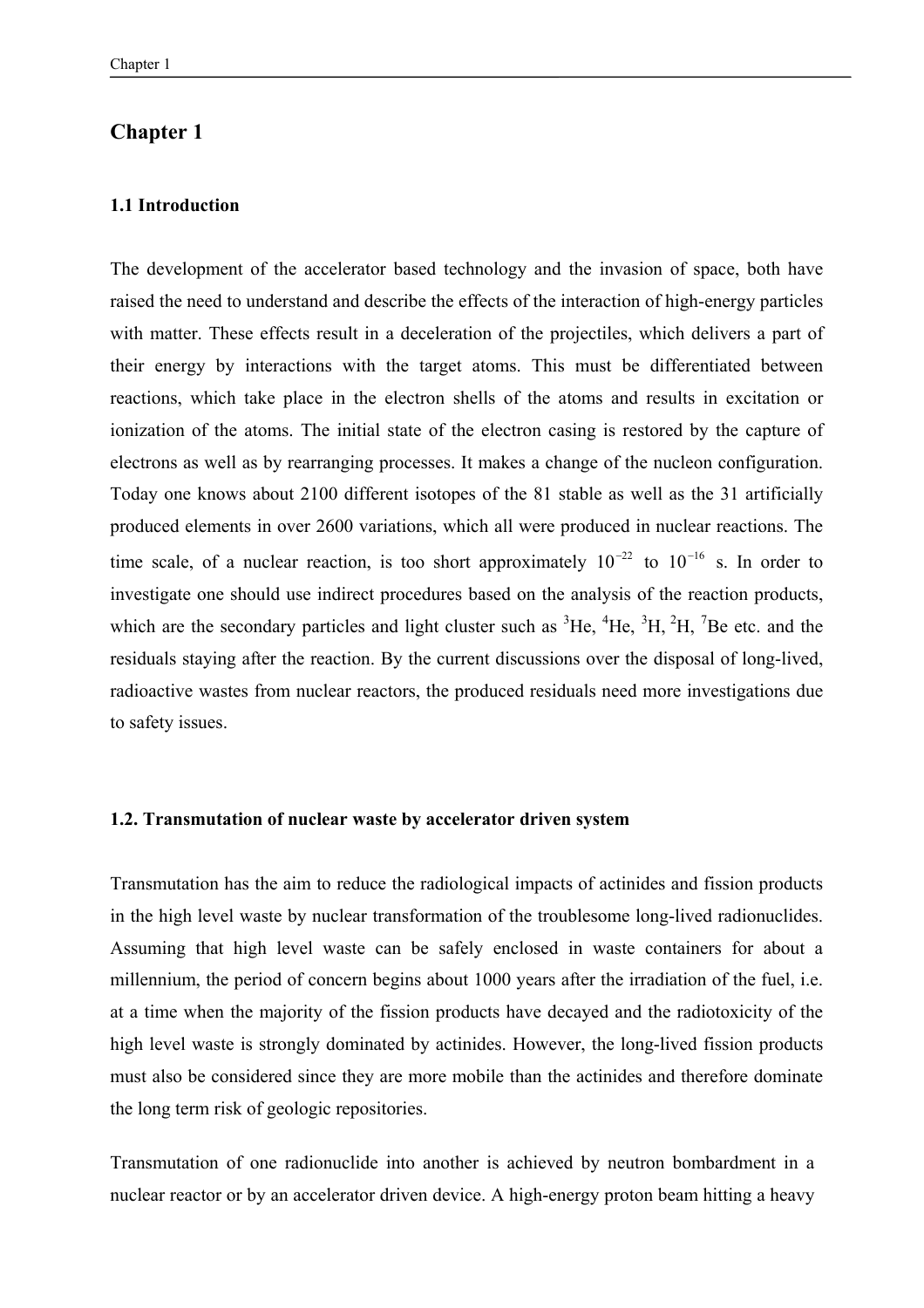### **Chapter 1**

#### **1.1 Introduction**

The development of the accelerator based technology and the invasion of space, both have raised the need to understand and describe the effects of the interaction of high-energy particles with matter. These effects result in a deceleration of the projectiles, which delivers a part of their energy by interactions with the target atoms. This must be differentiated between reactions, which take place in the electron shells of the atoms and results in excitation or ionization of the atoms. The initial state of the electron casing is restored by the capture of electrons as well as by rearranging processes. It makes a change of the nucleon configuration. Today one knows about 2100 different isotopes of the 81 stable as well as the 31 artificially produced elements in over 2600 variations, which all were produced in nuclear reactions. The time scale, of a nuclear reaction, is too short approximately  $10^{-22}$  to  $10^{-16}$  s. In order to investigate one should use indirect procedures based on the analysis of the reaction products, which are the secondary particles and light cluster such as  ${}^{3}$ He,  ${}^{4}$ He,  ${}^{3}$ H,  ${}^{2}$ H,  ${}^{7}$ Be etc. and the residuals staying after the reaction. By the current discussions over the disposal of long-lived, radioactive wastes from nuclear reactors, the produced residuals need more investigations due to safety issues.

#### **1.2. Transmutation of nuclear waste by accelerator driven system**

Transmutation has the aim to reduce the radiological impacts of actinides and fission products in the high level waste by nuclear transformation of the troublesome long-lived radionuclides. Assuming that high level waste can be safely enclosed in waste containers for about a millennium, the period of concern begins about 1000 years after the irradiation of the fuel, i.e. at a time when the majority of the fission products have decayed and the radiotoxicity of the high level waste is strongly dominated by actinides. However, the long-lived fission products must also be considered since they are more mobile than the actinides and therefore dominate the long term risk of geologic repositories.

Transmutation of one radionuclide into another is achieved by neutron bombardment in a nuclear reactor or by an accelerator driven device. A high-energy proton beam hitting a heavy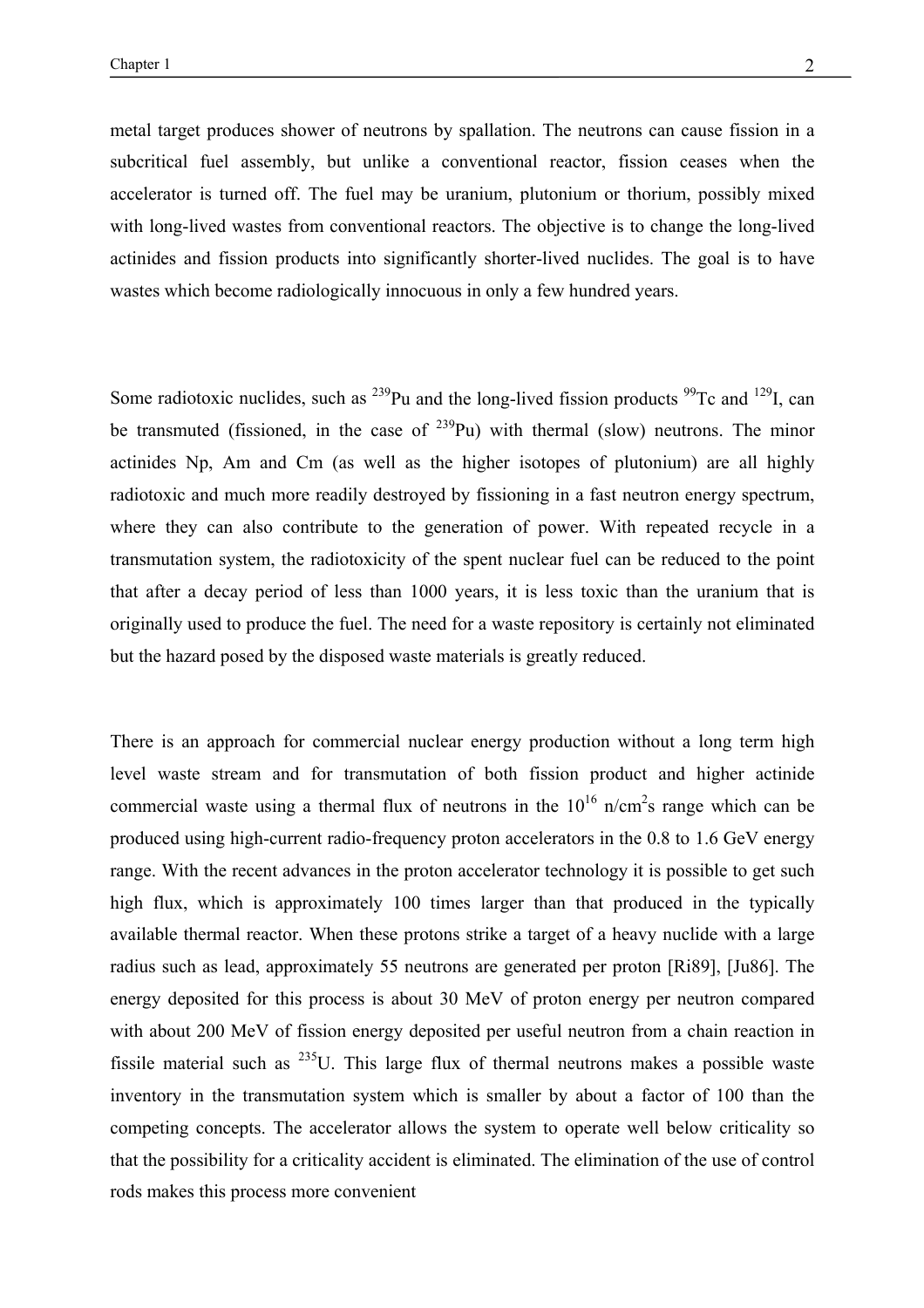metal target produces shower of neutrons by spallation. The neutrons can cause fission in a subcritical fuel assembly, but unlike a conventional reactor, fission ceases when the accelerator is turned off. The fuel may be uranium, plutonium or thorium, possibly mixed with long-lived wastes from conventional reactors. The objective is to change the long-lived actinides and fission products into significantly shorter-lived nuclides. The goal is to have wastes which become radiologically innocuous in only a few hundred years.

Some radiotoxic nuclides, such as  $^{239}$ Pu and the long-lived fission products  $^{99}$ Tc and  $^{129}$ I, can be transmuted (fissioned, in the case of  $^{239}$ Pu) with thermal (slow) neutrons. The minor actinides Np, Am and Cm (as well as the higher isotopes of plutonium) are all highly radiotoxic and much more readily destroyed by fissioning in a fast neutron energy spectrum, where they can also contribute to the generation of power. With repeated recycle in a transmutation system, the radiotoxicity of the spent nuclear fuel can be reduced to the point that after a decay period of less than 1000 years, it is less toxic than the uranium that is originally used to produce the fuel. The need for a waste repository is certainly not eliminated but the hazard posed by the disposed waste materials is greatly reduced.

There is an approach for commercial nuclear energy production without a long term high level waste stream and for transmutation of both fission product and higher actinide commercial waste using a thermal flux of neutrons in the  $10^{16}$  n/cm<sup>2</sup>s range which can be produced using high-current radio-frequency proton accelerators in the 0.8 to 1.6 GeV energy range. With the recent advances in the proton accelerator technology it is possible to get such high flux, which is approximately 100 times larger than that produced in the typically available thermal reactor. When these protons strike a target of a heavy nuclide with a large radius such as lead, approximately 55 neutrons are generated per proton [Ri89], [Ju86]. The energy deposited for this process is about 30 MeV of proton energy per neutron compared with about 200 MeV of fission energy deposited per useful neutron from a chain reaction in fissile material such as  $^{235}U$ . This large flux of thermal neutrons makes a possible waste inventory in the transmutation system which is smaller by about a factor of 100 than the competing concepts. The accelerator allows the system to operate well below criticality so that the possibility for a criticality accident is eliminated. The elimination of the use of control rods makes this process more convenient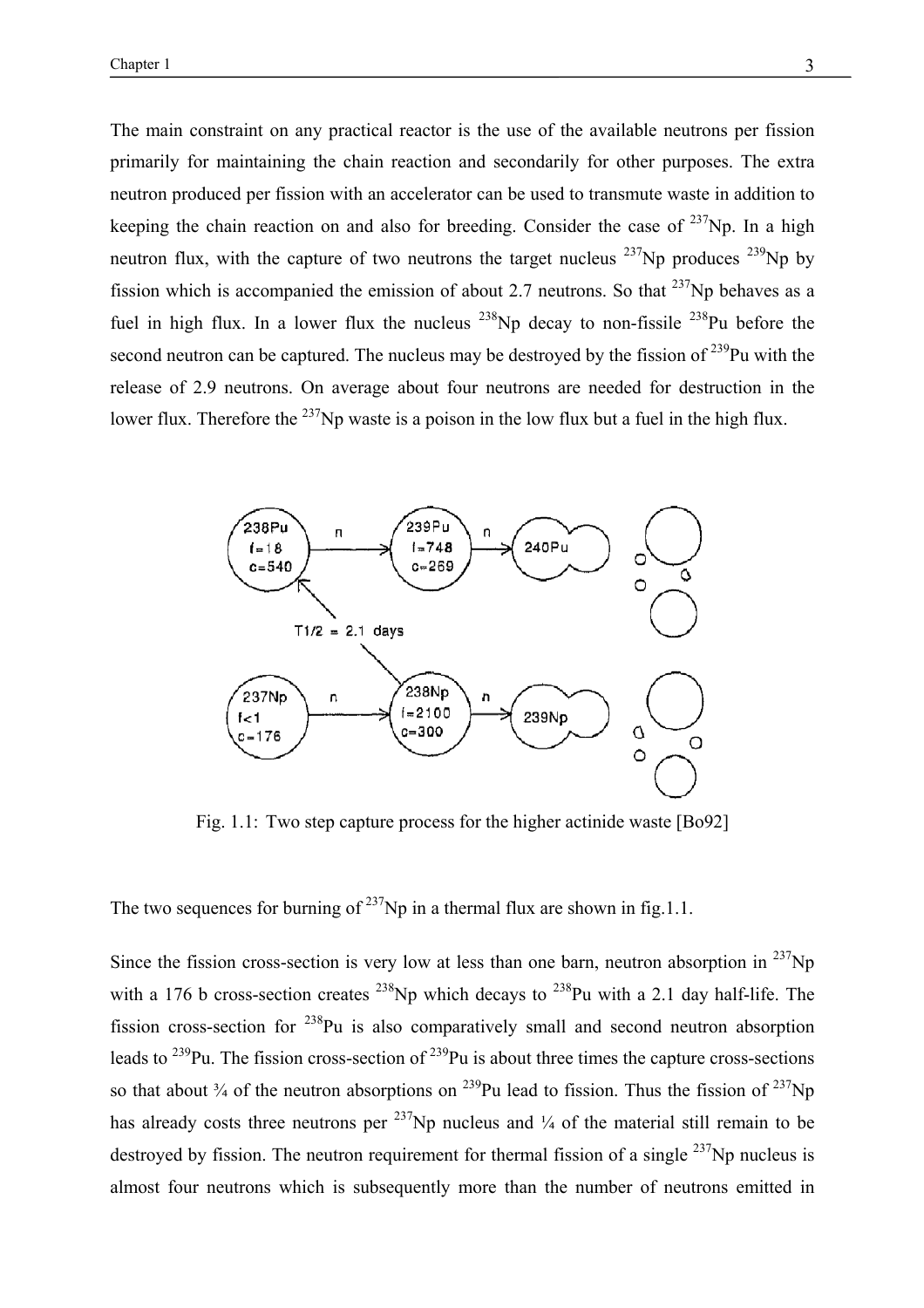The main constraint on any practical reactor is the use of the available neutrons per fission primarily for maintaining the chain reaction and secondarily for other purposes. The extra neutron produced per fission with an accelerator can be used to transmute waste in addition to keeping the chain reaction on and also for breeding. Consider the case of  $^{237}$ Np. In a high neutron flux, with the capture of two neutrons the target nucleus  $^{237}$ Np produces  $^{239}$ Np by fission which is accompanied the emission of about 2.7 neutrons. So that  $^{237}$ Np behaves as a fuel in high flux. In a lower flux the nucleus  $^{238}$ Np decay to non-fissile  $^{238}$ Pu before the second neutron can be captured. The nucleus may be destroyed by the fission of  $^{239}$ Pu with the release of 2.9 neutrons. On average about four neutrons are needed for destruction in the lower flux. Therefore the  $^{237}$ Np waste is a poison in the low flux but a fuel in the high flux.



Fig. 1.1: Two step capture process for the higher actinide waste [Bo92]

The two sequences for burning of  $237$ Np in a thermal flux are shown in fig.1.1.

Since the fission cross-section is very low at less than one barn, neutron absorption in  $^{237}Np$ with a 176 b cross-section creates  $^{238}$ Np which decays to  $^{238}$ Pu with a 2.1 day half-life. The fission cross-section for 238Pu is also comparatively small and second neutron absorption leads to  $^{239}$ Pu. The fission cross-section of  $^{239}$ Pu is about three times the capture cross-sections so that about  $\frac{3}{4}$  of the neutron absorptions on  $^{239}$ Pu lead to fission. Thus the fission of  $^{237}$ Np has already costs three neutrons per  $^{237}$ Np nucleus and  $\frac{1}{4}$  of the material still remain to be destroyed by fission. The neutron requirement for thermal fission of a single  $^{237}$ Np nucleus is almost four neutrons which is subsequently more than the number of neutrons emitted in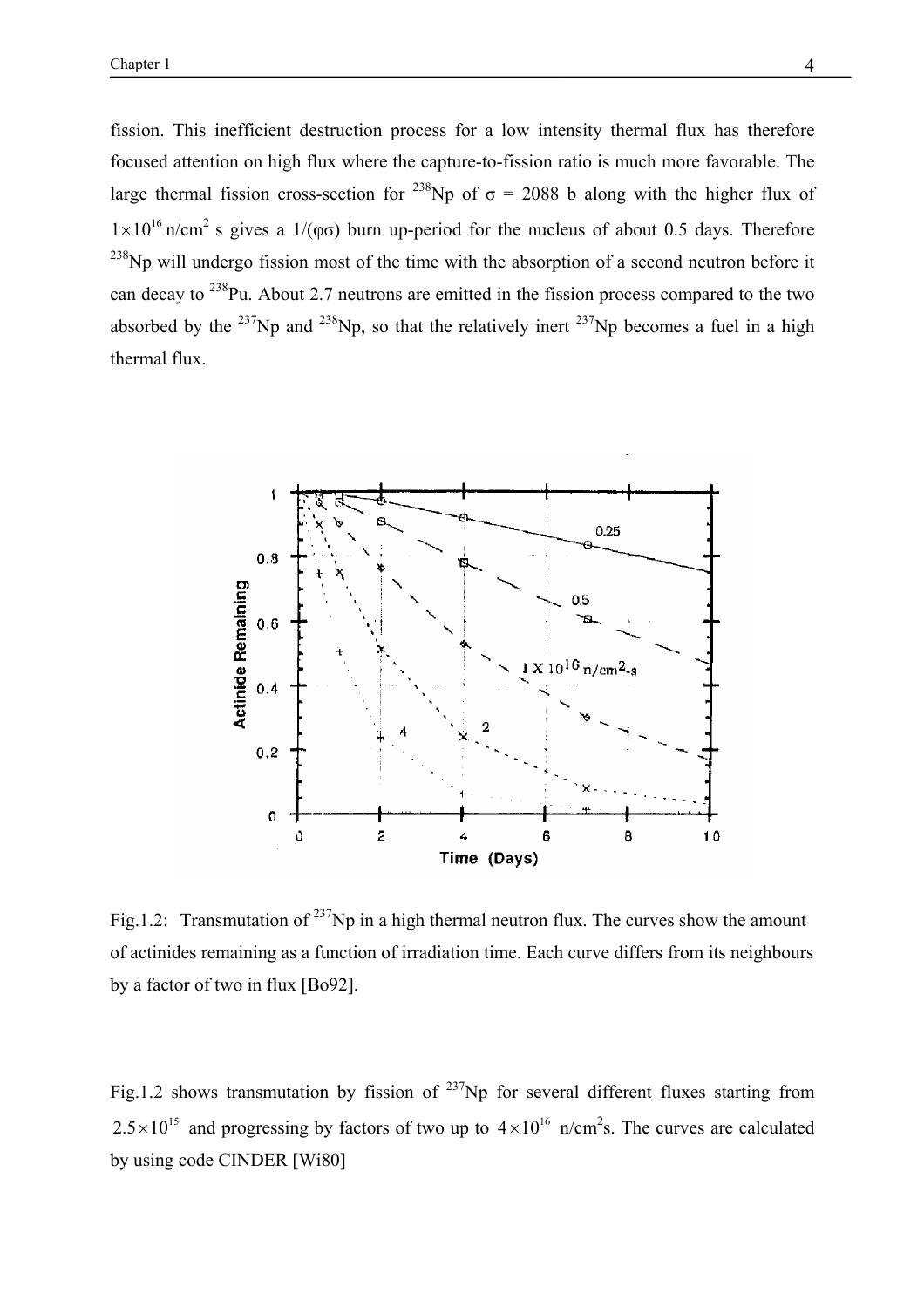fission. This inefficient destruction process for a low intensity thermal flux has therefore focused attention on high flux where the capture-to-fission ratio is much more favorable. The large thermal fission cross-section for <sup>238</sup>Np of  $\sigma$  = 2088 b along with the higher flux of  $1\times10^{16}$  n/cm<sup>2</sup> s gives a 1/( $\varphi\sigma$ ) burn up-period for the nucleus of about 0.5 days. Therefore  $^{238}$ Np will undergo fission most of the time with the absorption of a second neutron before it can decay to 238Pu. About 2.7 neutrons are emitted in the fission process compared to the two absorbed by the <sup>237</sup>Np and <sup>238</sup>Np, so that the relatively inert <sup>237</sup>Np becomes a fuel in a high thermal flux.



Fig.1.2: Transmutation of  $^{237}$ Np in a high thermal neutron flux. The curves show the amount of actinides remaining as a function of irradiation time. Each curve differs from its neighbours by a factor of two in flux [Bo92].

Fig.1.2 shows transmutation by fission of  $^{237}$ Np for several different fluxes starting from  $2.5 \times 10^{15}$  and progressing by factors of two up to  $4 \times 10^{16}$  n/cm<sup>2</sup>s. The curves are calculated by using code CINDER [Wi80]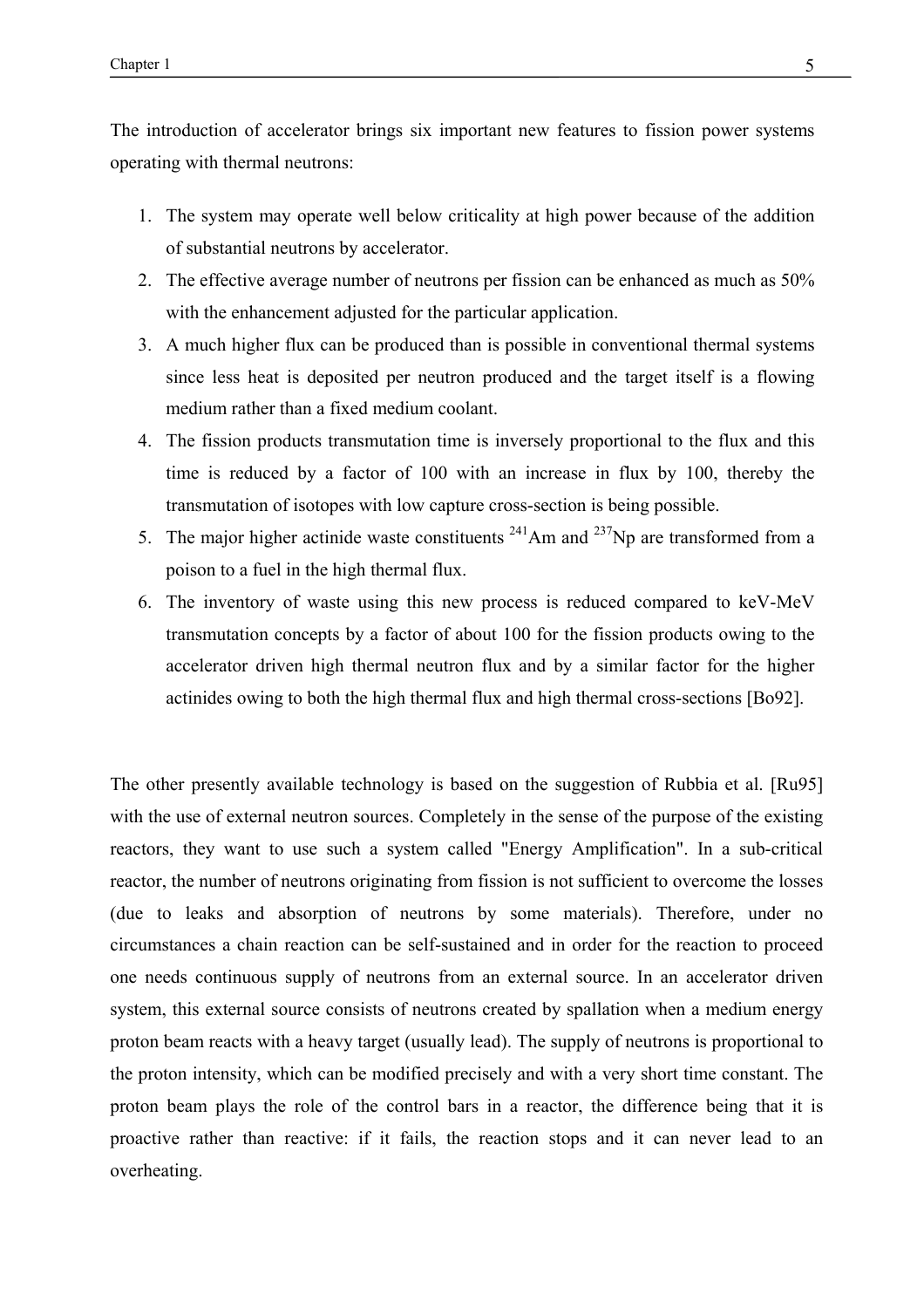The introduction of accelerator brings six important new features to fission power systems operating with thermal neutrons:

- 1. The system may operate well below criticality at high power because of the addition of substantial neutrons by accelerator.
- 2. The effective average number of neutrons per fission can be enhanced as much as 50% with the enhancement adjusted for the particular application.
- 3. A much higher flux can be produced than is possible in conventional thermal systems since less heat is deposited per neutron produced and the target itself is a flowing medium rather than a fixed medium coolant.
- 4. The fission products transmutation time is inversely proportional to the flux and this time is reduced by a factor of 100 with an increase in flux by 100, thereby the transmutation of isotopes with low capture cross-section is being possible.
- 5. The major higher actinide waste constituents  $^{241}$ Am and  $^{237}$ Np are transformed from a poison to a fuel in the high thermal flux.
- 6. The inventory of waste using this new process is reduced compared to keV-MeV transmutation concepts by a factor of about 100 for the fission products owing to the accelerator driven high thermal neutron flux and by a similar factor for the higher actinides owing to both the high thermal flux and high thermal cross-sections [Bo92].

The other presently available technology is based on the suggestion of Rubbia et al. [Ru95] with the use of external neutron sources. Completely in the sense of the purpose of the existing reactors, they want to use such a system called "Energy Amplification". In a sub-critical reactor, the number of neutrons originating from fission is not sufficient to overcome the losses (due to leaks and absorption of neutrons by some materials). Therefore, under no circumstances a chain reaction can be self-sustained and in order for the reaction to proceed one needs continuous supply of neutrons from an external source. In an accelerator driven system, this external source consists of neutrons created by spallation when a medium energy proton beam reacts with a heavy target (usually lead). The supply of neutrons is proportional to the proton intensity, which can be modified precisely and with a very short time constant. The proton beam plays the role of the control bars in a reactor, the difference being that it is proactive rather than reactive: if it fails, the reaction stops and it can never lead to an overheating.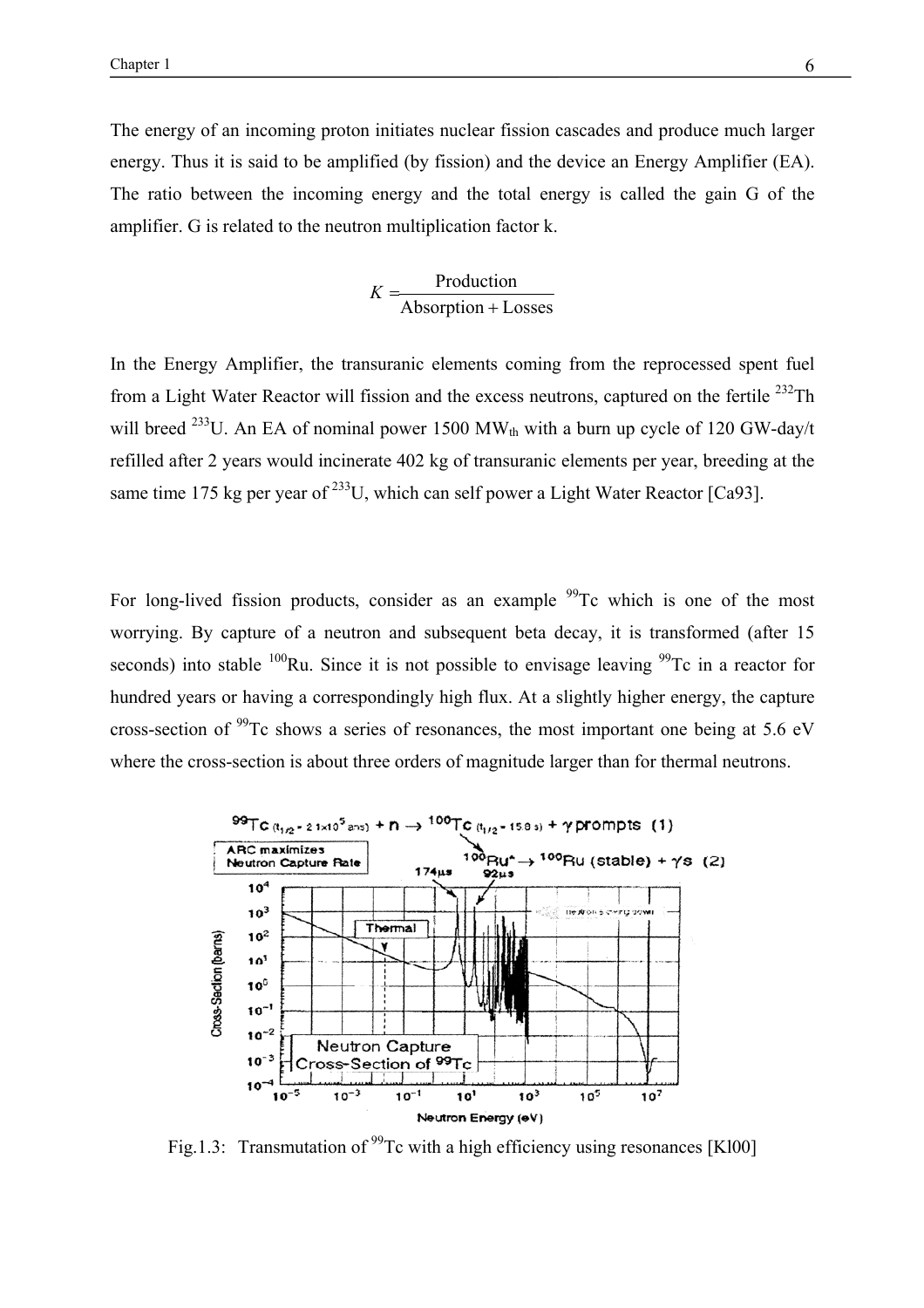The energy of an incoming proton initiates nuclear fission cascades and produce much larger energy. Thus it is said to be amplified (by fission) and the device an Energy Amplifier (EA). The ratio between the incoming energy and the total energy is called the gain G of the amplifier. G is related to the neutron multiplication factor k.

$$
K = \frac{Production}{Absorption + Losses}
$$

In the Energy Amplifier, the transuranic elements coming from the reprocessed spent fuel from a Light Water Reactor will fission and the excess neutrons, captured on the fertile  $^{232}$ Th will breed <sup>233</sup>U. An EA of nominal power 1500 MW<sub>th</sub> with a burn up cycle of 120 GW-day/t refilled after 2 years would incinerate 402 kg of transuranic elements per year, breeding at the same time 175 kg per year of  $^{233}$ U, which can self power a Light Water Reactor [Ca93].

For long-lived fission products, consider as an example <sup>99</sup>Tc which is one of the most worrying. By capture of a neutron and subsequent beta decay, it is transformed (after 15 seconds) into stable  $^{100}$ Ru. Since it is not possible to envisage leaving  $^{99}$ Tc in a reactor for hundred years or having a correspondingly high flux. At a slightly higher energy, the capture cross-section of  $^{99}$ Tc shows a series of resonances, the most important one being at 5.6 eV where the cross-section is about three orders of magnitude larger than for thermal neutrons.



Fig.1.3: Transmutation of <sup>99</sup>Tc with a high efficiency using resonances [Kl00]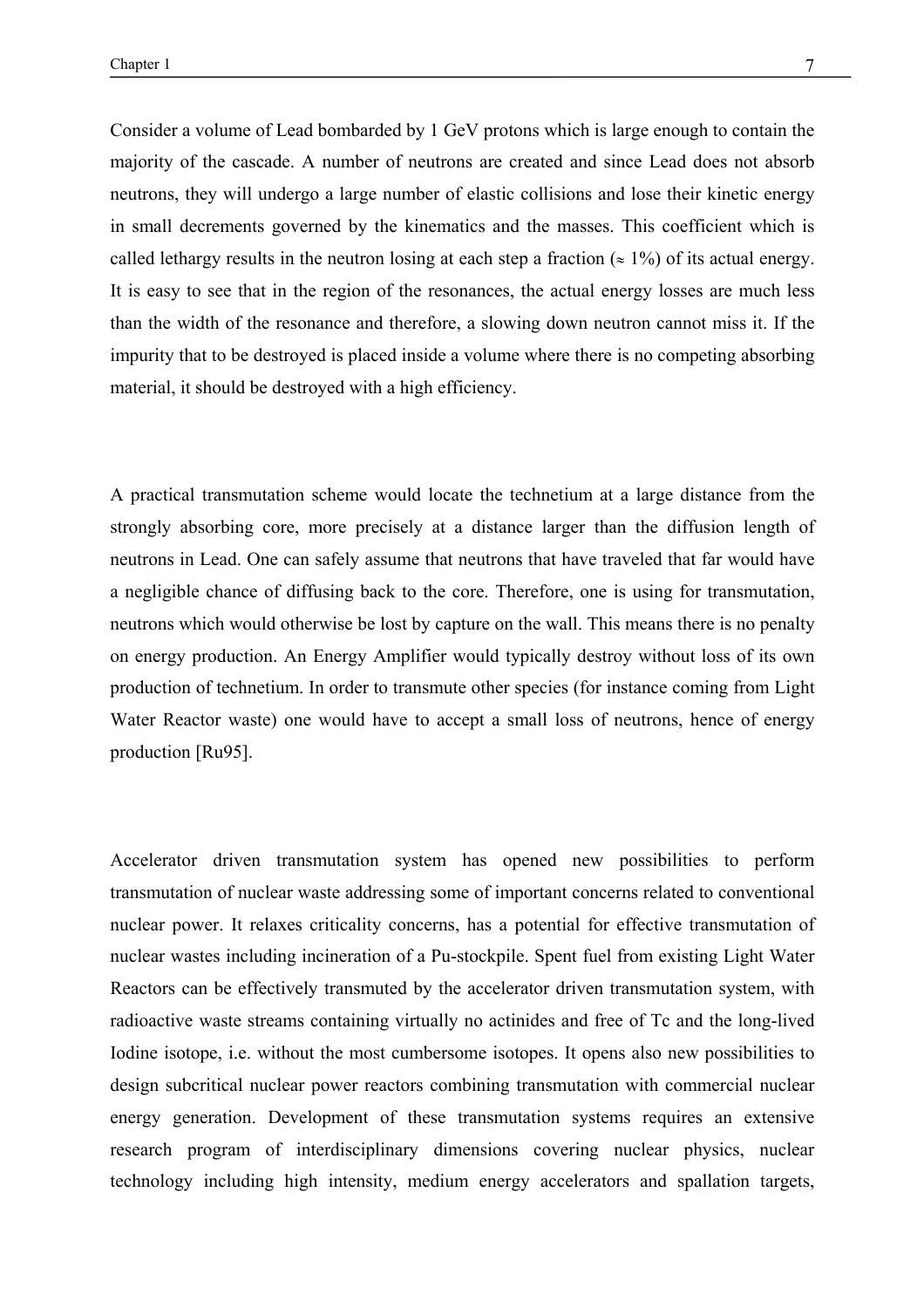Consider a volume of Lead bombarded by 1 GeV protons which is large enough to contain the majority of the cascade. A number of neutrons are created and since Lead does not absorb neutrons, they will undergo a large number of elastic collisions and lose their kinetic energy in small decrements governed by the kinematics and the masses. This coefficient which is called lethargy results in the neutron losing at each step a fraction ( $\approx 1\%$ ) of its actual energy. It is easy to see that in the region of the resonances, the actual energy losses are much less than the width of the resonance and therefore, a slowing down neutron cannot miss it. If the impurity that to be destroyed is placed inside a volume where there is no competing absorbing material, it should be destroyed with a high efficiency.

A practical transmutation scheme would locate the technetium at a large distance from the strongly absorbing core, more precisely at a distance larger than the diffusion length of neutrons in Lead. One can safely assume that neutrons that have traveled that far would have a negligible chance of diffusing back to the core. Therefore, one is using for transmutation, neutrons which would otherwise be lost by capture on the wall. This means there is no penalty on energy production. An Energy Amplifier would typically destroy without loss of its own production of technetium. In order to transmute other species (for instance coming from Light Water Reactor waste) one would have to accept a small loss of neutrons, hence of energy production [Ru95].

Accelerator driven transmutation system has opened new possibilities to perform transmutation of nuclear waste addressing some of important concerns related to conventional nuclear power. It relaxes criticality concerns, has a potential for effective transmutation of nuclear wastes including incineration of a Pu-stockpile. Spent fuel from existing Light Water Reactors can be effectively transmuted by the accelerator driven transmutation system, with radioactive waste streams containing virtually no actinides and free of Tc and the long-lived Iodine isotope, i.e. without the most cumbersome isotopes. It opens also new possibilities to design subcritical nuclear power reactors combining transmutation with commercial nuclear energy generation. Development of these transmutation systems requires an extensive research program of interdisciplinary dimensions covering nuclear physics, nuclear technology including high intensity, medium energy accelerators and spallation targets,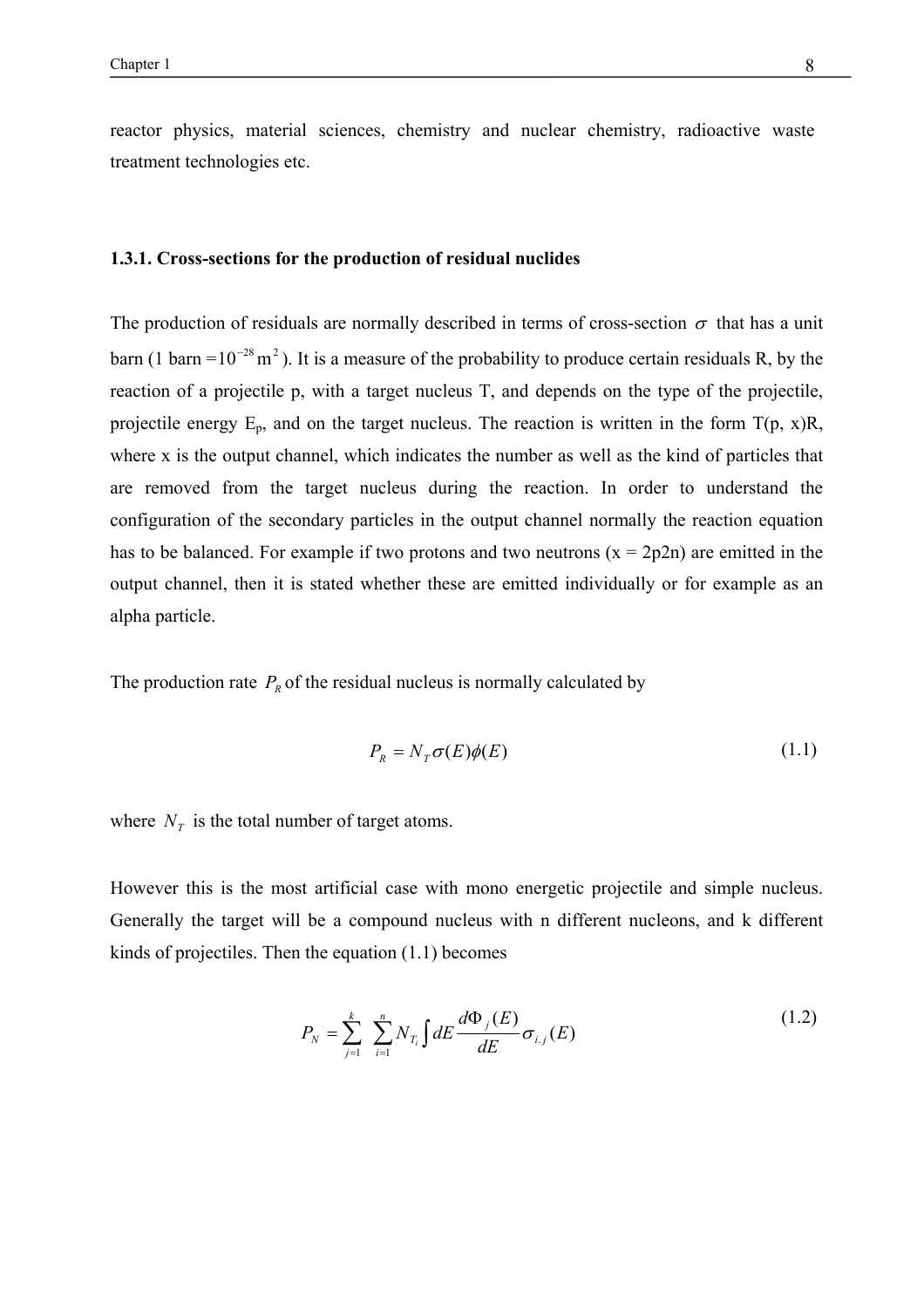reactor physics, material sciences, chemistry and nuclear chemistry, radioactive waste treatment technologies etc.

#### **1.3.1. Cross-sections for the production of residual nuclides**

The production of residuals are normally described in terms of cross-section  $\sigma$  that has a unit barn (1 barn =  $10^{-28}$  m<sup>2</sup>). It is a measure of the probability to produce certain residuals R, by the reaction of a projectile p, with a target nucleus T, and depends on the type of the projectile, projectile energy  $E_p$ , and on the target nucleus. The reaction is written in the form  $T(p, x)R$ , where x is the output channel, which indicates the number as well as the kind of particles that are removed from the target nucleus during the reaction. In order to understand the configuration of the secondary particles in the output channel normally the reaction equation has to be balanced. For example if two protons and two neutrons  $(x = 2p2n)$  are emitted in the output channel, then it is stated whether these are emitted individually or for example as an alpha particle.

The production rate  $P_R$  of the residual nucleus is normally calculated by

$$
P_R = N_T \sigma(E)\phi(E) \tag{1.1}
$$

where  $N_T$  is the total number of target atoms.

However this is the most artificial case with mono energetic projectile and simple nucleus. Generally the target will be a compound nucleus with n different nucleons, and k different kinds of projectiles. Then the equation (1.1) becomes

$$
P_N = \sum_{j=1}^k \sum_{i=1}^n N_{T_i} \int dE \frac{d\Phi_j(E)}{dE} \sigma_{i,j}(E)
$$
 (1.2)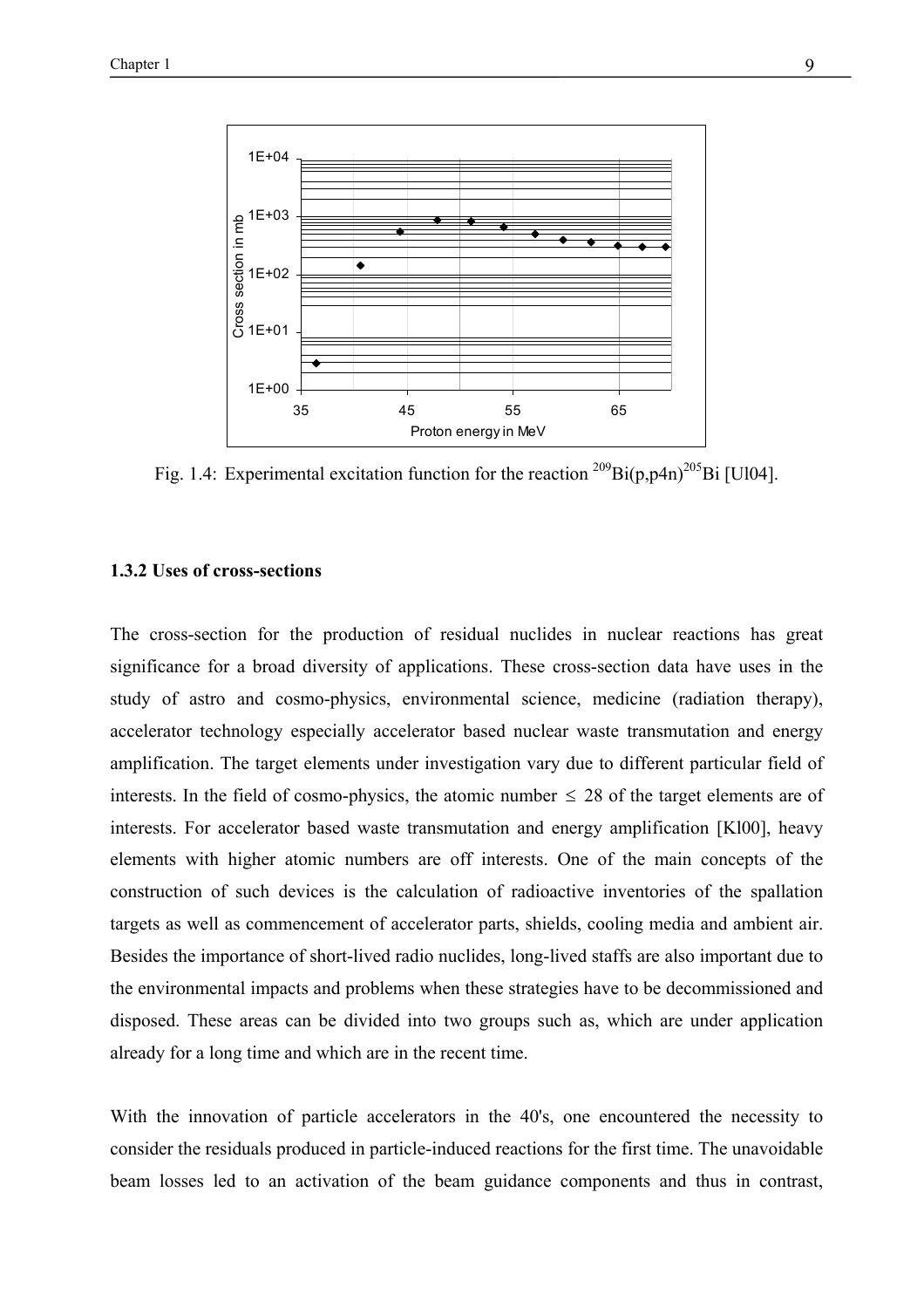

Fig. 1.4: Experimental excitation function for the reaction  $^{209}Bi(p,p4n)^{205}Bi$  [Ul04].

#### **1.3.2 Uses of cross-sections**

The cross-section for the production of residual nuclides in nuclear reactions has great significance for a broad diversity of applications. These cross-section data have uses in the study of astro and cosmo-physics, environmental science, medicine (radiation therapy), accelerator technology especially accelerator based nuclear waste transmutation and energy amplification. The target elements under investigation vary due to different particular field of interests. In the field of cosmo-physics, the atomic number  $\leq$  28 of the target elements are of interests. For accelerator based waste transmutation and energy amplification [Kl00], heavy elements with higher atomic numbers are off interests. One of the main concepts of the construction of such devices is the calculation of radioactive inventories of the spallation targets as well as commencement of accelerator parts, shields, cooling media and ambient air. Besides the importance of short-lived radio nuclides, long-lived staffs are also important due to the environmental impacts and problems when these strategies have to be decommissioned and disposed. These areas can be divided into two groups such as, which are under application already for a long time and which are in the recent time.

With the innovation of particle accelerators in the 40's, one encountered the necessity to consider the residuals produced in particle-induced reactions for the first time. The unavoidable beam losses led to an activation of the beam guidance components and thus in contrast,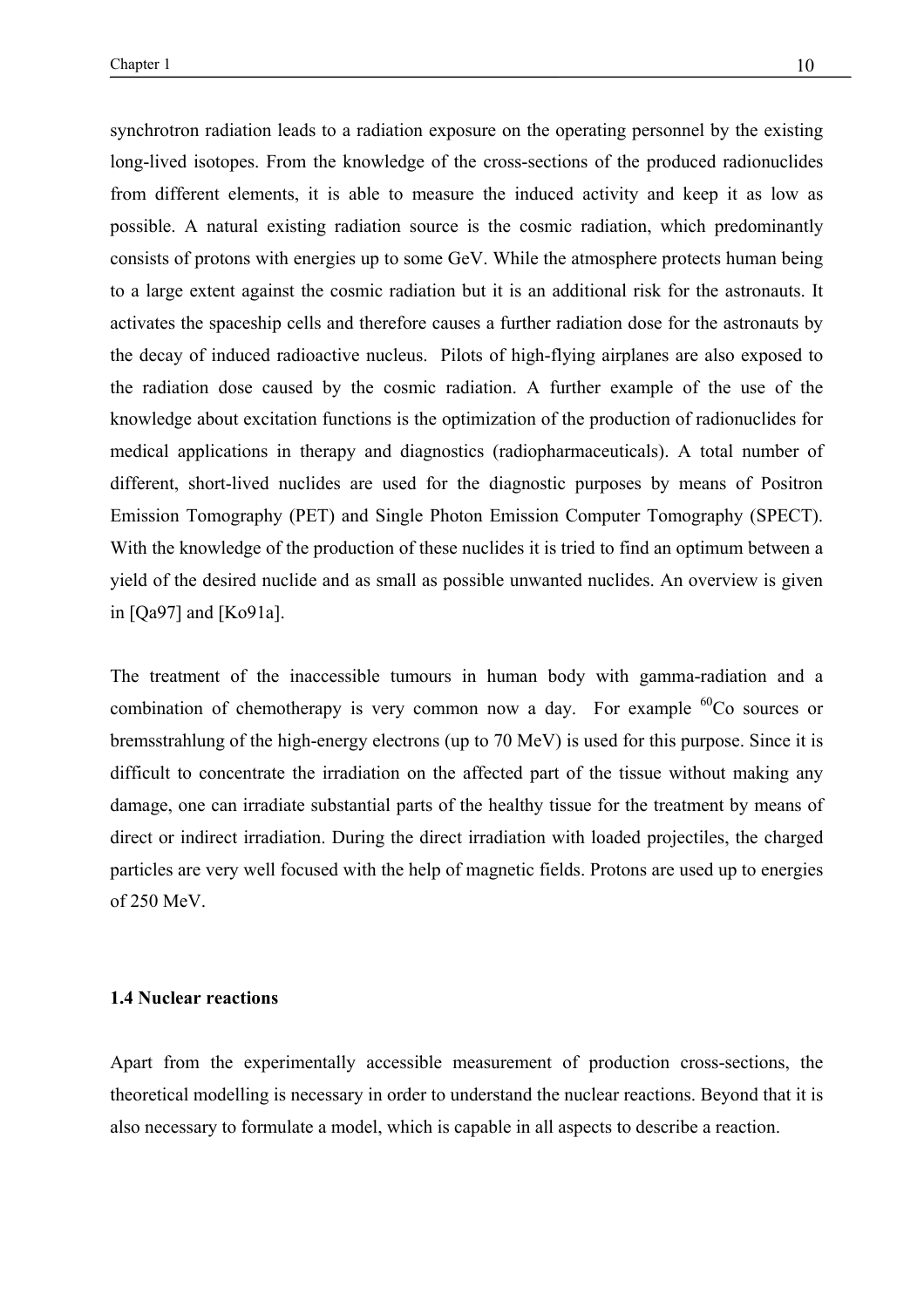synchrotron radiation leads to a radiation exposure on the operating personnel by the existing long-lived isotopes. From the knowledge of the cross-sections of the produced radionuclides from different elements, it is able to measure the induced activity and keep it as low as possible. A natural existing radiation source is the cosmic radiation, which predominantly consists of protons with energies up to some GeV. While the atmosphere protects human being to a large extent against the cosmic radiation but it is an additional risk for the astronauts. It activates the spaceship cells and therefore causes a further radiation dose for the astronauts by the decay of induced radioactive nucleus. Pilots of high-flying airplanes are also exposed to the radiation dose caused by the cosmic radiation. A further example of the use of the knowledge about excitation functions is the optimization of the production of radionuclides for medical applications in therapy and diagnostics (radiopharmaceuticals). A total number of different, short-lived nuclides are used for the diagnostic purposes by means of Positron Emission Tomography (PET) and Single Photon Emission Computer Tomography (SPECT). With the knowledge of the production of these nuclides it is tried to find an optimum between a yield of the desired nuclide and as small as possible unwanted nuclides. An overview is given in [Qa97] and [Ko91a].

The treatment of the inaccessible tumours in human body with gamma-radiation and a combination of chemotherapy is very common now a day. For example  ${}^{60}Co$  sources or bremsstrahlung of the high-energy electrons (up to 70 MeV) is used for this purpose. Since it is difficult to concentrate the irradiation on the affected part of the tissue without making any damage, one can irradiate substantial parts of the healthy tissue for the treatment by means of direct or indirect irradiation. During the direct irradiation with loaded projectiles, the charged particles are very well focused with the help of magnetic fields. Protons are used up to energies of 250 MeV.

#### **1.4 Nuclear reactions**

Apart from the experimentally accessible measurement of production cross-sections, the theoretical modelling is necessary in order to understand the nuclear reactions. Beyond that it is also necessary to formulate a model, which is capable in all aspects to describe a reaction.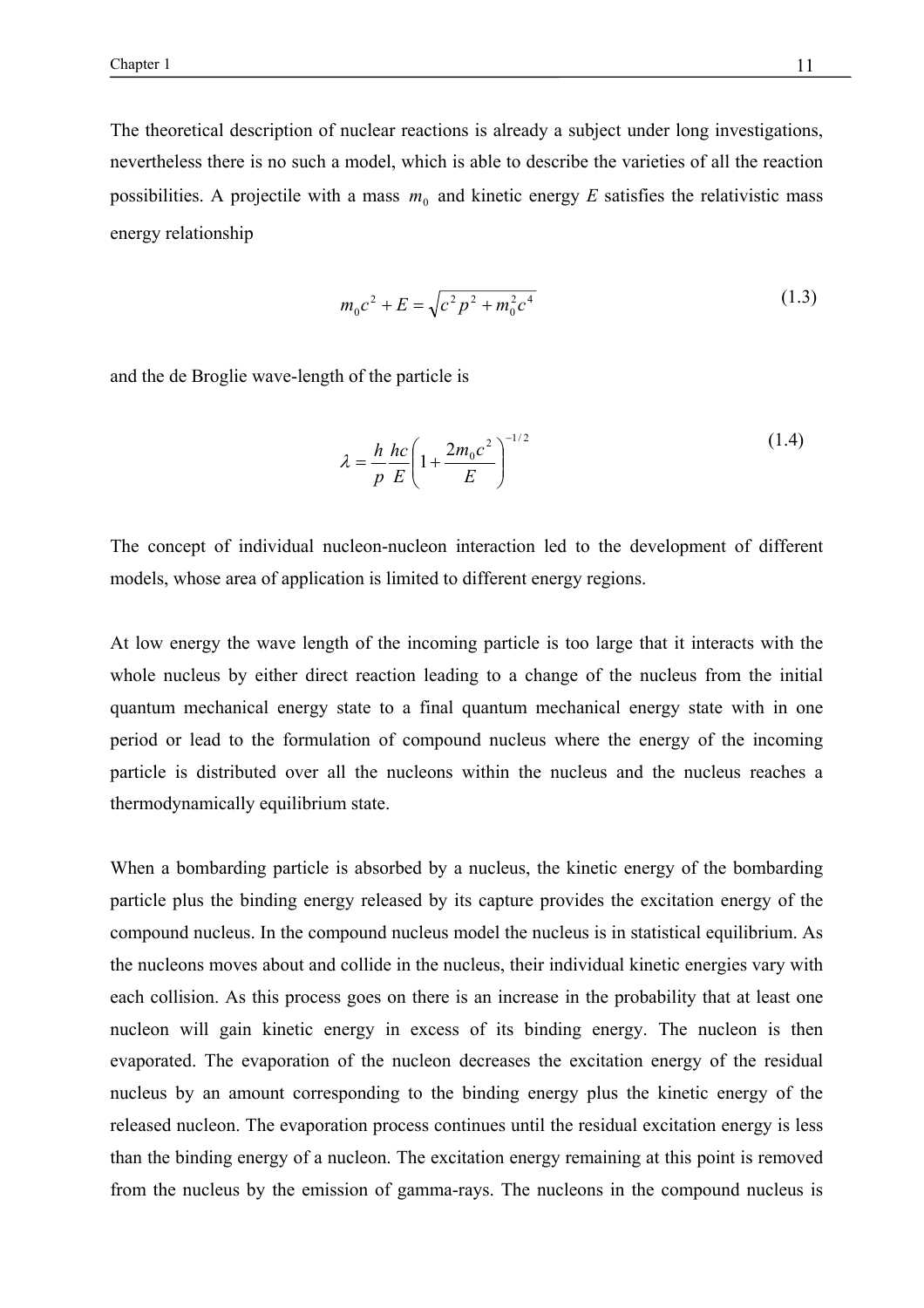The theoretical description of nuclear reactions is already a subject under long investigations, nevertheless there is no such a model, which is able to describe the varieties of all the reaction possibilities. A projectile with a mass  $m_0$  and kinetic energy *E* satisfies the relativistic mass energy relationship

$$
m_0 c^2 + E = \sqrt{c^2 p^2 + m_0^2 c^4}
$$
 (1.3)

and the de Broglie wave-length of the particle is

$$
\lambda = \frac{h}{p} \frac{hc}{E} \left( 1 + \frac{2m_0 c^2}{E} \right)^{-1/2}
$$
 (1.4)

The concept of individual nucleon-nucleon interaction led to the development of different models, whose area of application is limited to different energy regions.

At low energy the wave length of the incoming particle is too large that it interacts with the whole nucleus by either direct reaction leading to a change of the nucleus from the initial quantum mechanical energy state to a final quantum mechanical energy state with in one period or lead to the formulation of compound nucleus where the energy of the incoming particle is distributed over all the nucleons within the nucleus and the nucleus reaches a thermodynamically equilibrium state.

When a bombarding particle is absorbed by a nucleus, the kinetic energy of the bombarding particle plus the binding energy released by its capture provides the excitation energy of the compound nucleus. In the compound nucleus model the nucleus is in statistical equilibrium. As the nucleons moves about and collide in the nucleus, their individual kinetic energies vary with each collision. As this process goes on there is an increase in the probability that at least one nucleon will gain kinetic energy in excess of its binding energy. The nucleon is then evaporated. The evaporation of the nucleon decreases the excitation energy of the residual nucleus by an amount corresponding to the binding energy plus the kinetic energy of the released nucleon. The evaporation process continues until the residual excitation energy is less than the binding energy of a nucleon. The excitation energy remaining at this point is removed from the nucleus by the emission of gamma-rays. The nucleons in the compound nucleus is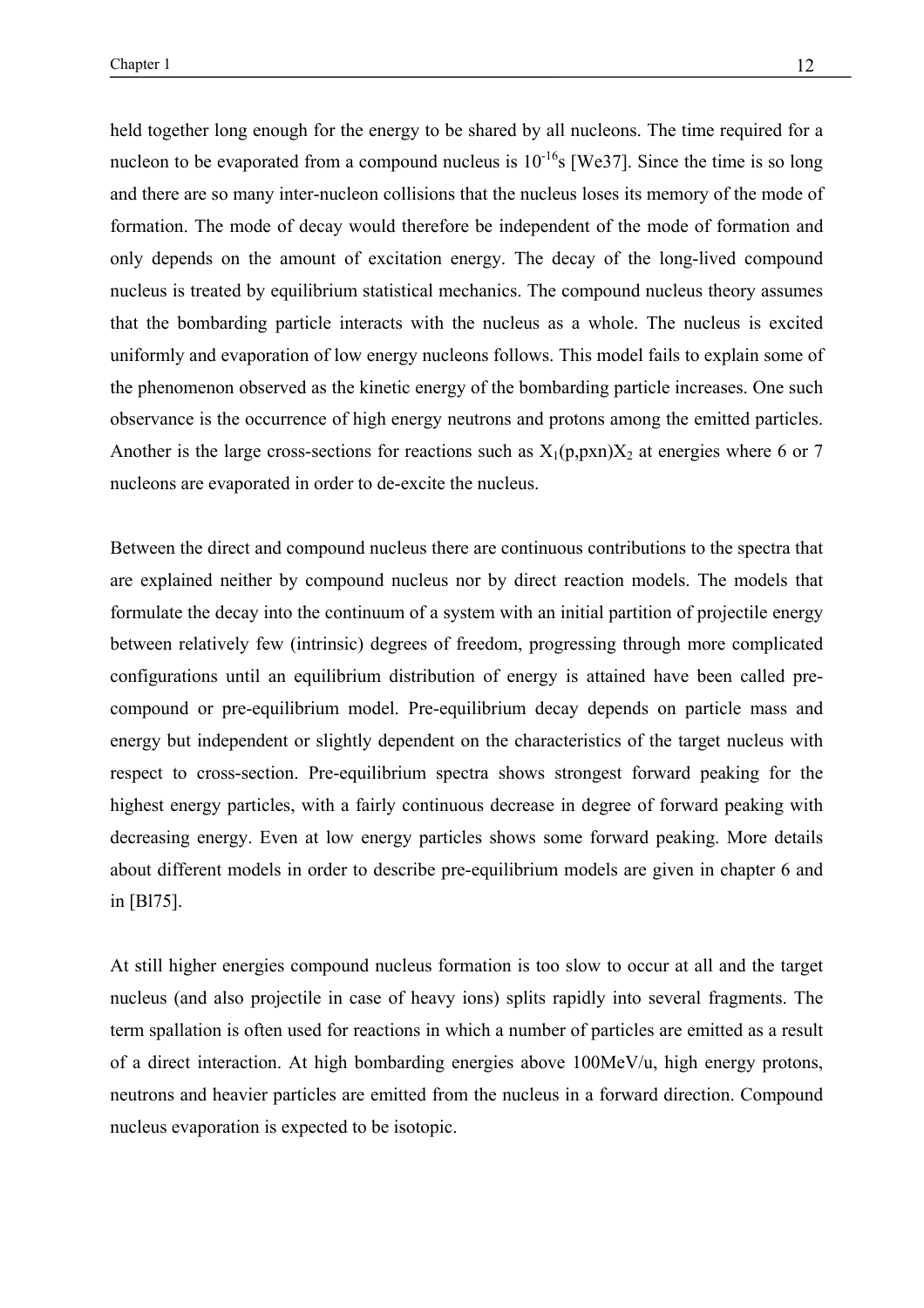held together long enough for the energy to be shared by all nucleons. The time required for a nucleon to be evaporated from a compound nucleus is  $10^{-16}$ s [We37]. Since the time is so long and there are so many inter-nucleon collisions that the nucleus loses its memory of the mode of formation. The mode of decay would therefore be independent of the mode of formation and only depends on the amount of excitation energy. The decay of the long-lived compound nucleus is treated by equilibrium statistical mechanics. The compound nucleus theory assumes that the bombarding particle interacts with the nucleus as a whole. The nucleus is excited uniformly and evaporation of low energy nucleons follows. This model fails to explain some of the phenomenon observed as the kinetic energy of the bombarding particle increases. One such observance is the occurrence of high energy neutrons and protons among the emitted particles. Another is the large cross-sections for reactions such as  $X_1(p,pxn)X_2$  at energies where 6 or 7 nucleons are evaporated in order to de-excite the nucleus.

Between the direct and compound nucleus there are continuous contributions to the spectra that are explained neither by compound nucleus nor by direct reaction models. The models that formulate the decay into the continuum of a system with an initial partition of projectile energy between relatively few (intrinsic) degrees of freedom, progressing through more complicated configurations until an equilibrium distribution of energy is attained have been called precompound or pre-equilibrium model. Pre-equilibrium decay depends on particle mass and energy but independent or slightly dependent on the characteristics of the target nucleus with respect to cross-section. Pre-equilibrium spectra shows strongest forward peaking for the highest energy particles, with a fairly continuous decrease in degree of forward peaking with decreasing energy. Even at low energy particles shows some forward peaking. More details about different models in order to describe pre-equilibrium models are given in chapter 6 and in [Bl75].

At still higher energies compound nucleus formation is too slow to occur at all and the target nucleus (and also projectile in case of heavy ions) splits rapidly into several fragments. The term spallation is often used for reactions in which a number of particles are emitted as a result of a direct interaction. At high bombarding energies above 100MeV/u, high energy protons, neutrons and heavier particles are emitted from the nucleus in a forward direction. Compound nucleus evaporation is expected to be isotopic.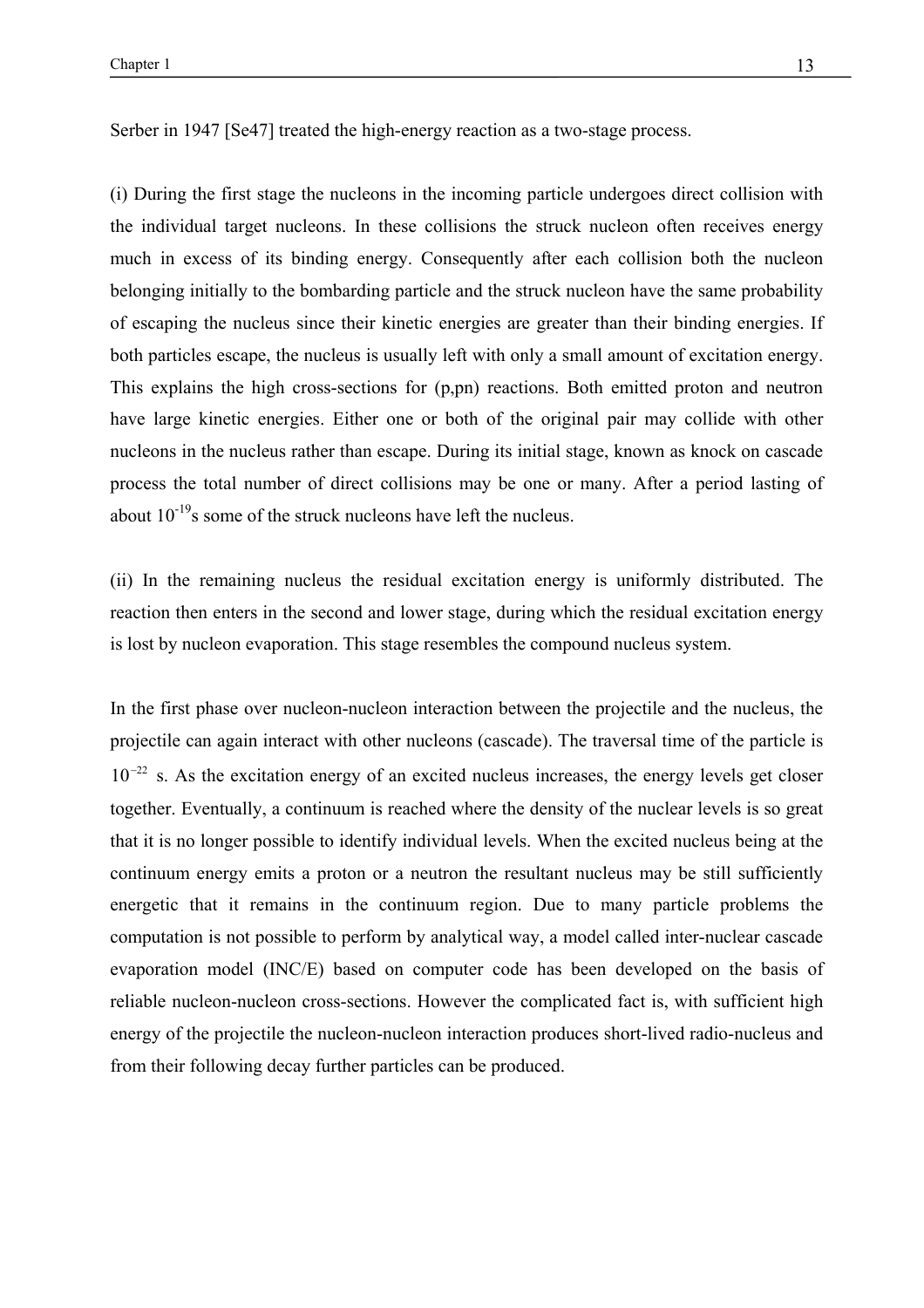Serber in 1947 [Se47] treated the high-energy reaction as a two-stage process.

(i) During the first stage the nucleons in the incoming particle undergoes direct collision with the individual target nucleons. In these collisions the struck nucleon often receives energy much in excess of its binding energy. Consequently after each collision both the nucleon belonging initially to the bombarding particle and the struck nucleon have the same probability of escaping the nucleus since their kinetic energies are greater than their binding energies. If both particles escape, the nucleus is usually left with only a small amount of excitation energy. This explains the high cross-sections for (p,pn) reactions. Both emitted proton and neutron have large kinetic energies. Either one or both of the original pair may collide with other nucleons in the nucleus rather than escape. During its initial stage, known as knock on cascade process the total number of direct collisions may be one or many. After a period lasting of about  $10^{-19}$ s some of the struck nucleons have left the nucleus.

(ii) In the remaining nucleus the residual excitation energy is uniformly distributed. The reaction then enters in the second and lower stage, during which the residual excitation energy is lost by nucleon evaporation. This stage resembles the compound nucleus system.

In the first phase over nucleon-nucleon interaction between the projectile and the nucleus, the projectile can again interact with other nucleons (cascade). The traversal time of the particle is  $10^{-22}$  s. As the excitation energy of an excited nucleus increases, the energy levels get closer together. Eventually, a continuum is reached where the density of the nuclear levels is so great that it is no longer possible to identify individual levels. When the excited nucleus being at the continuum energy emits a proton or a neutron the resultant nucleus may be still sufficiently energetic that it remains in the continuum region. Due to many particle problems the computation is not possible to perform by analytical way, a model called inter-nuclear cascade evaporation model (INC/E) based on computer code has been developed on the basis of reliable nucleon-nucleon cross-sections. However the complicated fact is, with sufficient high energy of the projectile the nucleon-nucleon interaction produces short-lived radio-nucleus and from their following decay further particles can be produced.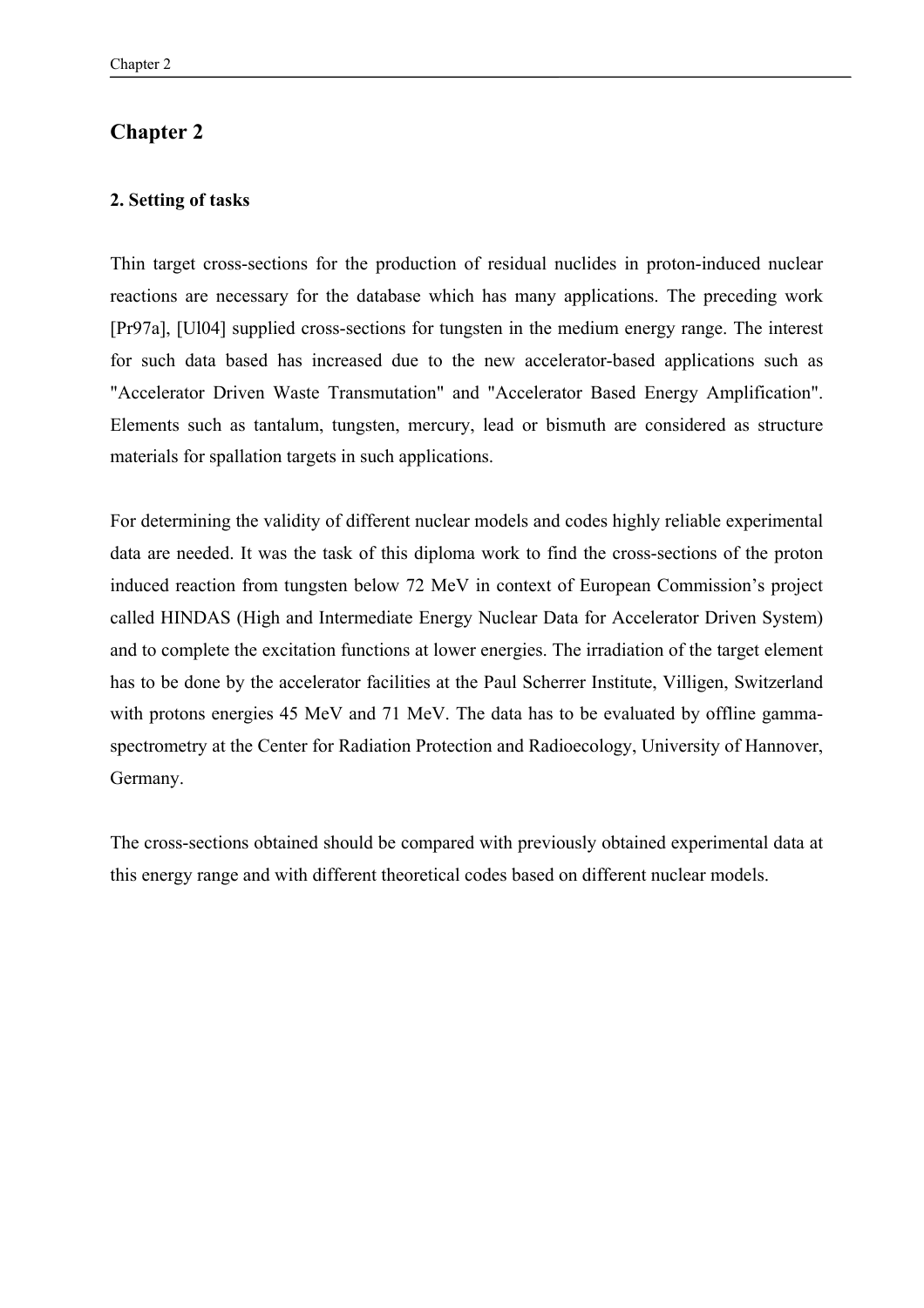## **Chapter 2**

### **2. Setting of tasks**

Thin target cross-sections for the production of residual nuclides in proton-induced nuclear reactions are necessary for the database which has many applications. The preceding work [Pr97a], [Ul04] supplied cross-sections for tungsten in the medium energy range. The interest for such data based has increased due to the new accelerator-based applications such as "Accelerator Driven Waste Transmutation" and "Accelerator Based Energy Amplification". Elements such as tantalum, tungsten, mercury, lead or bismuth are considered as structure materials for spallation targets in such applications.

For determining the validity of different nuclear models and codes highly reliable experimental data are needed. It was the task of this diploma work to find the cross-sections of the proton induced reaction from tungsten below 72 MeV in context of European Commission's project called HINDAS (High and Intermediate Energy Nuclear Data for Accelerator Driven System) and to complete the excitation functions at lower energies. The irradiation of the target element has to be done by the accelerator facilities at the Paul Scherrer Institute, Villigen, Switzerland with protons energies 45 MeV and 71 MeV. The data has to be evaluated by offline gammaspectrometry at the Center for Radiation Protection and Radioecology, University of Hannover, Germany.

The cross-sections obtained should be compared with previously obtained experimental data at this energy range and with different theoretical codes based on different nuclear models.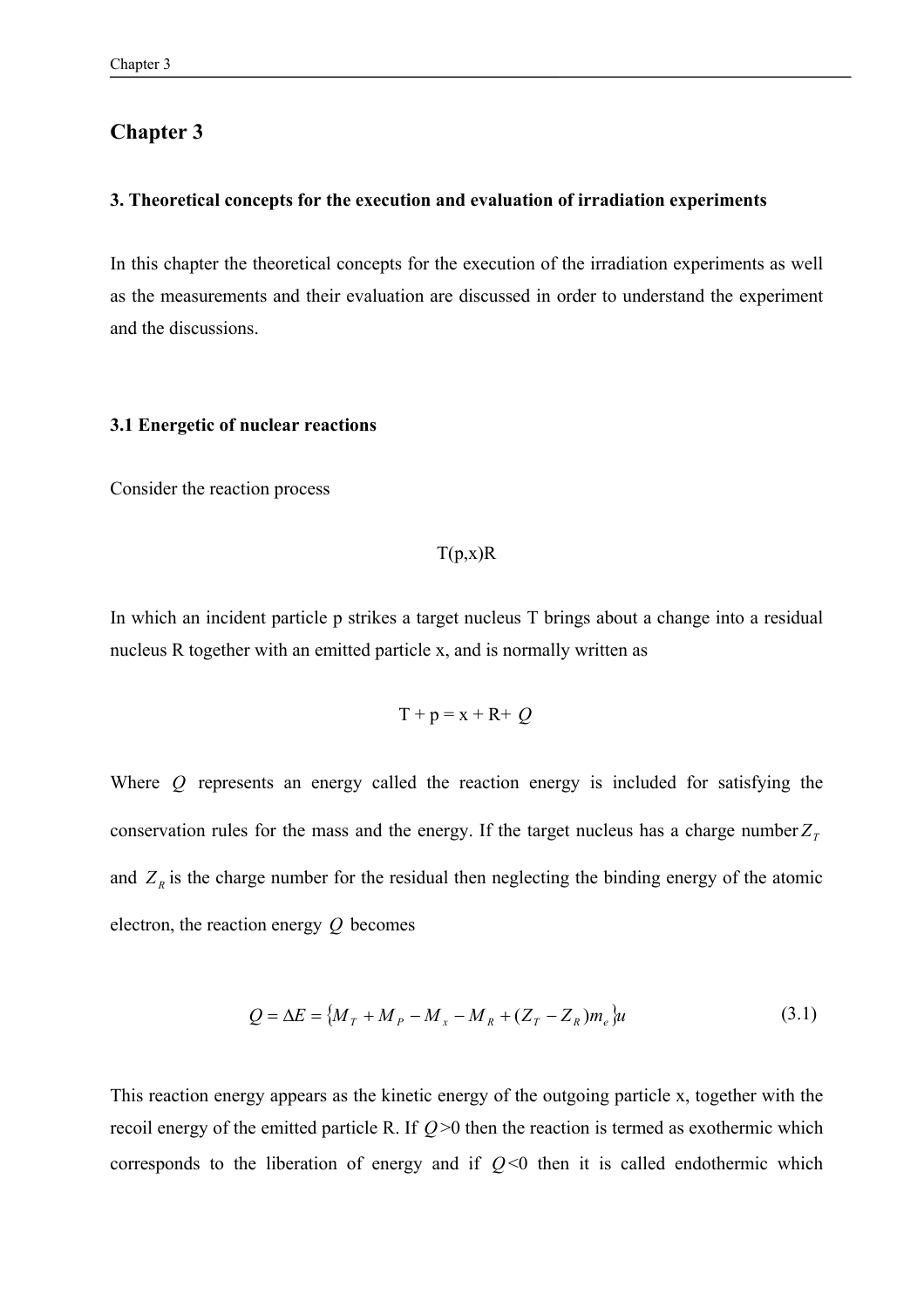### **Chapter 3**

#### **3. Theoretical concepts for the execution and evaluation of irradiation experiments**

In this chapter the theoretical concepts for the execution of the irradiation experiments as well as the measurements and their evaluation are discussed in order to understand the experiment and the discussions.

#### **3.1 Energetic of nuclear reactions**

Consider the reaction process

#### $T(p,x)R$

In which an incident particle p strikes a target nucleus T brings about a change into a residual nucleus R together with an emitted particle x, and is normally written as

$$
T + p = x + R + Q
$$

Where *Q* represents an energy called the reaction energy is included for satisfying the conservation rules for the mass and the energy. If the target nucleus has a charge number  $Z_T$ and  $Z_R$  is the charge number for the residual then neglecting the binding energy of the atomic electron, the reaction energy *Q* becomes

$$
Q = \Delta E = \{M_T + M_P - M_x - M_R + (Z_T - Z_R)m_e\}u
$$
\n(3.1)

This reaction energy appears as the kinetic energy of the outgoing particle x, together with the recoil energy of the emitted particle R. If  $Q$  >0 then the reaction is termed as exothermic which corresponds to the liberation of energy and if  $Q<0$  then it is called endothermic which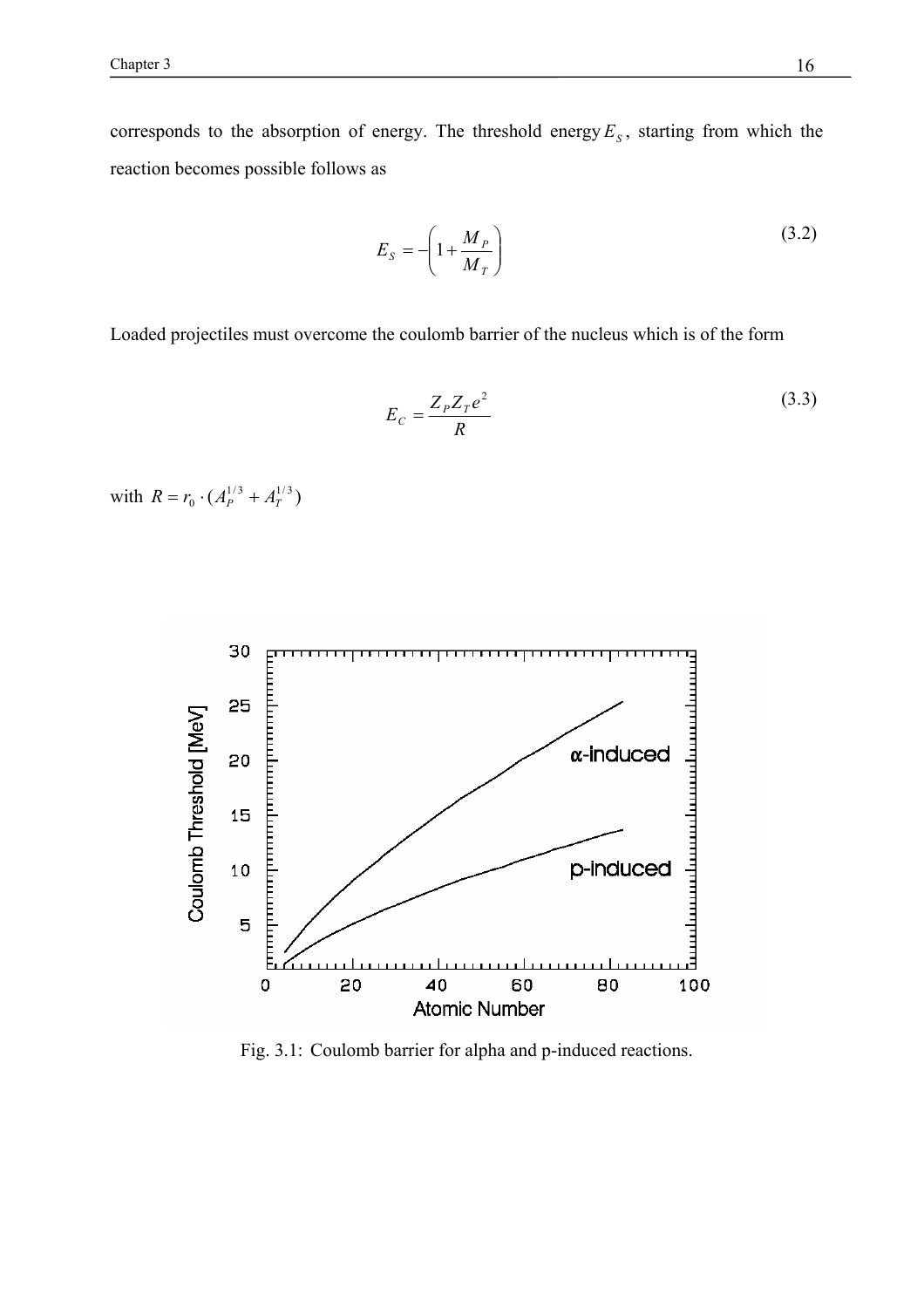corresponds to the absorption of energy. The threshold energy  $E<sub>s</sub>$ , starting from which the reaction becomes possible follows as

$$
E_S = -\left(1 + \frac{M_P}{M_T}\right) \tag{3.2}
$$

Loaded projectiles must overcome the coulomb barrier of the nucleus which is of the form

$$
E_C = \frac{Z_P Z_T e^2}{R}
$$
\n(3.3)

with  $R = r_0 \cdot (A_P^{1/3} + A_T^{1/3})$ 



Fig. 3.1: Coulomb barrier for alpha and p-induced reactions.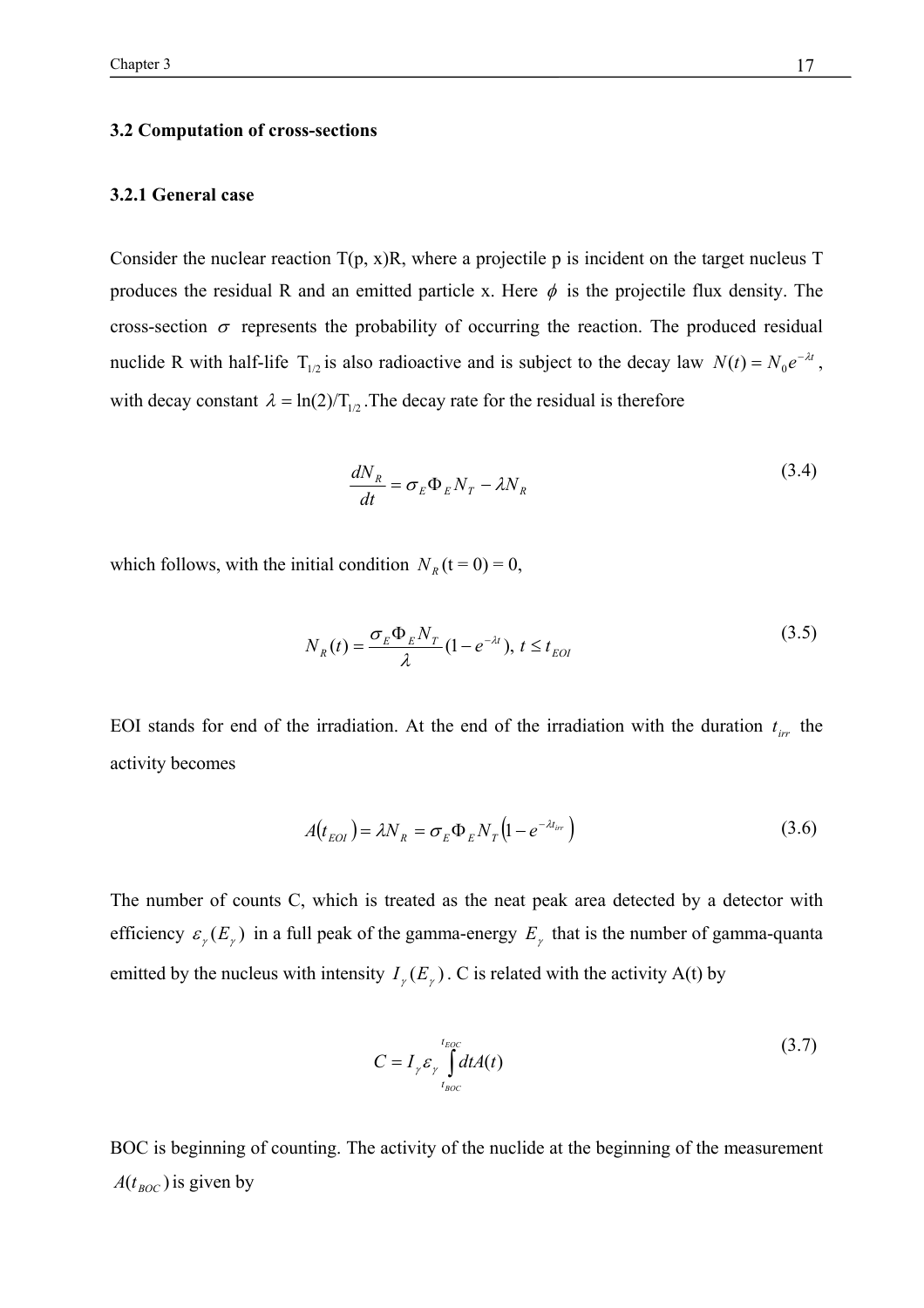#### **3.2 Computation of cross-sections**

#### **3.2.1 General case**

Consider the nuclear reaction  $T(p, x)R$ , where a projectile p is incident on the target nucleus T produces the residual R and an emitted particle x. Here  $\phi$  is the projectile flux density. The cross-section  $\sigma$  represents the probability of occurring the reaction. The produced residual nuclide R with half-life  $T_{1/2}$  is also radioactive and is subject to the decay law  $N(t) = N_0 e^{-\lambda t}$ , with decay constant  $\lambda = \ln(2)/T_{1/2}$ . The decay rate for the residual is therefore

$$
\frac{dN_R}{dt} = \sigma_E \Phi_E N_T - \lambda N_R \tag{3.4}
$$

which follows, with the initial condition  $N_R$  (t = 0) = 0,

$$
N_R(t) = \frac{\sigma_E \Phi_E N_T}{\lambda} (1 - e^{-\lambda t}), \ t \le t_{EOI}
$$
\n(3.5)

EOI stands for end of the irradiation. At the end of the irradiation with the duration  $t_{irr}$  the activity becomes

$$
A(t_{EOI}) = \lambda N_R = \sigma_E \Phi_E N_T (1 - e^{-\lambda t_{irr}})
$$
\n(3.6)

The number of counts C, which is treated as the neat peak area detected by a detector with efficiency  $\varepsilon_r(E_\gamma)$  in a full peak of the gamma-energy  $E_\gamma$  that is the number of gamma-quanta emitted by the nucleus with intensity  $I_\nu(E_\nu)$ . C is related with the activity A(t) by

$$
C = I_{\gamma} \varepsilon_{\gamma} \int_{t_{BOC}}^{t_{EOC}} dt A(t)
$$
 (3.7)

BOC is beginning of counting. The activity of the nuclide at the beginning of the measurement  $A(t_{\text{ROC}})$  is given by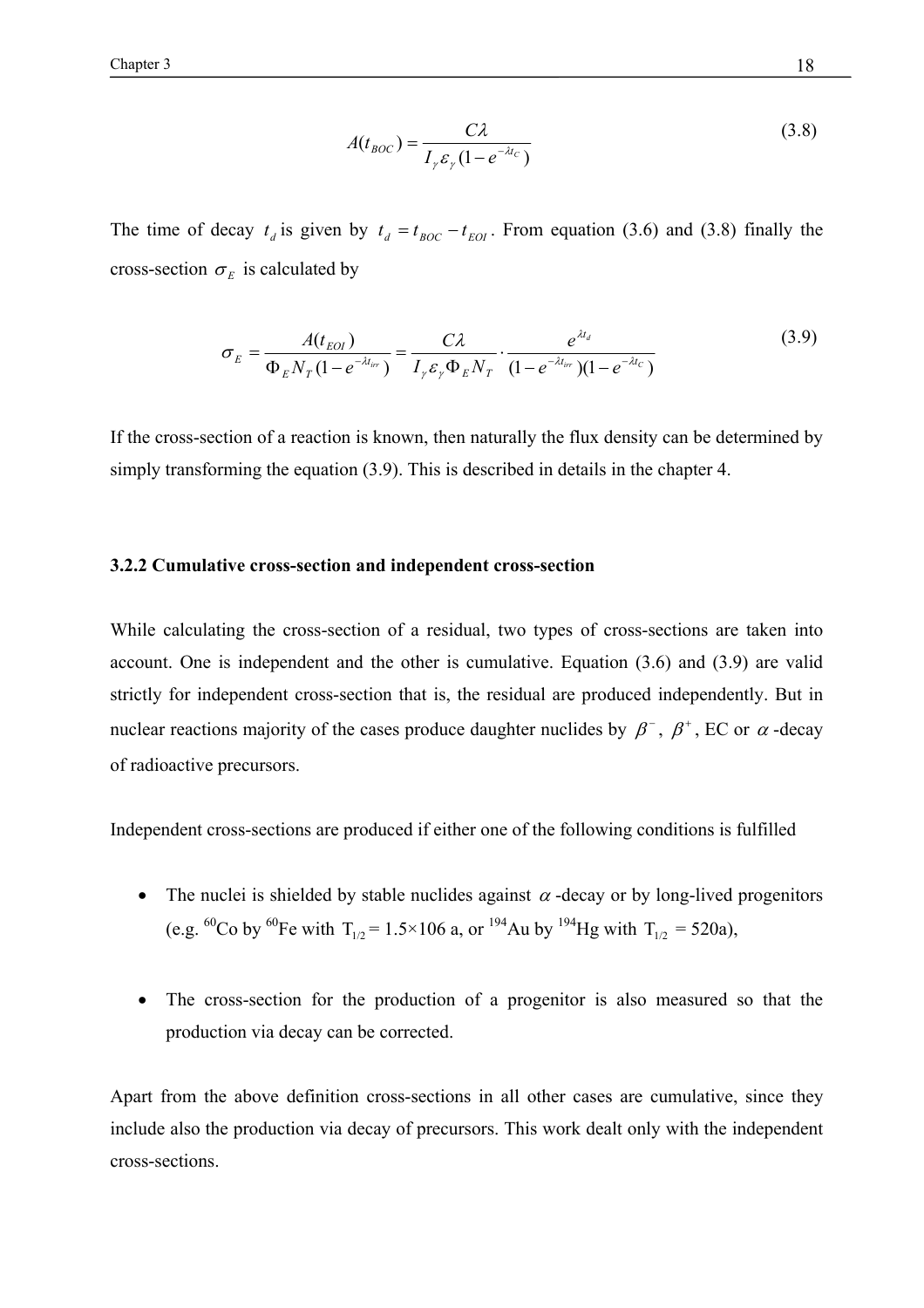$$
A(t_{BOC}) = \frac{C\lambda}{I_{\gamma}\varepsilon_{\gamma}(1 - e^{-\lambda t_{C}})}
$$
(3.8)

The time of decay  $t_d$  is given by  $t_d = t_{BOC} - t_{EOI}$ . From equation (3.6) and (3.8) finally the cross-section  $\sigma_E$  is calculated by

$$
\sigma_E = \frac{A(t_{EOI})}{\Phi_E N_T (1 - e^{-\lambda t_{irr}})} = \frac{C\lambda}{I_{\gamma} \varepsilon_{\gamma} \Phi_E N_T} \cdot \frac{e^{\lambda t_d}}{(1 - e^{-\lambda t_{irr}})(1 - e^{-\lambda t_c})}
$$
(3.9)

If the cross-section of a reaction is known, then naturally the flux density can be determined by simply transforming the equation (3.9). This is described in details in the chapter 4.

#### **3.2.2 Cumulative cross-section and independent cross-section**

While calculating the cross-section of a residual, two types of cross-sections are taken into account. One is independent and the other is cumulative. Equation (3.6) and (3.9) are valid strictly for independent cross-section that is, the residual are produced independently. But in nuclear reactions majority of the cases produce daughter nuclides by  $\beta^-$ ,  $\beta^+$ , EC or  $\alpha$ -decay of radioactive precursors.

Independent cross-sections are produced if either one of the following conditions is fulfilled

- The nuclei is shielded by stable nuclides against  $\alpha$  -decay or by long-lived progenitors (e.g. <sup>60</sup>Co by <sup>60</sup>Fe with T<sub>1/2</sub> = 1.5×106 a, or <sup>194</sup>Au by <sup>194</sup>Hg with T<sub>1/2</sub> = 520a),
- The cross-section for the production of a progenitor is also measured so that the production via decay can be corrected.

Apart from the above definition cross-sections in all other cases are cumulative, since they include also the production via decay of precursors. This work dealt only with the independent cross-sections.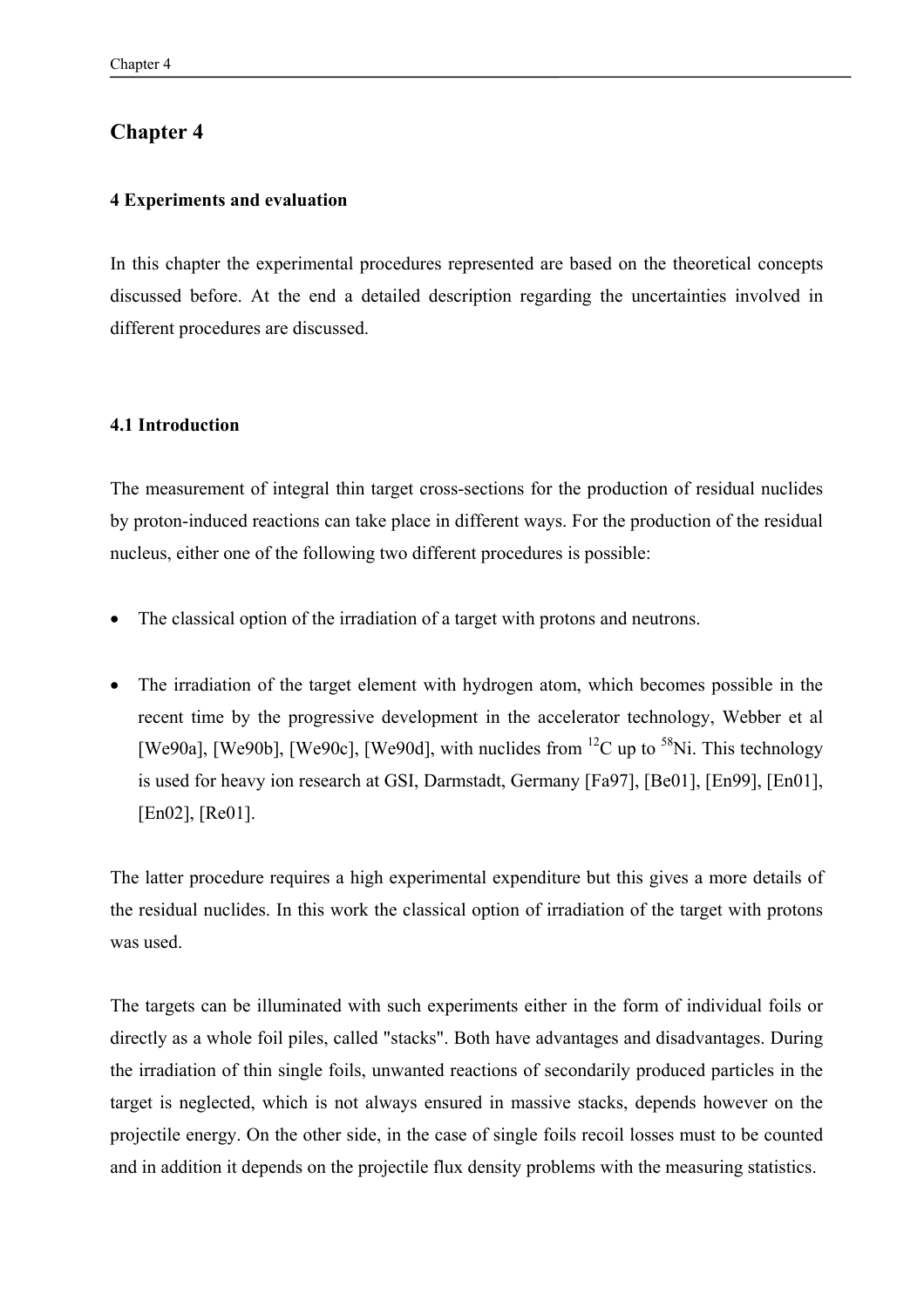### **Chapter 4**

#### **4 Experiments and evaluation**

In this chapter the experimental procedures represented are based on the theoretical concepts discussed before. At the end a detailed description regarding the uncertainties involved in different procedures are discussed.

#### **4.1 Introduction**

The measurement of integral thin target cross-sections for the production of residual nuclides by proton-induced reactions can take place in different ways. For the production of the residual nucleus, either one of the following two different procedures is possible:

- The classical option of the irradiation of a target with protons and neutrons.
- The irradiation of the target element with hydrogen atom, which becomes possible in the recent time by the progressive development in the accelerator technology, Webber et al [We90a], [We90b], [We90c], [We90d], with nuclides from  $^{12}$ C up to  $^{58}$ Ni. This technology is used for heavy ion research at GSI, Darmstadt, Germany [Fa97], [Be01], [En99], [En01], [En02], [Re01].

The latter procedure requires a high experimental expenditure but this gives a more details of the residual nuclides. In this work the classical option of irradiation of the target with protons was used.

The targets can be illuminated with such experiments either in the form of individual foils or directly as a whole foil piles, called "stacks". Both have advantages and disadvantages. During the irradiation of thin single foils, unwanted reactions of secondarily produced particles in the target is neglected, which is not always ensured in massive stacks, depends however on the projectile energy. On the other side, in the case of single foils recoil losses must to be counted and in addition it depends on the projectile flux density problems with the measuring statistics.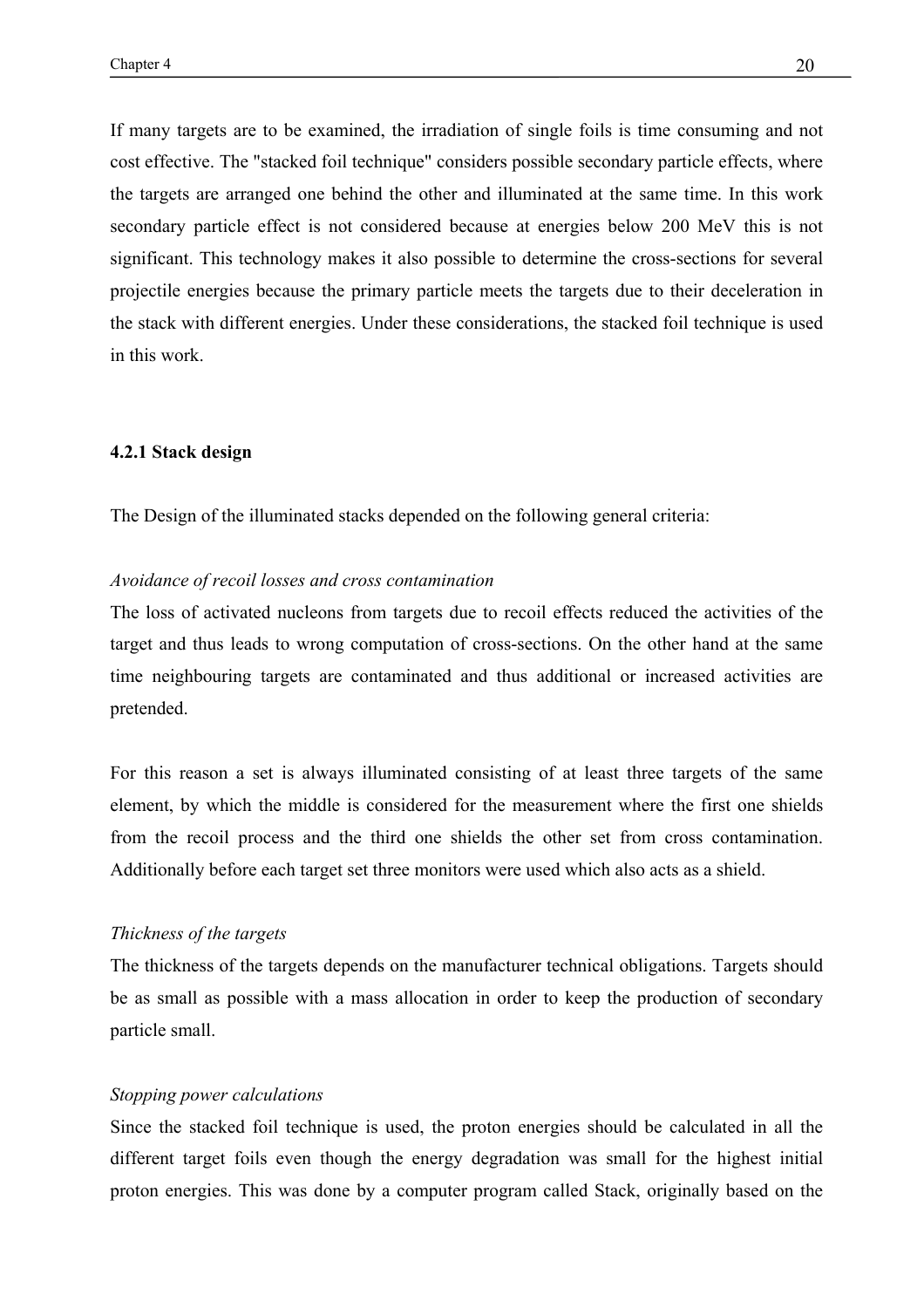If many targets are to be examined, the irradiation of single foils is time consuming and not cost effective. The "stacked foil technique" considers possible secondary particle effects, where the targets are arranged one behind the other and illuminated at the same time. In this work secondary particle effect is not considered because at energies below 200 MeV this is not significant. This technology makes it also possible to determine the cross-sections for several projectile energies because the primary particle meets the targets due to their deceleration in the stack with different energies. Under these considerations, the stacked foil technique is used in this work.

#### **4.2.1 Stack design**

The Design of the illuminated stacks depended on the following general criteria:

#### *Avoidance of recoil losses and cross contamination*

The loss of activated nucleons from targets due to recoil effects reduced the activities of the target and thus leads to wrong computation of cross-sections. On the other hand at the same time neighbouring targets are contaminated and thus additional or increased activities are pretended.

For this reason a set is always illuminated consisting of at least three targets of the same element, by which the middle is considered for the measurement where the first one shields from the recoil process and the third one shields the other set from cross contamination. Additionally before each target set three monitors were used which also acts as a shield.

#### *Thickness of the targets*

The thickness of the targets depends on the manufacturer technical obligations. Targets should be as small as possible with a mass allocation in order to keep the production of secondary particle small.

#### *Stopping power calculations*

Since the stacked foil technique is used, the proton energies should be calculated in all the different target foils even though the energy degradation was small for the highest initial proton energies. This was done by a computer program called Stack, originally based on the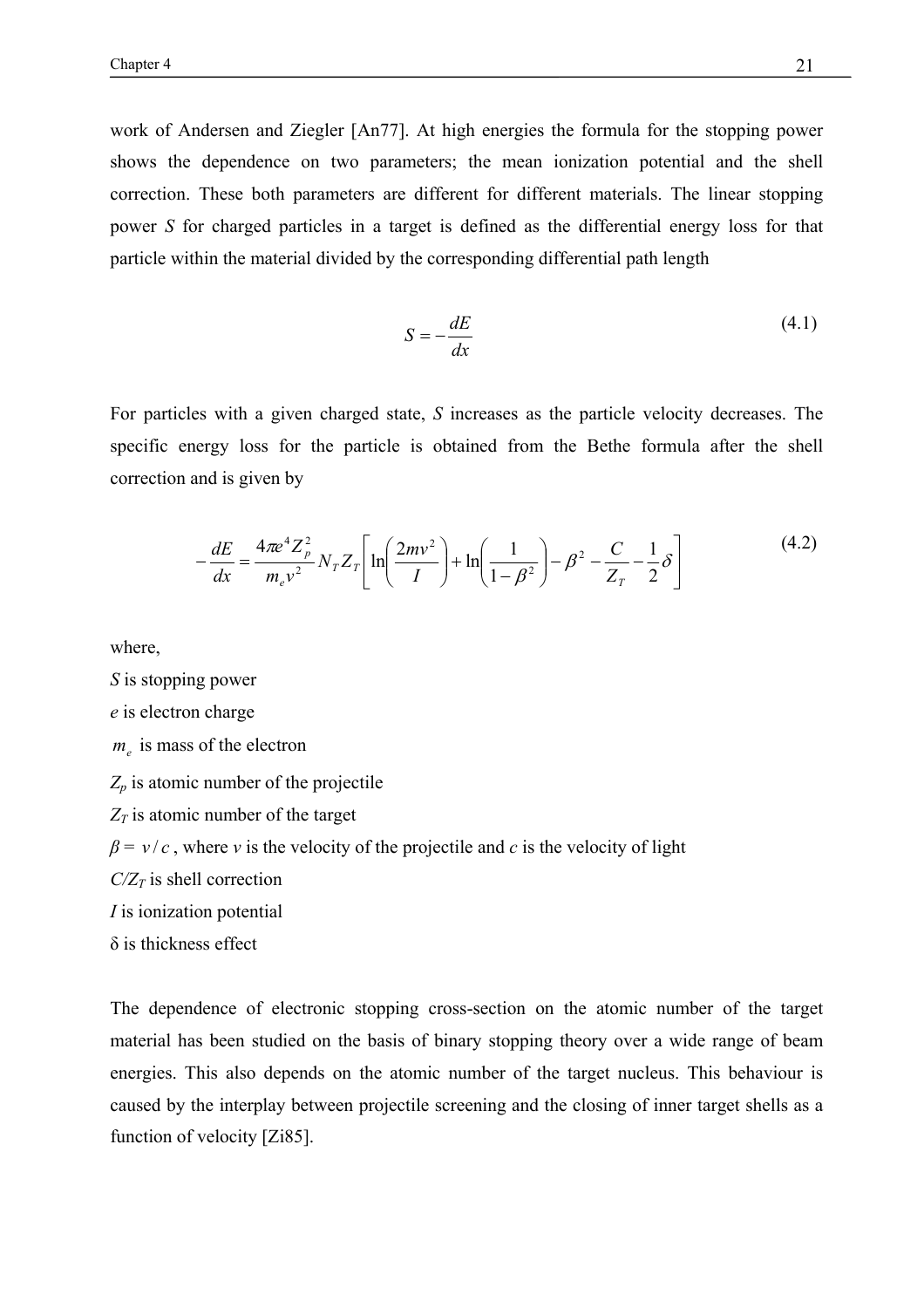work of Andersen and Ziegler [An77]. At high energies the formula for the stopping power shows the dependence on two parameters; the mean ionization potential and the shell correction. These both parameters are different for different materials. The linear stopping power *S* for charged particles in a target is defined as the differential energy loss for that particle within the material divided by the corresponding differential path length

$$
S = -\frac{dE}{dx} \tag{4.1}
$$

For particles with a given charged state, *S* increases as the particle velocity decreases. The specific energy loss for the particle is obtained from the Bethe formula after the shell correction and is given by

$$
-\frac{dE}{dx} = \frac{4\pi e^4 Z_p^2}{m_e v^2} N_T Z_T \left[ \ln \left( \frac{2mv^2}{I} \right) + \ln \left( \frac{1}{1 - \beta^2} \right) - \beta^2 - \frac{C}{Z_T} - \frac{1}{2} \delta \right]
$$
(4.2)

where,

*S* is stopping power *e* is electron charge  $m_e$  is mass of the electron *Zp* is atomic number of the projectile  $Z_T$  is atomic number of the target  $β = v/c$ , where *v* is the velocity of the projectile and *c* is the velocity of light  $C/Z_T$  is shell correction *I* is ionization potential δ is thickness effect

The dependence of electronic stopping cross-section on the atomic number of the target material has been studied on the basis of binary stopping theory over a wide range of beam energies. This also depends on the atomic number of the target nucleus. This behaviour is caused by the interplay between projectile screening and the closing of inner target shells as a function of velocity [Zi85].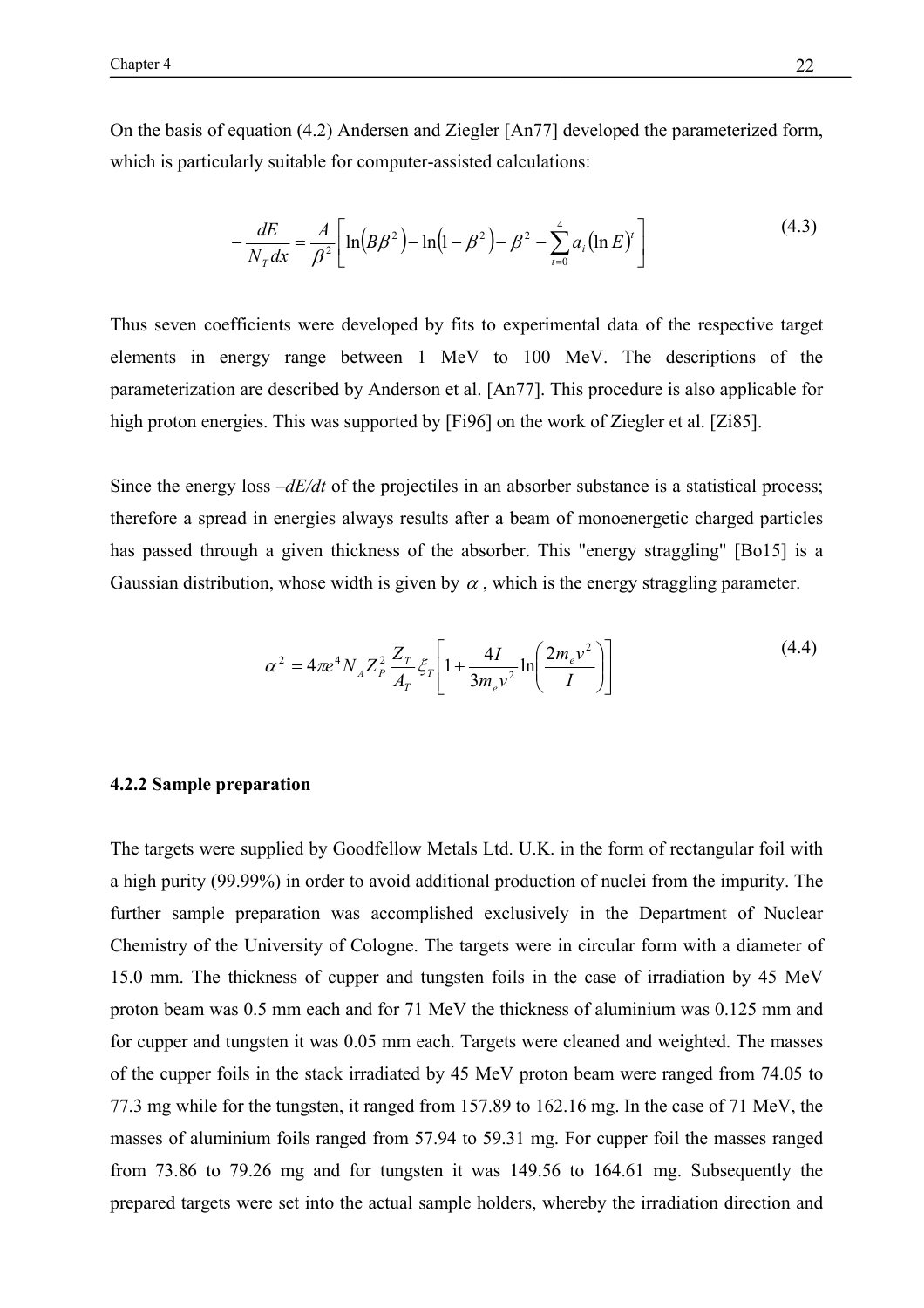On the basis of equation (4.2) Andersen and Ziegler [An77] developed the parameterized form, which is particularly suitable for computer-assisted calculations:

$$
-\frac{dE}{N_T dx} = \frac{A}{\beta^2} \left[ \ln(B\beta^2) - \ln(1 - \beta^2) - \beta^2 - \sum_{i=0}^4 a_i (\ln E)^i \right]
$$
(4.3)

Thus seven coefficients were developed by fits to experimental data of the respective target elements in energy range between 1 MeV to 100 MeV. The descriptions of the parameterization are described by Anderson et al. [An77]. This procedure is also applicable for high proton energies. This was supported by [Fi96] on the work of Ziegler et al. [Zi85].

Since the energy loss  $-dE/dt$  of the projectiles in an absorber substance is a statistical process; therefore a spread in energies always results after a beam of monoenergetic charged particles has passed through a given thickness of the absorber. This "energy straggling" [Bo15] is a Gaussian distribution, whose width is given by  $\alpha$ , which is the energy straggling parameter.

$$
\alpha^2 = 4\pi e^4 N_A Z_P^2 \frac{Z_T}{A_T} \xi_T \left[ 1 + \frac{4I}{3m_e v^2} \ln \left( \frac{2m_e v^2}{I} \right) \right]
$$
(4.4)

#### **4.2.2 Sample preparation**

The targets were supplied by Goodfellow Metals Ltd. U.K. in the form of rectangular foil with a high purity (99.99%) in order to avoid additional production of nuclei from the impurity. The further sample preparation was accomplished exclusively in the Department of Nuclear Chemistry of the University of Cologne. The targets were in circular form with a diameter of 15.0 mm. The thickness of cupper and tungsten foils in the case of irradiation by 45 MeV proton beam was 0.5 mm each and for 71 MeV the thickness of aluminium was 0.125 mm and for cupper and tungsten it was 0.05 mm each. Targets were cleaned and weighted. The masses of the cupper foils in the stack irradiated by 45 MeV proton beam were ranged from 74.05 to 77.3 mg while for the tungsten, it ranged from 157.89 to 162.16 mg. In the case of 71 MeV, the masses of aluminium foils ranged from 57.94 to 59.31 mg. For cupper foil the masses ranged from 73.86 to 79.26 mg and for tungsten it was 149.56 to 164.61 mg. Subsequently the prepared targets were set into the actual sample holders, whereby the irradiation direction and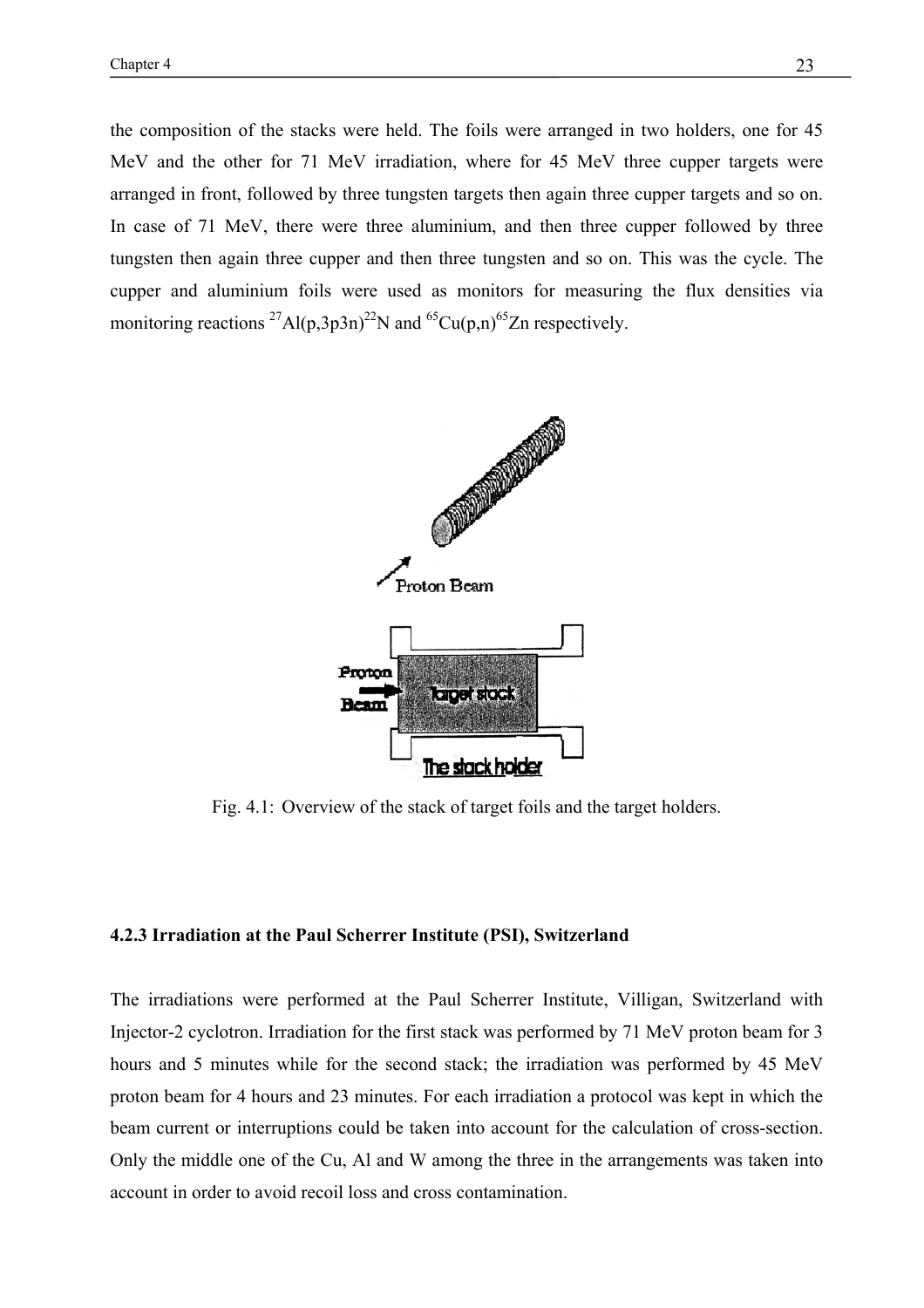the composition of the stacks were held. The foils were arranged in two holders, one for 45 MeV and the other for 71 MeV irradiation, where for 45 MeV three cupper targets were arranged in front, followed by three tungsten targets then again three cupper targets and so on. In case of 71 MeV, there were three aluminium, and then three cupper followed by three tungsten then again three cupper and then three tungsten and so on. This was the cycle. The cupper and aluminium foils were used as monitors for measuring the flux densities via monitoring reactions  $^{27}$ Al(p,3p3n)<sup>22</sup>N and <sup>65</sup>Cu(p,n)<sup>65</sup>Zn respectively.



Fig. 4.1: Overview of the stack of target foils and the target holders.

#### **4.2.3 Irradiation at the Paul Scherrer Institute (PSI), Switzerland**

The irradiations were performed at the Paul Scherrer Institute, Villigan, Switzerland with Injector-2 cyclotron. Irradiation for the first stack was performed by 71 MeV proton beam for 3 hours and 5 minutes while for the second stack; the irradiation was performed by 45 MeV proton beam for 4 hours and 23 minutes. For each irradiation a protocol was kept in which the beam current or interruptions could be taken into account for the calculation of cross-section. Only the middle one of the Cu, Al and W among the three in the arrangements was taken into account in order to avoid recoil loss and cross contamination.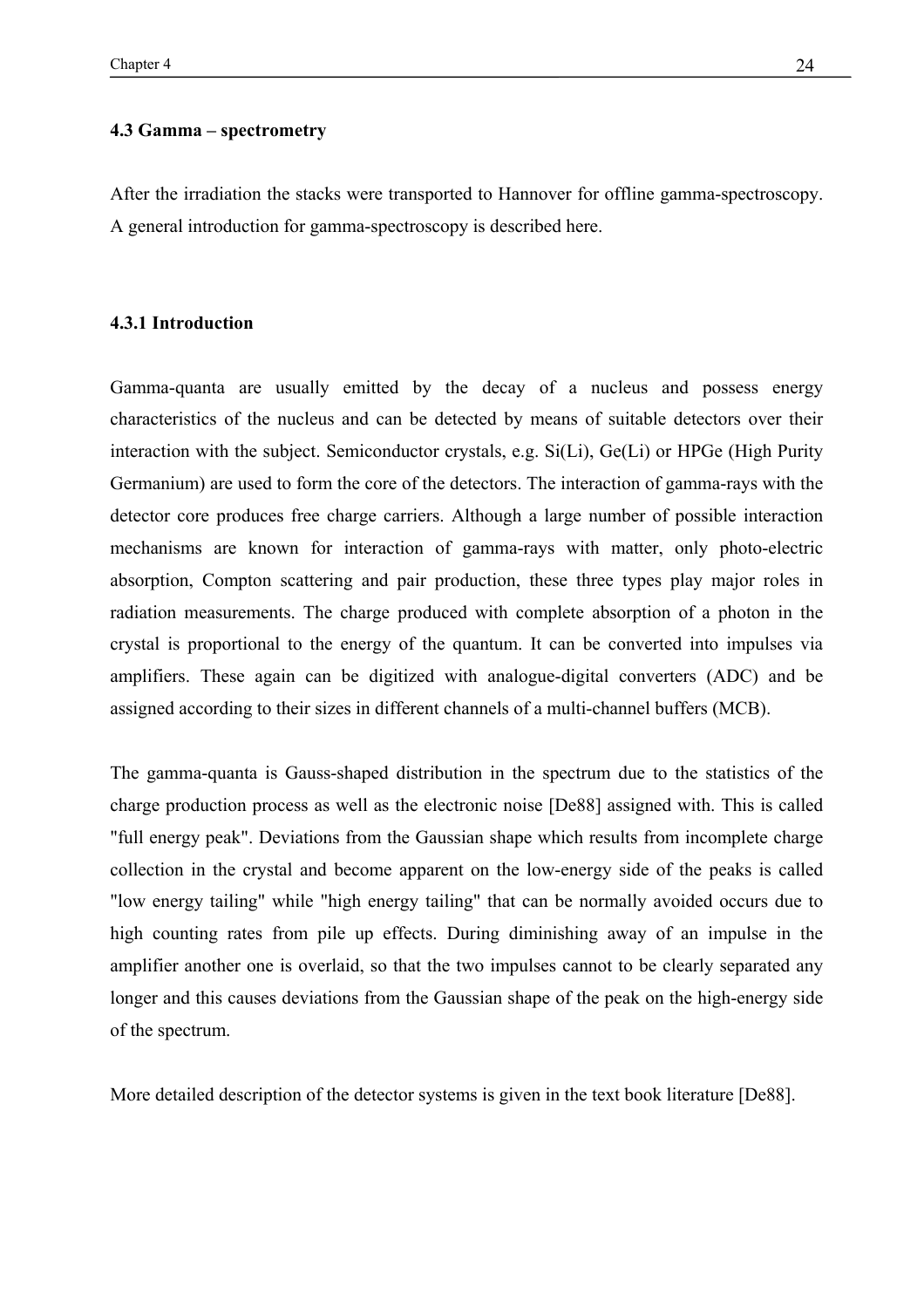#### **4.3 Gamma – spectrometry**

After the irradiation the stacks were transported to Hannover for offline gamma-spectroscopy. A general introduction for gamma-spectroscopy is described here.

#### **4.3.1 Introduction**

Gamma-quanta are usually emitted by the decay of a nucleus and possess energy characteristics of the nucleus and can be detected by means of suitable detectors over their interaction with the subject. Semiconductor crystals, e.g. Si(Li), Ge(Li) or HPGe (High Purity Germanium) are used to form the core of the detectors. The interaction of gamma-rays with the detector core produces free charge carriers. Although a large number of possible interaction mechanisms are known for interaction of gamma-rays with matter, only photo-electric absorption, Compton scattering and pair production, these three types play major roles in radiation measurements. The charge produced with complete absorption of a photon in the crystal is proportional to the energy of the quantum. It can be converted into impulses via amplifiers. These again can be digitized with analogue-digital converters (ADC) and be assigned according to their sizes in different channels of a multi-channel buffers (MCB).

The gamma-quanta is Gauss-shaped distribution in the spectrum due to the statistics of the charge production process as well as the electronic noise [De88] assigned with. This is called "full energy peak". Deviations from the Gaussian shape which results from incomplete charge collection in the crystal and become apparent on the low-energy side of the peaks is called "low energy tailing" while "high energy tailing" that can be normally avoided occurs due to high counting rates from pile up effects. During diminishing away of an impulse in the amplifier another one is overlaid, so that the two impulses cannot to be clearly separated any longer and this causes deviations from the Gaussian shape of the peak on the high-energy side of the spectrum.

More detailed description of the detector systems is given in the text book literature [De88].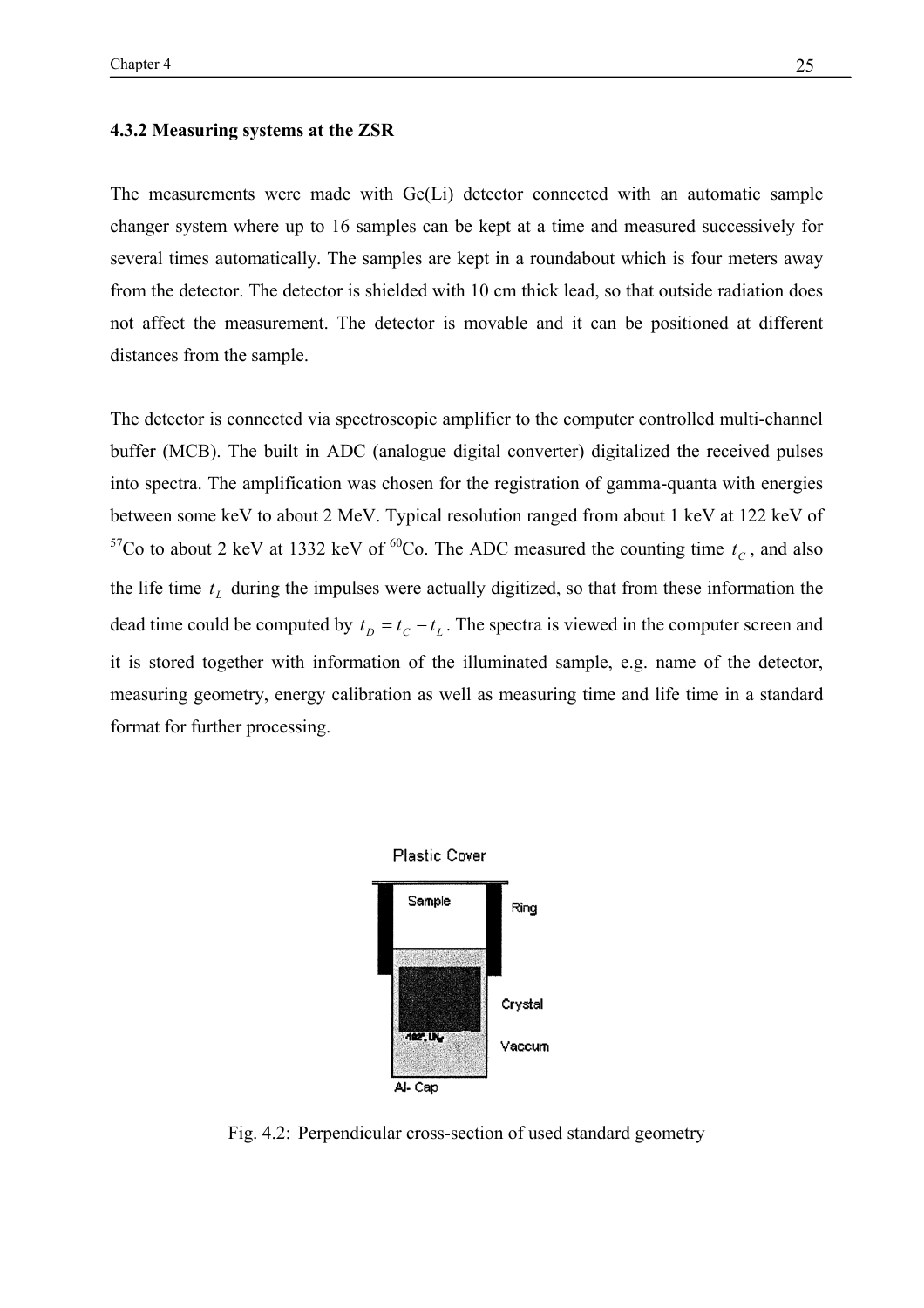#### **4.3.2 Measuring systems at the ZSR**

The measurements were made with Ge(Li) detector connected with an automatic sample changer system where up to 16 samples can be kept at a time and measured successively for several times automatically. The samples are kept in a roundabout which is four meters away from the detector. The detector is shielded with 10 cm thick lead, so that outside radiation does not affect the measurement. The detector is movable and it can be positioned at different distances from the sample.

The detector is connected via spectroscopic amplifier to the computer controlled multi-channel buffer (MCB). The built in ADC (analogue digital converter) digitalized the received pulses into spectra. The amplification was chosen for the registration of gamma-quanta with energies between some keV to about 2 MeV. Typical resolution ranged from about 1 keV at 122 keV of <sup>57</sup>Co to about 2 keV at 1332 keV of <sup>60</sup>Co. The ADC measured the counting time  $t_c$ , and also the life time  $t_L$  during the impulses were actually digitized, so that from these information the dead time could be computed by  $t_D = t_C - t_L$ . The spectra is viewed in the computer screen and it is stored together with information of the illuminated sample, e.g. name of the detector, measuring geometry, energy calibration as well as measuring time and life time in a standard format for further processing.



Fig. 4.2: Perpendicular cross-section of used standard geometry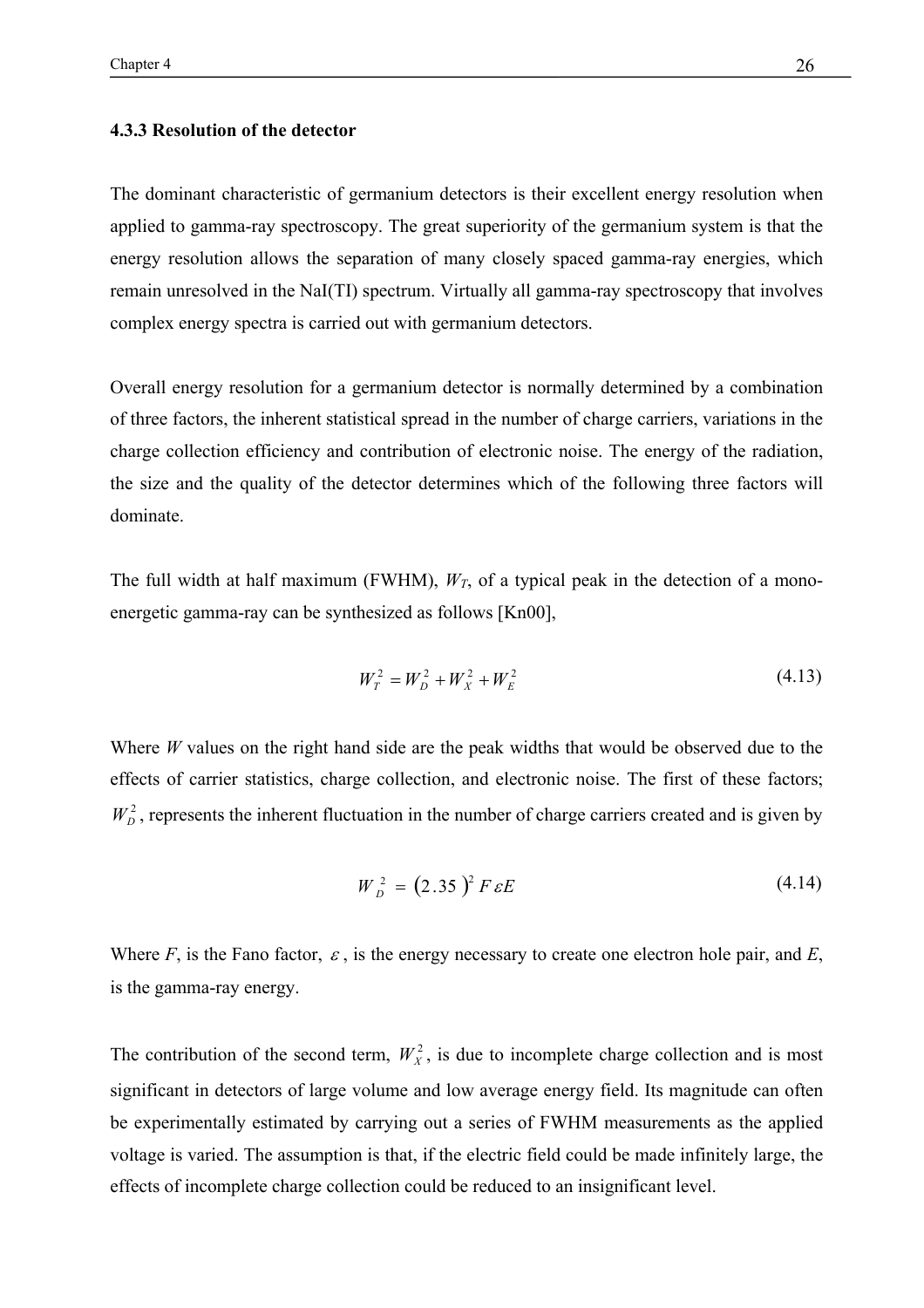#### **4.3.3 Resolution of the detector**

The dominant characteristic of germanium detectors is their excellent energy resolution when applied to gamma-ray spectroscopy. The great superiority of the germanium system is that the energy resolution allows the separation of many closely spaced gamma-ray energies, which remain unresolved in the NaI(TI) spectrum. Virtually all gamma-ray spectroscopy that involves complex energy spectra is carried out with germanium detectors.

Overall energy resolution for a germanium detector is normally determined by a combination of three factors, the inherent statistical spread in the number of charge carriers, variations in the charge collection efficiency and contribution of electronic noise. The energy of the radiation, the size and the quality of the detector determines which of the following three factors will dominate.

The full width at half maximum (FWHM),  $W_T$ , of a typical peak in the detection of a monoenergetic gamma-ray can be synthesized as follows [Kn00],

$$
W_T^2 = W_D^2 + W_X^2 + W_E^2 \tag{4.13}
$$

Where *W* values on the right hand side are the peak widths that would be observed due to the effects of carrier statistics, charge collection, and electronic noise. The first of these factors;  $W_D^2$ , represents the inherent fluctuation in the number of charge carriers created and is given by

$$
W_D^2 = (2.35)^2 F \varepsilon E \tag{4.14}
$$

Where  $F$ , is the Fano factor,  $\varepsilon$ , is the energy necessary to create one electron hole pair, and  $E$ , is the gamma-ray energy.

The contribution of the second term,  $W_x^2$ , is due to incomplete charge collection and is most significant in detectors of large volume and low average energy field. Its magnitude can often be experimentally estimated by carrying out a series of FWHM measurements as the applied voltage is varied. The assumption is that, if the electric field could be made infinitely large, the effects of incomplete charge collection could be reduced to an insignificant level.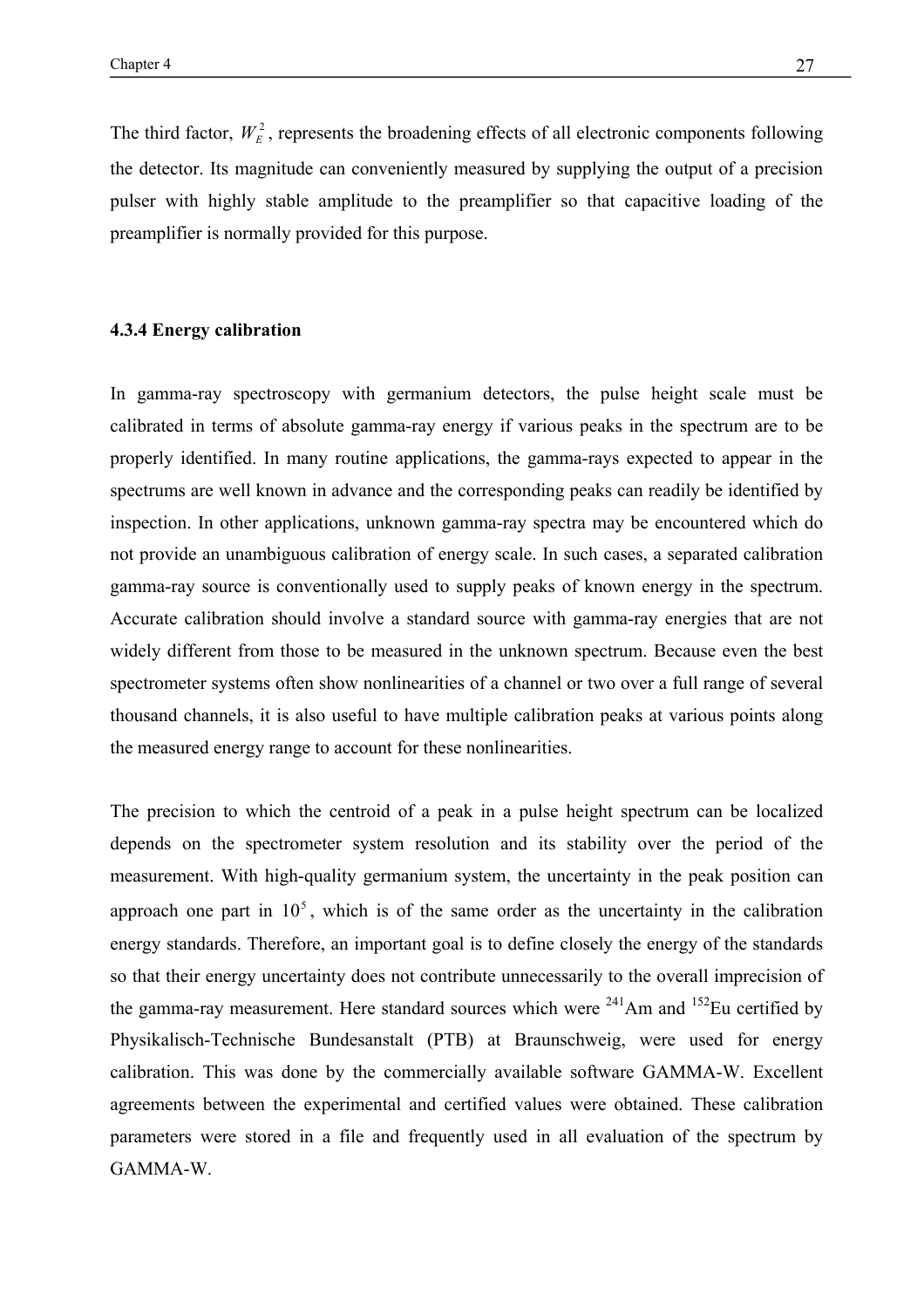The third factor,  $W_F^2$ , represents the broadening effects of all electronic components following the detector. Its magnitude can conveniently measured by supplying the output of a precision pulser with highly stable amplitude to the preamplifier so that capacitive loading of the preamplifier is normally provided for this purpose.

#### **4.3.4 Energy calibration**

In gamma-ray spectroscopy with germanium detectors, the pulse height scale must be calibrated in terms of absolute gamma-ray energy if various peaks in the spectrum are to be properly identified. In many routine applications, the gamma-rays expected to appear in the spectrums are well known in advance and the corresponding peaks can readily be identified by inspection. In other applications, unknown gamma-ray spectra may be encountered which do not provide an unambiguous calibration of energy scale. In such cases, a separated calibration gamma-ray source is conventionally used to supply peaks of known energy in the spectrum. Accurate calibration should involve a standard source with gamma-ray energies that are not widely different from those to be measured in the unknown spectrum. Because even the best spectrometer systems often show nonlinearities of a channel or two over a full range of several thousand channels, it is also useful to have multiple calibration peaks at various points along the measured energy range to account for these nonlinearities.

The precision to which the centroid of a peak in a pulse height spectrum can be localized depends on the spectrometer system resolution and its stability over the period of the measurement. With high-quality germanium system, the uncertainty in the peak position can approach one part in  $10<sup>5</sup>$ , which is of the same order as the uncertainty in the calibration energy standards. Therefore, an important goal is to define closely the energy of the standards so that their energy uncertainty does not contribute unnecessarily to the overall imprecision of the gamma-ray measurement. Here standard sources which were  $^{241}$ Am and  $^{152}$ Eu certified by Physikalisch-Technische Bundesanstalt (PTB) at Braunschweig, were used for energy calibration. This was done by the commercially available software GAMMA-W. Excellent agreements between the experimental and certified values were obtained. These calibration parameters were stored in a file and frequently used in all evaluation of the spectrum by GAMMA-W.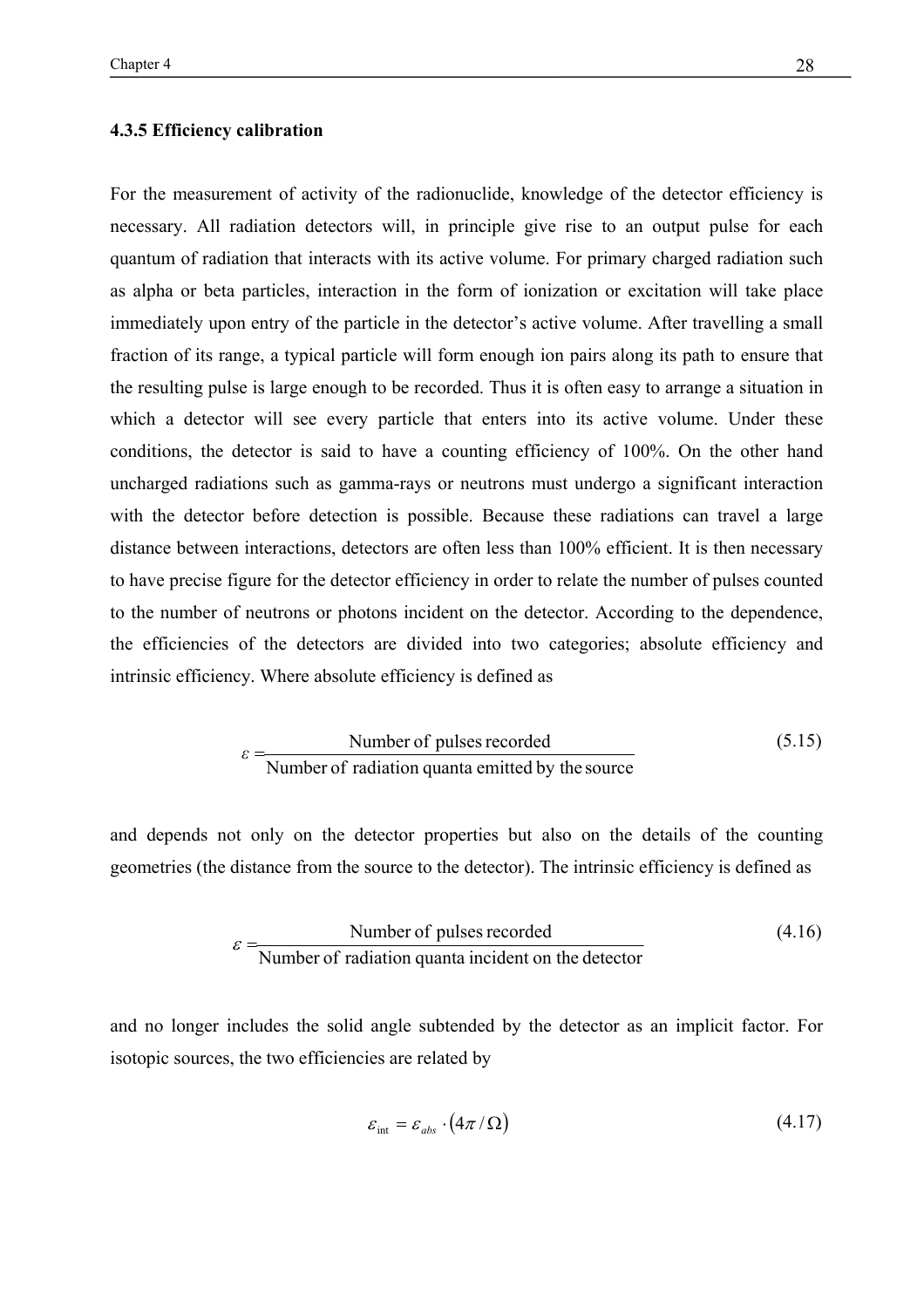#### **4.3.5 Efficiency calibration**

For the measurement of activity of the radionuclide, knowledge of the detector efficiency is necessary. All radiation detectors will, in principle give rise to an output pulse for each quantum of radiation that interacts with its active volume. For primary charged radiation such as alpha or beta particles, interaction in the form of ionization or excitation will take place immediately upon entry of the particle in the detector's active volume. After travelling a small fraction of its range, a typical particle will form enough ion pairs along its path to ensure that the resulting pulse is large enough to be recorded. Thus it is often easy to arrange a situation in which a detector will see every particle that enters into its active volume. Under these conditions, the detector is said to have a counting efficiency of 100%. On the other hand uncharged radiations such as gamma-rays or neutrons must undergo a significant interaction with the detector before detection is possible. Because these radiations can travel a large distance between interactions, detectors are often less than 100% efficient. It is then necessary to have precise figure for the detector efficiency in order to relate the number of pulses counted to the number of neutrons or photons incident on the detector. According to the dependence, the efficiencies of the detectors are divided into two categories; absolute efficiency and intrinsic efficiency. Where absolute efficiency is defined as

$$
\varepsilon = \frac{\text{Number of pulses recorded}}{\text{Number of radiation quanta emitted by the source}} \tag{5.15}
$$

and depends not only on the detector properties but also on the details of the counting geometries (the distance from the source to the detector). The intrinsic efficiency is defined as

$$
\varepsilon = \frac{\text{Number of pulses recorded}}{\text{Number of radiation quanta incident on the detector}}
$$
(4.16)

and no longer includes the solid angle subtended by the detector as an implicit factor. For isotopic sources, the two efficiencies are related by

$$
\varepsilon_{\rm int} = \varepsilon_{\rm abs} \cdot (4\pi/\Omega) \tag{4.17}
$$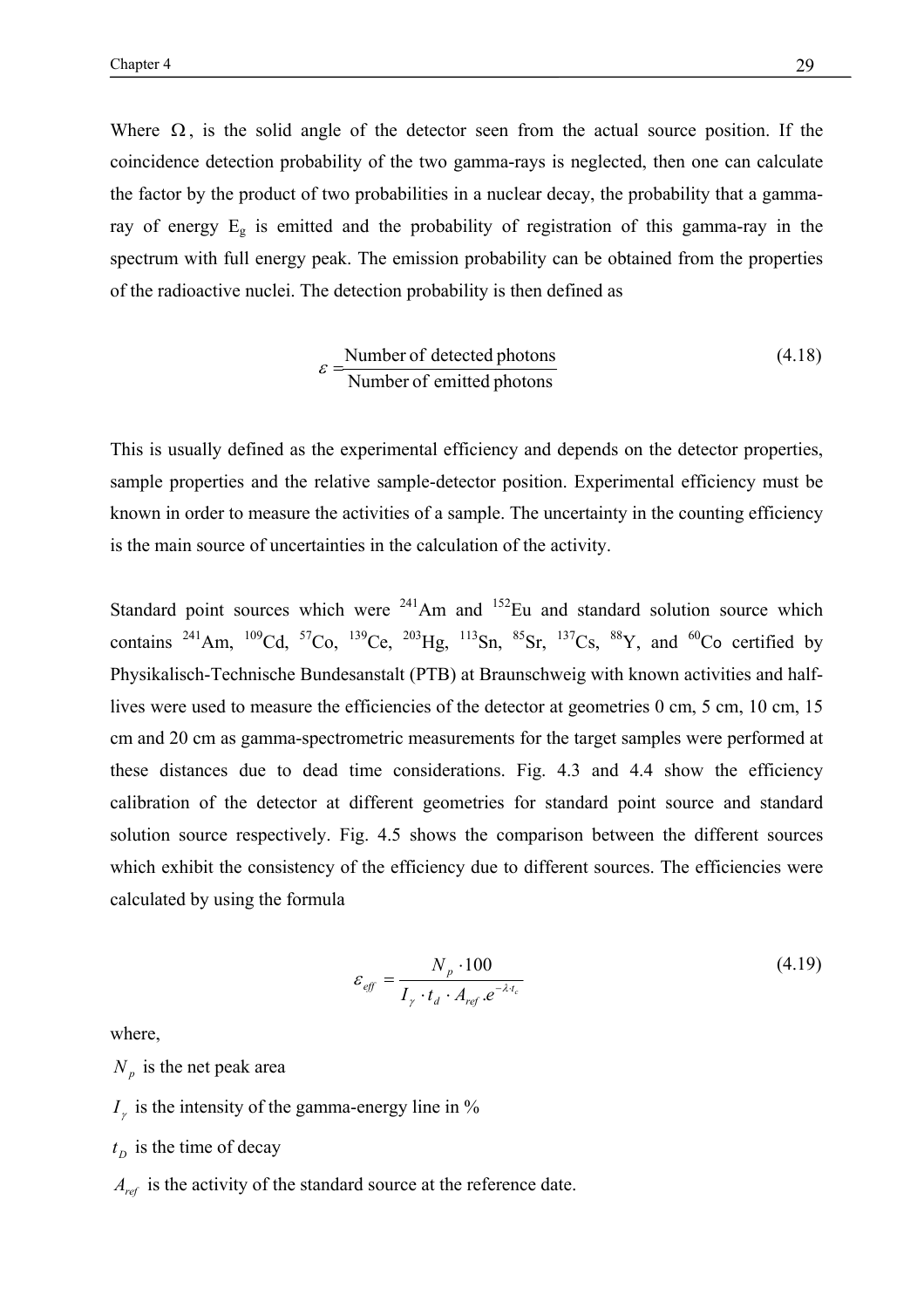Where  $\Omega$ , is the solid angle of the detector seen from the actual source position. If the coincidence detection probability of the two gamma-rays is neglected, then one can calculate the factor by the product of two probabilities in a nuclear decay, the probability that a gammaray of energy  $E<sub>g</sub>$  is emitted and the probability of registration of this gamma-ray in the spectrum with full energy peak. The emission probability can be obtained from the properties of the radioactive nuclei. The detection probability is then defined as

$$
\varepsilon = \frac{\text{Number of detected photons}}{\text{Number of emitted photons}}
$$
 (4.18)

This is usually defined as the experimental efficiency and depends on the detector properties, sample properties and the relative sample-detector position. Experimental efficiency must be known in order to measure the activities of a sample. The uncertainty in the counting efficiency is the main source of uncertainties in the calculation of the activity.

Standard point sources which were  $241$ Am and  $152$ Eu and standard solution source which contains <sup>241</sup>Am, <sup>109</sup>Cd, <sup>57</sup>Co, <sup>139</sup>Ce, <sup>203</sup>Hg, <sup>113</sup>Sn, <sup>85</sup>Sr, <sup>137</sup>Cs, <sup>88</sup>Y, and <sup>60</sup>Co certified by Physikalisch-Technische Bundesanstalt (PTB) at Braunschweig with known activities and halflives were used to measure the efficiencies of the detector at geometries 0 cm, 5 cm, 10 cm, 15 cm and 20 cm as gamma-spectrometric measurements for the target samples were performed at these distances due to dead time considerations. Fig. 4.3 and 4.4 show the efficiency calibration of the detector at different geometries for standard point source and standard solution source respectively. Fig. 4.5 shows the comparison between the different sources which exhibit the consistency of the efficiency due to different sources. The efficiencies were calculated by using the formula

$$
\varepsilon_{\text{eff}} = \frac{N_p \cdot 100}{I_{\gamma} \cdot t_d \cdot A_{\text{ref}} \cdot e^{-\lambda t_c}}
$$
(4.19)

where,

 $N_p$  is the net peak area

 $I_{\gamma}$  is the intensity of the gamma-energy line in %

 $t<sub>D</sub>$  is the time of decay

*A<sub>ref</sub>* is the activity of the standard source at the reference date.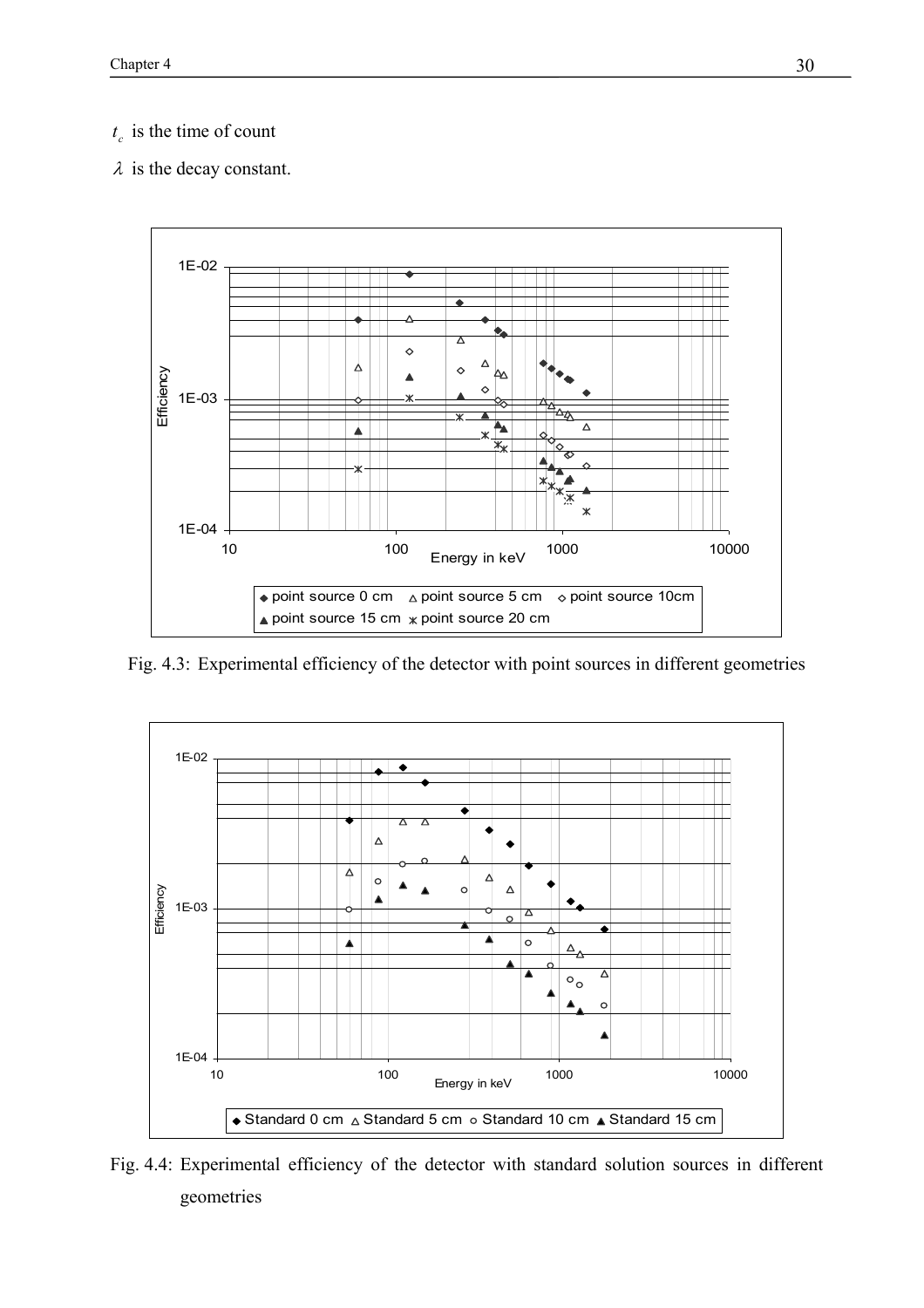# $t_c$  *is the time of count*

 $\lambda$  is the decay constant.



Fig. 4.3: Experimental efficiency of the detector with point sources in different geometries



Fig. 4.4: Experimental efficiency of the detector with standard solution sources in different geometries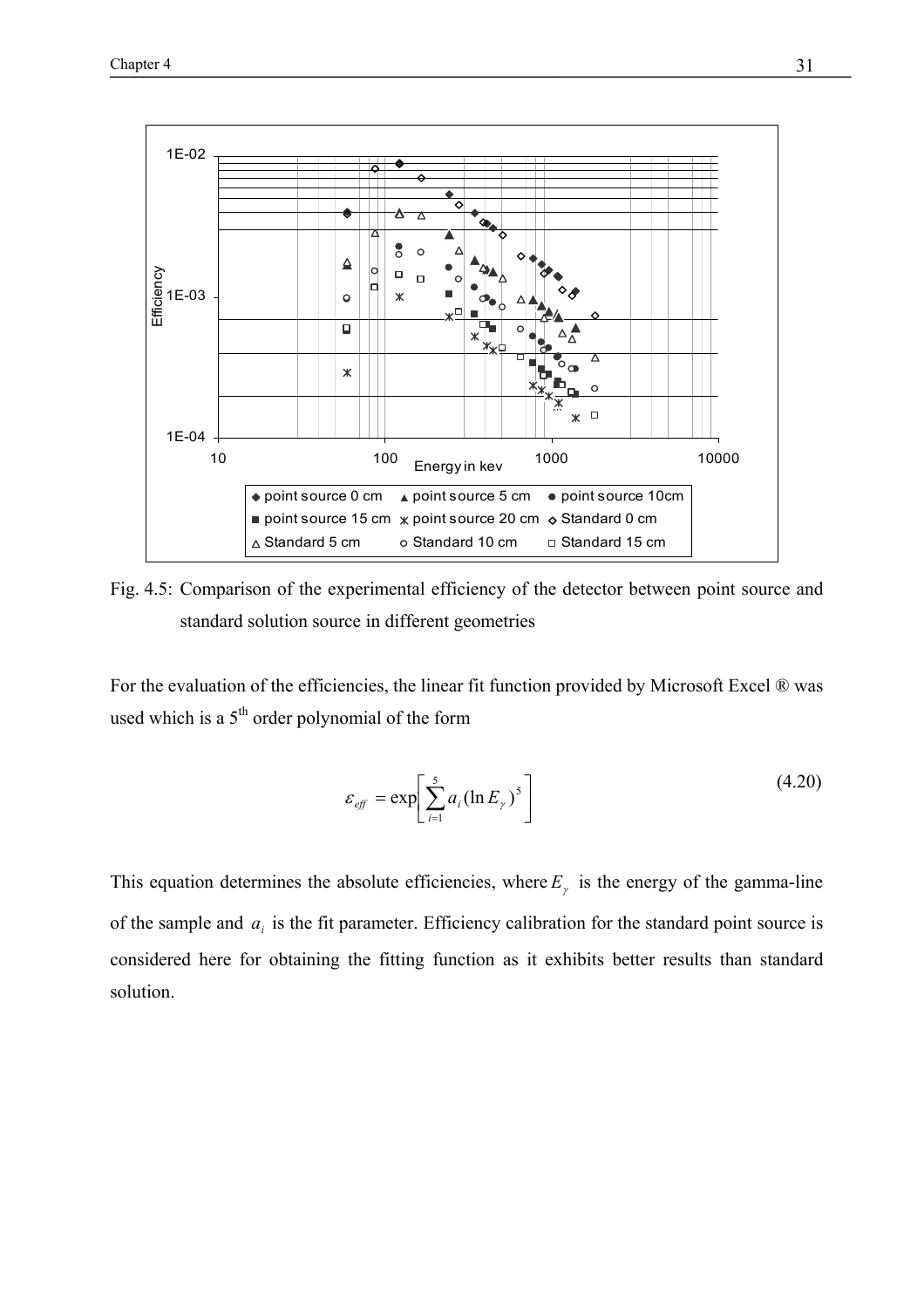

Fig. 4.5: Comparison of the experimental efficiency of the detector between point source and standard solution source in different geometries

For the evaluation of the efficiencies, the linear fit function provided by Microsoft Excel ® was used which is a  $5<sup>th</sup>$  order polynomial of the form

$$
\varepsilon_{\text{eff}} = \exp\left[\sum_{i=1}^{5} a_i (\ln E_{\gamma})^5\right]
$$
\n(4.20)

This equation determines the absolute efficiencies, where  $E<sub>y</sub>$  is the energy of the gamma-line of the sample and  $a_i$  is the fit parameter. Efficiency calibration for the standard point source is considered here for obtaining the fitting function as it exhibits better results than standard solution.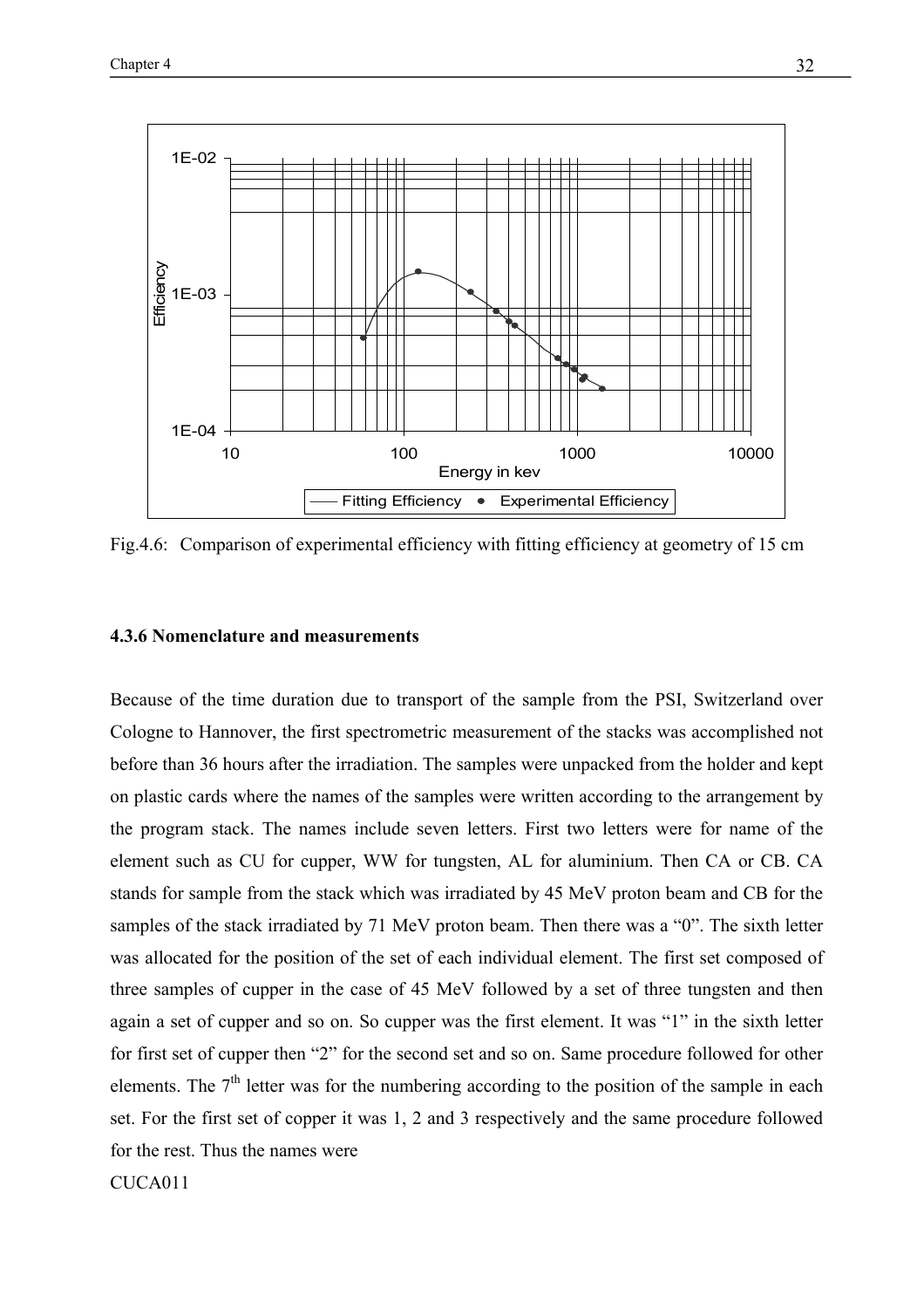

Fig.4.6: Comparison of experimental efficiency with fitting efficiency at geometry of 15 cm

## **4.3.6 Nomenclature and measurements**

Because of the time duration due to transport of the sample from the PSI, Switzerland over Cologne to Hannover, the first spectrometric measurement of the stacks was accomplished not before than 36 hours after the irradiation. The samples were unpacked from the holder and kept on plastic cards where the names of the samples were written according to the arrangement by the program stack. The names include seven letters. First two letters were for name of the element such as CU for cupper, WW for tungsten, AL for aluminium. Then CA or CB. CA stands for sample from the stack which was irradiated by 45 MeV proton beam and CB for the samples of the stack irradiated by 71 MeV proton beam. Then there was a "0". The sixth letter was allocated for the position of the set of each individual element. The first set composed of three samples of cupper in the case of 45 MeV followed by a set of three tungsten and then again a set of cupper and so on. So cupper was the first element. It was "1" in the sixth letter for first set of cupper then "2" for the second set and so on. Same procedure followed for other elements. The  $7<sup>th</sup>$  letter was for the numbering according to the position of the sample in each set. For the first set of copper it was 1, 2 and 3 respectively and the same procedure followed for the rest. Thus the names were

CUCA011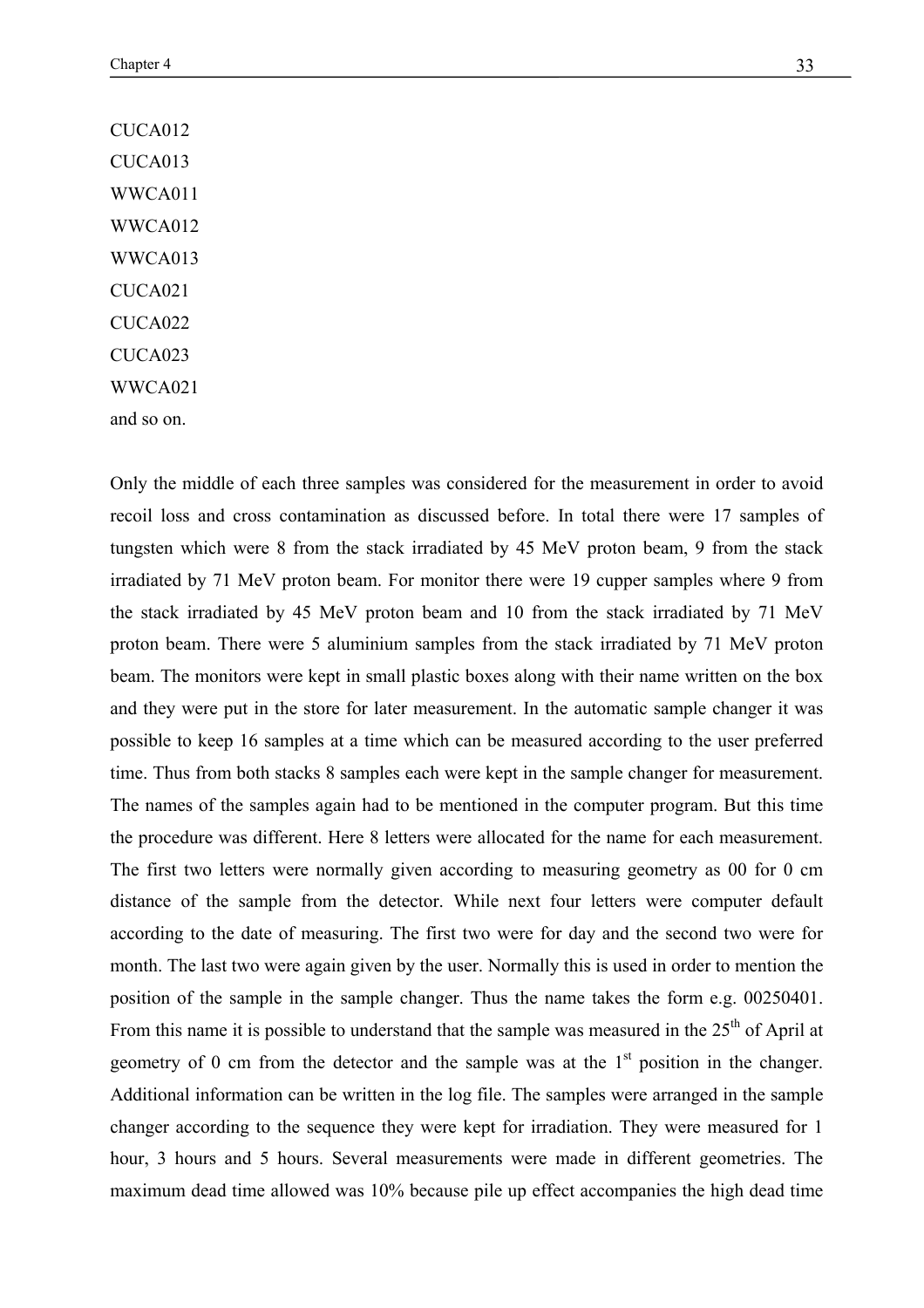CUCA012 CUCA013 WWCA011 WWCA012 WWCA013 CUCA021 CUCA<sub>022</sub> CUCA023 WWCA021 and so on.

Only the middle of each three samples was considered for the measurement in order to avoid recoil loss and cross contamination as discussed before. In total there were 17 samples of tungsten which were 8 from the stack irradiated by 45 MeV proton beam, 9 from the stack irradiated by 71 MeV proton beam. For monitor there were 19 cupper samples where 9 from the stack irradiated by 45 MeV proton beam and 10 from the stack irradiated by 71 MeV proton beam. There were 5 aluminium samples from the stack irradiated by 71 MeV proton beam. The monitors were kept in small plastic boxes along with their name written on the box and they were put in the store for later measurement. In the automatic sample changer it was possible to keep 16 samples at a time which can be measured according to the user preferred time. Thus from both stacks 8 samples each were kept in the sample changer for measurement. The names of the samples again had to be mentioned in the computer program. But this time the procedure was different. Here 8 letters were allocated for the name for each measurement. The first two letters were normally given according to measuring geometry as 00 for 0 cm distance of the sample from the detector. While next four letters were computer default according to the date of measuring. The first two were for day and the second two were for month. The last two were again given by the user. Normally this is used in order to mention the position of the sample in the sample changer. Thus the name takes the form e.g. 00250401. From this name it is possible to understand that the sample was measured in the  $25<sup>th</sup>$  of April at geometry of 0 cm from the detector and the sample was at the  $1<sup>st</sup>$  position in the changer. Additional information can be written in the log file. The samples were arranged in the sample changer according to the sequence they were kept for irradiation. They were measured for 1 hour, 3 hours and 5 hours. Several measurements were made in different geometries. The maximum dead time allowed was 10% because pile up effect accompanies the high dead time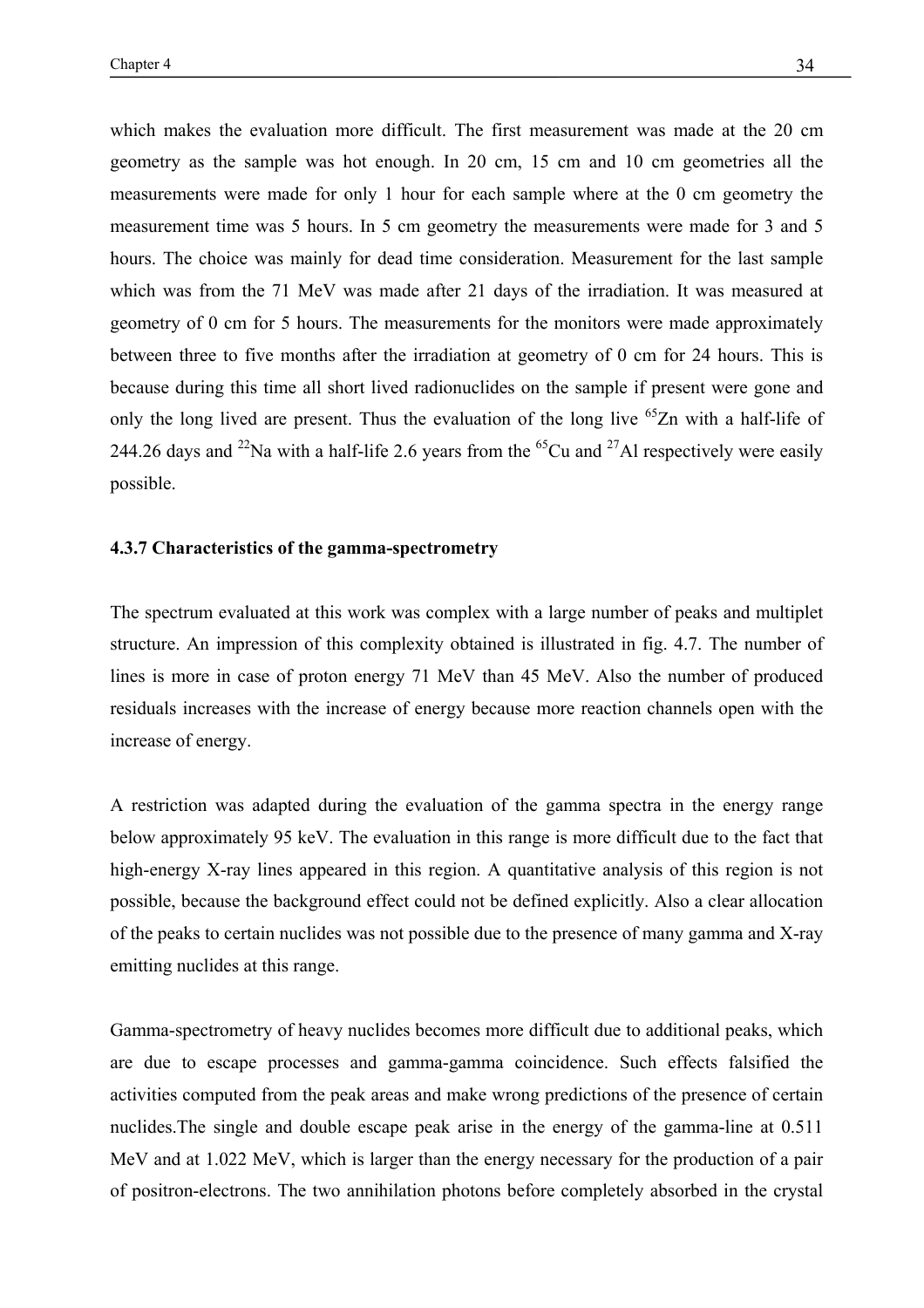which makes the evaluation more difficult. The first measurement was made at the 20 cm geometry as the sample was hot enough. In 20 cm, 15 cm and 10 cm geometries all the measurements were made for only 1 hour for each sample where at the 0 cm geometry the measurement time was 5 hours. In 5 cm geometry the measurements were made for 3 and 5 hours. The choice was mainly for dead time consideration. Measurement for the last sample which was from the 71 MeV was made after 21 days of the irradiation. It was measured at geometry of 0 cm for 5 hours. The measurements for the monitors were made approximately between three to five months after the irradiation at geometry of 0 cm for 24 hours. This is because during this time all short lived radionuclides on the sample if present were gone and only the long lived are present. Thus the evaluation of the long live  $^{65}Zn$  with a half-life of 244.26 days and <sup>22</sup>Na with a half-life 2.6 years from the <sup>65</sup>Cu and <sup>27</sup>Al respectively were easily possible.

#### **4.3.7 Characteristics of the gamma-spectrometry**

The spectrum evaluated at this work was complex with a large number of peaks and multiplet structure. An impression of this complexity obtained is illustrated in fig. 4.7. The number of lines is more in case of proton energy 71 MeV than 45 MeV. Also the number of produced residuals increases with the increase of energy because more reaction channels open with the increase of energy.

A restriction was adapted during the evaluation of the gamma spectra in the energy range below approximately 95 keV. The evaluation in this range is more difficult due to the fact that high-energy X-ray lines appeared in this region. A quantitative analysis of this region is not possible, because the background effect could not be defined explicitly. Also a clear allocation of the peaks to certain nuclides was not possible due to the presence of many gamma and X-ray emitting nuclides at this range.

Gamma-spectrometry of heavy nuclides becomes more difficult due to additional peaks, which are due to escape processes and gamma-gamma coincidence. Such effects falsified the activities computed from the peak areas and make wrong predictions of the presence of certain nuclides.The single and double escape peak arise in the energy of the gamma-line at 0.511 MeV and at 1.022 MeV, which is larger than the energy necessary for the production of a pair of positron-electrons. The two annihilation photons before completely absorbed in the crystal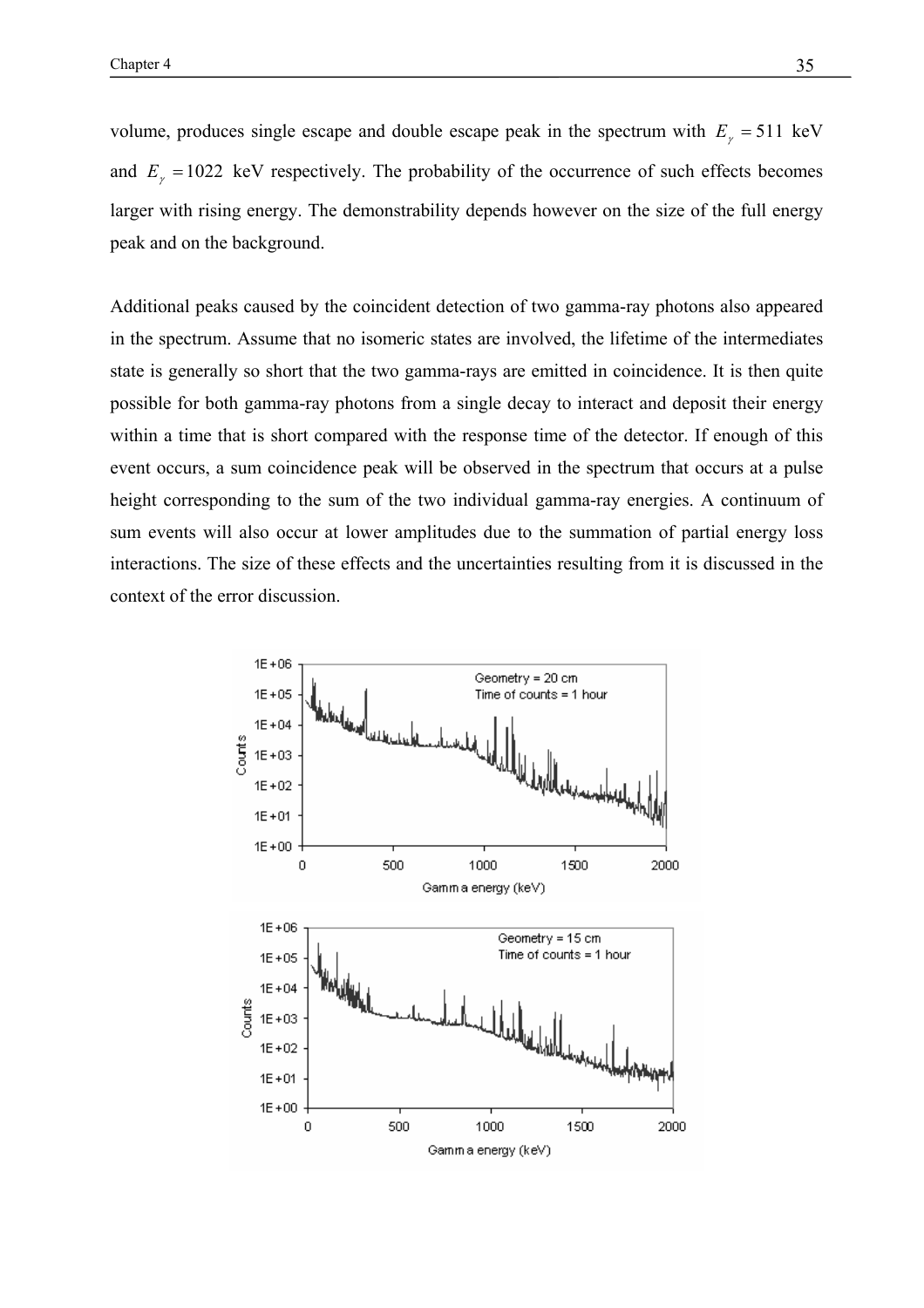volume, produces single escape and double escape peak in the spectrum with  $E<sub>r</sub> = 511$  keV and  $E<sub>y</sub> = 1022$  keV respectively. The probability of the occurrence of such effects becomes larger with rising energy. The demonstrability depends however on the size of the full energy peak and on the background.

Additional peaks caused by the coincident detection of two gamma-ray photons also appeared in the spectrum. Assume that no isomeric states are involved, the lifetime of the intermediates state is generally so short that the two gamma-rays are emitted in coincidence. It is then quite possible for both gamma-ray photons from a single decay to interact and deposit their energy within a time that is short compared with the response time of the detector. If enough of this event occurs, a sum coincidence peak will be observed in the spectrum that occurs at a pulse height corresponding to the sum of the two individual gamma-ray energies. A continuum of sum events will also occur at lower amplitudes due to the summation of partial energy loss interactions. The size of these effects and the uncertainties resulting from it is discussed in the context of the error discussion.

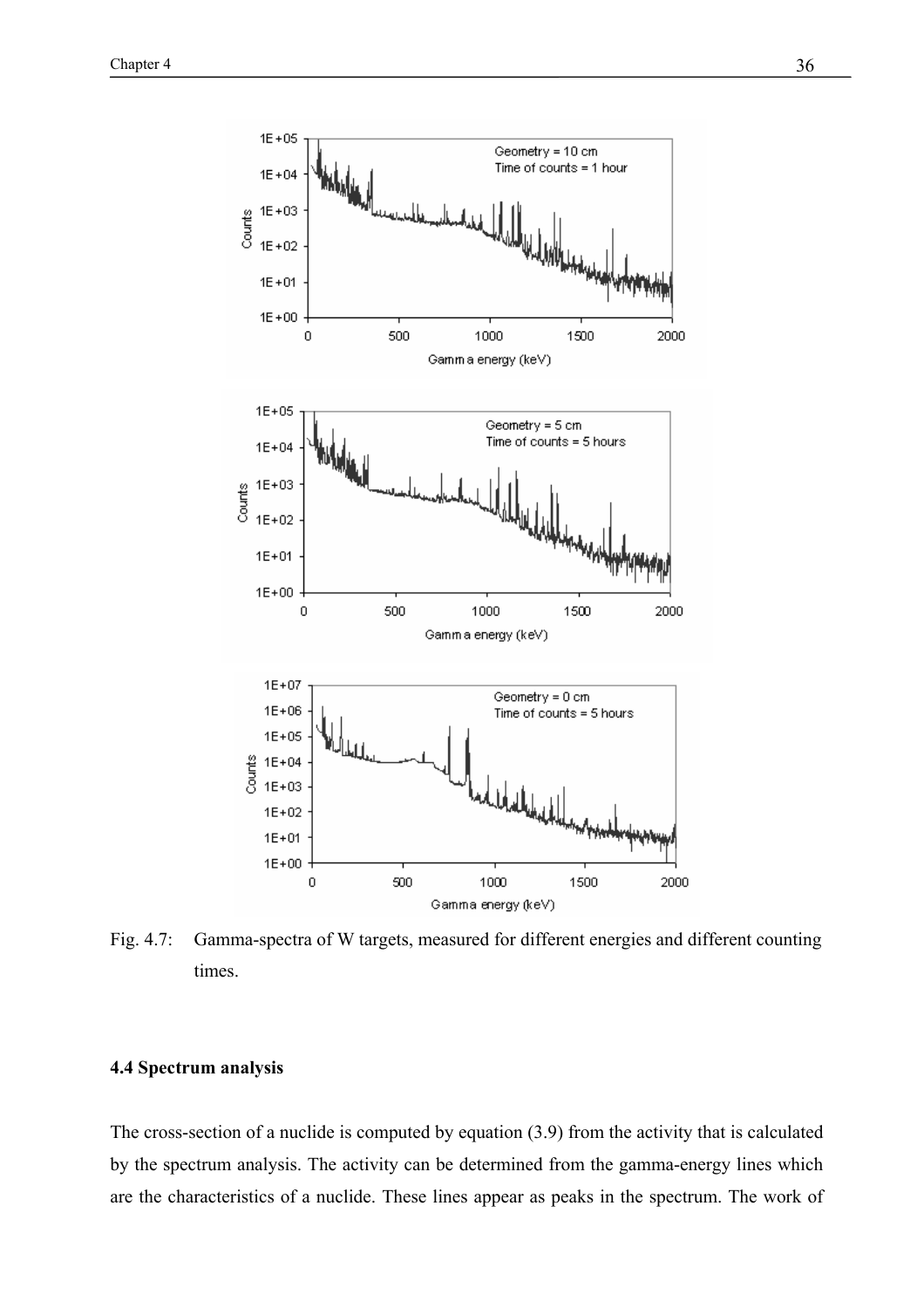

Fig. 4.7: Gamma-spectra of W targets, measured for different energies and different counting times.

## **4.4 Spectrum analysis**

The cross-section of a nuclide is computed by equation (3.9) from the activity that is calculated by the spectrum analysis. The activity can be determined from the gamma-energy lines which are the characteristics of a nuclide. These lines appear as peaks in the spectrum. The work of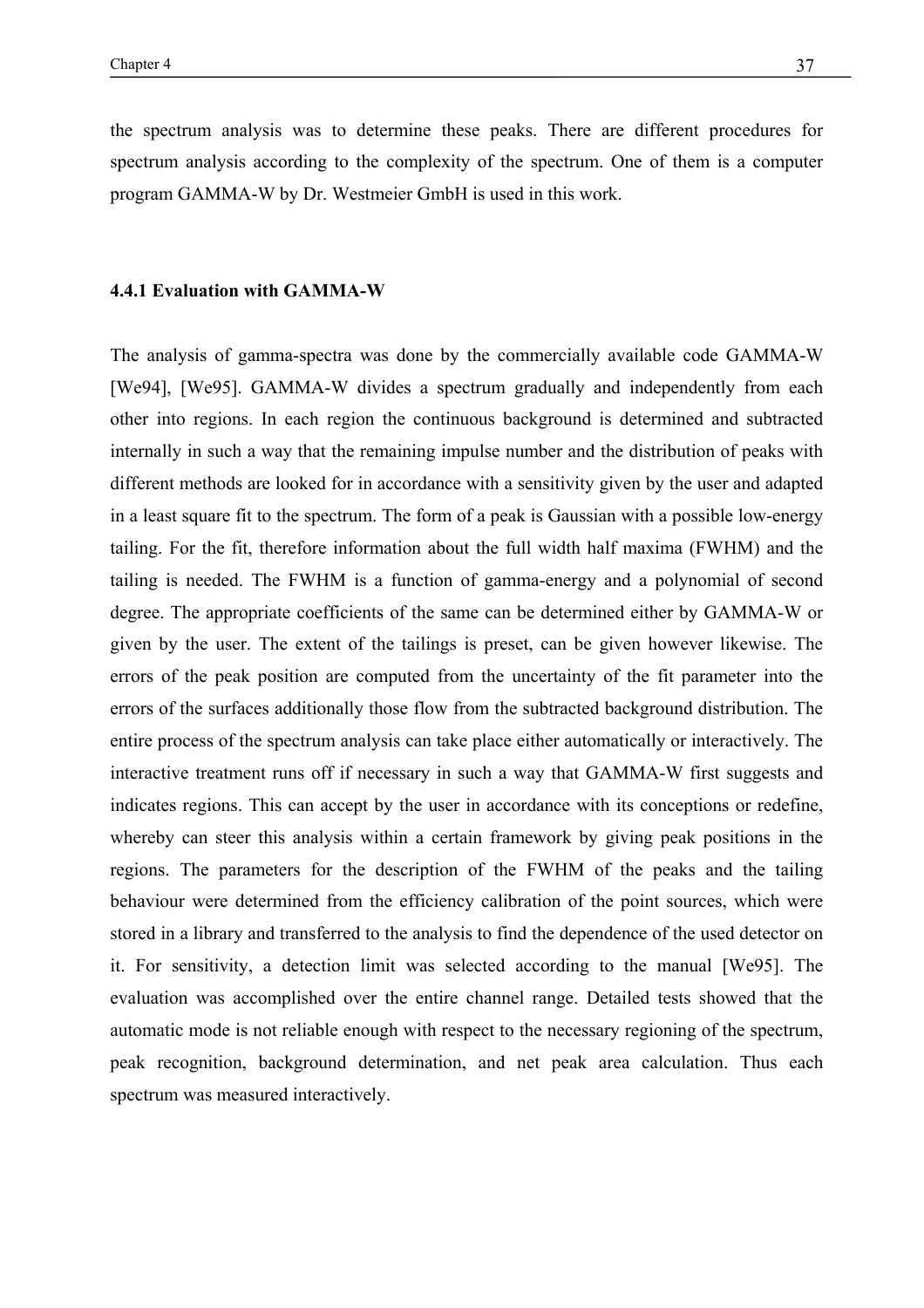the spectrum analysis was to determine these peaks. There are different procedures for spectrum analysis according to the complexity of the spectrum. One of them is a computer program GAMMA-W by Dr. Westmeier GmbH is used in this work.

#### **4.4.1 Evaluation with GAMMA-W**

The analysis of gamma-spectra was done by the commercially available code GAMMA-W [We94], [We95]. GAMMA-W divides a spectrum gradually and independently from each other into regions. In each region the continuous background is determined and subtracted internally in such a way that the remaining impulse number and the distribution of peaks with different methods are looked for in accordance with a sensitivity given by the user and adapted in a least square fit to the spectrum. The form of a peak is Gaussian with a possible low-energy tailing. For the fit, therefore information about the full width half maxima (FWHM) and the tailing is needed. The FWHM is a function of gamma-energy and a polynomial of second degree. The appropriate coefficients of the same can be determined either by GAMMA-W or given by the user. The extent of the tailings is preset, can be given however likewise. The errors of the peak position are computed from the uncertainty of the fit parameter into the errors of the surfaces additionally those flow from the subtracted background distribution. The entire process of the spectrum analysis can take place either automatically or interactively. The interactive treatment runs off if necessary in such a way that GAMMA-W first suggests and indicates regions. This can accept by the user in accordance with its conceptions or redefine, whereby can steer this analysis within a certain framework by giving peak positions in the regions. The parameters for the description of the FWHM of the peaks and the tailing behaviour were determined from the efficiency calibration of the point sources, which were stored in a library and transferred to the analysis to find the dependence of the used detector on it. For sensitivity, a detection limit was selected according to the manual [We95]. The evaluation was accomplished over the entire channel range. Detailed tests showed that the automatic mode is not reliable enough with respect to the necessary regioning of the spectrum, peak recognition, background determination, and net peak area calculation. Thus each spectrum was measured interactively.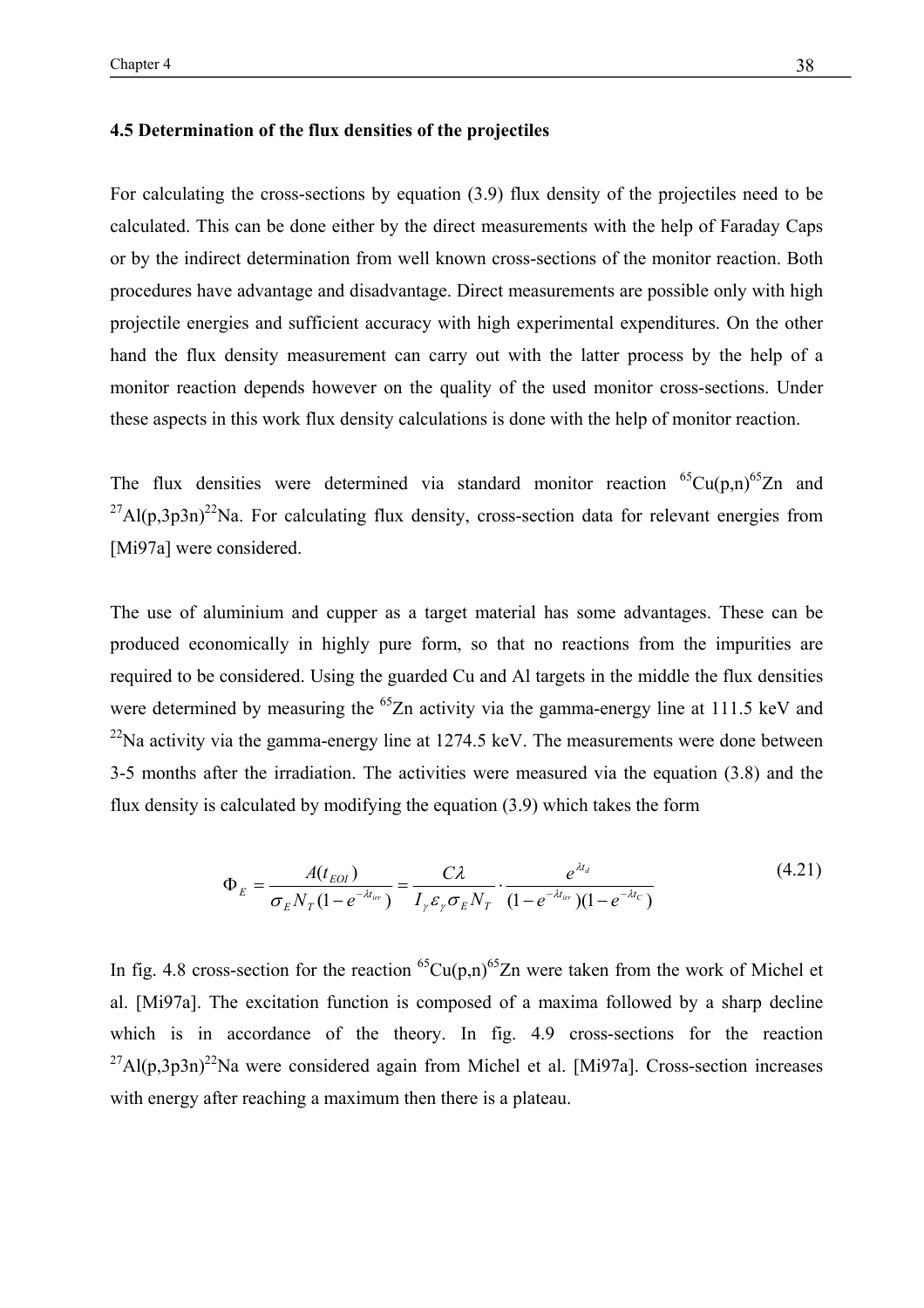## **4.5 Determination of the flux densities of the projectiles**

For calculating the cross-sections by equation (3.9) flux density of the projectiles need to be calculated. This can be done either by the direct measurements with the help of Faraday Caps or by the indirect determination from well known cross-sections of the monitor reaction. Both procedures have advantage and disadvantage. Direct measurements are possible only with high projectile energies and sufficient accuracy with high experimental expenditures. On the other hand the flux density measurement can carry out with the latter process by the help of a monitor reaction depends however on the quality of the used monitor cross-sections. Under these aspects in this work flux density calculations is done with the help of monitor reaction.

The flux densities were determined via standard monitor reaction  ${}^{65}Cu(p,n){}^{65}Zn$  and  $^{27}$ Al(p,3p3n)<sup>22</sup>Na. For calculating flux density, cross-section data for relevant energies from [Mi97a] were considered.

The use of aluminium and cupper as a target material has some advantages. These can be produced economically in highly pure form, so that no reactions from the impurities are required to be considered. Using the guarded Cu and Al targets in the middle the flux densities were determined by measuring the <sup>65</sup>Zn activity via the gamma-energy line at 111.5 keV and  $^{22}$ Na activity via the gamma-energy line at 1274.5 keV. The measurements were done between 3-5 months after the irradiation. The activities were measured via the equation (3.8) and the flux density is calculated by modifying the equation (3.9) which takes the form

$$
\Phi_E = \frac{A(t_{E0I})}{\sigma_E N_T (1 - e^{-\lambda t_{ir}})} = \frac{C\lambda}{I_{\gamma} \varepsilon_{\gamma} \sigma_E N_T} \cdot \frac{e^{\lambda t_d}}{(1 - e^{-\lambda t_{ir}})(1 - e^{-\lambda t_c})}
$$
(4.21)

In fig. 4.8 cross-section for the reaction  ${}^{65}Cu(p,n){}^{65}Zn$  were taken from the work of Michel et al. [Mi97a]. The excitation function is composed of a maxima followed by a sharp decline which is in accordance of the theory. In fig. 4.9 cross-sections for the reaction  $^{27}$ Al(p,3p3n)<sup>22</sup>Na were considered again from Michel et al. [Mi97a]. Cross-section increases with energy after reaching a maximum then there is a plateau.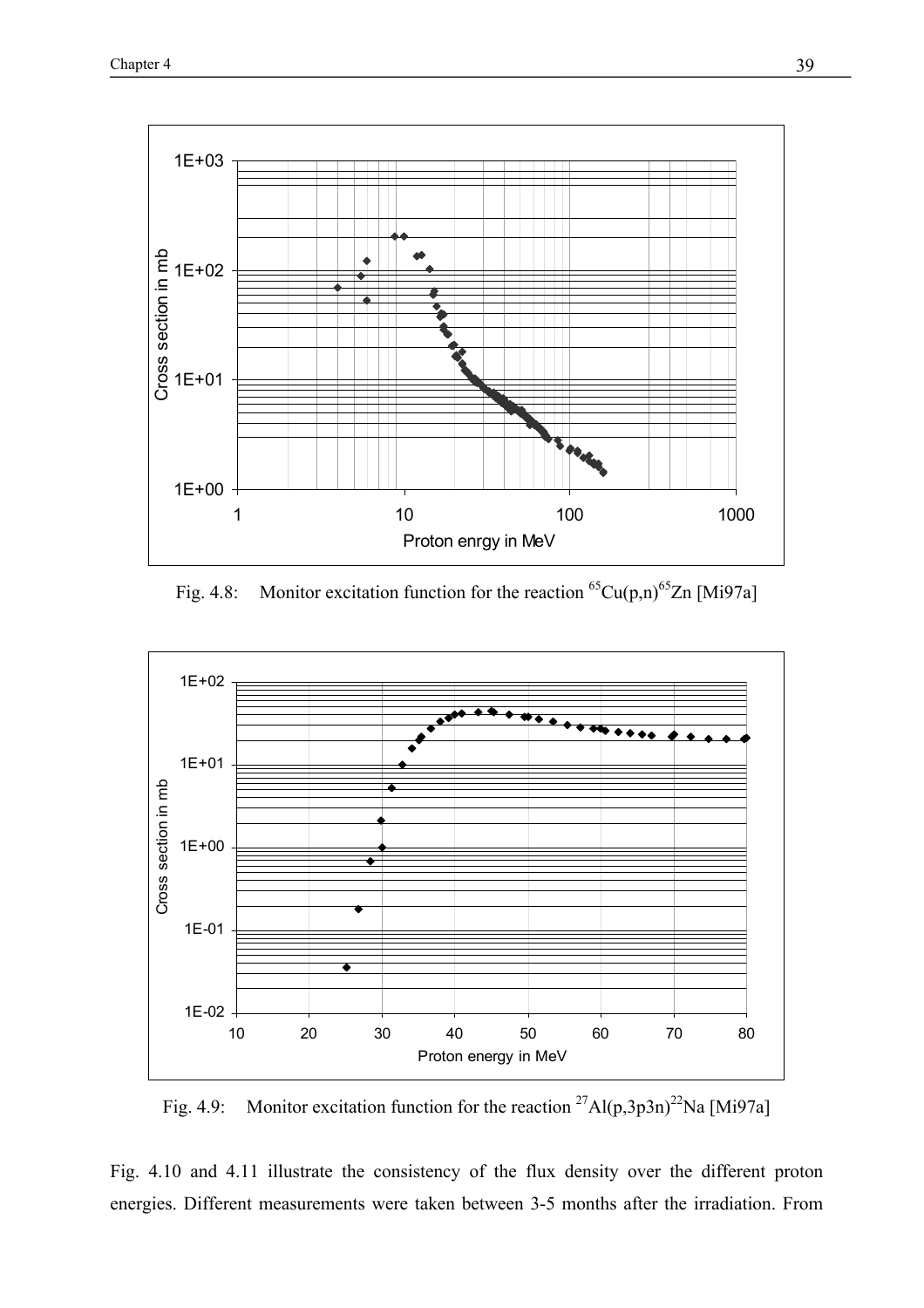

Fig. 4.8: Monitor excitation function for the reaction  ${}^{65}Cu(p,n){}^{65}Zn$  [Mi97a]



Fig. 4.9: Monitor excitation function for the reaction <sup>27</sup>Al(p,3p3n)<sup>22</sup>Na [Mi97a]

Fig. 4.10 and 4.11 illustrate the consistency of the flux density over the different proton energies. Different measurements were taken between 3-5 months after the irradiation. From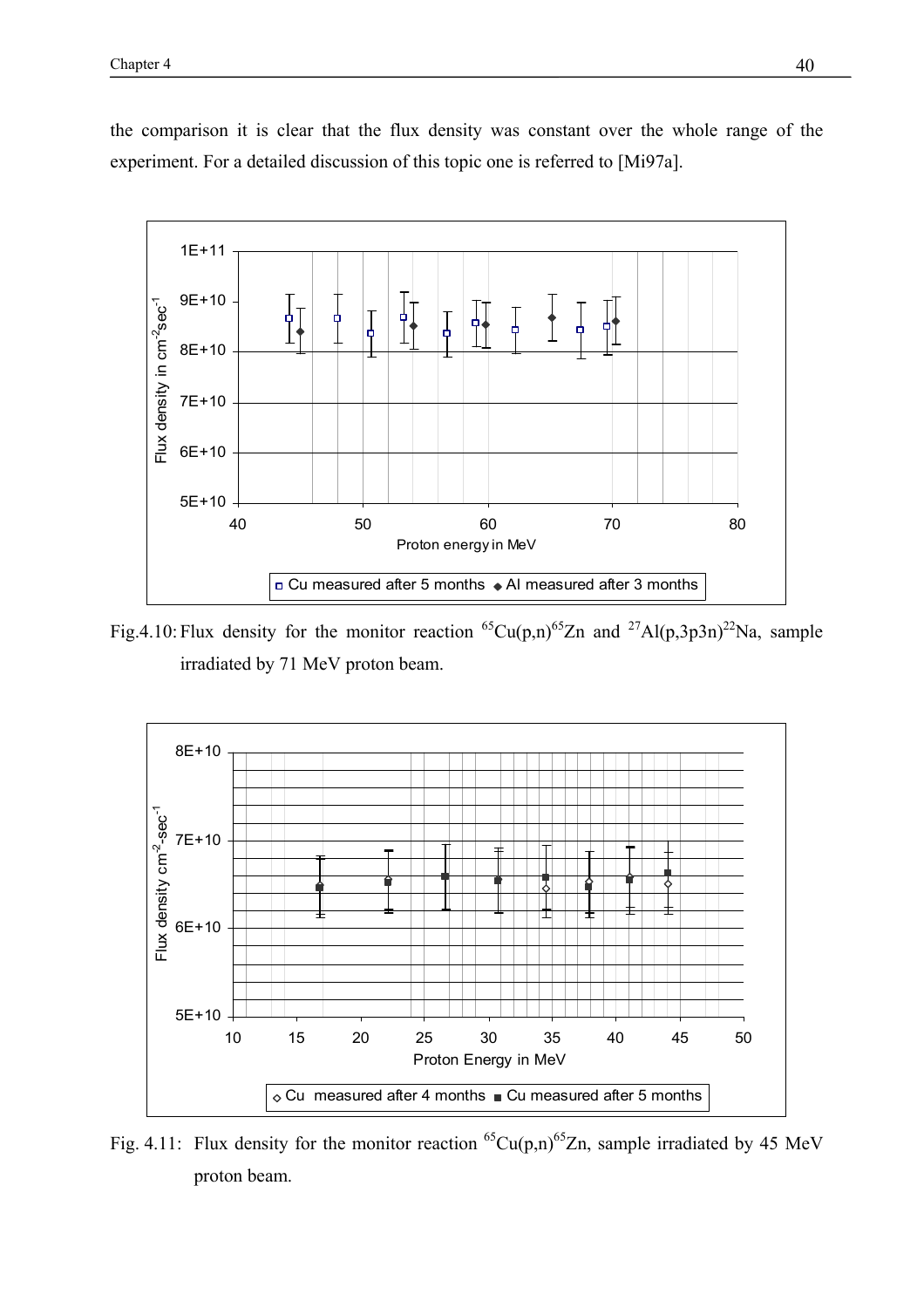

the comparison it is clear that the flux density was constant over the whole range of the experiment. For a detailed discussion of this topic one is referred to [Mi97a].

Fig.4.10: Flux density for the monitor reaction <sup>65</sup>Cu(p,n)<sup>65</sup>Zn and <sup>27</sup>Al(p,3p3n)<sup>22</sup>Na, sample irradiated by 71 MeV proton beam.



Fig. 4.11: Flux density for the monitor reaction  ${}^{65}Cu(p,n){}^{65}Zn$ , sample irradiated by 45 MeV proton beam.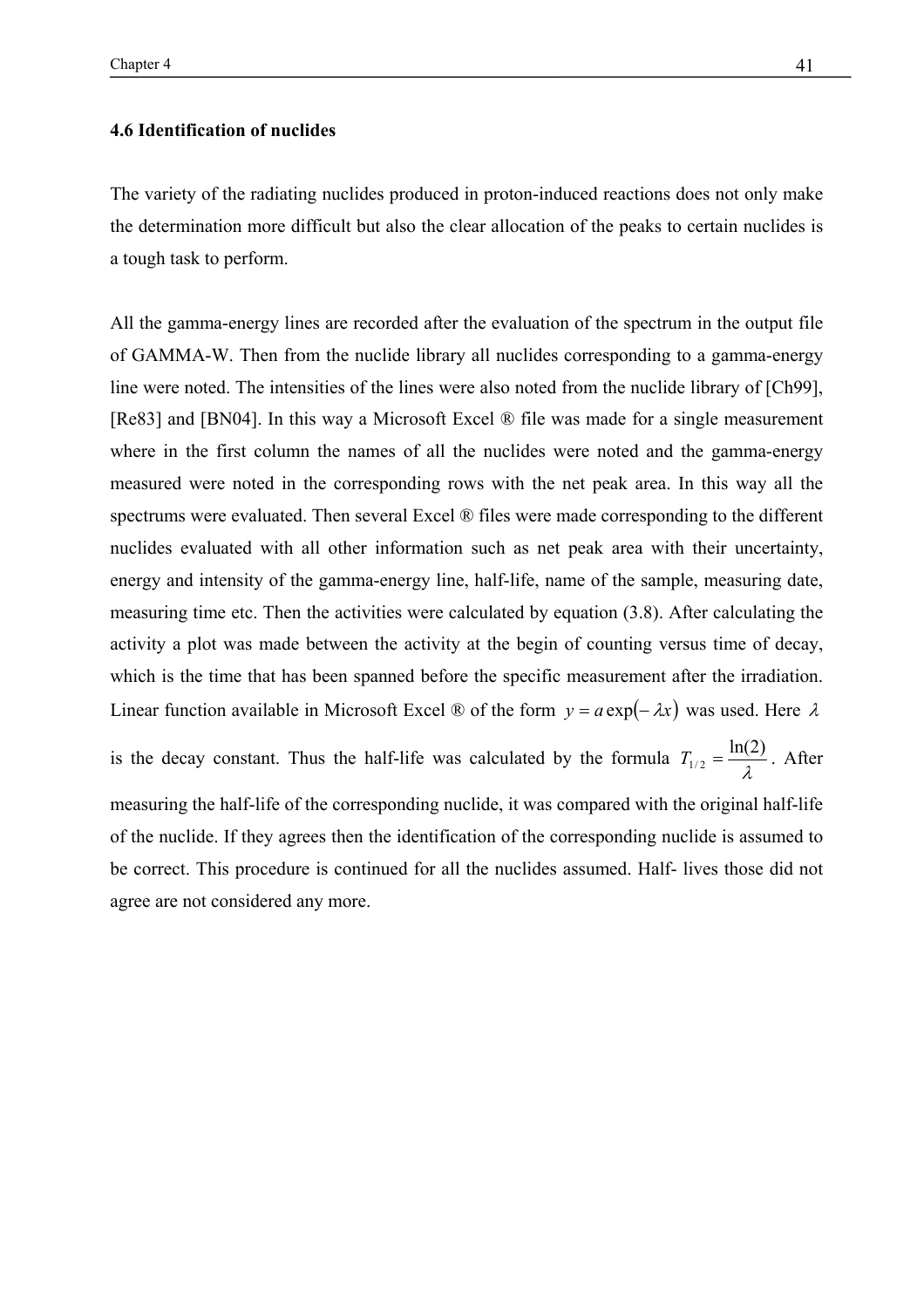## **4.6 Identification of nuclides**

The variety of the radiating nuclides produced in proton-induced reactions does not only make the determination more difficult but also the clear allocation of the peaks to certain nuclides is a tough task to perform.

All the gamma-energy lines are recorded after the evaluation of the spectrum in the output file of GAMMA-W. Then from the nuclide library all nuclides corresponding to a gamma-energy line were noted. The intensities of the lines were also noted from the nuclide library of [Ch99], [Re83] and [BN04]. In this way a Microsoft Excel ® file was made for a single measurement where in the first column the names of all the nuclides were noted and the gamma-energy measured were noted in the corresponding rows with the net peak area. In this way all the spectrums were evaluated. Then several Excel ® files were made corresponding to the different nuclides evaluated with all other information such as net peak area with their uncertainty, energy and intensity of the gamma-energy line, half-life, name of the sample, measuring date, measuring time etc. Then the activities were calculated by equation (3.8). After calculating the activity a plot was made between the activity at the begin of counting versus time of decay, which is the time that has been spanned before the specific measurement after the irradiation. Linear function available in Microsoft Excel ® of the form  $y = a \exp(-\lambda x)$  was used. Here  $\lambda$ is the decay constant. Thus the half-life was calculated by the formula  $T_{1/2} = \frac{\ln(2)}{\lambda}$ . After measuring the half-life of the corresponding nuclide, it was compared with the original half-life of the nuclide. If they agrees then the identification of the corresponding nuclide is assumed to be correct. This procedure is continued for all the nuclides assumed. Half- lives those did not agree are not considered any more.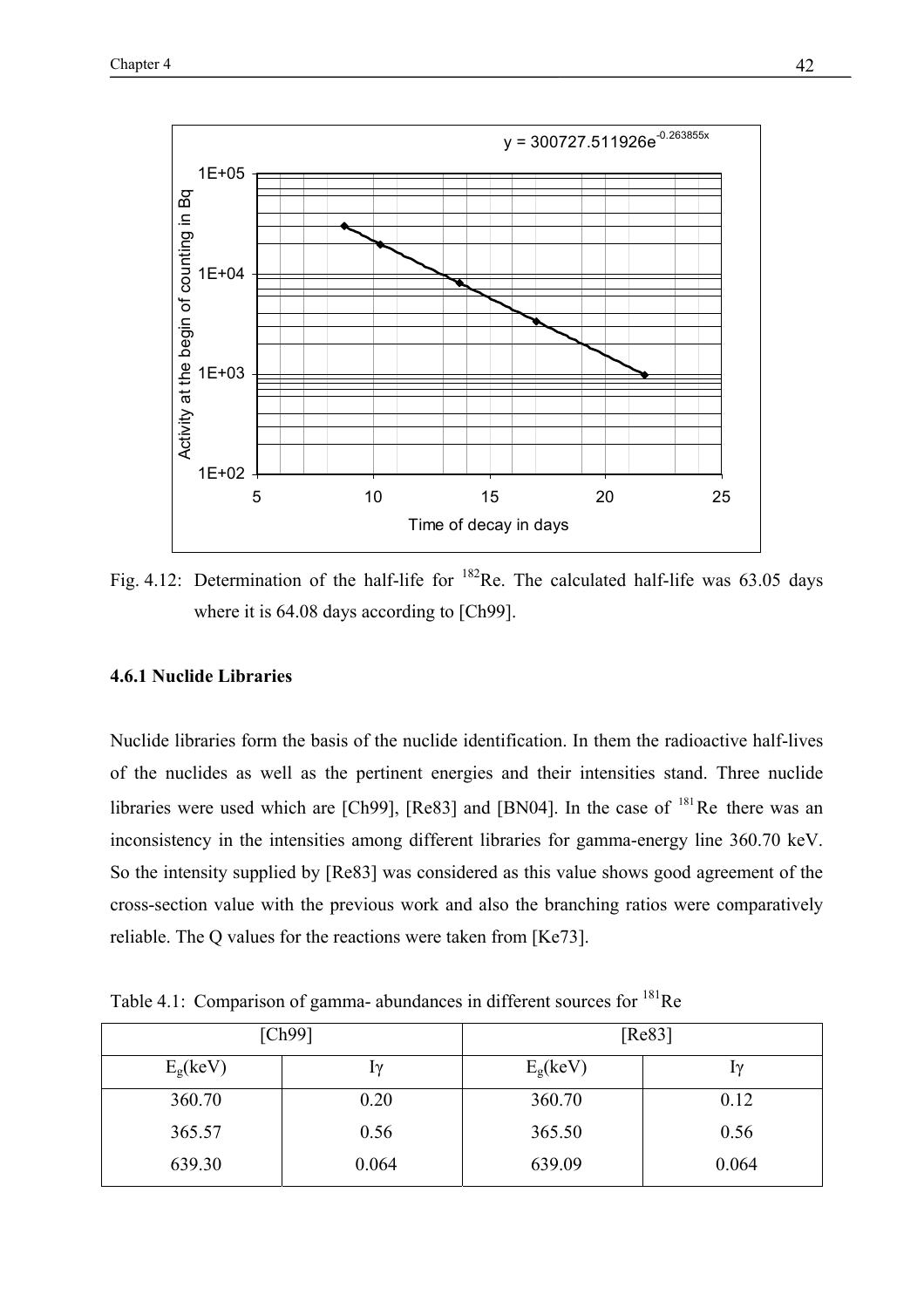

Fig. 4.12: Determination of the half-life for  $^{182}$ Re. The calculated half-life was 63.05 days where it is 64.08 days according to [Ch99].

## **4.6.1 Nuclide Libraries**

Nuclide libraries form the basis of the nuclide identification. In them the radioactive half-lives of the nuclides as well as the pertinent energies and their intensities stand. Three nuclide libraries were used which are  $[Ch99]$ ,  $[Re83]$  and  $[BN04]$ . In the case of  $181$  Re there was an inconsistency in the intensities among different libraries for gamma-energy line 360.70 keV. So the intensity supplied by [Re83] was considered as this value shows good agreement of the cross-section value with the previous work and also the branching ratios were comparatively reliable. The Q values for the reactions were taken from [Ke73].

Table 4.1: Comparison of gamma- abundances in different sources for <sup>181</sup>Re

|                      | [Ch99] | [Re83]            |           |  |
|----------------------|--------|-------------------|-----------|--|
| E <sub>g</sub> (keV) | lγ     | $E_{\rm g}$ (keV) | $1\gamma$ |  |
| 360.70               | 0.20   | 360.70            | 0.12      |  |
| 365.57               | 0.56   | 365.50            | 0.56      |  |
| 639.30               | 0.064  | 639.09            | 0.064     |  |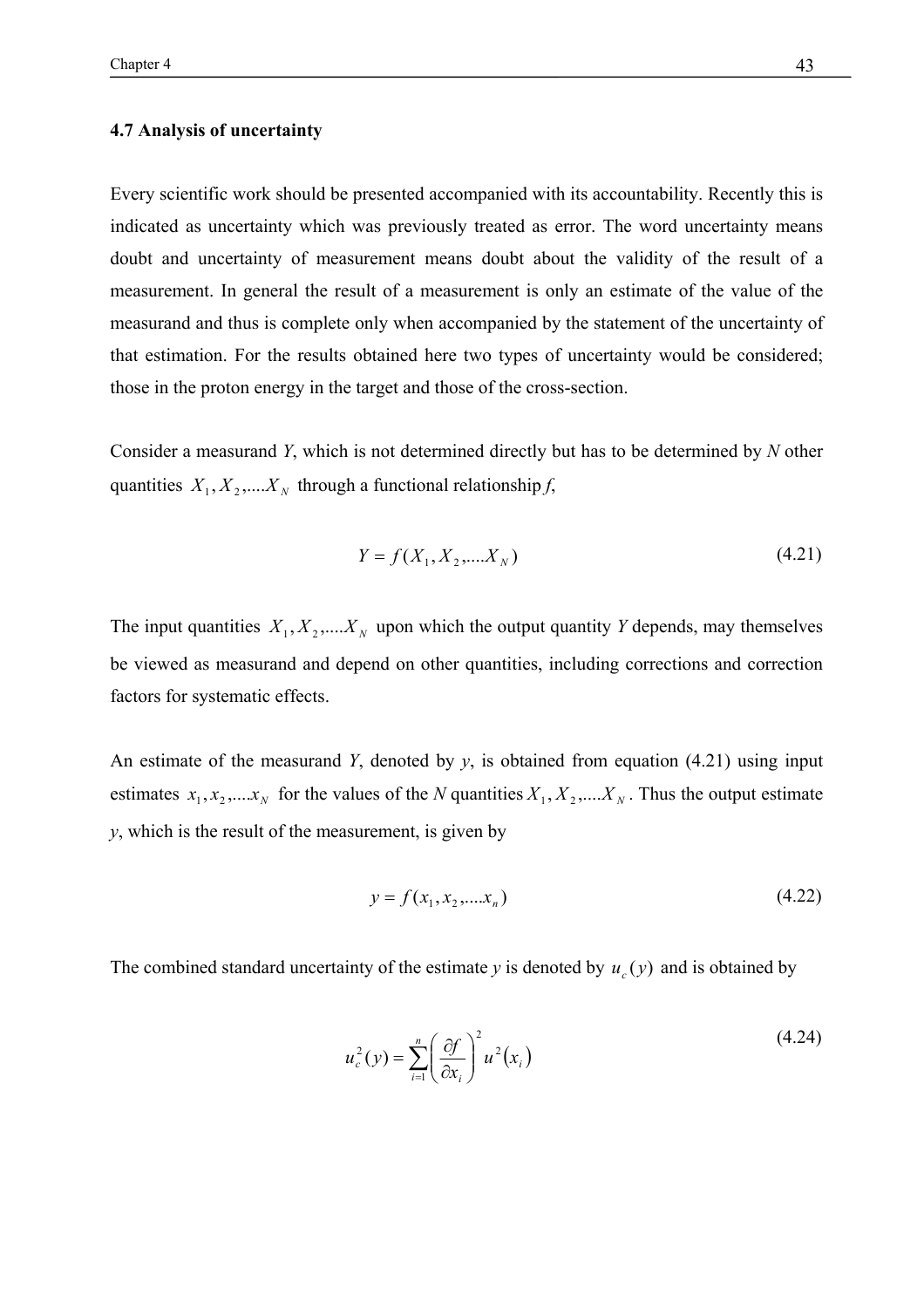## **4.7 Analysis of uncertainty**

Every scientific work should be presented accompanied with its accountability. Recently this is indicated as uncertainty which was previously treated as error. The word uncertainty means doubt and uncertainty of measurement means doubt about the validity of the result of a measurement. In general the result of a measurement is only an estimate of the value of the measurand and thus is complete only when accompanied by the statement of the uncertainty of that estimation. For the results obtained here two types of uncertainty would be considered; those in the proton energy in the target and those of the cross-section.

Consider a measurand *Y*, which is not determined directly but has to be determined by *N* other quantities  $X_1, X_2, \ldots, X_N$  through a functional relationship *f*,

$$
Y = f(X_1, X_2, \dots, X_N) \tag{4.21}
$$

The input quantities  $X_1, X_2, \ldots, X_N$  upon which the output quantity *Y* depends, may themselves be viewed as measurand and depend on other quantities, including corrections and correction factors for systematic effects.

An estimate of the measurand *Y*, denoted by *y*, is obtained from equation (4.21) using input estimates  $x_1, x_2, \ldots, x_N$  for the values of the *N* quantities  $X_1, X_2, \ldots, X_N$ . Thus the output estimate *y*, which is the result of the measurement, is given by

$$
y = f(x_1, x_2, \dots, x_n) \tag{4.22}
$$

The combined standard uncertainty of the estimate *y* is denoted by  $u_c(y)$  and is obtained by

$$
u_c^2(y) = \sum_{i=1}^n \left(\frac{\partial f}{\partial x_i}\right)^2 u^2(x_i)
$$
 (4.24)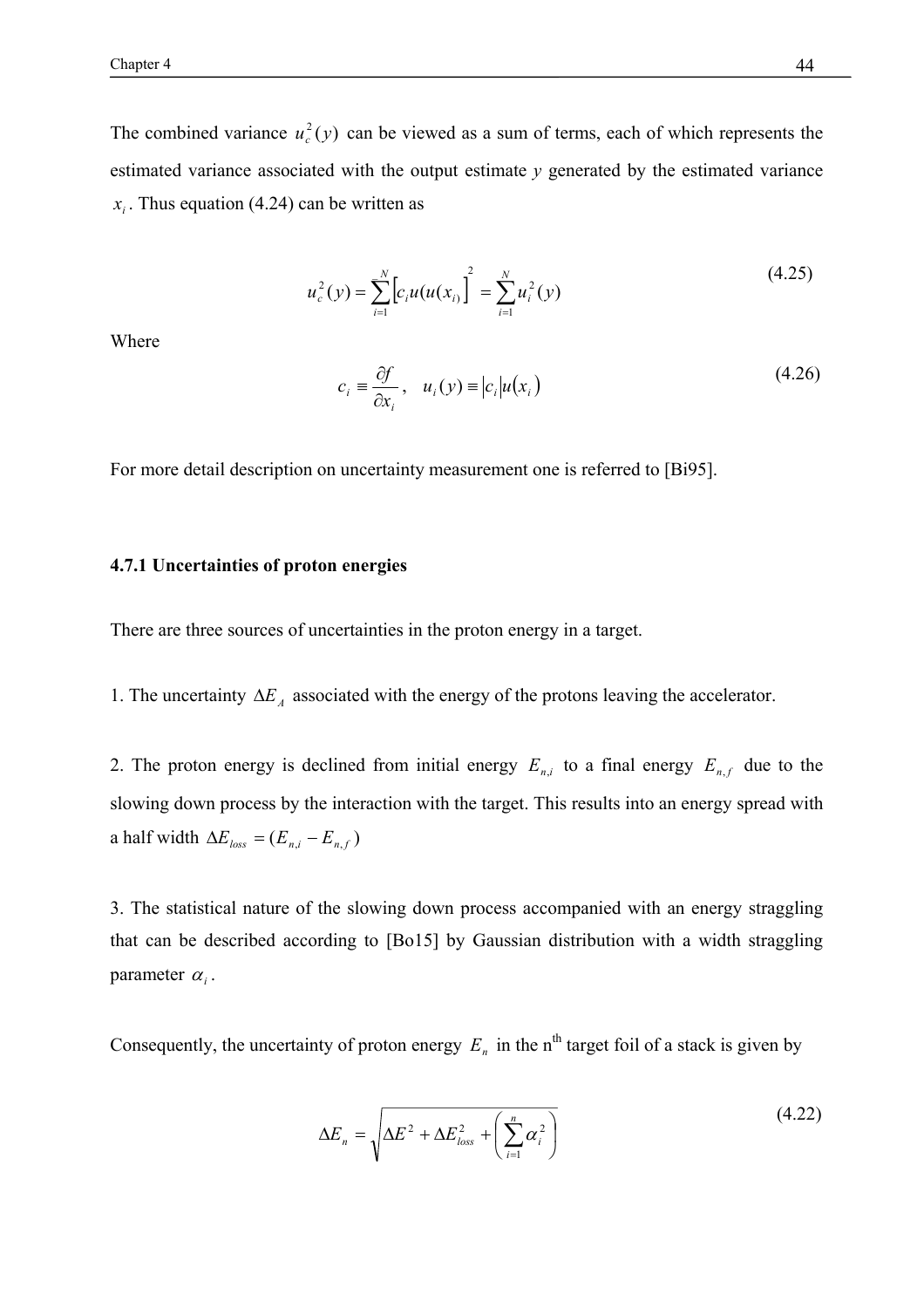The combined variance  $u_c^2(y)$  can be viewed as a sum of terms, each of which represents the estimated variance associated with the output estimate  $\nu$  generated by the estimated variance  $x_i$ . Thus equation (4.24) can be written as

$$
u_c^2(y) = \sum_{i=1}^N \left[ c_i u(u(x_{i}) \right]^2 = \sum_{i=1}^N u_i^2(y)
$$
 (4.25)

Where

$$
c_i \equiv \frac{\partial f}{\partial x_i}, \quad u_i(y) \equiv |c_i| u(x_i)
$$
\n(4.26)

For more detail description on uncertainty measurement one is referred to [Bi95].

#### **4.7.1 Uncertainties of proton energies**

There are three sources of uncertainties in the proton energy in a target.

1. The uncertainty  $\Delta E_A$  associated with the energy of the protons leaving the accelerator.

2. The proton energy is declined from initial energy  $E_{n,i}$  to a final energy  $E_{n,f}$  due to the slowing down process by the interaction with the target. This results into an energy spread with a half width  $\Delta E_{loss} = (E_{n,i} - E_{n,f})$ 

3. The statistical nature of the slowing down process accompanied with an energy straggling that can be described according to [Bo15] by Gaussian distribution with a width straggling parameter  $\alpha_i$ .

Consequently, the uncertainty of proton energy  $E_n$  in the n<sup>th</sup> target foil of a stack is given by

$$
\Delta E_n = \sqrt{\Delta E^2 + \Delta E_{loss}^2 + \left(\sum_{i=1}^n \alpha_i^2\right)}
$$
(4.22)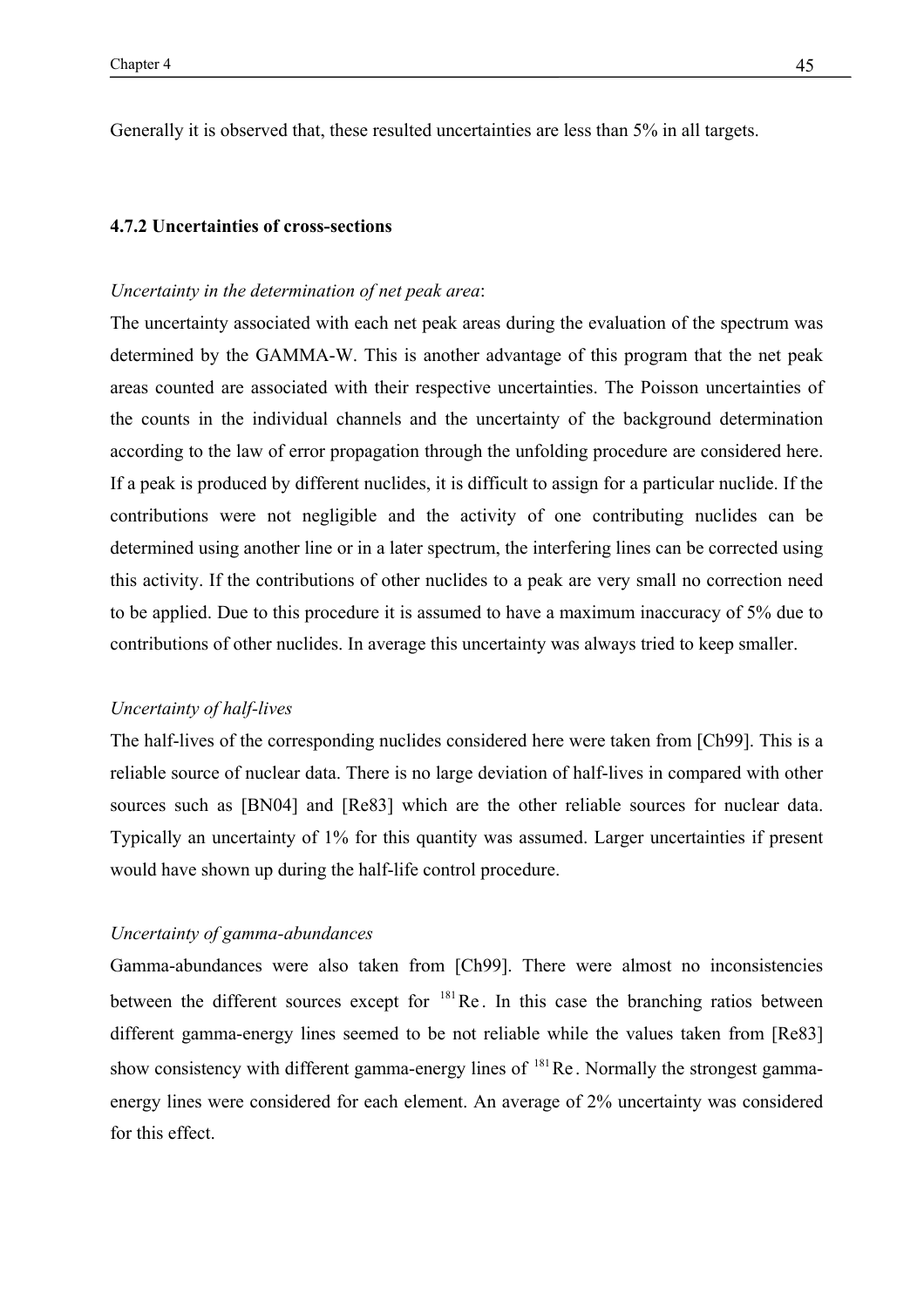Generally it is observed that, these resulted uncertainties are less than 5% in all targets.

## **4.7.2 Uncertainties of cross-sections**

## *Uncertainty in the determination of net peak area*:

The uncertainty associated with each net peak areas during the evaluation of the spectrum was determined by the GAMMA-W. This is another advantage of this program that the net peak areas counted are associated with their respective uncertainties. The Poisson uncertainties of the counts in the individual channels and the uncertainty of the background determination according to the law of error propagation through the unfolding procedure are considered here. If a peak is produced by different nuclides, it is difficult to assign for a particular nuclide. If the contributions were not negligible and the activity of one contributing nuclides can be determined using another line or in a later spectrum, the interfering lines can be corrected using this activity. If the contributions of other nuclides to a peak are very small no correction need to be applied. Due to this procedure it is assumed to have a maximum inaccuracy of 5% due to contributions of other nuclides. In average this uncertainty was always tried to keep smaller.

## *Uncertainty of half-lives*

The half-lives of the corresponding nuclides considered here were taken from [Ch99]. This is a reliable source of nuclear data. There is no large deviation of half-lives in compared with other sources such as [BN04] and [Re83] which are the other reliable sources for nuclear data. Typically an uncertainty of 1% for this quantity was assumed. Larger uncertainties if present would have shown up during the half-life control procedure.

## *Uncertainty of gamma-abundances*

Gamma-abundances were also taken from [Ch99]. There were almost no inconsistencies between the different sources except for  $181$  Re. In this case the branching ratios between different gamma-energy lines seemed to be not reliable while the values taken from [Re83] show consistency with different gamma-energy lines of  $181$  Re. Normally the strongest gammaenergy lines were considered for each element. An average of 2% uncertainty was considered for this effect.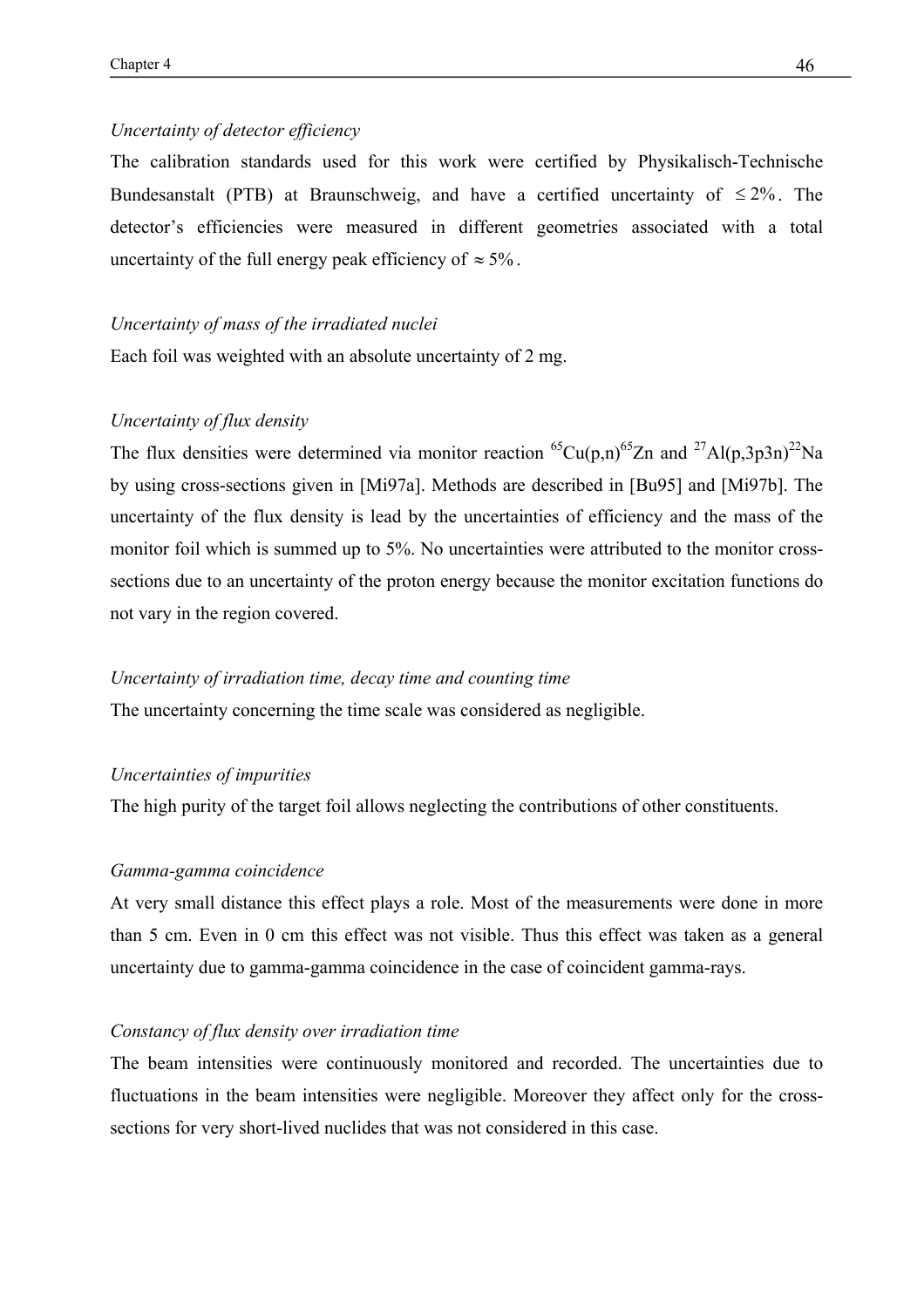## *Uncertainty of detector efficiency*

The calibration standards used for this work were certified by Physikalisch-Technische Bundesanstalt (PTB) at Braunschweig, and have a certified uncertainty of  $\leq 2\%$ . The detector's efficiencies were measured in different geometries associated with a total uncertainty of the full energy peak efficiency of  $\approx 5\%$ .

#### *Uncertainty of mass of the irradiated nuclei*

Each foil was weighted with an absolute uncertainty of 2 mg.

## *Uncertainty of flux density*

The flux densities were determined via monitor reaction <sup>65</sup>Cu(p,n)<sup>65</sup>Zn and <sup>27</sup>Al(p,3p3n)<sup>22</sup>Na by using cross-sections given in [Mi97a]. Methods are described in [Bu95] and [Mi97b]. The uncertainty of the flux density is lead by the uncertainties of efficiency and the mass of the monitor foil which is summed up to 5%. No uncertainties were attributed to the monitor crosssections due to an uncertainty of the proton energy because the monitor excitation functions do not vary in the region covered.

#### *Uncertainty of irradiation time, decay time and counting time*

The uncertainty concerning the time scale was considered as negligible.

## *Uncertainties of impurities*

The high purity of the target foil allows neglecting the contributions of other constituents.

#### *Gamma-gamma coincidence*

At very small distance this effect plays a role. Most of the measurements were done in more than 5 cm. Even in 0 cm this effect was not visible. Thus this effect was taken as a general uncertainty due to gamma-gamma coincidence in the case of coincident gamma-rays.

## *Constancy of flux density over irradiation time*

The beam intensities were continuously monitored and recorded. The uncertainties due to fluctuations in the beam intensities were negligible. Moreover they affect only for the crosssections for very short-lived nuclides that was not considered in this case.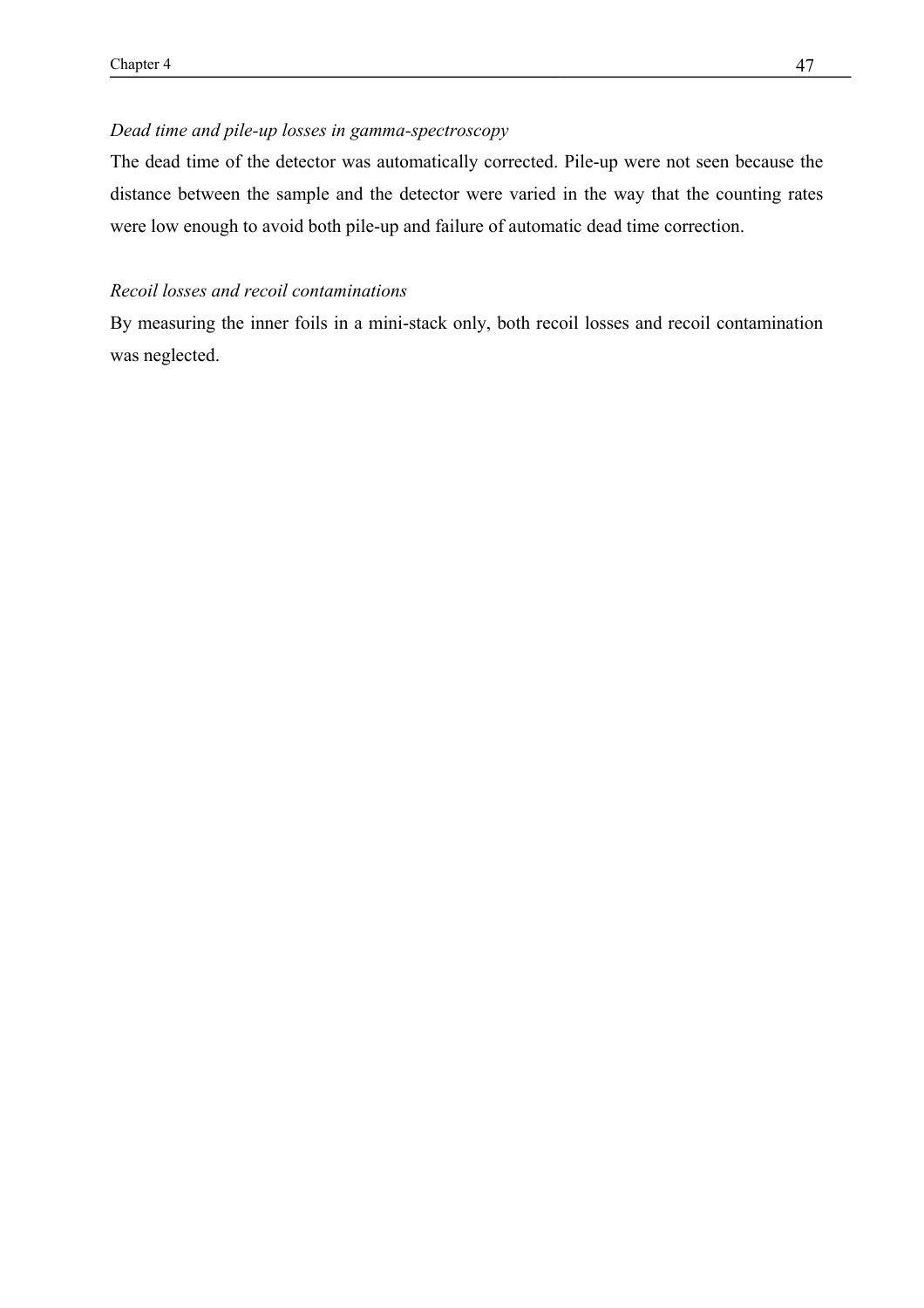## *Dead time and pile-up losses in gamma-spectroscopy*

The dead time of the detector was automatically corrected. Pile-up were not seen because the distance between the sample and the detector were varied in the way that the counting rates were low enough to avoid both pile-up and failure of automatic dead time correction.

## *Recoil losses and recoil contaminations*

By measuring the inner foils in a mini-stack only, both recoil losses and recoil contamination was neglected.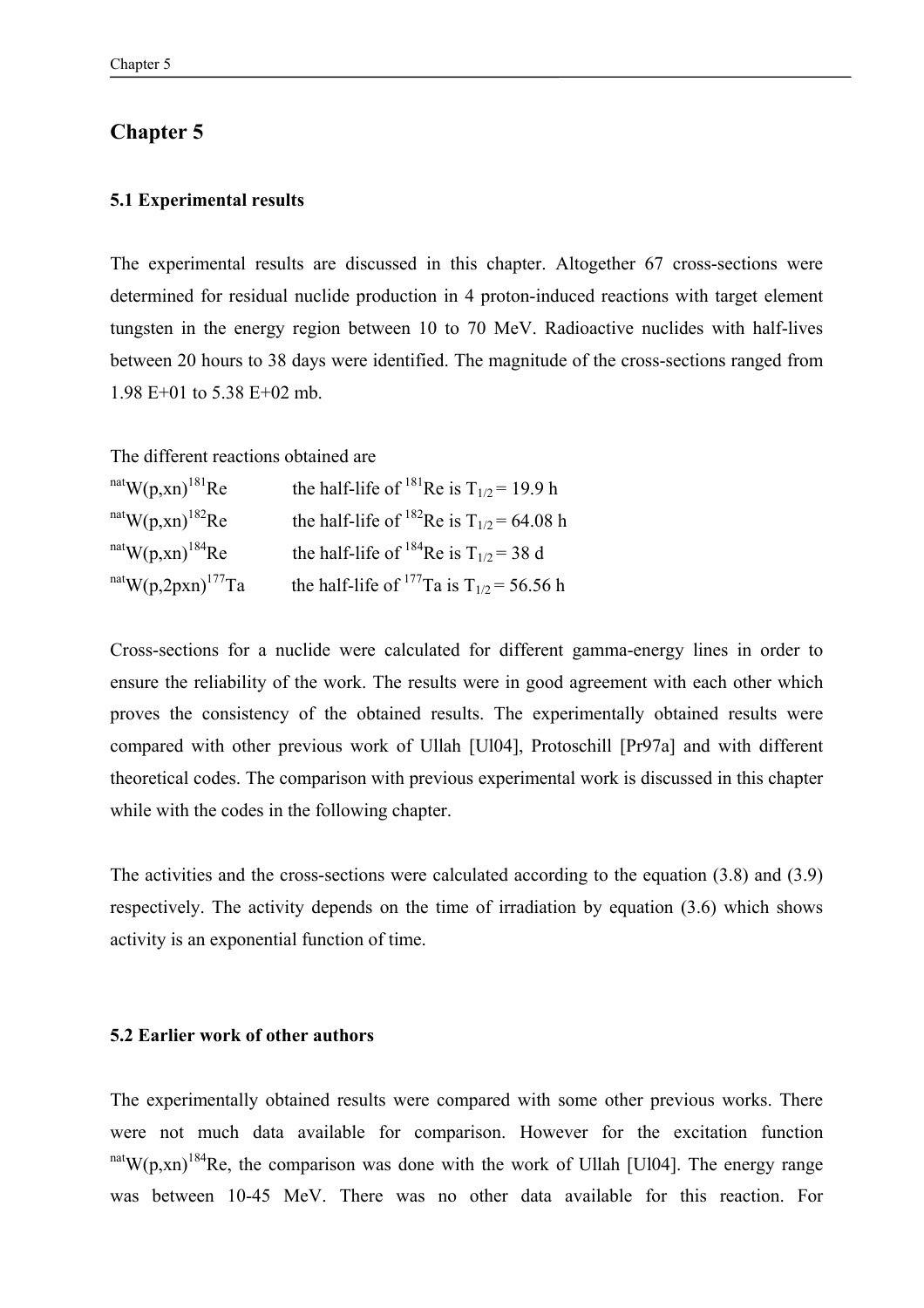## **Chapter 5**

## **5.1 Experimental results**

The experimental results are discussed in this chapter. Altogether 67 cross-sections were determined for residual nuclide production in 4 proton-induced reactions with target element tungsten in the energy region between 10 to 70 MeV. Radioactive nuclides with half-lives between 20 hours to 38 days were identified. The magnitude of the cross-sections ranged from 1.98 E+01 to 5.38 E+02 mb.

The different reactions obtained are

 $n \text{at}$  W(p,xn)<sup>181</sup>Re the half-life of <sup>181</sup>Re is T<sub>1/2</sub> = 19.9 h nat W(p,xn)<sup>182</sup>Re the half-life of <sup>182</sup>Re is  $T_{1/2} = 64.08$  h nat<sub>W(p,xn)</sub><sup>184</sup>Re the half-life of <sup>184</sup>Re is  $T_{1/2}$  = 38 d nat<sub>W(p,2pxn)</sub><sup>177</sup>Ta the half-life of <sup>177</sup>Ta is T<sub>1/2</sub> = 56.56 h

Cross-sections for a nuclide were calculated for different gamma-energy lines in order to ensure the reliability of the work. The results were in good agreement with each other which proves the consistency of the obtained results. The experimentally obtained results were compared with other previous work of Ullah [Ul04], Protoschill [Pr97a] and with different theoretical codes. The comparison with previous experimental work is discussed in this chapter while with the codes in the following chapter.

The activities and the cross-sections were calculated according to the equation (3.8) and (3.9) respectively. The activity depends on the time of irradiation by equation (3.6) which shows activity is an exponential function of time.

## **5.2 Earlier work of other authors**

The experimentally obtained results were compared with some other previous works. There were not much data available for comparison. However for the excitation function  $n \text{at}$  W(p,xn)<sup>184</sup>Re, the comparison was done with the work of Ullah [Ul04]. The energy range was between 10-45 MeV. There was no other data available for this reaction. For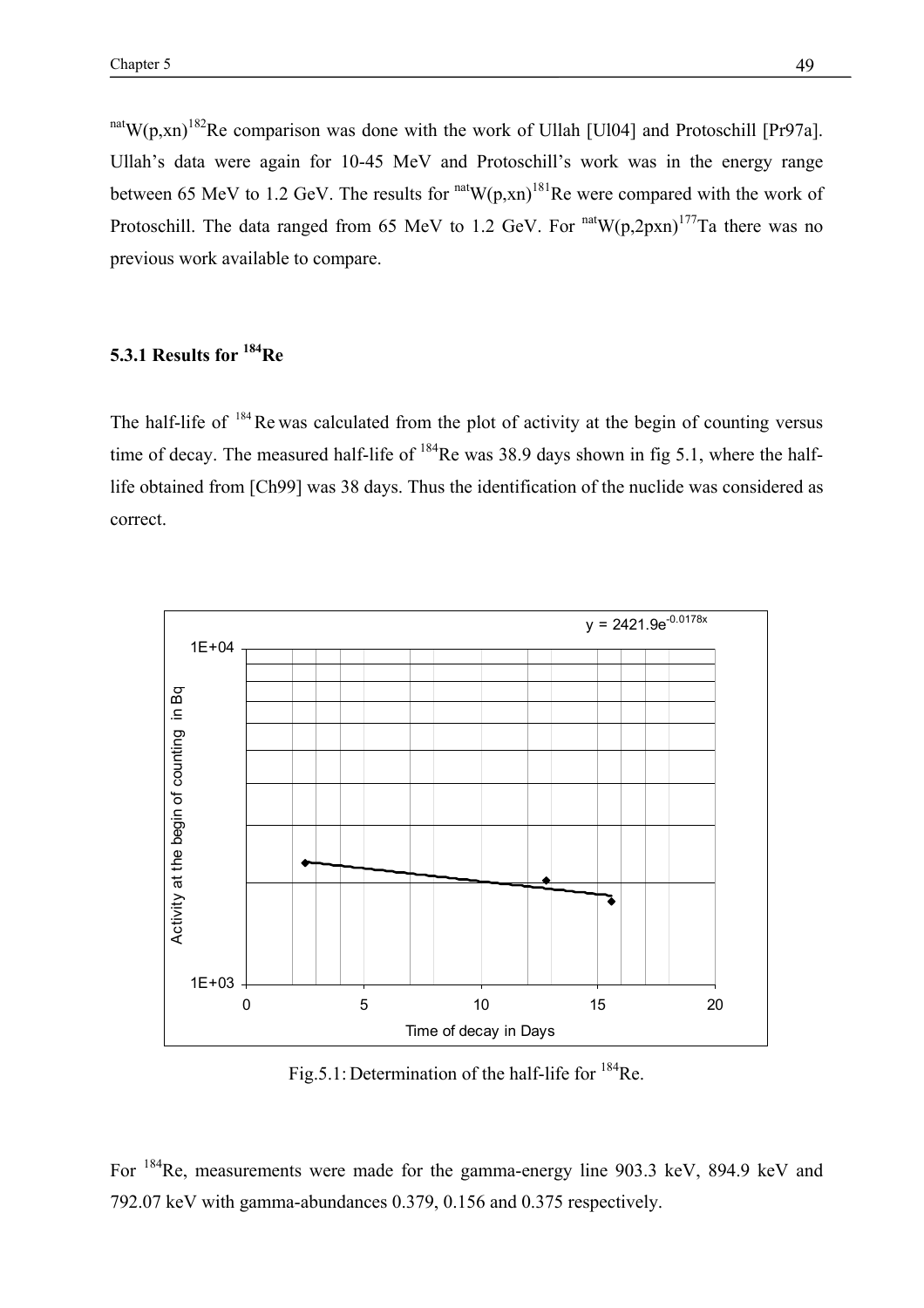nat W(p,xn)<sup>182</sup>Re comparison was done with the work of Ullah [Ul04] and Protoschill [Pr97a]. Ullah's data were again for 10-45 MeV and Protoschill's work was in the energy range between 65 MeV to 1.2 GeV. The results for  $n \text{at} (p, xn)^{181}$ Re were compared with the work of Protoschill. The data ranged from 65 MeV to 1.2 GeV. For  $n \text{at} W(p,2p \text{xn})^{177}$ Ta there was no previous work available to compare.

# **5.3.1 Results for 184Re**

The half-life of  $184$  Re was calculated from the plot of activity at the begin of counting versus time of decay. The measured half-life of  $184$ Re was 38.9 days shown in fig 5.1, where the halflife obtained from [Ch99] was 38 days. Thus the identification of the nuclide was considered as correct.



Fig.5.1: Determination of the half-life for <sup>184</sup>Re.

For 184Re, measurements were made for the gamma-energy line 903.3 keV, 894.9 keV and 792.07 keV with gamma-abundances 0.379, 0.156 and 0.375 respectively.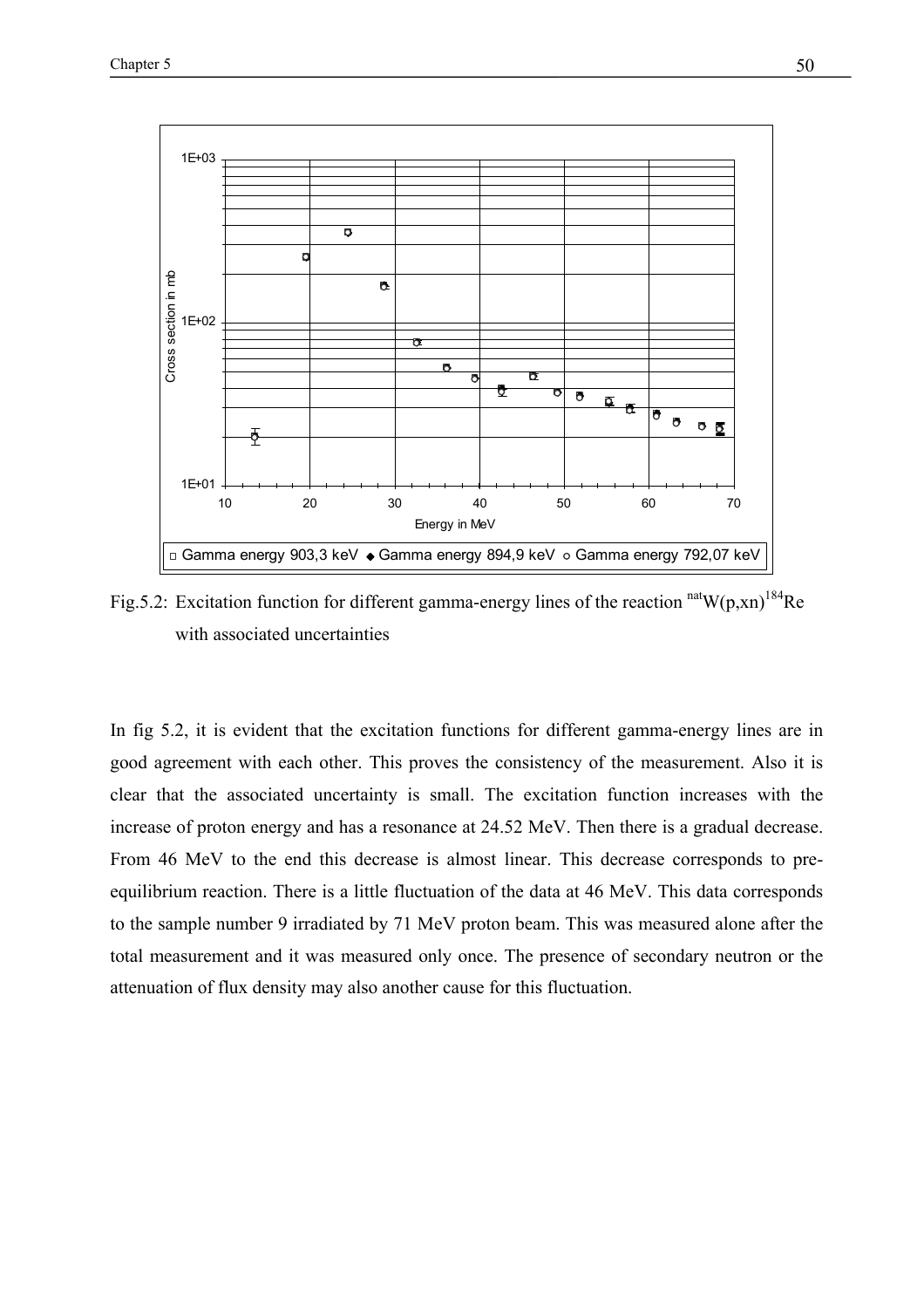

Fig.5.2: Excitation function for different gamma-energy lines of the reaction  $\text{natW}(p, xn)^{184}$ Re with associated uncertainties

In fig 5.2, it is evident that the excitation functions for different gamma-energy lines are in good agreement with each other. This proves the consistency of the measurement. Also it is clear that the associated uncertainty is small. The excitation function increases with the increase of proton energy and has a resonance at 24.52 MeV. Then there is a gradual decrease. From 46 MeV to the end this decrease is almost linear. This decrease corresponds to preequilibrium reaction. There is a little fluctuation of the data at 46 MeV. This data corresponds to the sample number 9 irradiated by 71 MeV proton beam. This was measured alone after the total measurement and it was measured only once. The presence of secondary neutron or the attenuation of flux density may also another cause for this fluctuation.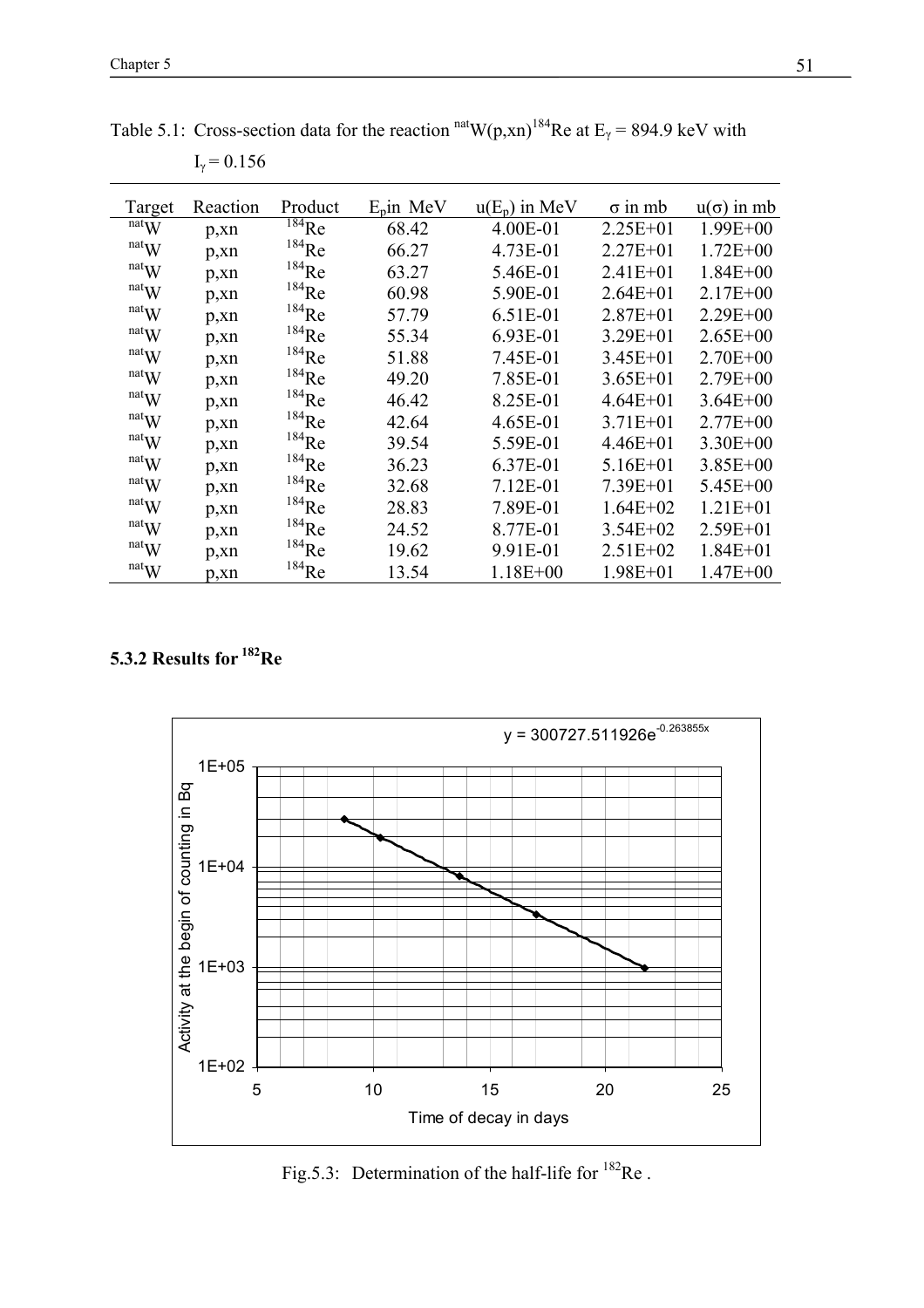| Target                        | Reaction | Product             | $E_p$ in MeV | $u(E_p)$ in MeV | $\sigma$ in mb | $u(\sigma)$ in mb |
|-------------------------------|----------|---------------------|--------------|-----------------|----------------|-------------------|
| natW                          | p, xn    | $^{184}$ Re         | 68.42        | 4.00E-01        | $2.25E + 01$   | $1.99E + 00$      |
| natW                          | p, xn    | $184$ Re            | 66.27        | 4.73E-01        | $2.27E + 01$   | $1.72E + 00$      |
| natW                          | p, xn    | $184$ Re            | 63.27        | 5.46E-01        | $2.41E + 01$   | $1.84E + 00$      |
| natW                          | p, xn    | $184$ Re            | 60.98        | 5.90E-01        | $2.64E + 01$   | $2.17E + 00$      |
| natW                          | p, xn    | $184$ Re            | 57.79        | 6.51E-01        | $2.87E + 01$   | $2.29E + 00$      |
| natW                          | p, xn    | $184$ Re            | 55.34        | 6.93E-01        | $3.29E + 01$   | $2.65E + 00$      |
| natW                          | p, xn    | $184$ Re            | 51.88        | 7.45E-01        | $3.45E + 01$   | $2.70E + 00$      |
| natW                          | p, xn    | $184$ Re            | 49.20        | 7.85E-01        | $3.65E + 01$   | $2.79E + 00$      |
| $\mathbf{r}$ <sup>nat</sup> W | p, xn    | $184$ Re            | 46.42        | 8.25E-01        | $4.64E + 01$   | $3.64E + 00$      |
| natW                          | p, xn    | $184$ Re            | 42.64        | 4.65E-01        | $3.71E + 01$   | $2.77E + 00$      |
| natW                          | p, xn    | $184$ Re            | 39.54        | 5.59E-01        | $4.46E + 01$   | $3.30E + 00$      |
| $\mathbf{r}$ <sup>nat</sup> W | p, xn    | $184$ Re            | 36.23        | 6.37E-01        | $5.16E + 01$   | $3.85E + 00$      |
| natW                          | p, xn    | $^{184}\mathrm{Re}$ | 32.68        | $7.12E-01$      | $7.39E + 01$   | $5.45E + 00$      |
| natW                          | p, xn    | $^{184}\mathrm{Re}$ | 28.83        | 7.89E-01        | $1.64E + 02$   | $1.21E + 01$      |
| natW                          | p, xn    | $^{184}\mathrm{Re}$ | 24.52        | 8.77E-01        | $3.54E + 02$   | $2.59E + 01$      |
| natW                          | p, xn    | $184$ Re            | 19.62        | 9.91E-01        | $2.51E+02$     | $1.84E + 01$      |
| $\mathrm{nat}_{\mathbf{W}}$   | p, xn    | $184$ Re            | 13.54        | $1.18E + 00$    | $1.98E + 01$   | $1.47E + 00$      |

Table 5.1: Cross-section data for the reaction  $n \text{at } W(p, xn)^{184}$ Re at E<sub>γ</sub> = 894.9 keV with  $I_{\gamma}$  = 0.156

**5.3.2 Results for 182Re** 



Fig.5.3: Determination of the half-life for  $^{182}$ Re.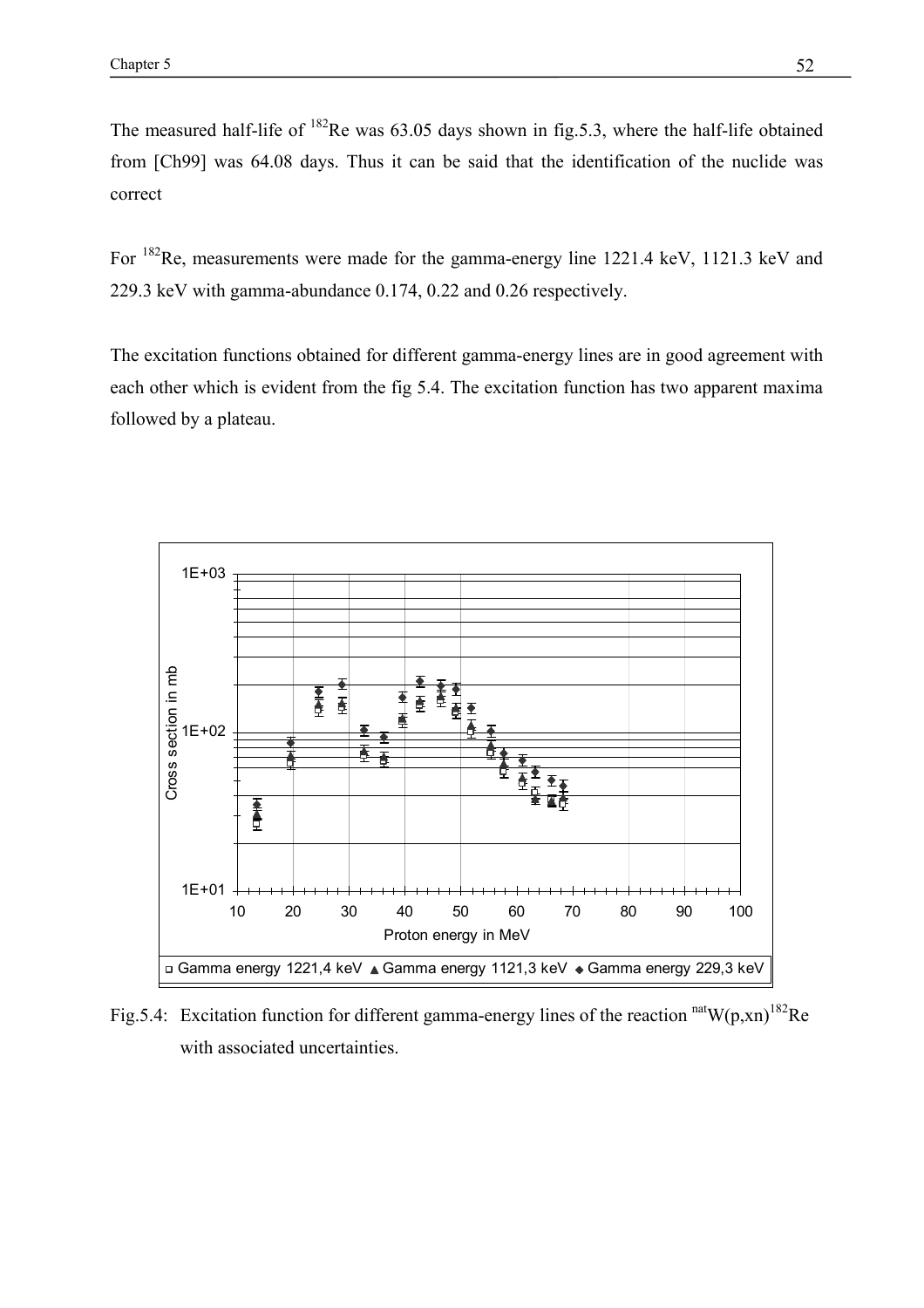The measured half-life of  $^{182}$ Re was 63.05 days shown in fig.5.3, where the half-life obtained from [Ch99] was 64.08 days. Thus it can be said that the identification of the nuclide was correct

For 182Re, measurements were made for the gamma-energy line 1221.4 keV, 1121.3 keV and 229.3 keV with gamma-abundance 0.174, 0.22 and 0.26 respectively.

The excitation functions obtained for different gamma-energy lines are in good agreement with each other which is evident from the fig 5.4. The excitation function has two apparent maxima followed by a plateau.



Fig.5.4: Excitation function for different gamma-energy lines of the reaction  $natW(p,xn)^{182}$ Re with associated uncertainties.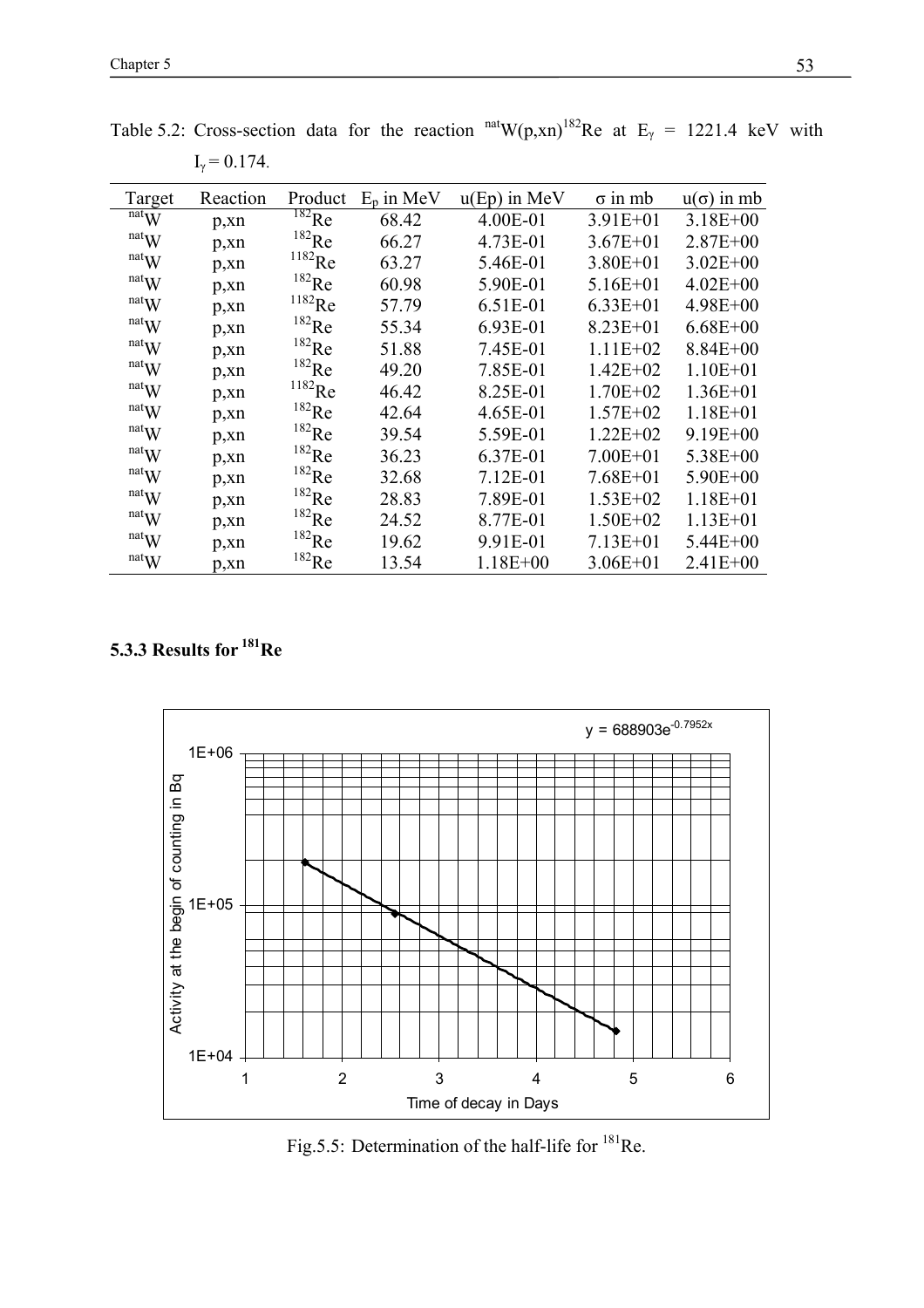| Target                      | Reaction | Product              | $E_p$ in MeV | $u(Ep)$ in MeV | $\sigma$ in mb | $u(\sigma)$ in mb |
|-----------------------------|----------|----------------------|--------------|----------------|----------------|-------------------|
| $\overline{\text{nat}}$ W   | p, xn    | $^{182}$ Re          | 68.42        | 4.00E-01       | $3.91E + 01$   | $3.18E + 00$      |
| natW                        | p, xn    | $^{182}\mathrm{Re}$  | 66.27        | 4.73E-01       | $3.67E + 01$   | $2.87E + 00$      |
| natW                        | p, xn    | $^{1182}\mathrm{Re}$ | 63.27        | 5.46E-01       | $3.80E + 01$   | $3.02E + 00$      |
| natW                        | p, xn    | $^{182}\mathrm{Re}$  | 60.98        | 5.90E-01       | $5.16E + 01$   | $4.02E + 00$      |
| natW                        | p, xn    | $^{1182}\mathrm{Re}$ | 57.79        | 6.51E-01       | $6.33E + 01$   | $4.98E + 00$      |
| natW                        | p, xn    | $^{182}\mathrm{Re}$  | 55.34        | 6.93E-01       | $8.23E + 01$   | $6.68E + 00$      |
| natW                        | p, xn    | $^{182}\mathrm{Re}$  | 51.88        | 7.45E-01       | $1.11E+02$     | $8.84E + 00$      |
| natW                        | p, xn    | $^{182}\mathrm{Re}$  | 49.20        | 7.85E-01       | $1.42E + 02$   | $1.10E + 01$      |
| natW                        | p, xn    | $^{1182}\mathrm{Re}$ | 46.42        | 8.25E-01       | $1.70E + 02$   | $1.36E + 01$      |
| natW                        | p, xn    | $^{182}\mathrm{Re}$  | 42.64        | 4.65E-01       | $1.57E + 02$   | $1.18E + 01$      |
| natW                        | p, xn    | $^{182}\mathrm{Re}$  | 39.54        | 5.59E-01       | $1.22E + 02$   | $9.19E + 00$      |
| natW                        | p, xn    | $^{182}\mathrm{Re}$  | 36.23        | 6.37E-01       | $7.00E + 01$   | $5.38E + 00$      |
| natW                        | p, xn    | $^{182}\mathrm{Re}$  | 32.68        | $7.12E-01$     | $7.68E + 01$   | $5.90E + 00$      |
| natW                        | p, xn    | $^{182}\mathrm{Re}$  | 28.83        | 7.89E-01       | $1.53E+02$     | $1.18E + 01$      |
| natW                        | p, xn    | $^{182}\mathrm{Re}$  | 24.52        | 8.77E-01       | $1.50E + 02$   | $1.13E + 01$      |
| natW                        | p, xn    | $^{182}\mathrm{Re}$  | 19.62        | 9.91E-01       | $7.13E + 01$   | $5.44E + 00$      |
| $\mathrm{nat}_{\mathbf{W}}$ | p, xn    | $^{182}$ Re          | 13.54        | $1.18E + 00$   | $3.06E + 01$   | $2.41E + 00$      |

Table 5.2: Cross-section data for the reaction  $<sup>nat</sup>W(p,xn)<sup>182</sup>$ Re at E<sub>γ</sub> = 1221.4 keV with</sup>  $I_{\gamma} = 0.174$ .

# **5.3.3 Results for 181Re**



Fig.5.5: Determination of the half-life for  $^{181}$ Re.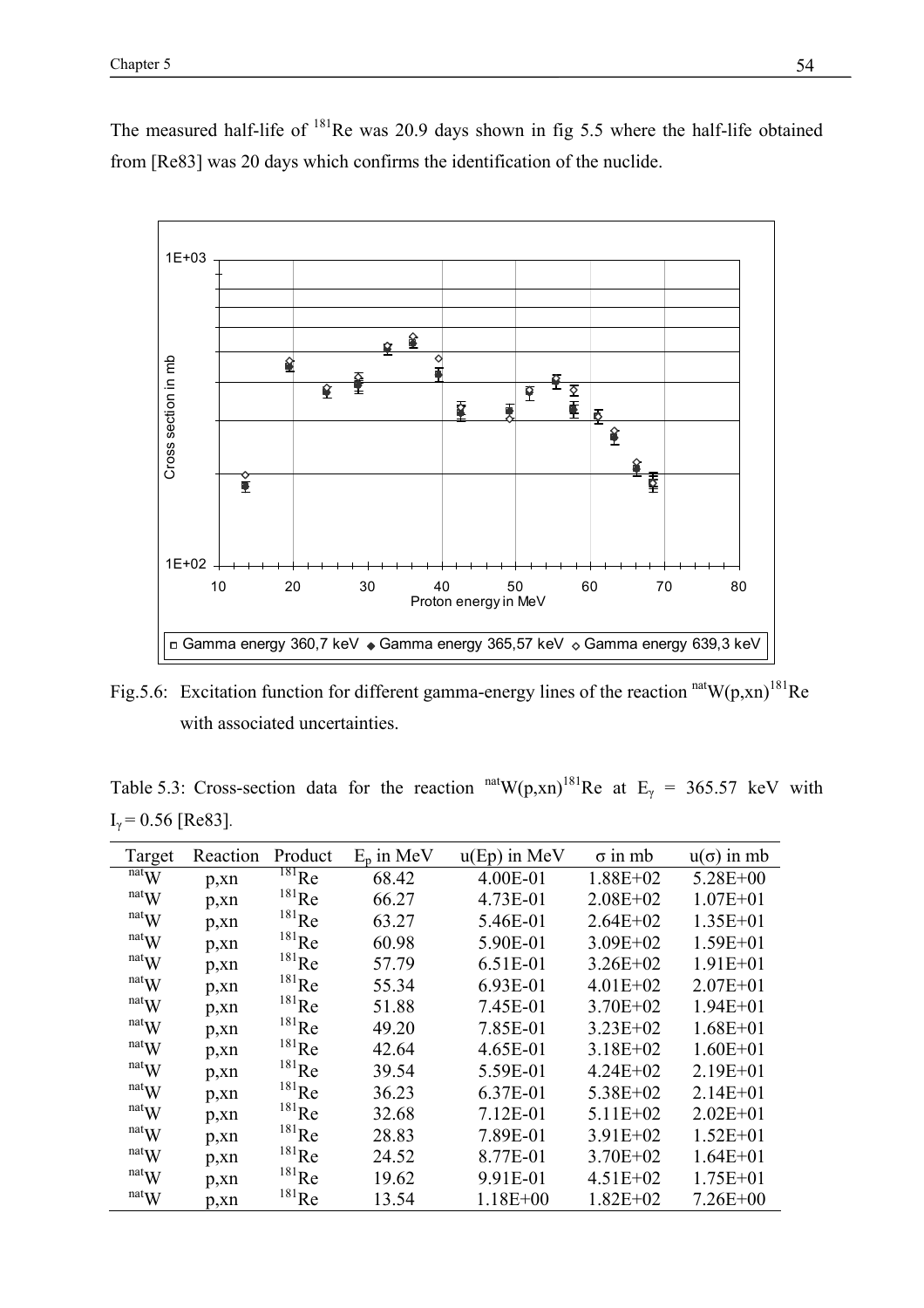The measured half-life of <sup>181</sup>Re was 20.9 days shown in fig 5.5 where the half-life obtained from [Re83] was 20 days which confirms the identification of the nuclide.



Fig.5.6: Excitation function for different gamma-energy lines of the reaction  $natW(p,xn)^{181}$ Re with associated uncertainties.

Table 5.3: Cross-section data for the reaction  $<sup>nat</sup>W(p,xn)<sup>181</sup>Re$  at  $E<sub>\gamma</sub> = 365.57$  keV with</sup>  $I_{\gamma}$  = 0.56 [Re83].

| Target                        | Reaction | Product             | $E_p$ in MeV | $u(Ep)$ in MeV | $\sigma$ in mb | $u(\sigma)$ in mb |
|-------------------------------|----------|---------------------|--------------|----------------|----------------|-------------------|
| natW                          | p, xn    | $^{181}$ Re         | 68.42        | 4.00E-01       | $1.88E + 02$   | $5.28E + 00$      |
| natW                          | p, xn    | $^{181}$ Re         | 66.27        | 4.73E-01       | $2.08E + 02$   | $1.07E + 01$      |
| natW                          | p, xn    | $181$ <sub>Re</sub> | 63.27        | 5.46E-01       | $2.64E + 02$   | $1.35E + 01$      |
| natW                          | p, xn    | $^{181}\mathrm{Re}$ | 60.98        | 5.90E-01       | $3.09E + 02$   | $1.59E + 01$      |
| natW                          | p, xn    | $^{181}\mathrm{Re}$ | 57.79        | 6.51E-01       | $3.26E + 02$   | $1.91E + 01$      |
| $\mathbf{r}$ <sup>nat</sup> W | p, xn    | $^{181}\mathrm{Re}$ | 55.34        | 6.93E-01       | $4.01E + 02$   | $2.07E + 01$      |
| $\mathbf{r}$ <sup>nat</sup> W | p, xn    | $^{181}$ Re         | 51.88        | 7.45E-01       | $3.70E + 02$   | $1.94E + 01$      |
| natW                          | p, xn    | $181$ <sub>Re</sub> | 49.20        | 7.85E-01       | $3.23E + 02$   | $1.68E + 01$      |
| natW                          | p, xn    | $181$ <sub>Re</sub> | 42.64        | 4.65E-01       | $3.18E + 02$   | $1.60E + 01$      |
| natW                          | p, xn    | $^{181}\mathrm{Re}$ | 39.54        | 5.59E-01       | $4.24E + 02$   | $2.19E + 01$      |
| natW                          | p, xn    | $^{181}\mathrm{Re}$ | 36.23        | 6.37E-01       | $5.38E + 02$   | $2.14E + 01$      |
| $\mathbf{r}$ <sup>nat</sup> W | p, xn    | $^{181}\mathrm{Re}$ | 32.68        | 7.12E-01       | $5.11E+02$     | $2.02E + 01$      |
| natW                          | p, xn    | $^{181}$ Re         | 28.83        | 7.89E-01       | $3.91E + 02$   | $1.52E + 01$      |
| natW                          | p, xn    | $181$ <sub>Re</sub> | 24.52        | 8.77E-01       | $3.70E + 02$   | $1.64E + 01$      |
| natW                          | p, xn    | $181$ Re            | 19.62        | 9.91E-01       | $4.51E + 02$   | $1.75E + 01$      |
| $\mathrm{nat}_{\mathbf{W}}$   | p, xn    | $^{181}$ Re         | 13.54        | $1.18E + 00$   | $1.82E + 02$   | $7.26E + 00$      |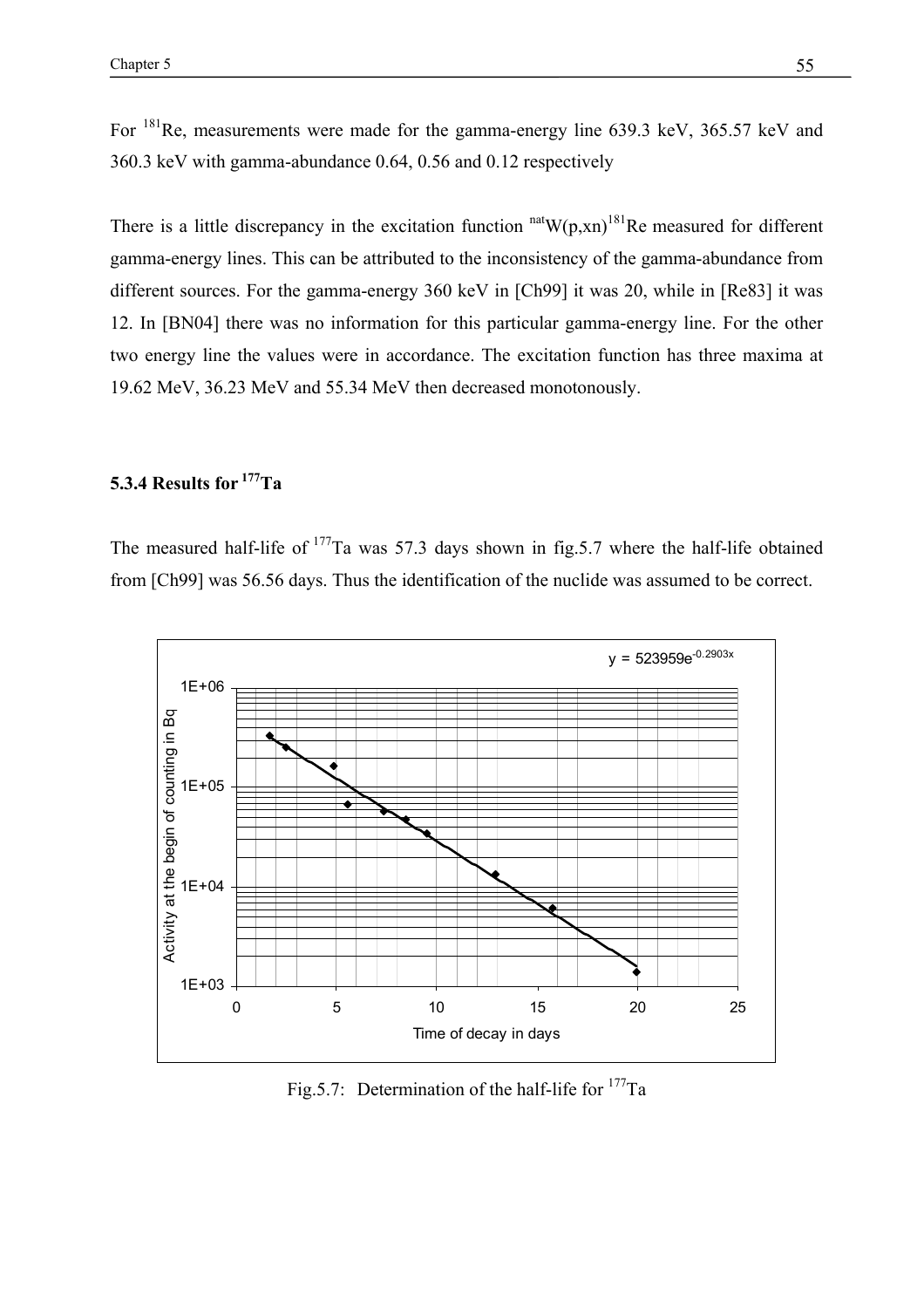For 181Re, measurements were made for the gamma-energy line 639.3 keV, 365.57 keV and 360.3 keV with gamma-abundance 0.64, 0.56 and 0.12 respectively

There is a little discrepancy in the excitation function  $n^{\text{nat}}W(p,xn)^{181}$ Re measured for different gamma-energy lines. This can be attributed to the inconsistency of the gamma-abundance from different sources. For the gamma-energy 360 keV in [Ch99] it was 20, while in [Re83] it was 12. In [BN04] there was no information for this particular gamma-energy line. For the other two energy line the values were in accordance. The excitation function has three maxima at 19.62 MeV, 36.23 MeV and 55.34 MeV then decreased monotonously.

# **5.3.4 Results for <sup>177</sup>Ta**

The measured half-life of <sup>177</sup>Ta was 57.3 days shown in fig.5.7 where the half-life obtained from [Ch99] was 56.56 days. Thus the identification of the nuclide was assumed to be correct.



Fig. 5.7: Determination of the half-life for  $177$ Ta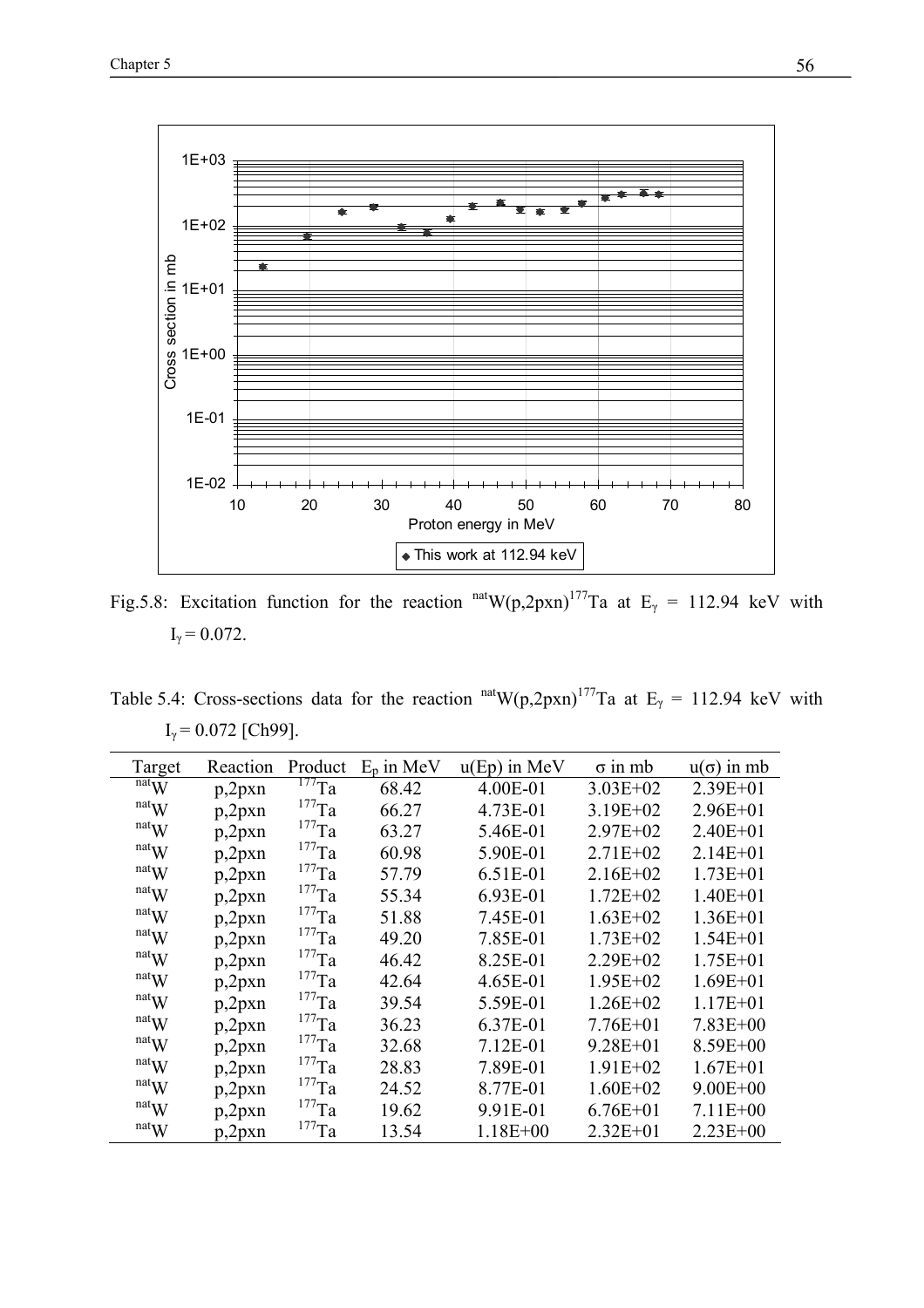

Fig.5.8: Excitation function for the reaction  $<sup>nat</sup>W(p,2pxn)<sup>177</sup>Ta$  at E<sub>γ</sub> = 112.94 keV with</sup>  $I_{\gamma} = 0.072$ .

Table 5.4: Cross-sections data for the reaction  $<sup>nat</sup>W(p,2pxn)<sup>177</sup>Ta$  at E<sub>γ</sub> = 112.94 keV with</sup>  $I_{\gamma}$  = 0.072 [Ch99].

| Target | Reaction | Product             | $E_p$ in MeV | $u(Ep)$ in MeV | $\sigma$ in mb | $u(\sigma)$ in mb |
|--------|----------|---------------------|--------------|----------------|----------------|-------------------|
| natW   | p,2pxn   | $177$ Ta            | 68.42        | 4.00E-01       | $3.03E + 02$   | $2.39E + 01$      |
| natW   | p,2pxn   | $^{177}\mathrm{Ta}$ | 66.27        | 4.73E-01       | $3.19E + 02$   | $2.96E + 01$      |
| natW   | p,2pxn   | $^{177}\mathrm{Ta}$ | 63.27        | 5.46E-01       | $2.97E + 02$   | $2.40E + 01$      |
| natW   | p,2pxn   | $^{177}$ Ta         | 60.98        | 5.90E-01       | $2.71E+02$     | $2.14E + 01$      |
| natW   | p,2pxn   | $^{177}$ Ta         | 57.79        | 6.51E-01       | $2.16E+02$     | $1.73E + 01$      |
| natW   | p,2pxn   | $^{177}$ Ta         | 55.34        | 6.93E-01       | $1.72E + 02$   | $1.40E + 01$      |
| natW   | p,2pxn   | $^{177}$ Ta         | 51.88        | 7.45E-01       | $1.63E + 02$   | $1.36E + 01$      |
| natW   | p,2pxn   | $^{177}$ Ta         | 49.20        | 7.85E-01       | $1.73E + 02$   | $1.54E + 01$      |
| natW   | p,2pxn   | $^{177}$ Ta         | 46.42        | 8.25E-01       | $2.29E + 02$   | $1.75E + 01$      |
| natW   | p,2pxn   | $^{177}$ Ta         | 42.64        | 4.65E-01       | $1.95E + 02$   | $1.69E + 01$      |
| natW   | p,2pxn   | $^{177}$ Ta         | 39.54        | 5.59E-01       | $1.26E + 02$   | $1.17E + 01$      |
| natW   | p,2pxn   | $^{177}$ Ta         | 36.23        | 6.37E-01       | $7.76E + 01$   | $7.83E + 00$      |
| natW   | p,2pxn   | $^{177}$ Ta         | 32.68        | 7.12E-01       | $9.28E + 01$   | $8.59E + 00$      |
| natW   | p,2pxn   | $^{177}$ Ta         | 28.83        | 7.89E-01       | $1.91E + 02$   | $1.67E + 01$      |
| natW   | p,2pxn   | $^{177}$ Ta         | 24.52        | 8.77E-01       | $1.60E + 02$   | $9.00E + 00$      |
| natW   | p,2pxn   | $^{177}\mathrm{Ta}$ | 19.62        | 9.91E-01       | $6.76E + 01$   | $7.11E + 00$      |
| natW   | p,2pxn   | $^{177}\mathrm{Ta}$ | 13.54        | $1.18E + 00$   | $2.32E + 01$   | $2.23E + 00$      |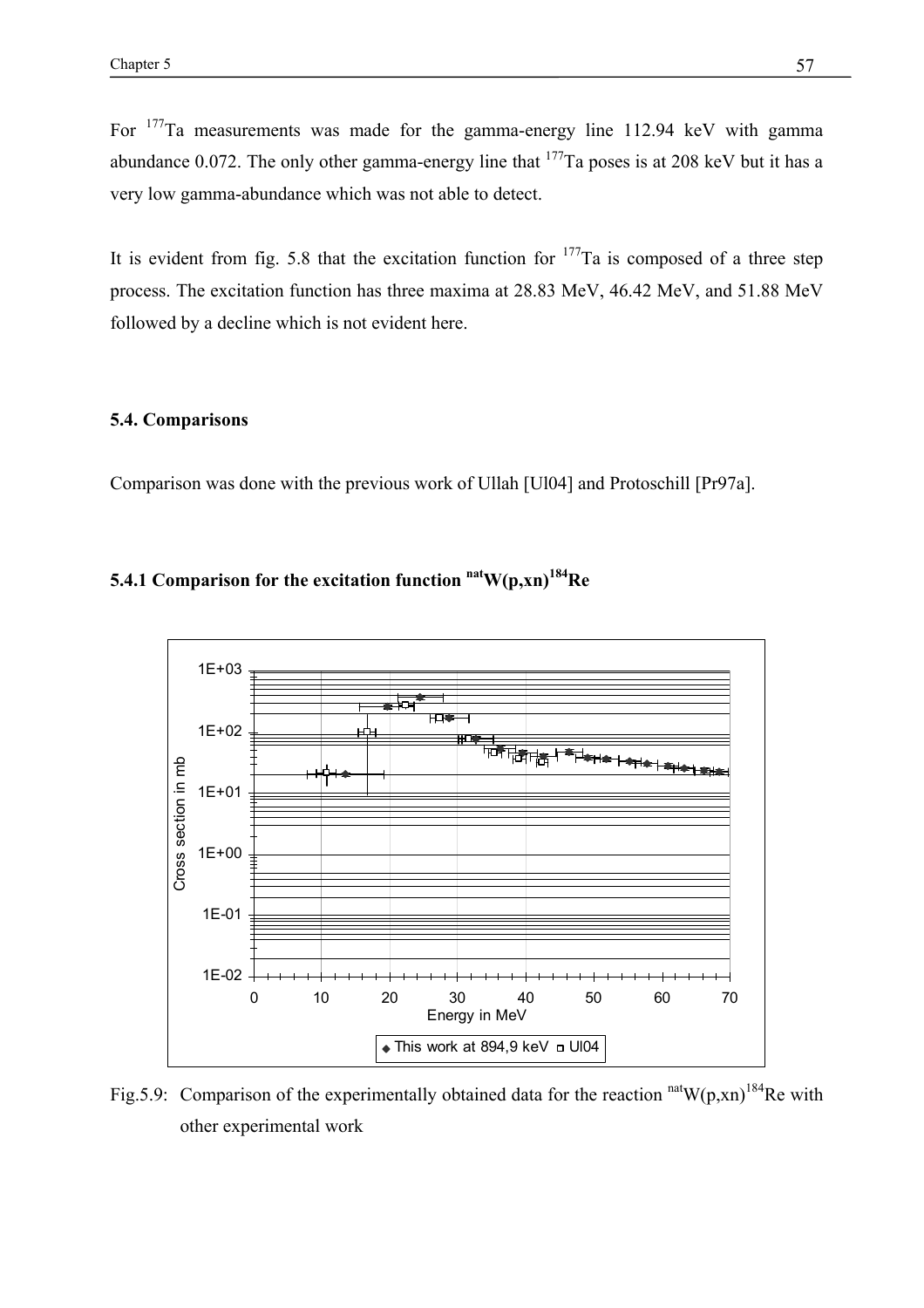For 177Ta measurements was made for the gamma-energy line 112.94 keV with gamma abundance 0.072. The only other gamma-energy line that  $177$ Ta poses is at 208 keV but it has a very low gamma-abundance which was not able to detect.

It is evident from fig. 5.8 that the excitation function for  $177$ Ta is composed of a three step process. The excitation function has three maxima at 28.83 MeV, 46.42 MeV, and 51.88 MeV followed by a decline which is not evident here.

## **5.4. Comparisons**

Comparison was done with the previous work of Ullah [Ul04] and Protoschill [Pr97a].

# **5.4.1 Comparison for the excitation function**  $\mathrm{natW}(p, xn)^{184}$ **Re**



Fig.5.9: Comparison of the experimentally obtained data for the reaction  $\frac{\text{nat}}{\text{W}(p, xn)}$ <sup>184</sup>Re with other experimental work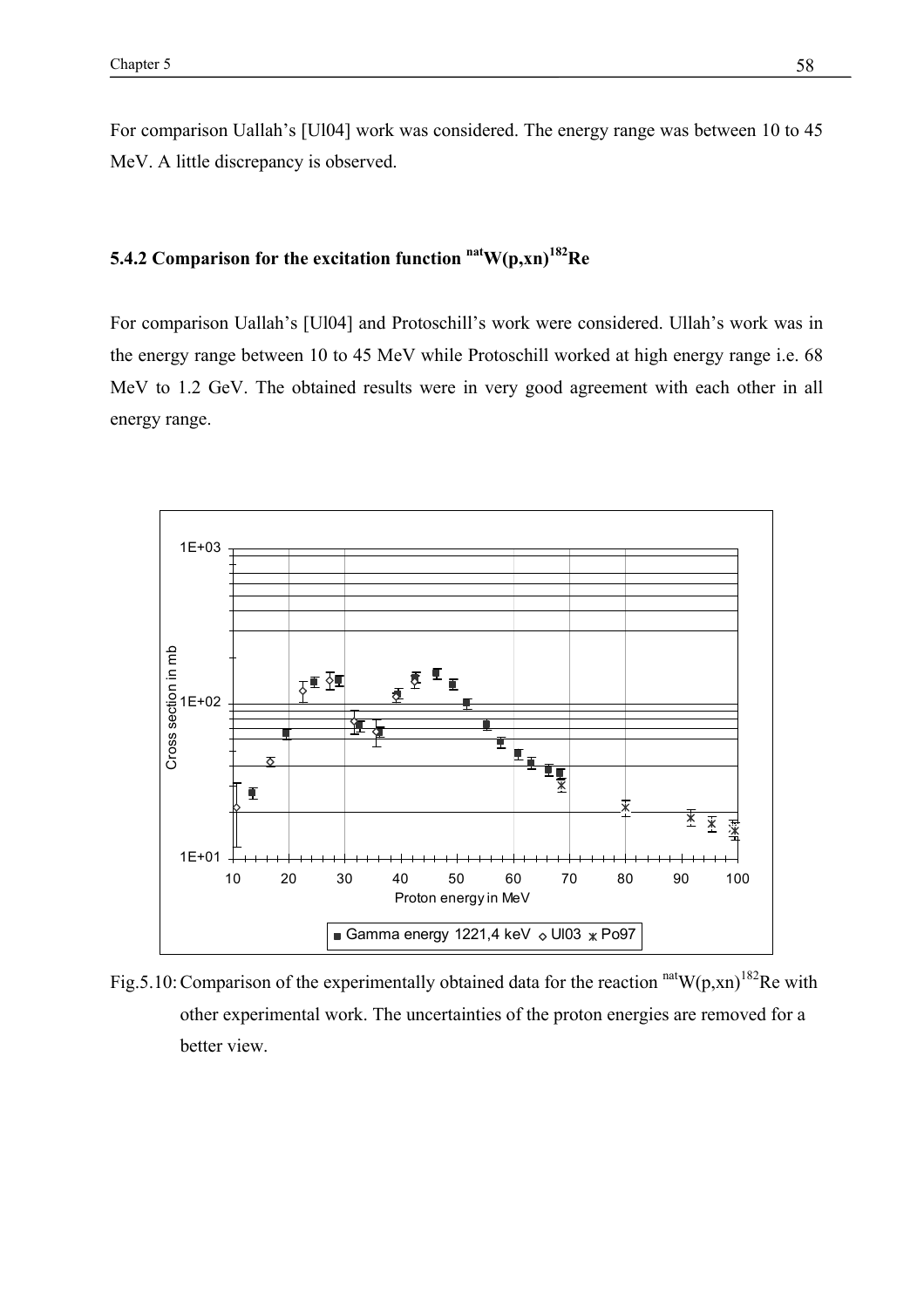For comparison Uallah's [Ul04] work was considered. The energy range was between 10 to 45 MeV. A little discrepancy is observed.

## **5.4.2 Comparison for the excitation function**  $\mathrm{natW}(p, xn)^{182}$ **Re**

For comparison Uallah's [Ul04] and Protoschill's work were considered. Ullah's work was in the energy range between 10 to 45 MeV while Protoschill worked at high energy range i.e. 68 MeV to 1.2 GeV. The obtained results were in very good agreement with each other in all energy range.



Fig.5.10: Comparison of the experimentally obtained data for the reaction  $\frac{\text{nat}}{W(p,xn)}$ <sup>182</sup>Re with other experimental work. The uncertainties of the proton energies are removed for a better view.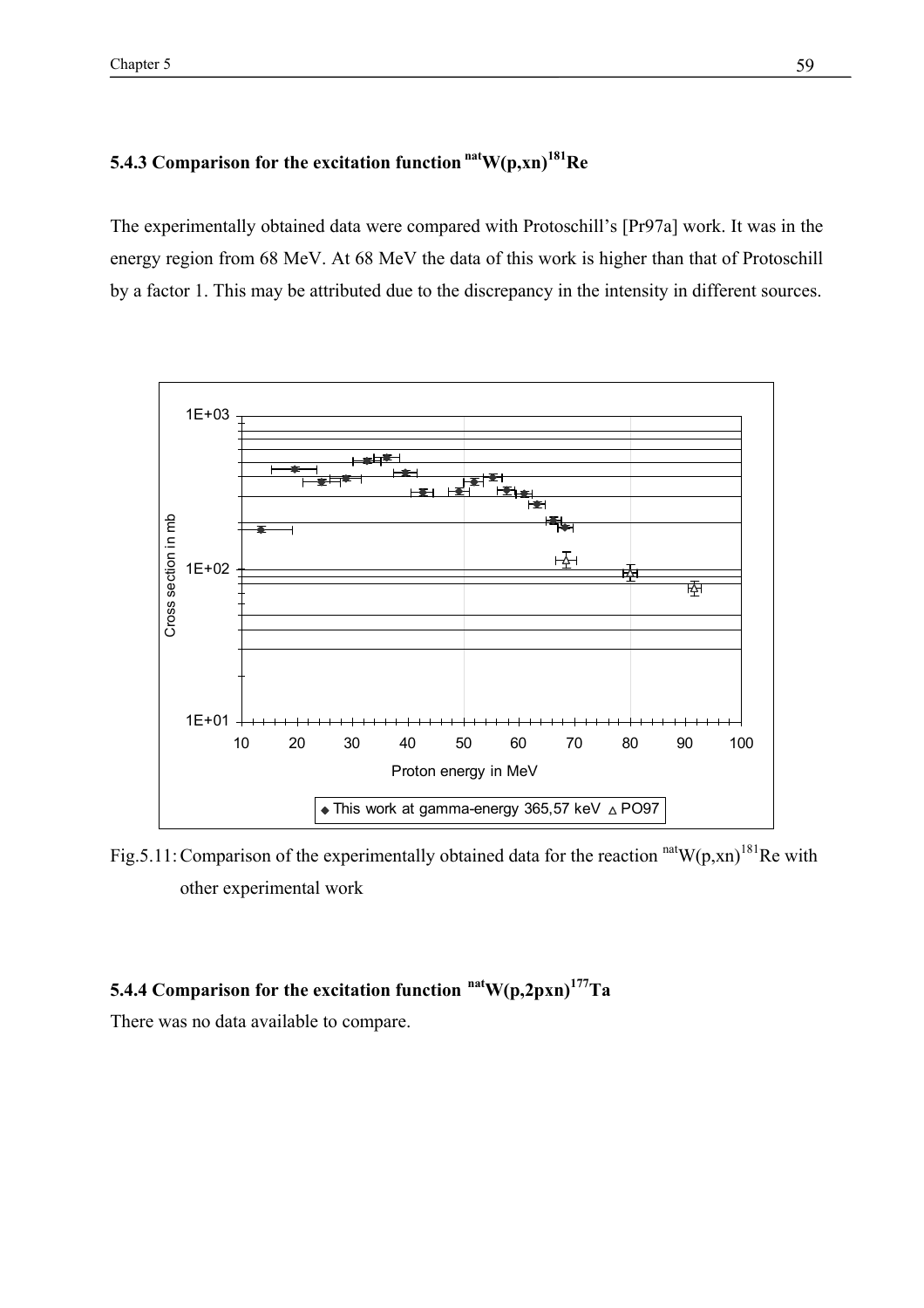# **5.4.3 Comparison for the excitation function**  $\mathrm{natW}(p, xn)^{181}$ Re

The experimentally obtained data were compared with Protoschill's [Pr97a] work. It was in the energy region from 68 MeV. At 68 MeV the data of this work is higher than that of Protoschill by a factor 1. This may be attributed due to the discrepancy in the intensity in different sources.



Fig.5.11: Comparison of the experimentally obtained data for the reaction  $n \text{at} W(p, xn)^{181}$ Re with other experimental work

# **5.4.4 Comparison for the excitation function natW(p,2pxn)177Ta**

There was no data available to compare.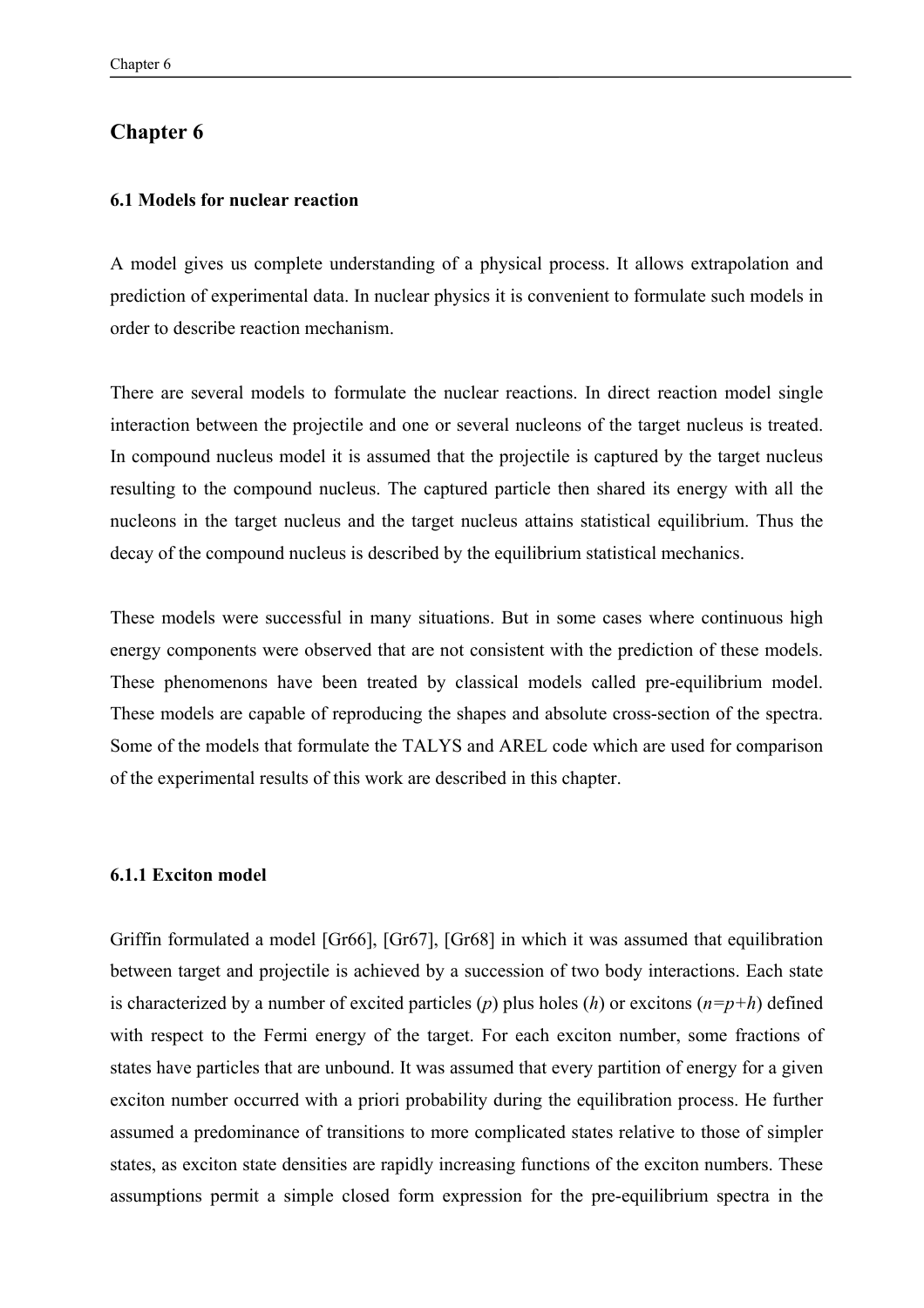## **Chapter 6**

## **6.1 Models for nuclear reaction**

A model gives us complete understanding of a physical process. It allows extrapolation and prediction of experimental data. In nuclear physics it is convenient to formulate such models in order to describe reaction mechanism.

There are several models to formulate the nuclear reactions. In direct reaction model single interaction between the projectile and one or several nucleons of the target nucleus is treated. In compound nucleus model it is assumed that the projectile is captured by the target nucleus resulting to the compound nucleus. The captured particle then shared its energy with all the nucleons in the target nucleus and the target nucleus attains statistical equilibrium. Thus the decay of the compound nucleus is described by the equilibrium statistical mechanics.

These models were successful in many situations. But in some cases where continuous high energy components were observed that are not consistent with the prediction of these models. These phenomenons have been treated by classical models called pre-equilibrium model. These models are capable of reproducing the shapes and absolute cross-section of the spectra. Some of the models that formulate the TALYS and AREL code which are used for comparison of the experimental results of this work are described in this chapter.

## **6.1.1 Exciton model**

Griffin formulated a model [Gr66], [Gr67], [Gr68] in which it was assumed that equilibration between target and projectile is achieved by a succession of two body interactions. Each state is characterized by a number of excited particles (*p*) plus holes (*h*) or excitons (*n=p+h*) defined with respect to the Fermi energy of the target. For each exciton number, some fractions of states have particles that are unbound. It was assumed that every partition of energy for a given exciton number occurred with a priori probability during the equilibration process. He further assumed a predominance of transitions to more complicated states relative to those of simpler states, as exciton state densities are rapidly increasing functions of the exciton numbers. These assumptions permit a simple closed form expression for the pre-equilibrium spectra in the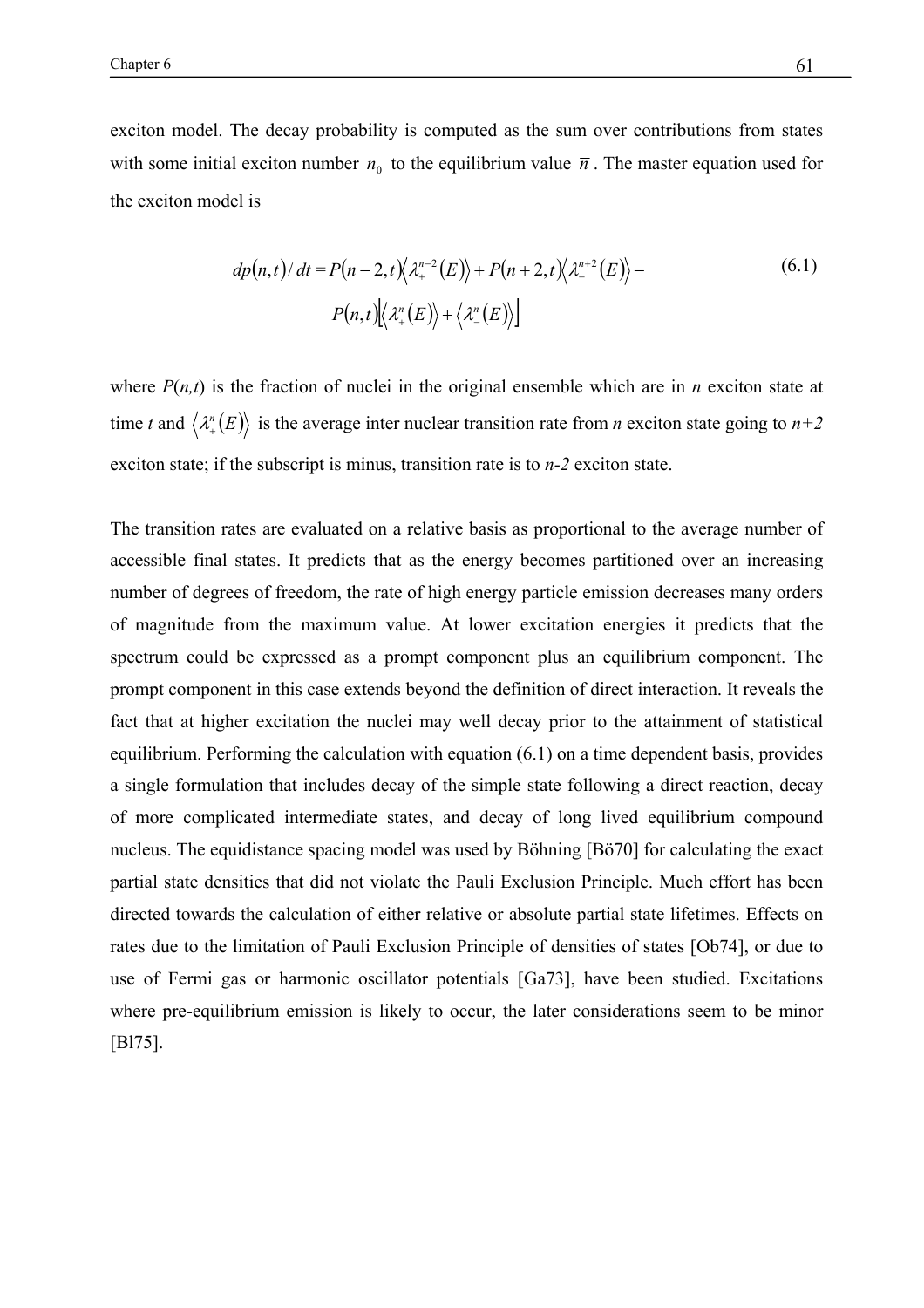exciton model. The decay probability is computed as the sum over contributions from states with some initial exciton number  $n_0$  to the equilibrium value  $\bar{n}$ . The master equation used for the exciton model is

$$
dp(n,t)/dt = P(n-2,t)\left\langle \lambda_+^{n-2}(E) \right\rangle + P(n+2,t)\left\langle \lambda_-^{n+2}(E) \right\rangle -
$$
  
 
$$
P(n,t)\left\langle \lambda_+^{n}(E) \right\rangle + \left\langle \lambda_-^{n}(E) \right\rangle \Big]
$$
 (6.1)

where  $P(n,t)$  is the fraction of nuclei in the original ensemble which are in *n* exciton state at time *t* and  $\langle \lambda_+^n(E) \rangle$  is the average inter nuclear transition rate from *n* exciton state going to *n*+2 exciton state; if the subscript is minus, transition rate is to *n-2* exciton state.

The transition rates are evaluated on a relative basis as proportional to the average number of accessible final states. It predicts that as the energy becomes partitioned over an increasing number of degrees of freedom, the rate of high energy particle emission decreases many orders of magnitude from the maximum value. At lower excitation energies it predicts that the spectrum could be expressed as a prompt component plus an equilibrium component. The prompt component in this case extends beyond the definition of direct interaction. It reveals the fact that at higher excitation the nuclei may well decay prior to the attainment of statistical equilibrium. Performing the calculation with equation (6.1) on a time dependent basis, provides a single formulation that includes decay of the simple state following a direct reaction, decay of more complicated intermediate states, and decay of long lived equilibrium compound nucleus. The equidistance spacing model was used by Böhning [Bö70] for calculating the exact partial state densities that did not violate the Pauli Exclusion Principle. Much effort has been directed towards the calculation of either relative or absolute partial state lifetimes. Effects on rates due to the limitation of Pauli Exclusion Principle of densities of states [Ob74], or due to use of Fermi gas or harmonic oscillator potentials [Ga73], have been studied. Excitations where pre-equilibrium emission is likely to occur, the later considerations seem to be minor [Bl75].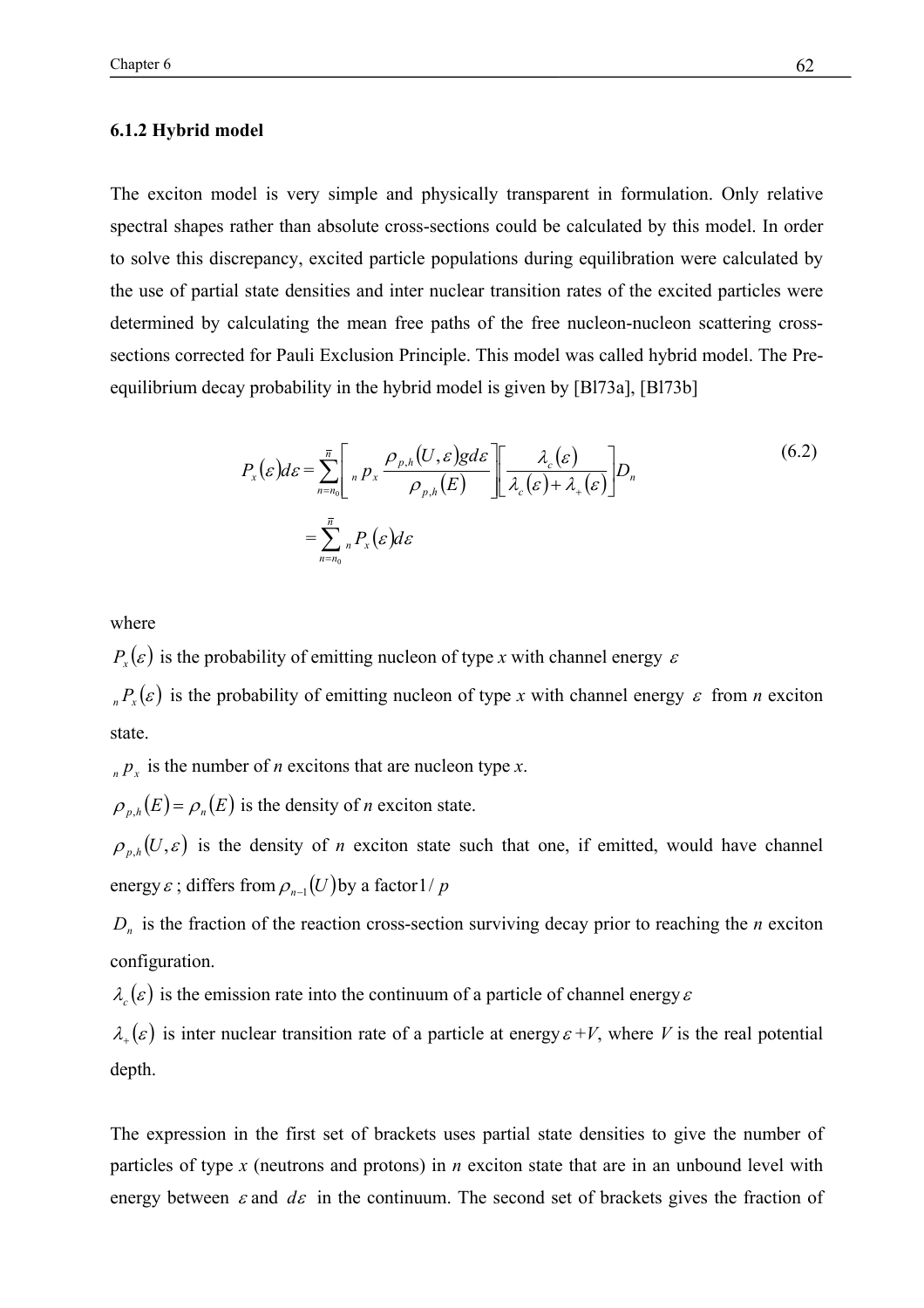## **6.1.2 Hybrid model**

The exciton model is very simple and physically transparent in formulation. Only relative spectral shapes rather than absolute cross-sections could be calculated by this model. In order to solve this discrepancy, excited particle populations during equilibration were calculated by the use of partial state densities and inter nuclear transition rates of the excited particles were determined by calculating the mean free paths of the free nucleon-nucleon scattering crosssections corrected for Pauli Exclusion Principle. This model was called hybrid model. The Preequilibrium decay probability in the hybrid model is given by [Bl73a], [Bl73b]

$$
P_x(\varepsilon)d\varepsilon = \sum_{n=n_0}^{\overline{n}} \left[{}_n p_x \frac{\rho_{p,h}(U,\varepsilon)g d\varepsilon}{\rho_{p,h}(E)} \right] \left[ \frac{\lambda_c(\varepsilon)}{\lambda_c(\varepsilon) + \lambda_+(\varepsilon)} \right] D_n
$$
\n
$$
= \sum_{n=n_0}^{\overline{n}} {}_n P_x(\varepsilon)d\varepsilon
$$
\n(6.2)

where

 $P_r(\varepsilon)$  is the probability of emitting nucleon of type *x* with channel energy  $\varepsilon$ 

 $P_{n}( \varepsilon )$  is the probability of emitting nucleon of type *x* with channel energy  $\varepsilon$  from *n* exciton state.

 $p_x$  *n*  $p_x$  is the number of *n* excitons that are nucleon type *x*.

 $\rho_{n}$ <sub>*h*</sub> $(E) = \rho_n(E)$  is the density of *n* exciton state.

 $\rho_{n,h}(U,\varepsilon)$  is the density of *n* exciton state such that one, if emitted, would have channel energy  $\varepsilon$ ; differs from  $\rho_{n-1}(U)$  by a factor 1/ *p* 

 $D_n$  is the fraction of the reaction cross-section surviving decay prior to reaching the *n* exciton configuration.

 $\lambda_{\alpha}(\varepsilon)$  is the emission rate into the continuum of a particle of channel energy  $\varepsilon$ 

 $\lambda_+(\varepsilon)$  is inter nuclear transition rate of a particle at energy  $\varepsilon + V$ , where V is the real potential depth.

The expression in the first set of brackets uses partial state densities to give the number of particles of type *x* (neutrons and protons) in *n* exciton state that are in an unbound level with energy between  $\varepsilon$  and  $d\varepsilon$  in the continuum. The second set of brackets gives the fraction of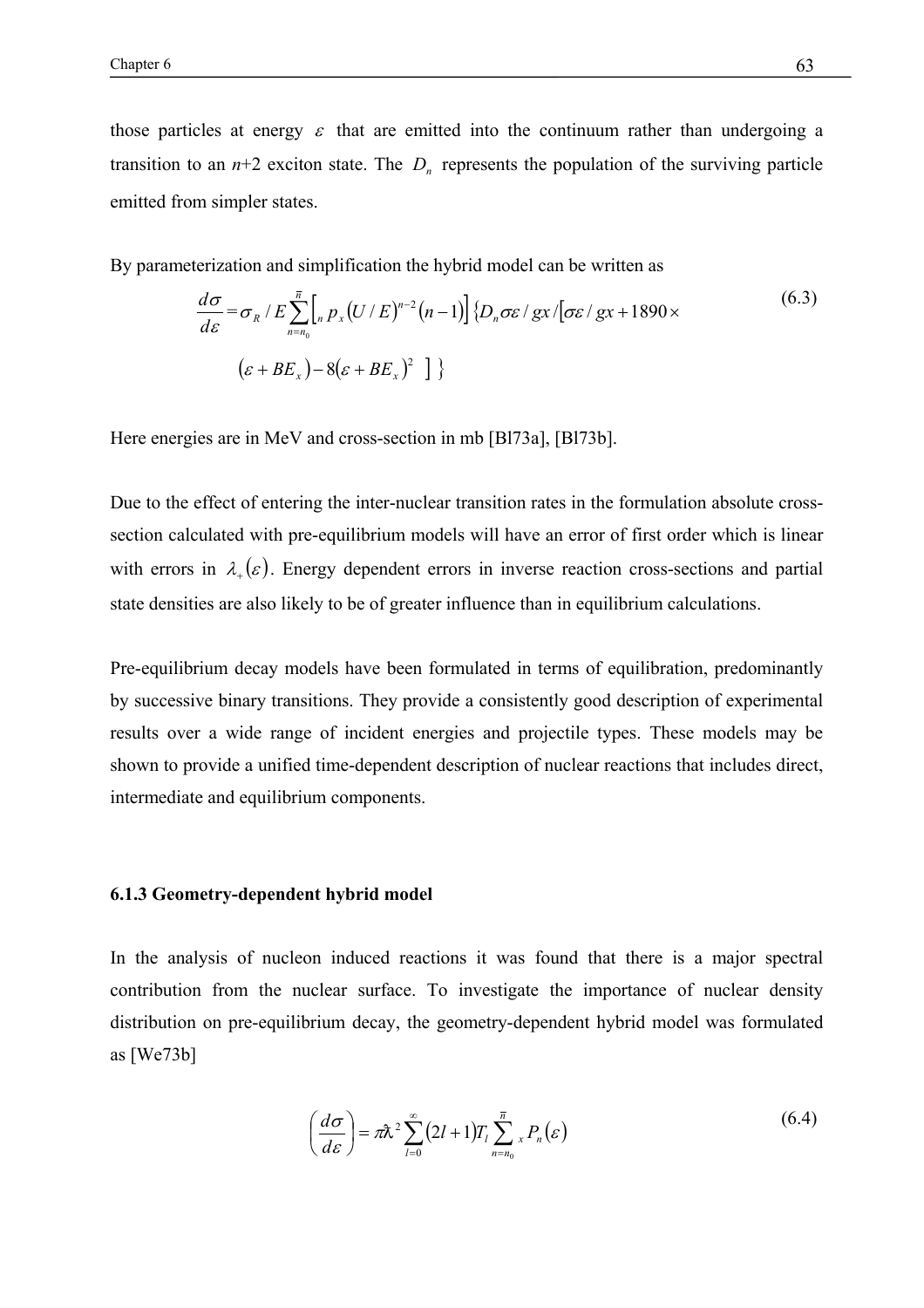those particles at energy  $\varepsilon$  that are emitted into the continuum rather than undergoing a transition to an  $n+2$  exciton state. The  $D_n$  represents the population of the surviving particle emitted from simpler states.

By parameterization and simplification the hybrid model can be written as

$$
\frac{d\sigma}{d\varepsilon} = \sigma_R / E \sum_{n=n_0}^{\overline{n}} \left[ \int_n p_x (U/E)^{n-2} (n-1) \right] \{ D_n \sigma \varepsilon / gx / [\sigma \varepsilon / gx + 1890 \times \left( \varepsilon + BE_x \right) - 8 (\varepsilon + BE_x)^2 \} \}
$$
\n(6.3)

Here energies are in MeV and cross-section in mb [Bl73a], [Bl73b].

Due to the effect of entering the inter-nuclear transition rates in the formulation absolute crosssection calculated with pre-equilibrium models will have an error of first order which is linear with errors in  $\lambda_{\perp}(\varepsilon)$ . Energy dependent errors in inverse reaction cross-sections and partial state densities are also likely to be of greater influence than in equilibrium calculations.

Pre-equilibrium decay models have been formulated in terms of equilibration, predominantly by successive binary transitions. They provide a consistently good description of experimental results over a wide range of incident energies and projectile types. These models may be shown to provide a unified time-dependent description of nuclear reactions that includes direct, intermediate and equilibrium components.

## **6.1.3 Geometry-dependent hybrid model**

In the analysis of nucleon induced reactions it was found that there is a major spectral contribution from the nuclear surface. To investigate the importance of nuclear density distribution on pre-equilibrium decay, the geometry-dependent hybrid model was formulated as [We73b]

$$
\left(\frac{d\sigma}{d\varepsilon}\right) = \pi\lambda^2 \sum_{l=0}^{\infty} \left(2l+1\right) T_l \sum_{n=n_0}^{\overline{n}} {}_{x}P_n(\varepsilon) \tag{6.4}
$$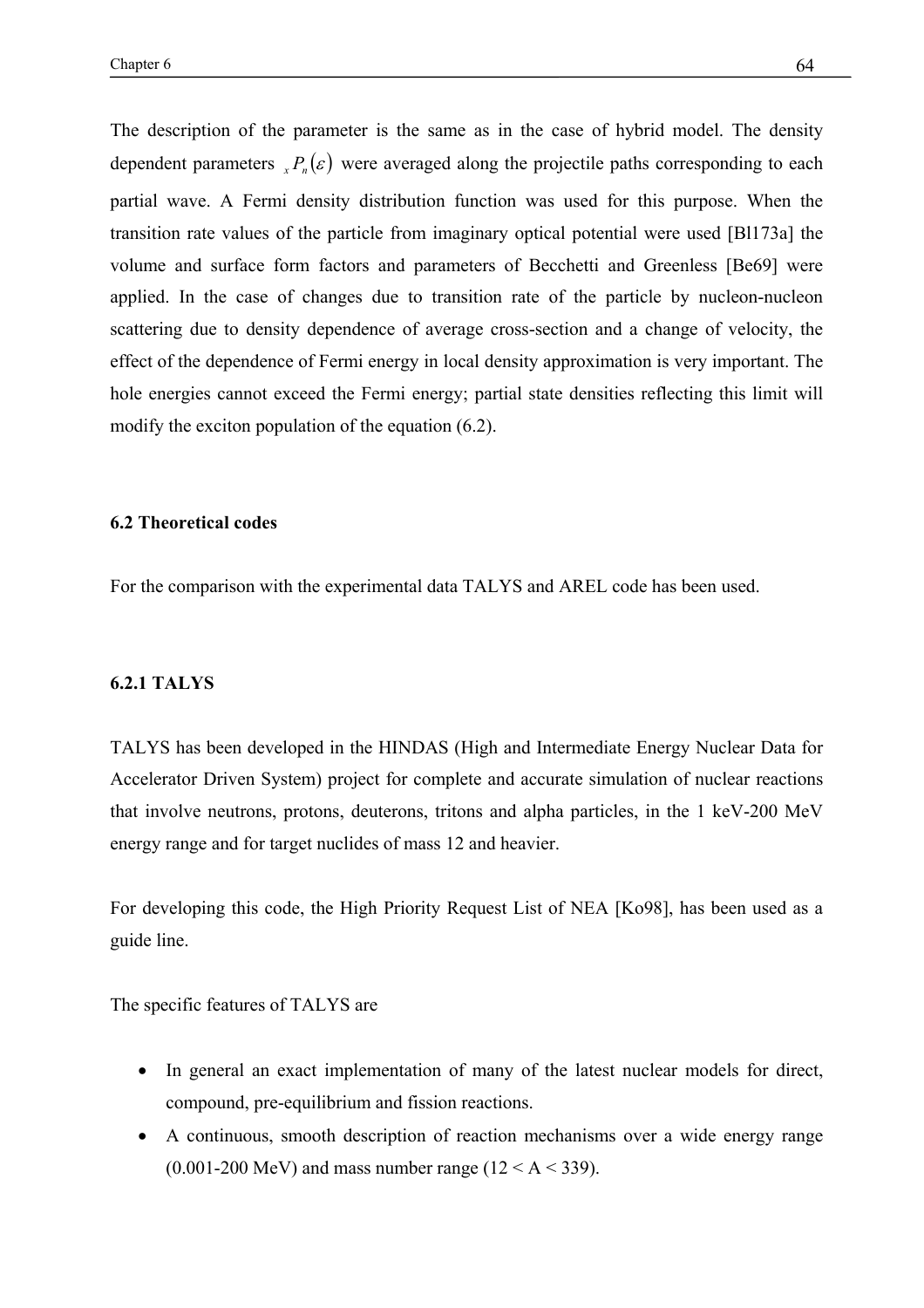The description of the parameter is the same as in the case of hybrid model. The density dependent parameters  $P_n(\varepsilon)$  were averaged along the projectile paths corresponding to each partial wave. A Fermi density distribution function was used for this purpose. When the transition rate values of the particle from imaginary optical potential were used [Bl173a] the volume and surface form factors and parameters of Becchetti and Greenless [Be69] were applied. In the case of changes due to transition rate of the particle by nucleon-nucleon scattering due to density dependence of average cross-section and a change of velocity, the effect of the dependence of Fermi energy in local density approximation is very important. The hole energies cannot exceed the Fermi energy; partial state densities reflecting this limit will modify the exciton population of the equation (6.2).

## **6.2 Theoretical codes**

For the comparison with the experimental data TALYS and AREL code has been used.

#### **6.2.1 TALYS**

TALYS has been developed in the HINDAS (High and Intermediate Energy Nuclear Data for Accelerator Driven System) project for complete and accurate simulation of nuclear reactions that involve neutrons, protons, deuterons, tritons and alpha particles, in the 1 keV-200 MeV energy range and for target nuclides of mass 12 and heavier.

For developing this code, the High Priority Request List of NEA [Ko98], has been used as a guide line.

The specific features of TALYS are

- In general an exact implementation of many of the latest nuclear models for direct, compound, pre-equilibrium and fission reactions.
- A continuous, smooth description of reaction mechanisms over a wide energy range  $(0.001-200 \text{ MeV})$  and mass number range  $(12 < A < 339)$ .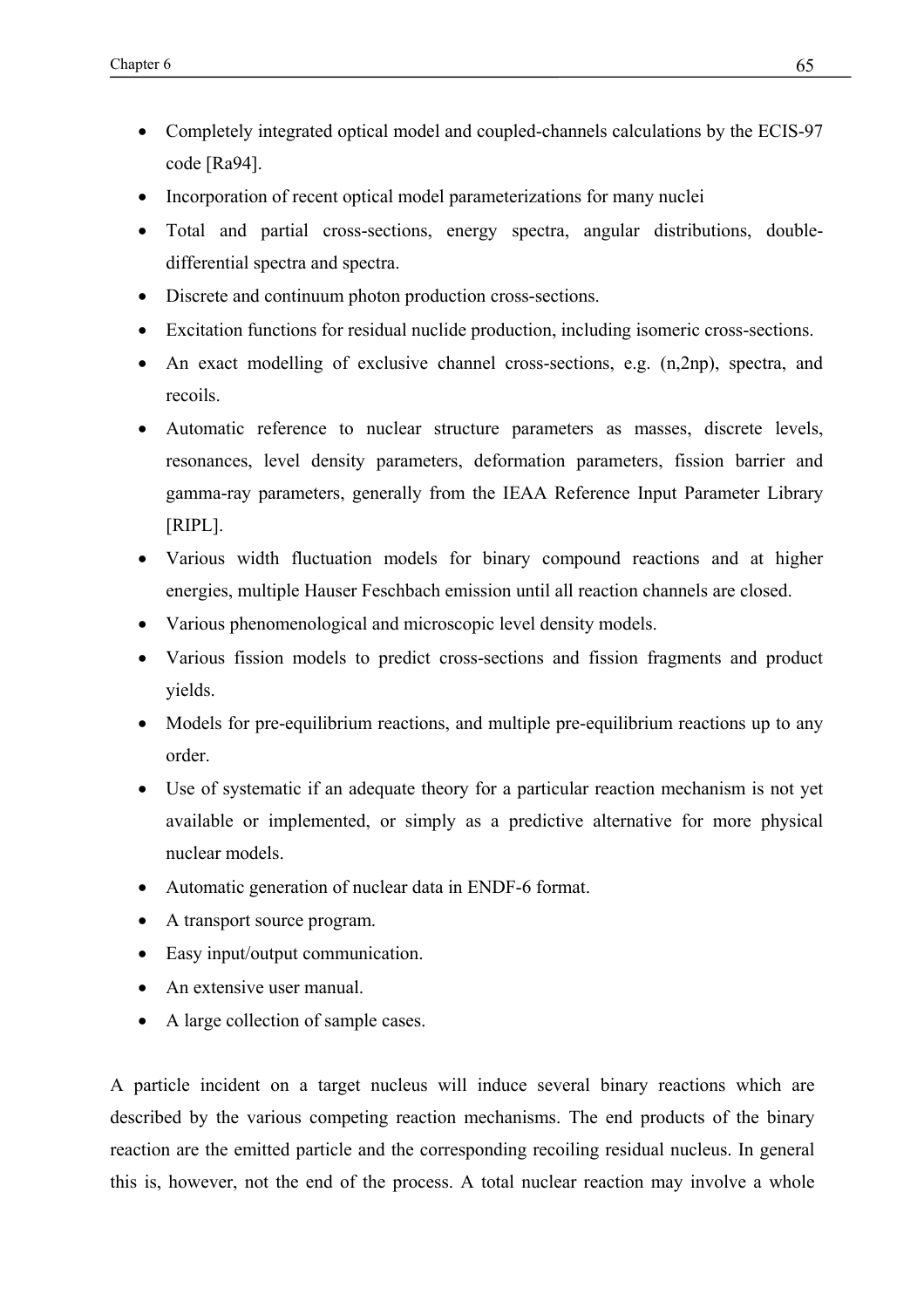- Completely integrated optical model and coupled-channels calculations by the ECIS-97 code [Ra94].
- Incorporation of recent optical model parameterizations for many nuclei
- Total and partial cross-sections, energy spectra, angular distributions, doubledifferential spectra and spectra.
- Discrete and continuum photon production cross-sections.
- Excitation functions for residual nuclide production, including isomeric cross-sections.
- An exact modelling of exclusive channel cross-sections, e.g. (n,2np), spectra, and recoils.
- Automatic reference to nuclear structure parameters as masses, discrete levels, resonances, level density parameters, deformation parameters, fission barrier and gamma-ray parameters, generally from the IEAA Reference Input Parameter Library [RIPL].
- Various width fluctuation models for binary compound reactions and at higher energies, multiple Hauser Feschbach emission until all reaction channels are closed.
- Various phenomenological and microscopic level density models.
- Various fission models to predict cross-sections and fission fragments and product yields.
- Models for pre-equilibrium reactions, and multiple pre-equilibrium reactions up to any order.
- Use of systematic if an adequate theory for a particular reaction mechanism is not yet available or implemented, or simply as a predictive alternative for more physical nuclear models.
- Automatic generation of nuclear data in ENDF-6 format.
- A transport source program.
- Easy input/output communication.
- An extensive user manual.
- A large collection of sample cases.

A particle incident on a target nucleus will induce several binary reactions which are described by the various competing reaction mechanisms. The end products of the binary reaction are the emitted particle and the corresponding recoiling residual nucleus. In general this is, however, not the end of the process. A total nuclear reaction may involve a whole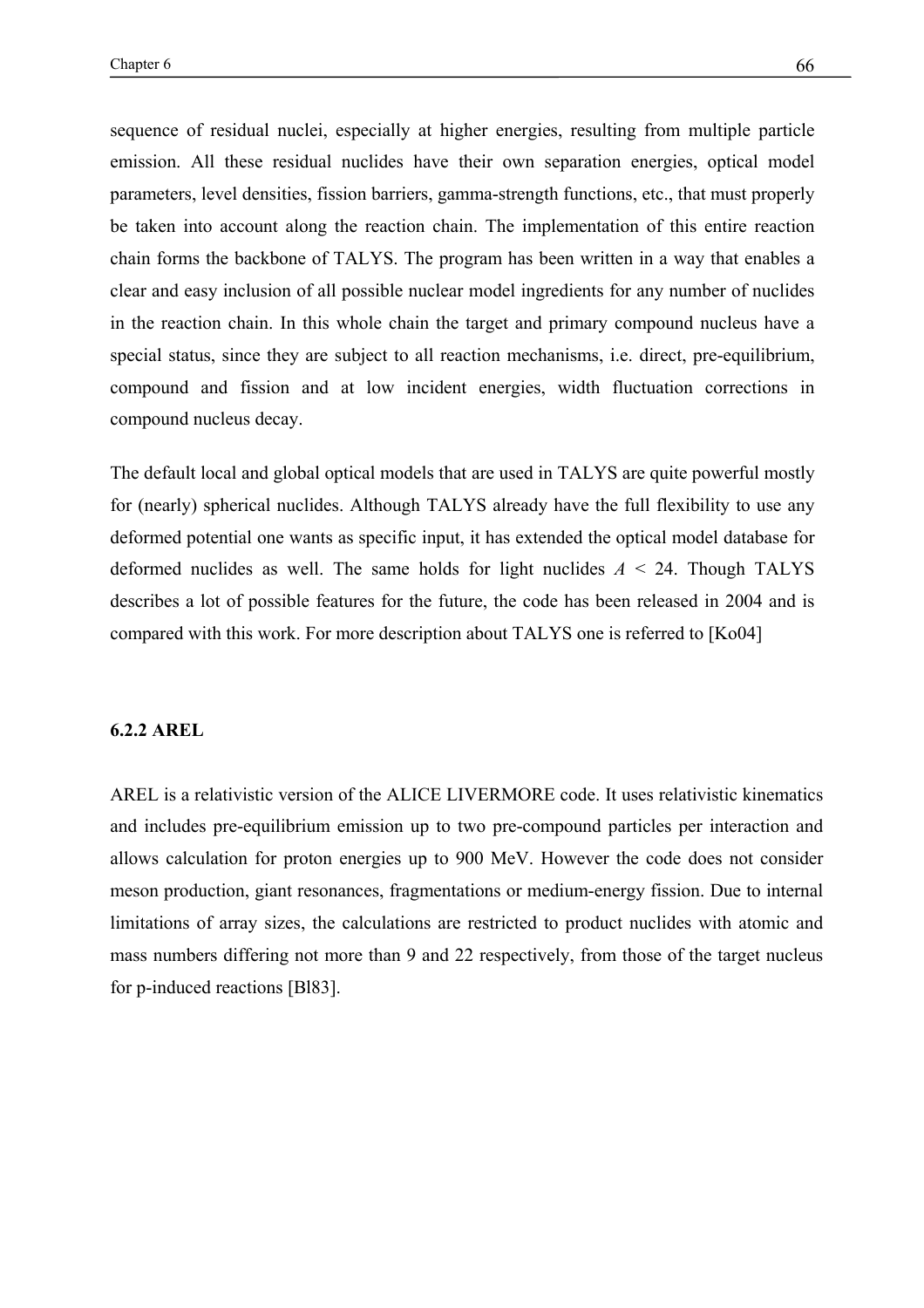sequence of residual nuclei, especially at higher energies, resulting from multiple particle emission. All these residual nuclides have their own separation energies, optical model parameters, level densities, fission barriers, gamma-strength functions, etc., that must properly be taken into account along the reaction chain. The implementation of this entire reaction chain forms the backbone of TALYS. The program has been written in a way that enables a clear and easy inclusion of all possible nuclear model ingredients for any number of nuclides in the reaction chain. In this whole chain the target and primary compound nucleus have a special status, since they are subject to all reaction mechanisms, i.e. direct, pre-equilibrium, compound and fission and at low incident energies, width fluctuation corrections in compound nucleus decay.

The default local and global optical models that are used in TALYS are quite powerful mostly for (nearly) spherical nuclides. Although TALYS already have the full flexibility to use any deformed potential one wants as specific input, it has extended the optical model database for deformed nuclides as well. The same holds for light nuclides *A* < 24. Though TALYS describes a lot of possible features for the future, the code has been released in 2004 and is compared with this work. For more description about TALYS one is referred to [Ko04]

#### **6.2.2 AREL**

AREL is a relativistic version of the ALICE LIVERMORE code. It uses relativistic kinematics and includes pre-equilibrium emission up to two pre-compound particles per interaction and allows calculation for proton energies up to 900 MeV. However the code does not consider meson production, giant resonances, fragmentations or medium-energy fission. Due to internal limitations of array sizes, the calculations are restricted to product nuclides with atomic and mass numbers differing not more than 9 and 22 respectively, from those of the target nucleus for p-induced reactions [Bl83].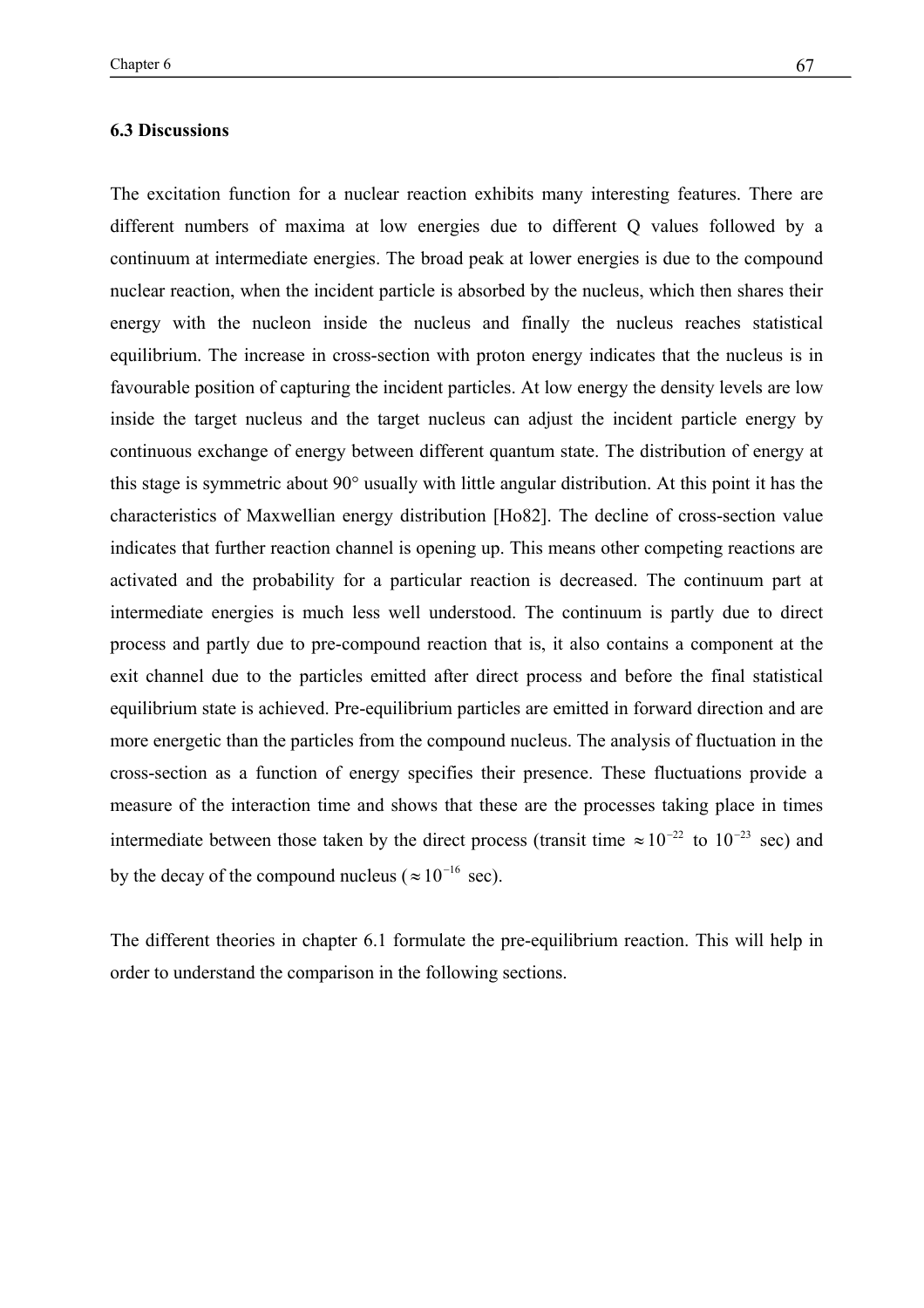The excitation function for a nuclear reaction exhibits many interesting features. There are different numbers of maxima at low energies due to different Q values followed by a continuum at intermediate energies. The broad peak at lower energies is due to the compound nuclear reaction, when the incident particle is absorbed by the nucleus, which then shares their energy with the nucleon inside the nucleus and finally the nucleus reaches statistical equilibrium. The increase in cross-section with proton energy indicates that the nucleus is in favourable position of capturing the incident particles. At low energy the density levels are low inside the target nucleus and the target nucleus can adjust the incident particle energy by continuous exchange of energy between different quantum state. The distribution of energy at this stage is symmetric about 90° usually with little angular distribution. At this point it has the characteristics of Maxwellian energy distribution [Ho82]. The decline of cross-section value indicates that further reaction channel is opening up. This means other competing reactions are activated and the probability for a particular reaction is decreased. The continuum part at intermediate energies is much less well understood. The continuum is partly due to direct process and partly due to pre-compound reaction that is, it also contains a component at the exit channel due to the particles emitted after direct process and before the final statistical equilibrium state is achieved. Pre-equilibrium particles are emitted in forward direction and are more energetic than the particles from the compound nucleus. The analysis of fluctuation in the cross-section as a function of energy specifies their presence. These fluctuations provide a measure of the interaction time and shows that these are the processes taking place in times intermediate between those taken by the direct process (transit time  $\approx 10^{-22}$  to  $10^{-23}$  sec) and by the decay of the compound nucleus ( $\approx 10^{-16}$  sec).

The different theories in chapter 6.1 formulate the pre-equilibrium reaction. This will help in order to understand the comparison in the following sections.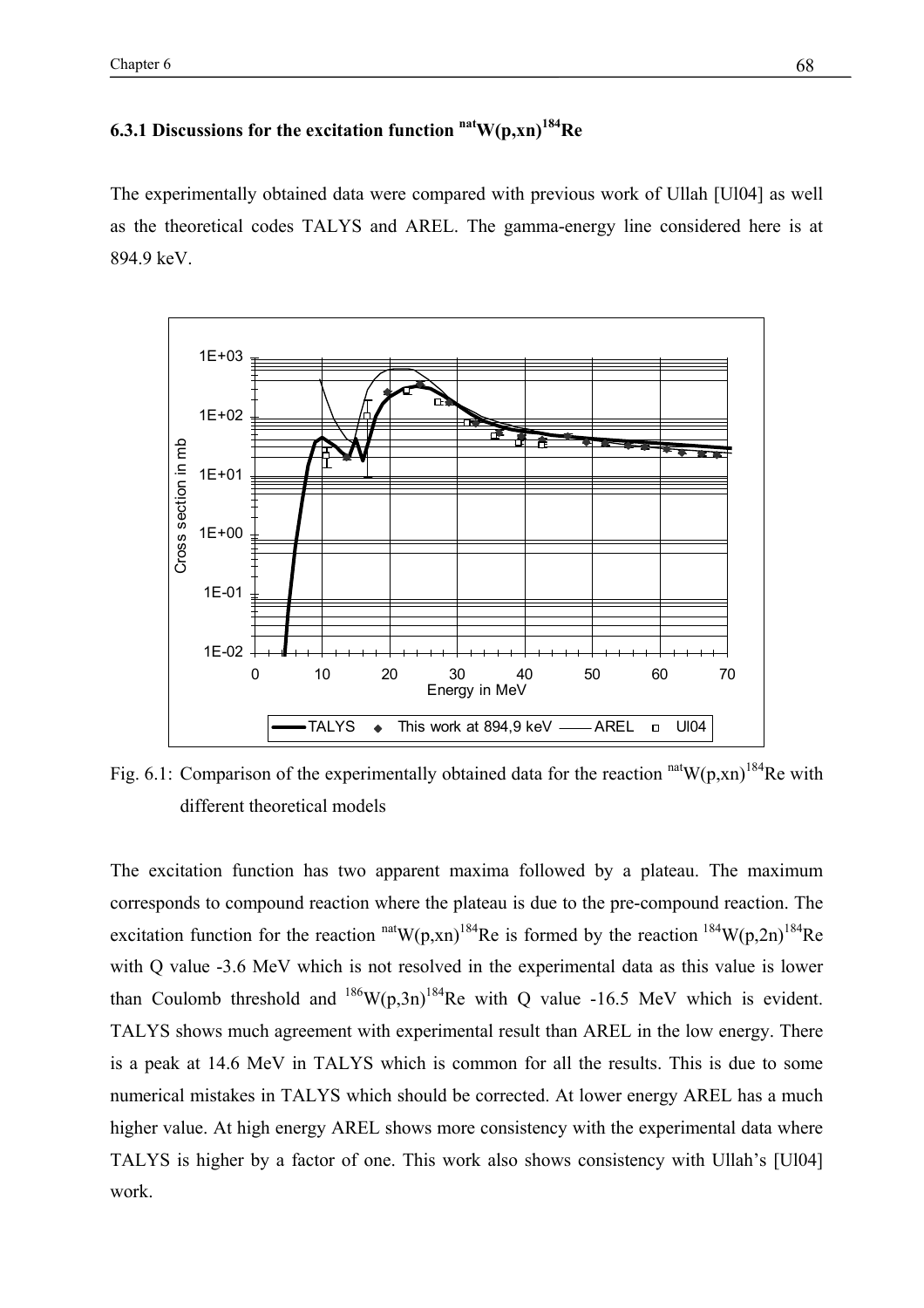$\epsilon$  Chapter 6 68

# **6.3.1 Discussions for the excitation function natW(p,xn)184Re**

The experimentally obtained data were compared with previous work of Ullah [Ul04] as well as the theoretical codes TALYS and AREL. The gamma-energy line considered here is at 894.9 keV.



Fig. 6.1: Comparison of the experimentally obtained data for the reaction  $n$ <sup>at</sup>W(p,xn)<sup>184</sup>Re with different theoretical models

The excitation function has two apparent maxima followed by a plateau. The maximum corresponds to compound reaction where the plateau is due to the pre-compound reaction. The excitation function for the reaction  $n \text{at} W(p, xn)^{184}$ Re is formed by the reaction  $184 W(p, 2n)^{184}$ Re with Q value -3.6 MeV which is not resolved in the experimental data as this value is lower than Coulomb threshold and  $^{186}W(p,3n)^{184}$ Re with O value -16.5 MeV which is evident. TALYS shows much agreement with experimental result than AREL in the low energy. There is a peak at 14.6 MeV in TALYS which is common for all the results. This is due to some numerical mistakes in TALYS which should be corrected. At lower energy AREL has a much higher value. At high energy AREL shows more consistency with the experimental data where TALYS is higher by a factor of one. This work also shows consistency with Ullah's [Ul04] work.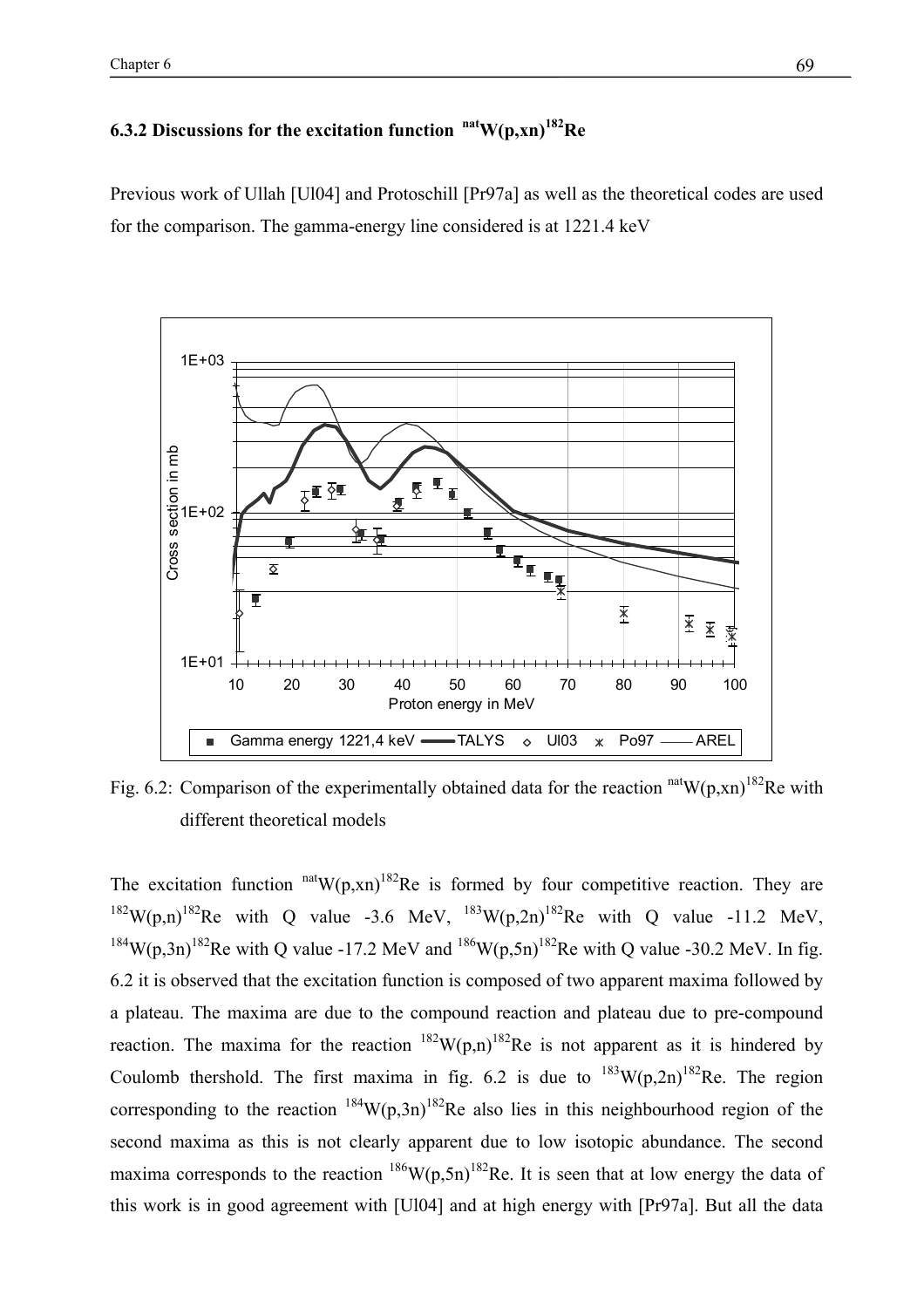### **6.3.2 Discussions for the excitation function natW(p,xn)182Re**

Previous work of Ullah [Ul04] and Protoschill [Pr97a] as well as the theoretical codes are used for the comparison. The gamma-energy line considered is at 1221.4 keV



Fig. 6.2: Comparison of the experimentally obtained data for the reaction  $\frac{\text{nat}}{W(p,xn)}$ <sup>182</sup>Re with different theoretical models

The excitation function  $<sup>nat</sup>W(p,xn)<sup>182</sup>$ Re is formed by four competitive reaction. They are</sup> <sup>182</sup>W(p,n)<sup>182</sup>Re with Q value -3.6 MeV, <sup>183</sup>W(p,2n)<sup>182</sup>Re with Q value -11.2 MeV, <sup>184</sup>W(p,3n)<sup>182</sup>Re with Q value -17.2 MeV and <sup>186</sup>W(p,5n)<sup>182</sup>Re with Q value -30.2 MeV. In fig. 6.2 it is observed that the excitation function is composed of two apparent maxima followed by a plateau. The maxima are due to the compound reaction and plateau due to pre-compound reaction. The maxima for the reaction  $^{182}W(p,n)^{182}$ Re is not apparent as it is hindered by Coulomb thershold. The first maxima in fig. 6.2 is due to  $^{183}$ W(p,2n)<sup>182</sup>Re. The region corresponding to the reaction  $^{184}$ W(p,3n)<sup>182</sup>Re also lies in this neighbourhood region of the second maxima as this is not clearly apparent due to low isotopic abundance. The second maxima corresponds to the reaction  $^{186}W(p,5n)^{182}$ Re. It is seen that at low energy the data of this work is in good agreement with [Ul04] and at high energy with [Pr97a]. But all the data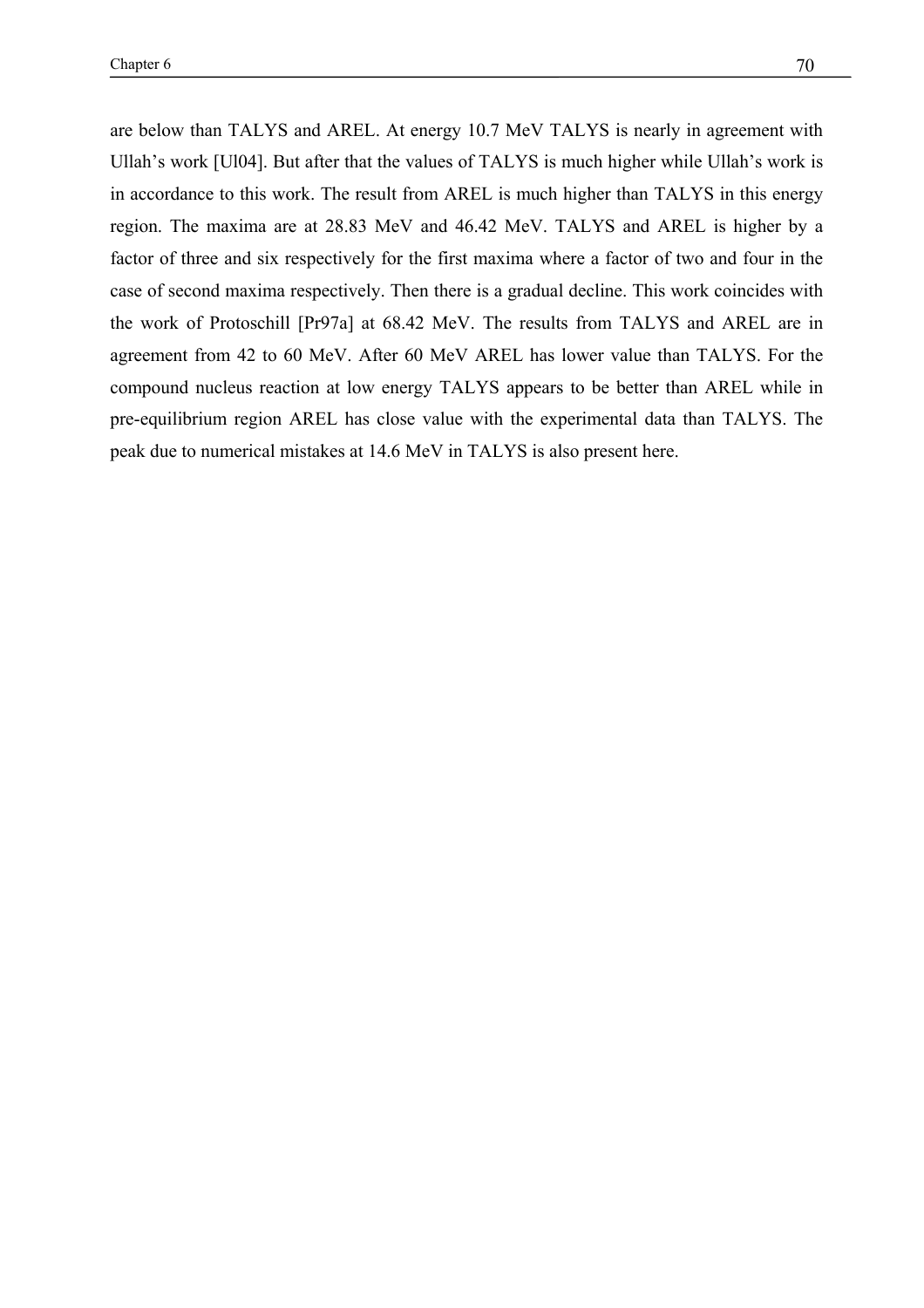are below than TALYS and AREL. At energy 10.7 MeV TALYS is nearly in agreement with Ullah's work [Ul04]. But after that the values of TALYS is much higher while Ullah's work is in accordance to this work. The result from AREL is much higher than TALYS in this energy region. The maxima are at 28.83 MeV and 46.42 MeV. TALYS and AREL is higher by a factor of three and six respectively for the first maxima where a factor of two and four in the case of second maxima respectively. Then there is a gradual decline. This work coincides with the work of Protoschill [Pr97a] at 68.42 MeV. The results from TALYS and AREL are in agreement from 42 to 60 MeV. After 60 MeV AREL has lower value than TALYS. For the compound nucleus reaction at low energy TALYS appears to be better than AREL while in pre-equilibrium region AREL has close value with the experimental data than TALYS. The peak due to numerical mistakes at 14.6 MeV in TALYS is also present here.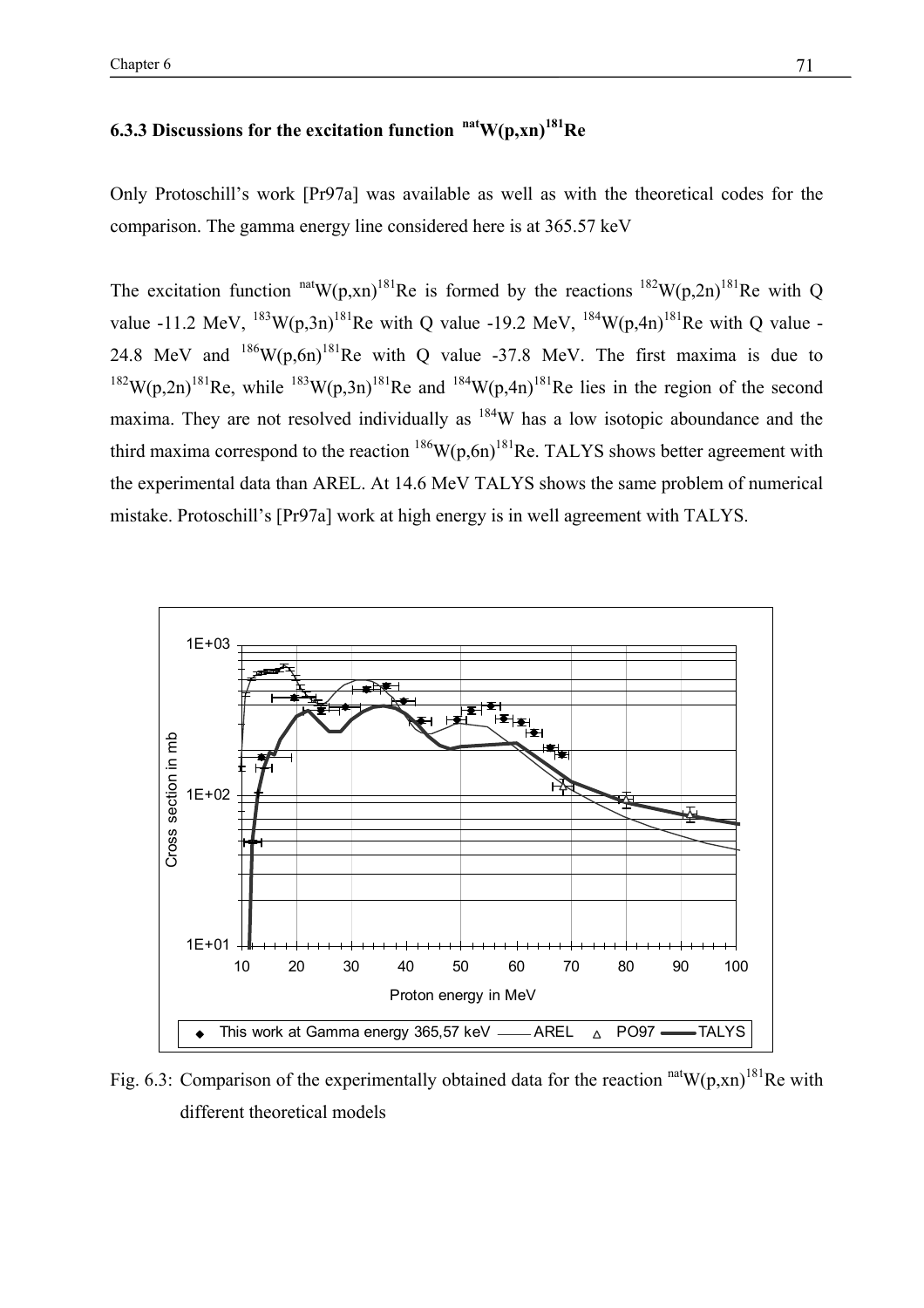#### **6.3.3 Discussions for the excitation function natW(p,xn)181Re**

Only Protoschill's work [Pr97a] was available as well as with the theoretical codes for the comparison. The gamma energy line considered here is at 365.57 keV

The excitation function  $\mathrm{nat}W(p, xn)^{181}$ Re is formed by the reactions  $\mathrm{^{182}W(p,2n)^{181}Re}$  with Q value -11.2 MeV,  $^{183}$ W(p,3n)<sup>181</sup>Re with Q value -19.2 MeV,  $^{184}$ W(p,4n)<sup>181</sup>Re with Q value -24.8 MeV and  $186$ W(p,6n)<sup>181</sup>Re with Q value -37.8 MeV. The first maxima is due to <sup>182</sup>W(p,2n)<sup>181</sup>Re, while <sup>183</sup>W(p,3n)<sup>181</sup>Re and <sup>184</sup>W(p,4n)<sup>181</sup>Re lies in the region of the second maxima. They are not resolved individually as  $184$ W has a low isotopic aboundance and the third maxima correspond to the reaction  $^{186}W(p,6n)^{181}$ Re. TALYS shows better agreement with the experimental data than AREL. At 14.6 MeV TALYS shows the same problem of numerical mistake. Protoschill's [Pr97a] work at high energy is in well agreement with TALYS.



Fig. 6.3: Comparison of the experimentally obtained data for the reaction  $\frac{\text{nat}}{W(p,xn)}^{181}$ Re with different theoretical models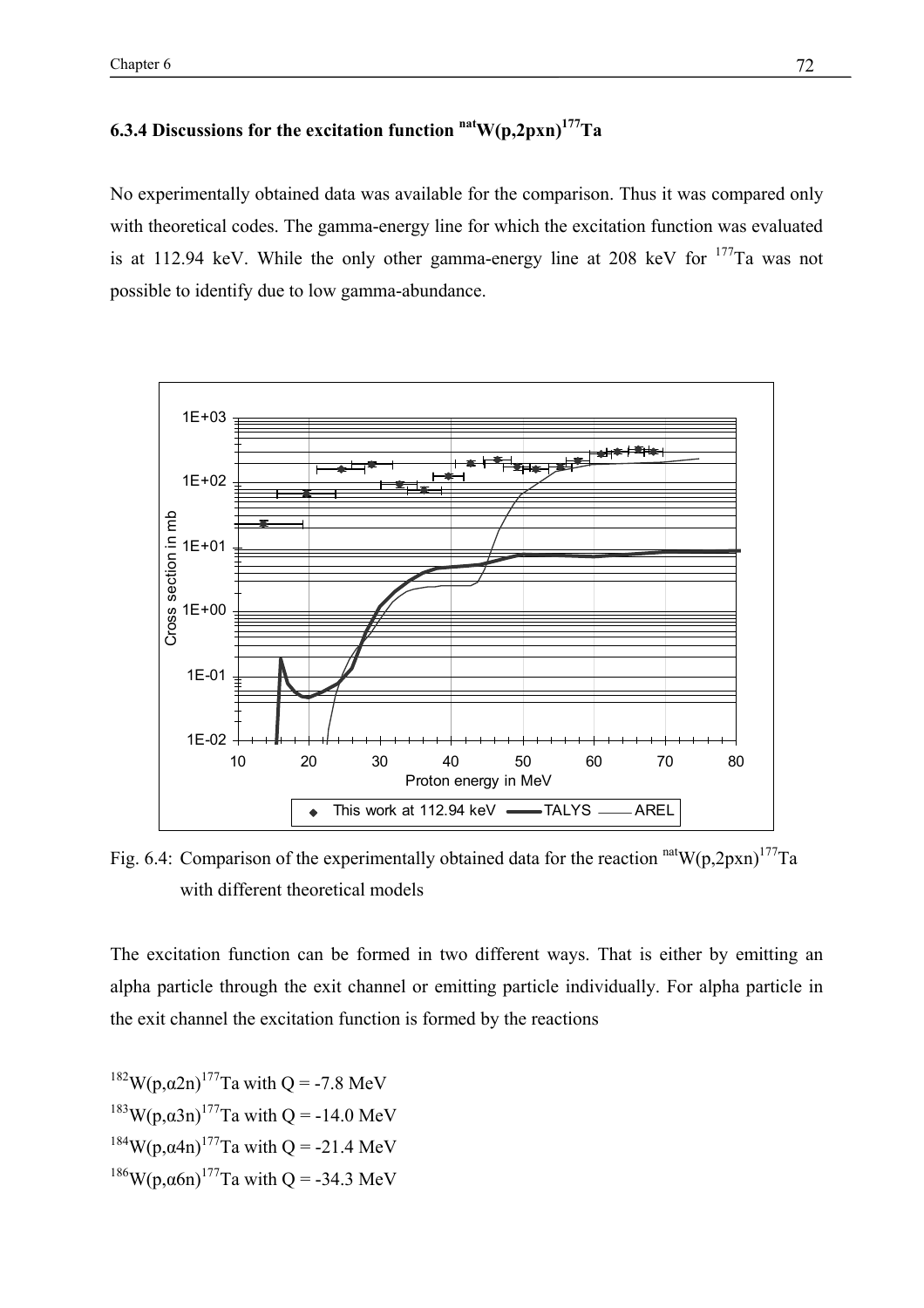$\Box$ Chapter 6 72

### **6.3.4 Discussions for the excitation function**  $\frac{\text{nat}}{\text{W}}(\text{p,2pxn})^{177}\text{Ta}$

No experimentally obtained data was available for the comparison. Thus it was compared only with theoretical codes. The gamma-energy line for which the excitation function was evaluated is at 112.94 keV. While the only other gamma-energy line at 208 keV for  $177$ Ta was not possible to identify due to low gamma-abundance.



Fig. 6.4: Comparison of the experimentally obtained data for the reaction  $\text{natW}(p,2pxn)^{177}$ Ta with different theoretical models

The excitation function can be formed in two different ways. That is either by emitting an alpha particle through the exit channel or emitting particle individually. For alpha particle in the exit channel the excitation function is formed by the reactions

<sup>182</sup>W(p,α2n)<sup>177</sup>Ta with O = -7.8 MeV <sup>183</sup>W(p,α3n)<sup>177</sup>Ta with O = -14.0 MeV <sup>184</sup>W(p,α4n)<sup>177</sup>Ta with O = -21.4 MeV <sup>186</sup>W(p,α6n)<sup>177</sup>Ta with Q = -34.3 MeV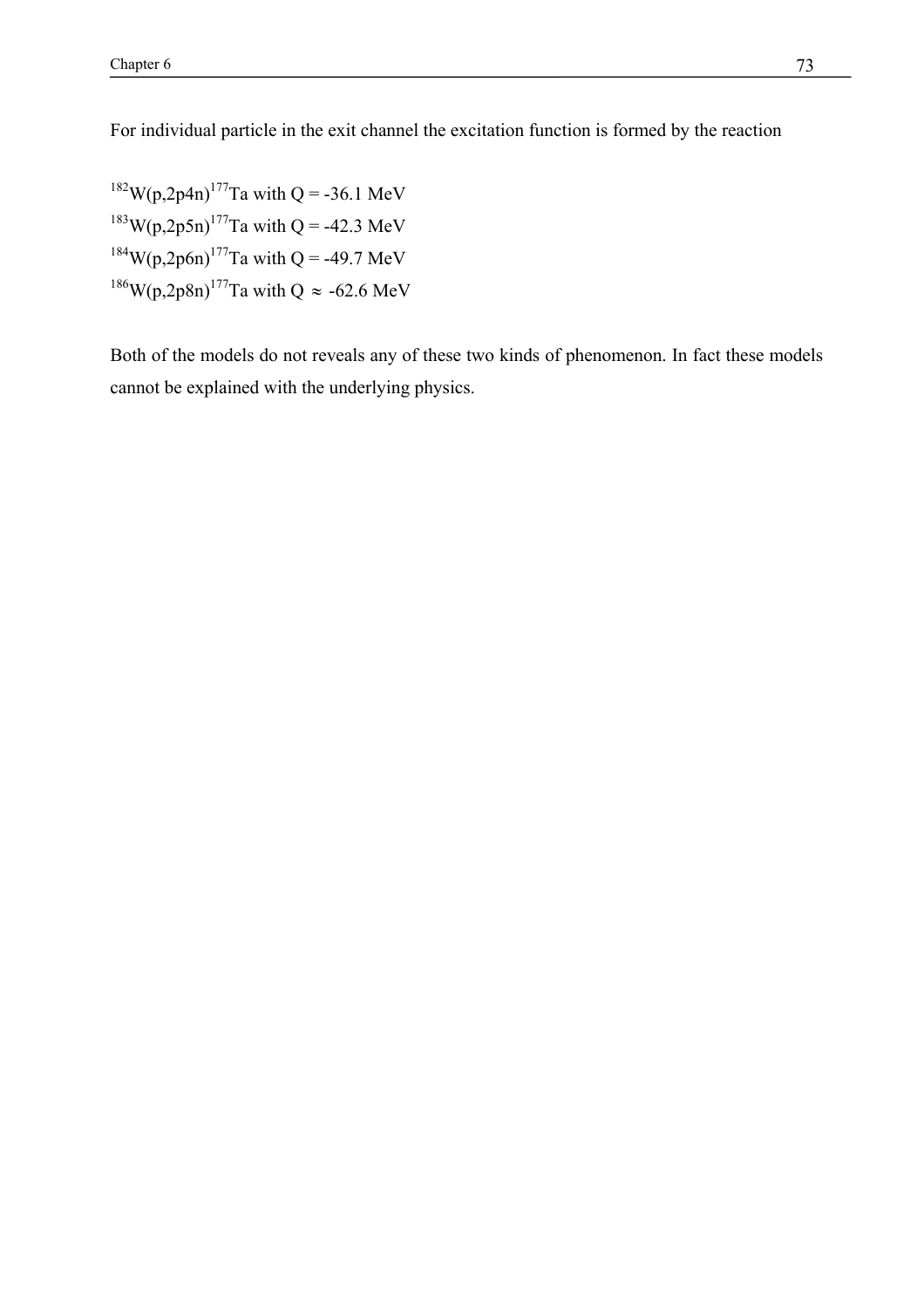For individual particle in the exit channel the excitation function is formed by the reaction

W(p,2p4n)<sup>177</sup>Ta with Q = -36.1 MeV  $183W(p,2p5n)$ <sup>177</sup>Ta with Q = -42.3 MeV W(p,2p6n)<sup>177</sup>Ta with Q = -49.7 MeV W(p,2p8n)<sup>177</sup>Ta with Q  $\approx$  -62.6 MeV

Both of the models do not reveals any of these two kinds of phenomenon. In fact these models cannot be explained with the underlying physics.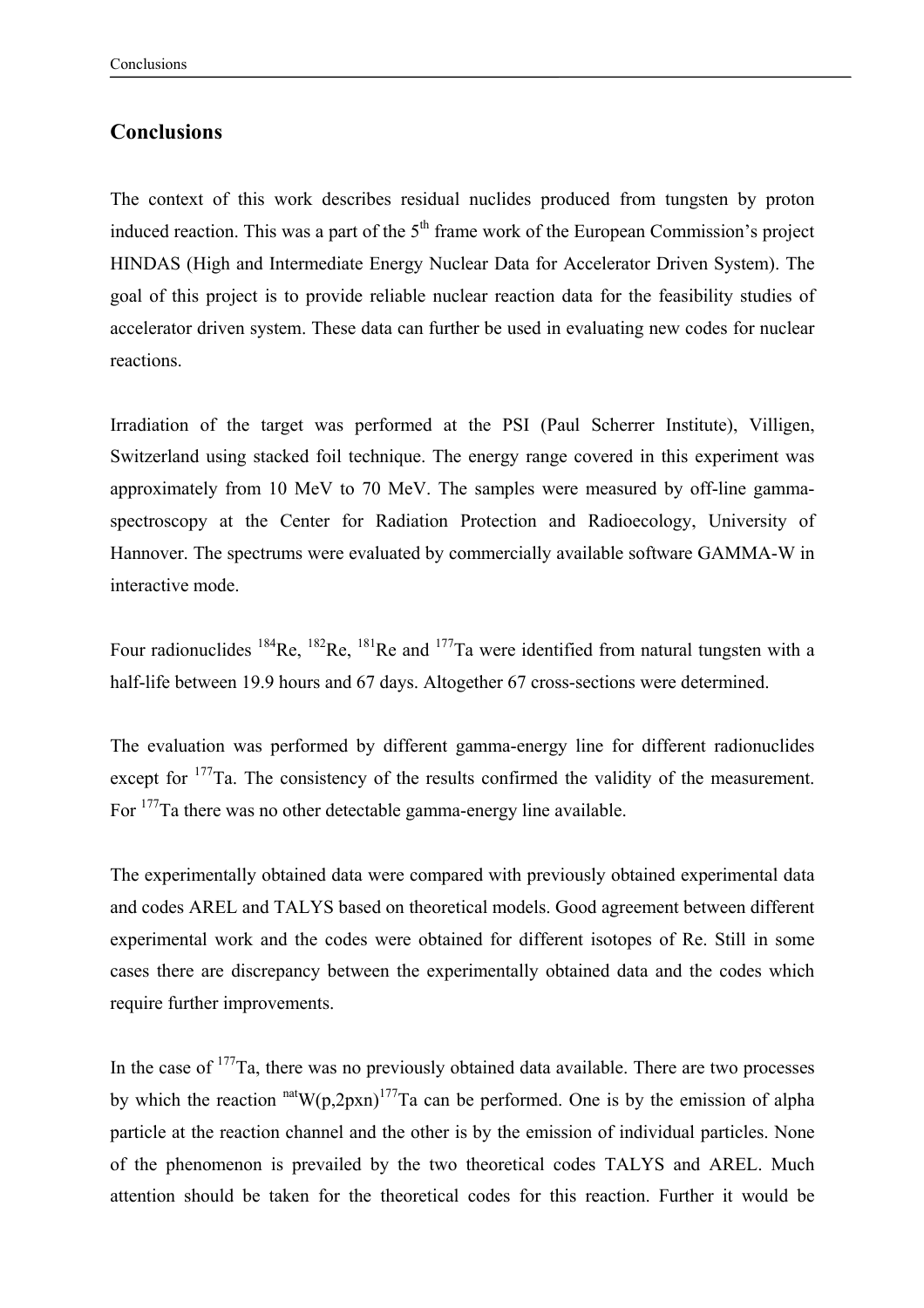#### **Conclusions**

The context of this work describes residual nuclides produced from tungsten by proton induced reaction. This was a part of the  $5<sup>th</sup>$  frame work of the European Commission's project HINDAS (High and Intermediate Energy Nuclear Data for Accelerator Driven System). The goal of this project is to provide reliable nuclear reaction data for the feasibility studies of accelerator driven system. These data can further be used in evaluating new codes for nuclear reactions.

Irradiation of the target was performed at the PSI (Paul Scherrer Institute), Villigen, Switzerland using stacked foil technique. The energy range covered in this experiment was approximately from 10 MeV to 70 MeV. The samples were measured by off-line gammaspectroscopy at the Center for Radiation Protection and Radioecology, University of Hannover. The spectrums were evaluated by commercially available software GAMMA-W in interactive mode.

Four radionuclides <sup>184</sup>Re, <sup>182</sup>Re, <sup>181</sup>Re and <sup>177</sup>Ta were identified from natural tungsten with a half-life between 19.9 hours and 67 days. Altogether 67 cross-sections were determined.

The evaluation was performed by different gamma-energy line for different radionuclides except for <sup>177</sup>Ta. The consistency of the results confirmed the validity of the measurement. For 177Ta there was no other detectable gamma-energy line available.

The experimentally obtained data were compared with previously obtained experimental data and codes AREL and TALYS based on theoretical models. Good agreement between different experimental work and the codes were obtained for different isotopes of Re. Still in some cases there are discrepancy between the experimentally obtained data and the codes which require further improvements.

In the case of  $177$ Ta, there was no previously obtained data available. There are two processes by which the reaction  $n \text{at} W(p,2p \text{xn})^{177}$ Ta can be performed. One is by the emission of alpha particle at the reaction channel and the other is by the emission of individual particles. None of the phenomenon is prevailed by the two theoretical codes TALYS and AREL. Much attention should be taken for the theoretical codes for this reaction. Further it would be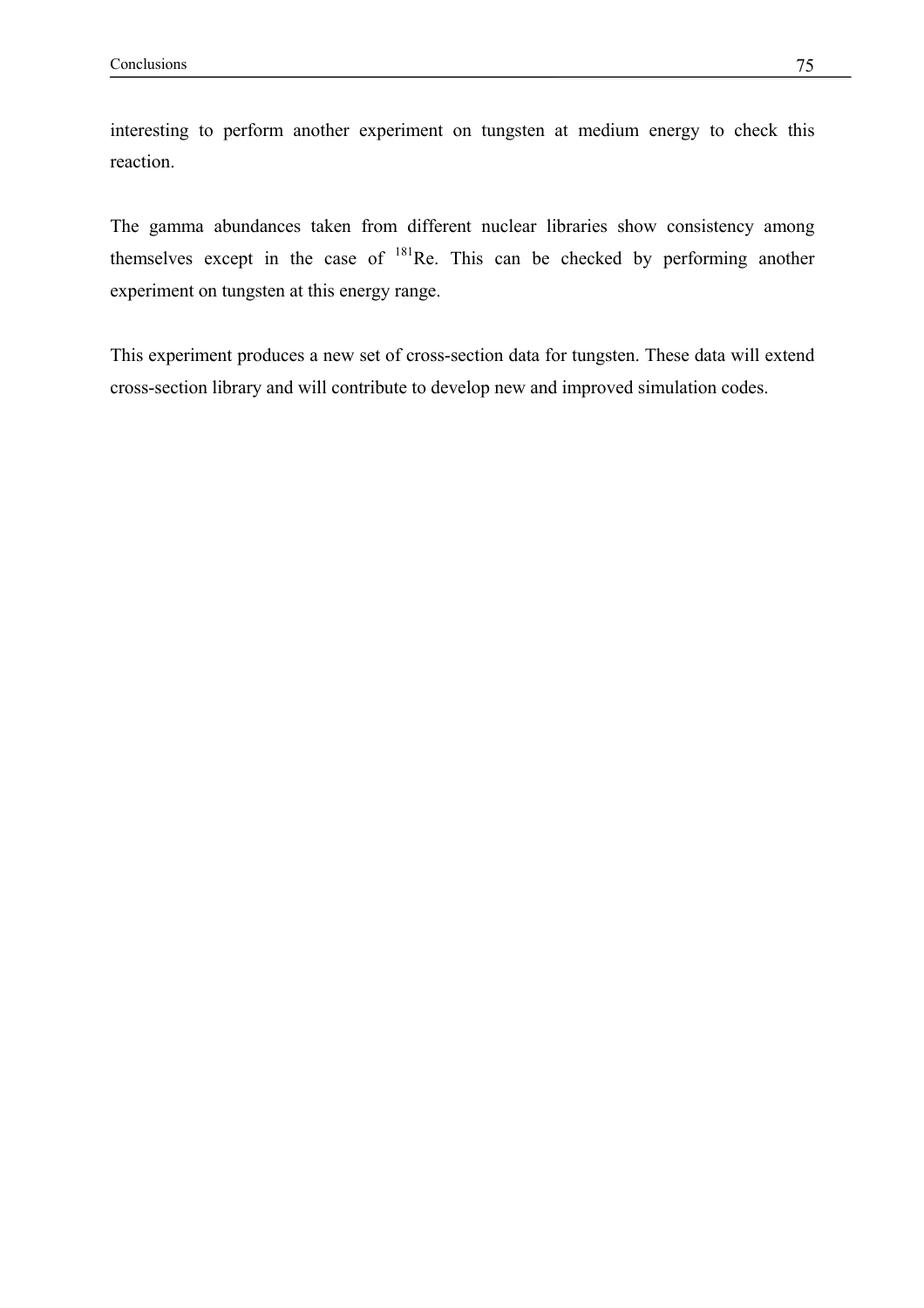interesting to perform another experiment on tungsten at medium energy to check this reaction.

The gamma abundances taken from different nuclear libraries show consistency among themselves except in the case of  $^{181}$ Re. This can be checked by performing another experiment on tungsten at this energy range.

This experiment produces a new set of cross-section data for tungsten. These data will extend cross-section library and will contribute to develop new and improved simulation codes.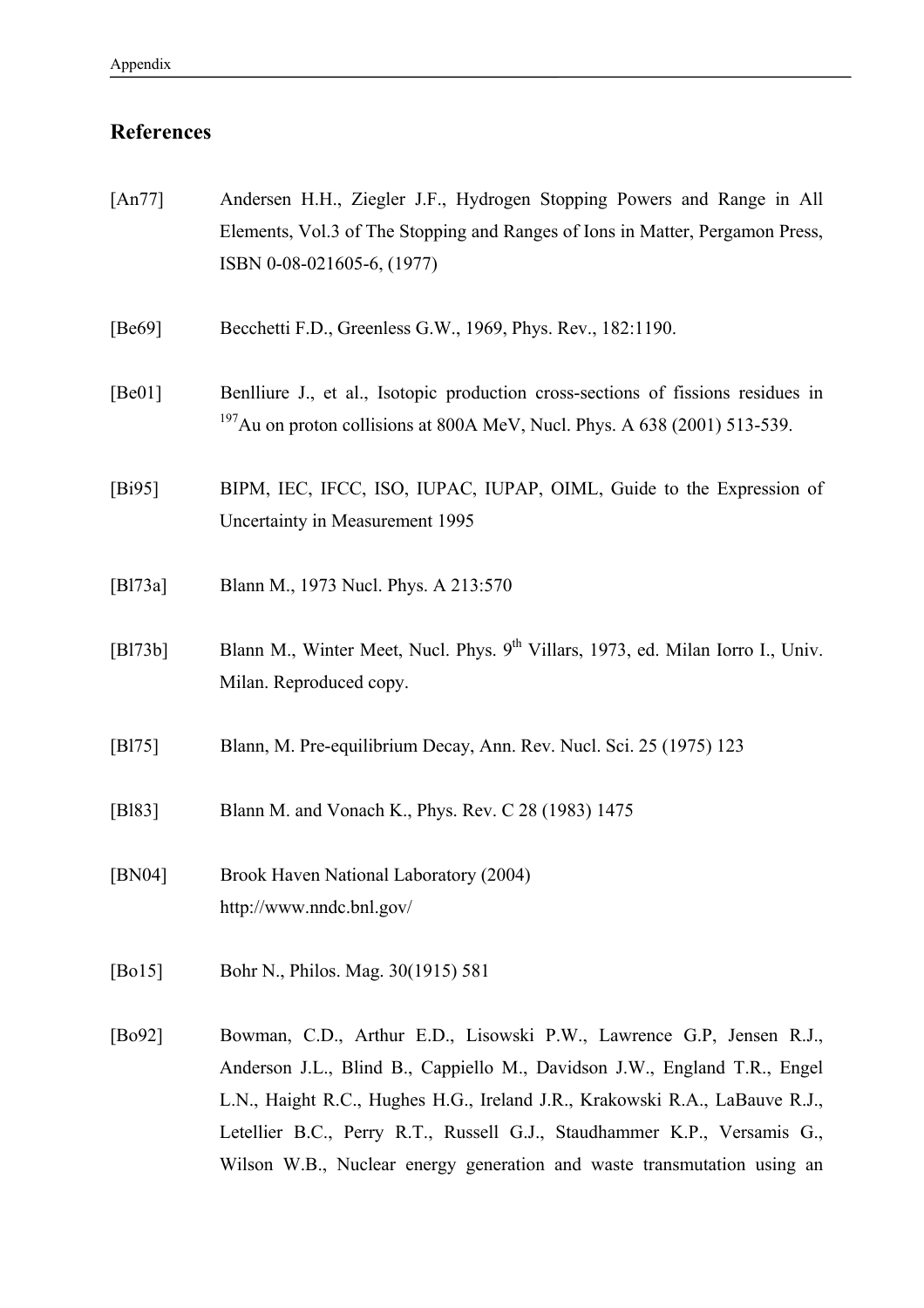# **References**

| [ $An77$ ]  | Andersen H.H., Ziegler J.F., Hydrogen Stopping Powers and Range in All<br>Elements, Vol.3 of The Stopping and Ranges of Ions in Matter, Pergamon Press,<br>ISBN 0-08-021605-6, (1977)                                                                                                                                                                                                   |
|-------------|-----------------------------------------------------------------------------------------------------------------------------------------------------------------------------------------------------------------------------------------------------------------------------------------------------------------------------------------------------------------------------------------|
| [Be69]      | Becchetti F.D., Greenless G.W., 1969, Phys. Rev., 182:1190.                                                                                                                                                                                                                                                                                                                             |
| [Be01]      | Benlliure J., et al., Isotopic production cross-sections of fissions residues in<br>$197$ Au on proton collisions at 800A MeV, Nucl. Phys. A 638 (2001) 513-539.                                                                                                                                                                                                                        |
| [Bi95]      | BIPM, IEC, IFCC, ISO, IUPAC, IUPAP, OIML, Guide to the Expression of<br>Uncertainty in Measurement 1995                                                                                                                                                                                                                                                                                 |
| [B $173a$ ] | Blann M., 1973 Nucl. Phys. A 213:570                                                                                                                                                                                                                                                                                                                                                    |
| [B173b]     | Blann M., Winter Meet, Nucl. Phys. 9 <sup>th</sup> Villars, 1973, ed. Milan Iorro I., Univ.<br>Milan. Reproduced copy.                                                                                                                                                                                                                                                                  |
| [B175]      | Blann, M. Pre-equilibrium Decay, Ann. Rev. Nucl. Sci. 25 (1975) 123                                                                                                                                                                                                                                                                                                                     |
| [B183]      | Blann M. and Vonach K., Phys. Rev. C 28 (1983) 1475                                                                                                                                                                                                                                                                                                                                     |
| [BN04]      | Brook Haven National Laboratory (2004)<br>http://www.nndc.bnl.gov/                                                                                                                                                                                                                                                                                                                      |
| [Bo15]      | Bohr N., Philos. Mag. 30(1915) 581                                                                                                                                                                                                                                                                                                                                                      |
| [Bo92]      | Bowman, C.D., Arthur E.D., Lisowski P.W., Lawrence G.P, Jensen R.J.,<br>Anderson J.L., Blind B., Cappiello M., Davidson J.W., England T.R., Engel<br>L.N., Haight R.C., Hughes H.G., Ireland J.R., Krakowski R.A., LaBauve R.J.,<br>Letellier B.C., Perry R.T., Russell G.J., Staudhammer K.P., Versamis G.,<br>Wilson W.B., Nuclear energy generation and waste transmutation using an |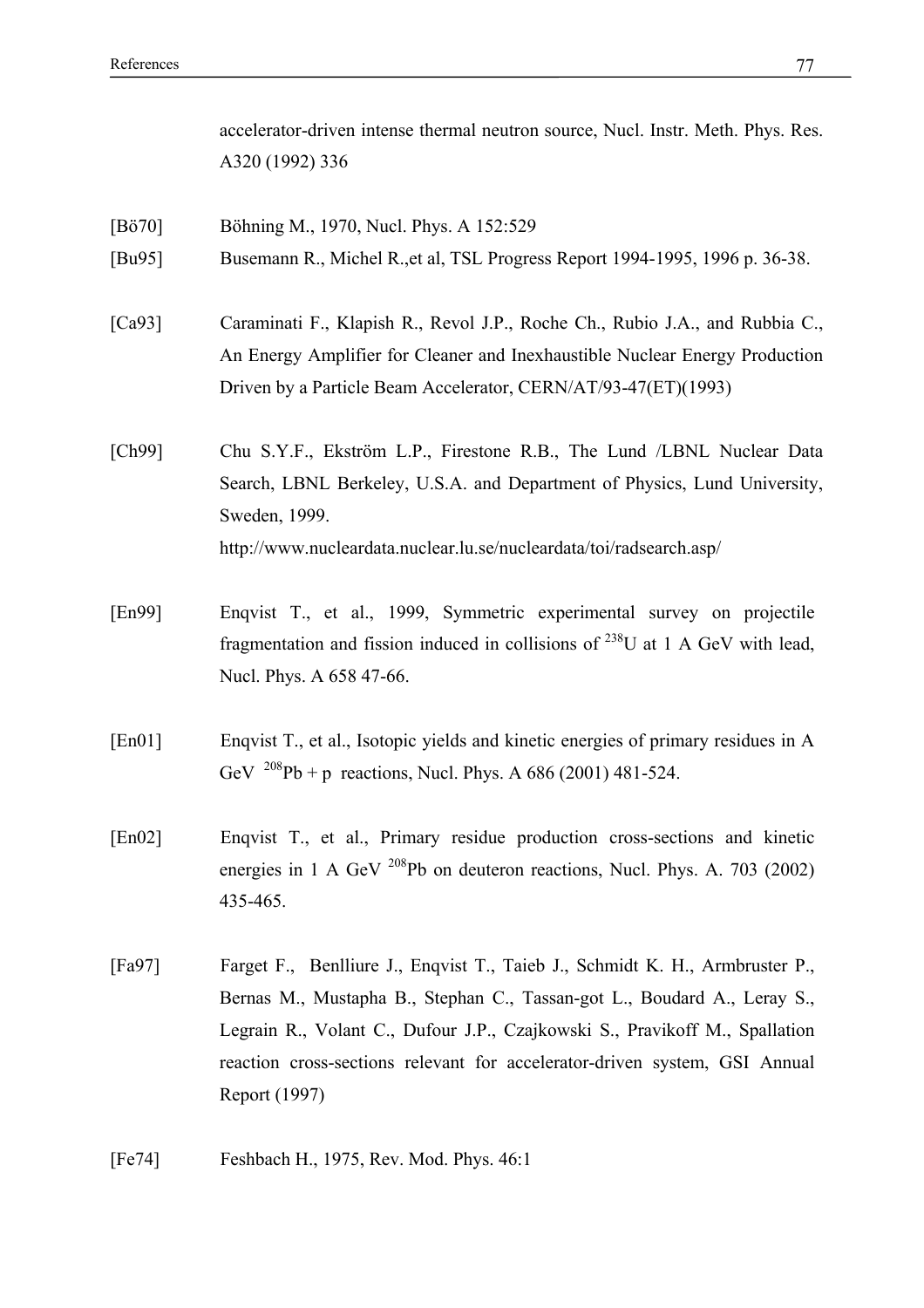accelerator-driven intense thermal neutron source, Nucl. Instr. Meth. Phys. Res. A320 (1992) 336

- [Bö70] Böhning M., 1970, Nucl. Phys. A 152:529
- [Bu95] Busemann R., Michel R.,et al, TSL Progress Report 1994-1995, 1996 p. 36-38.
- [Ca93] Caraminati F., Klapish R., Revol J.P., Roche Ch., Rubio J.A., and Rubbia C., An Energy Amplifier for Cleaner and Inexhaustible Nuclear Energy Production Driven by a Particle Beam Accelerator, CERN/AT/93-47(ET)(1993)
- [Ch99] Chu S.Y.F., Ekström L.P., Firestone R.B., The Lund /LBNL Nuclear Data Search, LBNL Berkeley, U.S.A. and Department of Physics, Lund University, Sweden, 1999. http://www.nucleardata.nuclear.lu.se/nucleardata/toi/radsearch.asp/
- [En99] Enqvist T., et al., 1999, Symmetric experimental survey on projectile fragmentation and fission induced in collisions of  $^{238}$ U at 1 A GeV with lead, Nucl. Phys. A 658 47-66.
- [En01] Enqvist T., et al., Isotopic yields and kinetic energies of primary residues in A GeV  $^{208}Pb + p$  reactions, Nucl. Phys. A 686 (2001) 481-524.
- [En02] Enqvist T., et al., Primary residue production cross-sections and kinetic energies in 1 A GeV <sup>208</sup>Pb on deuteron reactions, Nucl. Phys. A. 703 (2002) 435-465.
- [Fa97] Farget F., Benlliure J., Enqvist T., Taieb J., Schmidt K. H., Armbruster P., Bernas M., Mustapha B., Stephan C., Tassan-got L., Boudard A., Leray S., Legrain R., Volant C., Dufour J.P., Czajkowski S., Pravikoff M., Spallation reaction cross-sections relevant for accelerator-driven system, GSI Annual Report (1997)
- [Fe74] Feshbach H., 1975, Rev. Mod. Phys. 46:1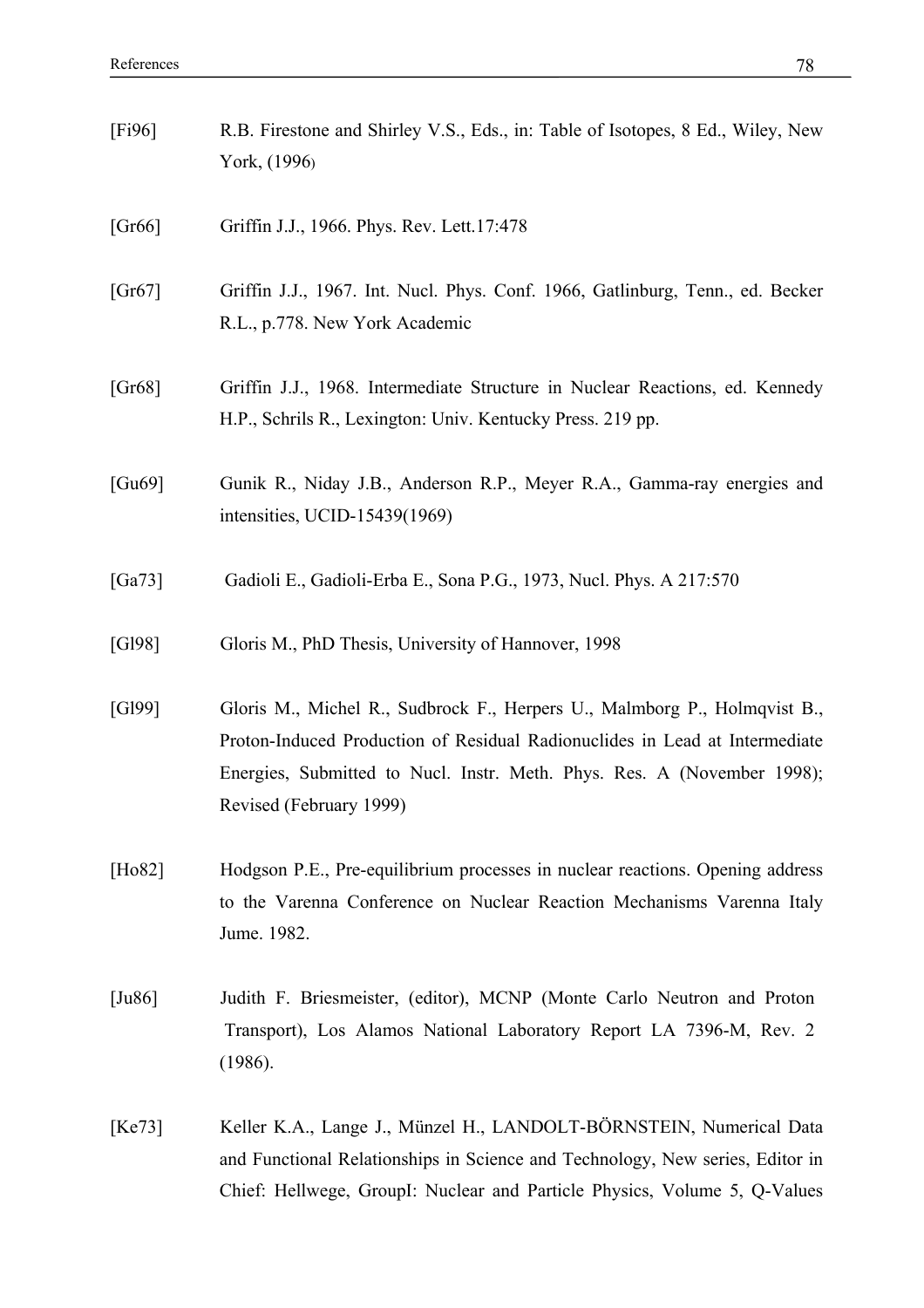- [Gr66] Griffin J.J., 1966. Phys. Rev. Lett.17:478
- [Gr67] Griffin J.J., 1967. Int. Nucl. Phys. Conf. 1966, Gatlinburg, Tenn., ed. Becker R.L., p.778. New York Academic
- [Gr68] Griffin J.J., 1968. Intermediate Structure in Nuclear Reactions, ed. Kennedy H.P., Schrils R., Lexington: Univ. Kentucky Press. 219 pp.
- [Gu69] Gunik R., Niday J.B., Anderson R.P., Meyer R.A., Gamma-ray energies and intensities, UCID-15439(1969)
- [Ga73] Gadioli E., Gadioli-Erba E., Sona P.G., 1973, Nucl. Phys. A 217:570
- [Gl98] Gloris M., PhD Thesis, University of Hannover, 1998
- [Gl99] Gloris M., Michel R., Sudbrock F., Herpers U., Malmborg P., Holmqvist B., Proton-Induced Production of Residual Radionuclides in Lead at Intermediate Energies, Submitted to Nucl. Instr. Meth. Phys. Res. A (November 1998); Revised (February 1999)
- [Ho82] Hodgson P.E., Pre-equilibrium processes in nuclear reactions. Opening address to the Varenna Conference on Nuclear Reaction Mechanisms Varenna Italy Jume. 1982.
- [Ju86] Judith F. Briesmeister, (editor), MCNP (Monte Carlo Neutron and Proton Transport), Los Alamos National Laboratory Report LA 7396-M, Rev. 2 (1986).
- [Ke73] Keller K.A., Lange J., Münzel H., LANDOLT-BÖRNSTEIN, Numerical Data and Functional Relationships in Science and Technology, New series, Editor in Chief: Hellwege, GroupI: Nuclear and Particle Physics, Volume 5, Q-Values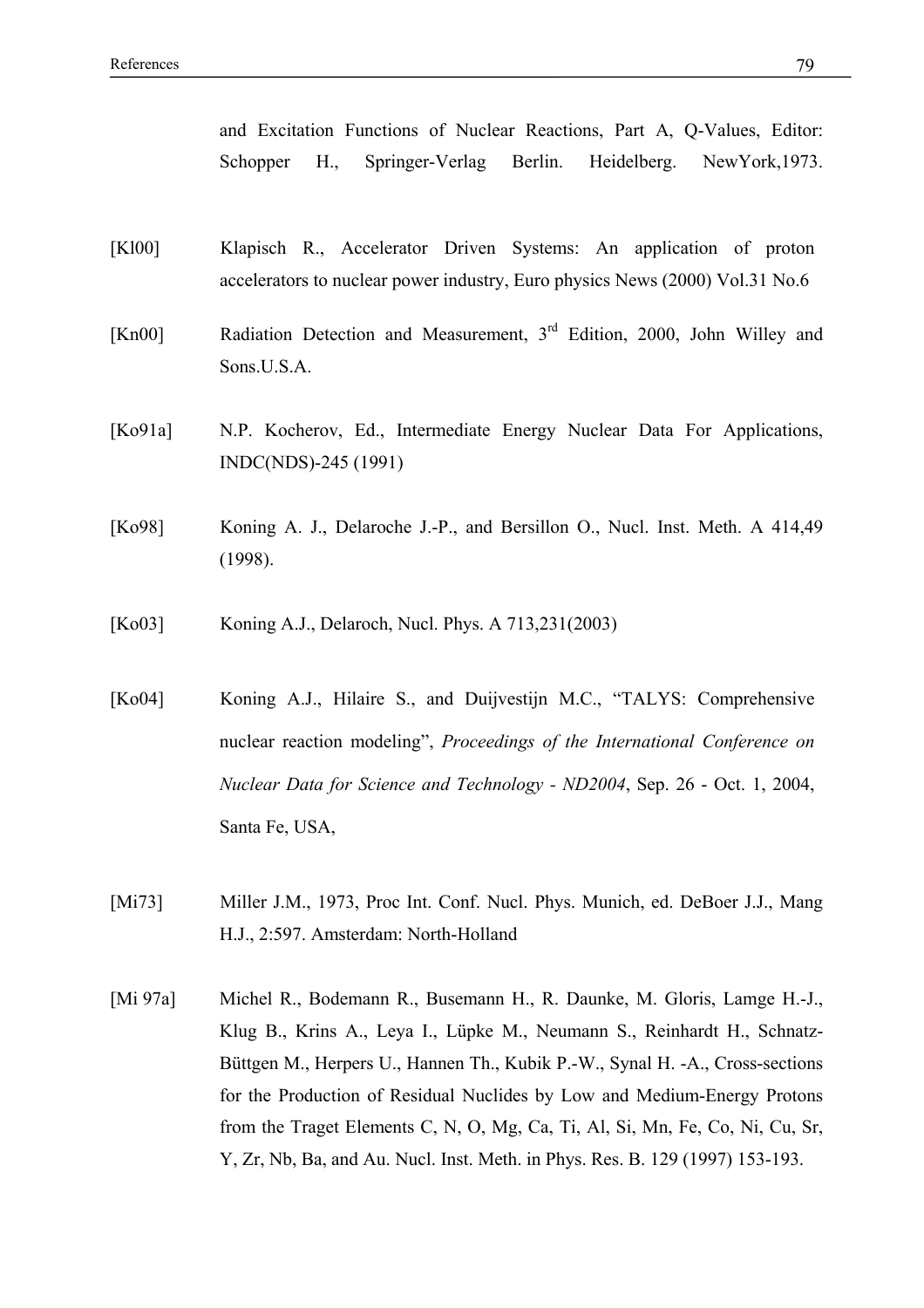and Excitation Functions of Nuclear Reactions, Part A, Q-Values, Editor: Schopper H., Springer-Verlag Berlin. Heidelberg. NewYork,1973.

- [Kl00] Klapisch R., Accelerator Driven Systems: An application of proton accelerators to nuclear power industry, Euro physics News (2000) Vol.31 No.6
- [Kn00] Radiation Detection and Measurement, 3rd Edition, 2000, John Willey and Sons.U.S.A.
- [Ko91a] N.P. Kocherov, Ed., Intermediate Energy Nuclear Data For Applications, INDC(NDS)-245 (1991)
- [Ko98] Koning A. J., Delaroche J.-P., and Bersillon O., Nucl. Inst. Meth. A 414,49 (1998).
- [Ko03] Koning A.J., Delaroch, Nucl. Phys. A 713,231(2003)
- [Ko04] Koning A.J., Hilaire S., and Duijvestijn M.C., "TALYS: Comprehensive nuclear reaction modeling", *Proceedings of the International Conference on Nuclear Data for Science and Technology - ND2004*, Sep. 26 - Oct. 1, 2004, Santa Fe, USA,
- [Mi73] Miller J.M., 1973, Proc Int. Conf. Nucl. Phys. Munich, ed. DeBoer J.J., Mang H.J., 2:597. Amsterdam: North-Holland
- [Mi 97a] Michel R., Bodemann R., Busemann H., R. Daunke, M. Gloris, Lamge H.-J., Klug B., Krins A., Leya I., Lüpke M., Neumann S., Reinhardt H., Schnatz-Büttgen M., Herpers U., Hannen Th., Kubik P.-W., Synal H. -A., Cross-sections for the Production of Residual Nuclides by Low and Medium-Energy Protons from the Traget Elements C, N, O, Mg, Ca, Ti, Al, Si, Mn, Fe, Co, Ni, Cu, Sr, Y, Zr, Nb, Ba, and Au. Nucl. Inst. Meth. in Phys. Res. B. 129 (1997) 153-193.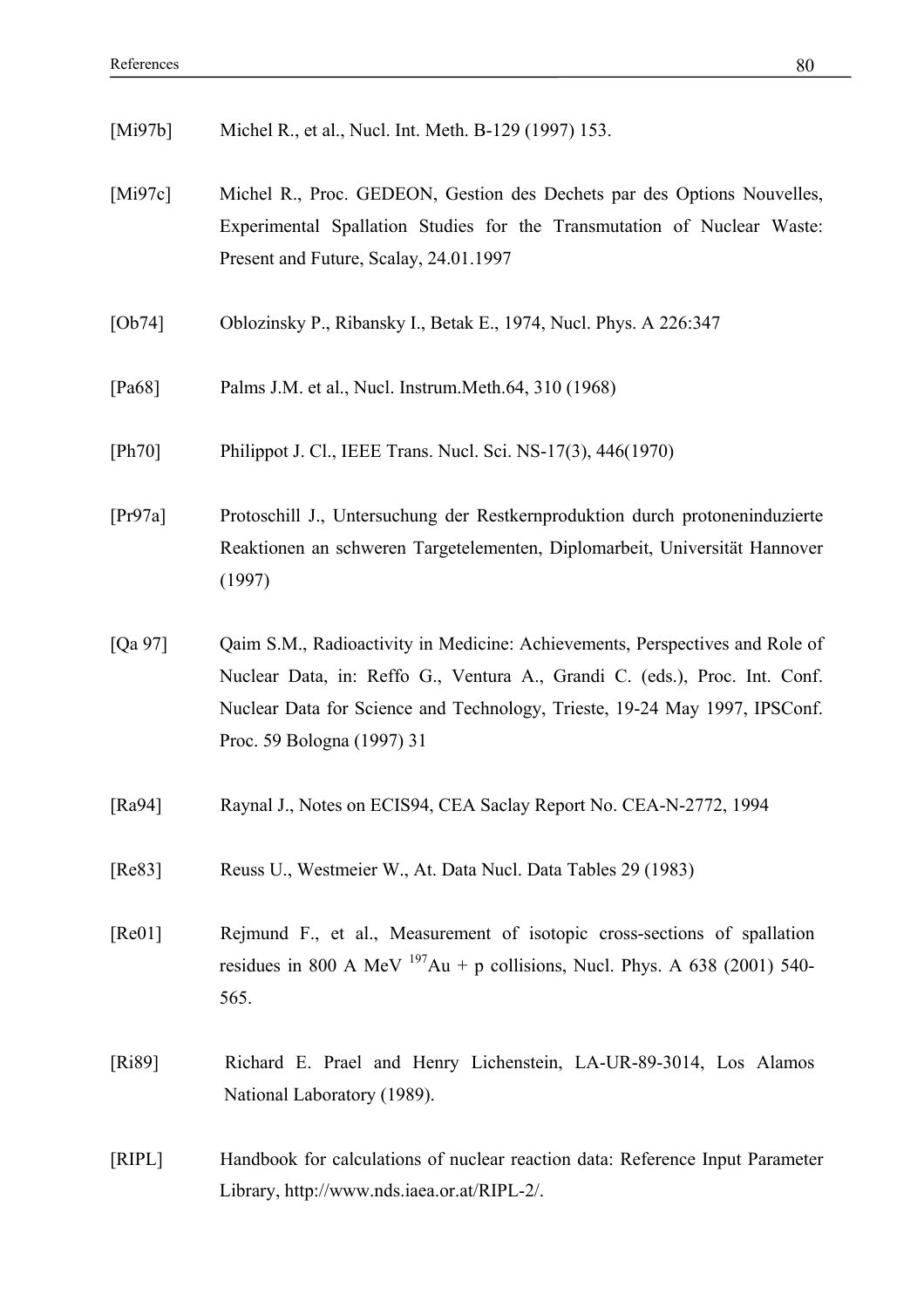[Mi97b] Michel R., et al., Nucl. Int. Meth. B-129 (1997) 153.

- [Mi97c] Michel R., Proc. GEDEON, Gestion des Dechets par des Options Nouvelles, Experimental Spallation Studies for the Transmutation of Nuclear Waste: Present and Future, Scalay, 24.01.1997
- [Ob74] Oblozinsky P., Ribansky I., Betak E., 1974, Nucl. Phys. A 226:347
- [Pa68] Palms J.M. et al., Nucl. Instrum.Meth.64, 310 (1968)
- [Ph70] Philippot J. Cl., IEEE Trans. Nucl. Sci. NS-17(3), 446(1970)

[Pr97a] Protoschill J., Untersuchung der Restkernproduktion durch protoneninduzierte Reaktionen an schweren Targetelementen, Diplomarbeit, Universität Hannover (1997)

- [Qa 97] Qaim S.M., Radioactivity in Medicine: Achievements, Perspectives and Role of Nuclear Data, in: Reffo G., Ventura A., Grandi C. (eds.), Proc. Int. Conf. Nuclear Data for Science and Technology, Trieste, 19-24 May 1997, IPSConf. Proc. 59 Bologna (1997) 31
- [Ra94] Raynal J., Notes on ECIS94, CEA Saclay Report No. CEA-N-2772, 1994
- [Re83] Reuss U., Westmeier W., At. Data Nucl. Data Tables 29 (1983)
- [Re01] Rejmund F., et al., Measurement of isotopic cross-sections of spallation residues in 800 A MeV  $^{197}$ Au + p collisions, Nucl. Phys. A 638 (2001) 540-565.
- [Ri89] Richard E. Prael and Henry Lichenstein, LA-UR-89-3014, Los Alamos National Laboratory (1989).
- [RIPL] Handbook for calculations of nuclear reaction data: Reference Input Parameter Library, http://www.nds.iaea.or.at/RIPL-2/.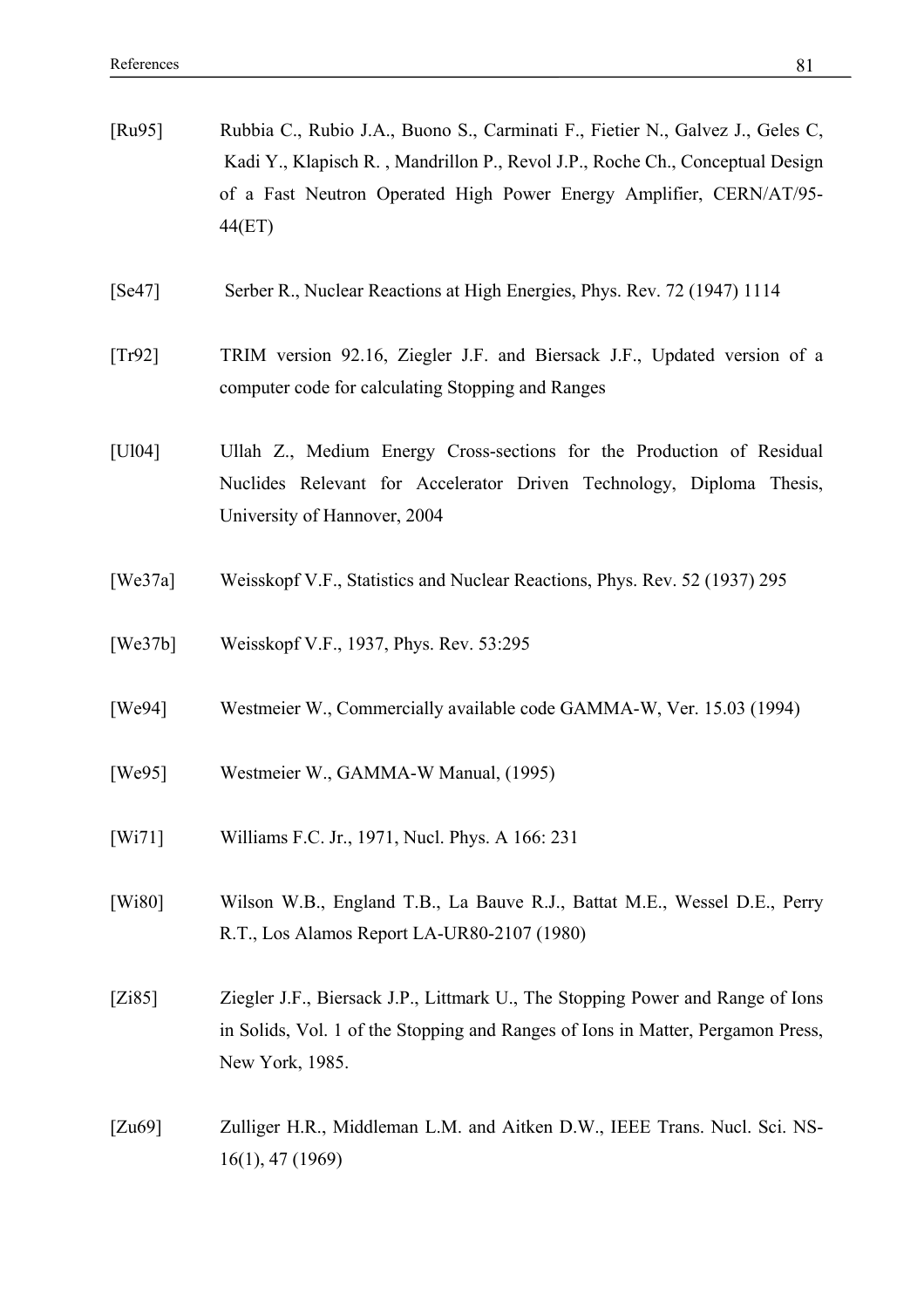| [ $Ru95$ ] | Rubbia C., Rubio J.A., Buono S., Carminati F., Fietier N., Galvez J., Geles C,<br>Kadi Y., Klapisch R., Mandrillon P., Revol J.P., Roche Ch., Conceptual Design<br>of a Fast Neutron Operated High Power Energy Amplifier, CERN/AT/95-<br>44(ET) |
|------------|--------------------------------------------------------------------------------------------------------------------------------------------------------------------------------------------------------------------------------------------------|
| [Se47]     | Serber R., Nuclear Reactions at High Energies, Phys. Rev. 72 (1947) 1114                                                                                                                                                                         |
| [Tr92]     | TRIM version 92.16, Ziegler J.F. and Biersack J.F., Updated version of a<br>computer code for calculating Stopping and Ranges                                                                                                                    |
| [U104]     | Ullah Z., Medium Energy Cross-sections for the Production of Residual<br>Nuclides Relevant for Accelerator Driven Technology, Diploma Thesis,<br>University of Hannover, 2004                                                                    |
| [We37a]    | Weisskopf V.F., Statistics and Nuclear Reactions, Phys. Rev. 52 (1937) 295                                                                                                                                                                       |
| [We37b]    | Weisskopf V.F., 1937, Phys. Rev. 53:295                                                                                                                                                                                                          |
| [We94]     | Westmeier W., Commercially available code GAMMA-W, Ver. 15.03 (1994)                                                                                                                                                                             |
| [We95]     | Westmeier W., GAMMA-W Manual, (1995)                                                                                                                                                                                                             |
| [Wi71]     | Williams F.C. Jr., 1971, Nucl. Phys. A 166: 231                                                                                                                                                                                                  |
| [Wi80]     | Wilson W.B., England T.B., La Bauve R.J., Battat M.E., Wessel D.E., Perry<br>R.T., Los Alamos Report LA-UR80-2107 (1980)                                                                                                                         |
| [Zi85]     | Ziegler J.F., Biersack J.P., Littmark U., The Stopping Power and Range of Ions<br>in Solids, Vol. 1 of the Stopping and Ranges of Ions in Matter, Pergamon Press,<br>New York, 1985.                                                             |
| [Zu69]     | Zulliger H.R., Middleman L.M. and Aitken D.W., IEEE Trans. Nucl. Sci. NS-<br>$16(1)$ , 47 (1969)                                                                                                                                                 |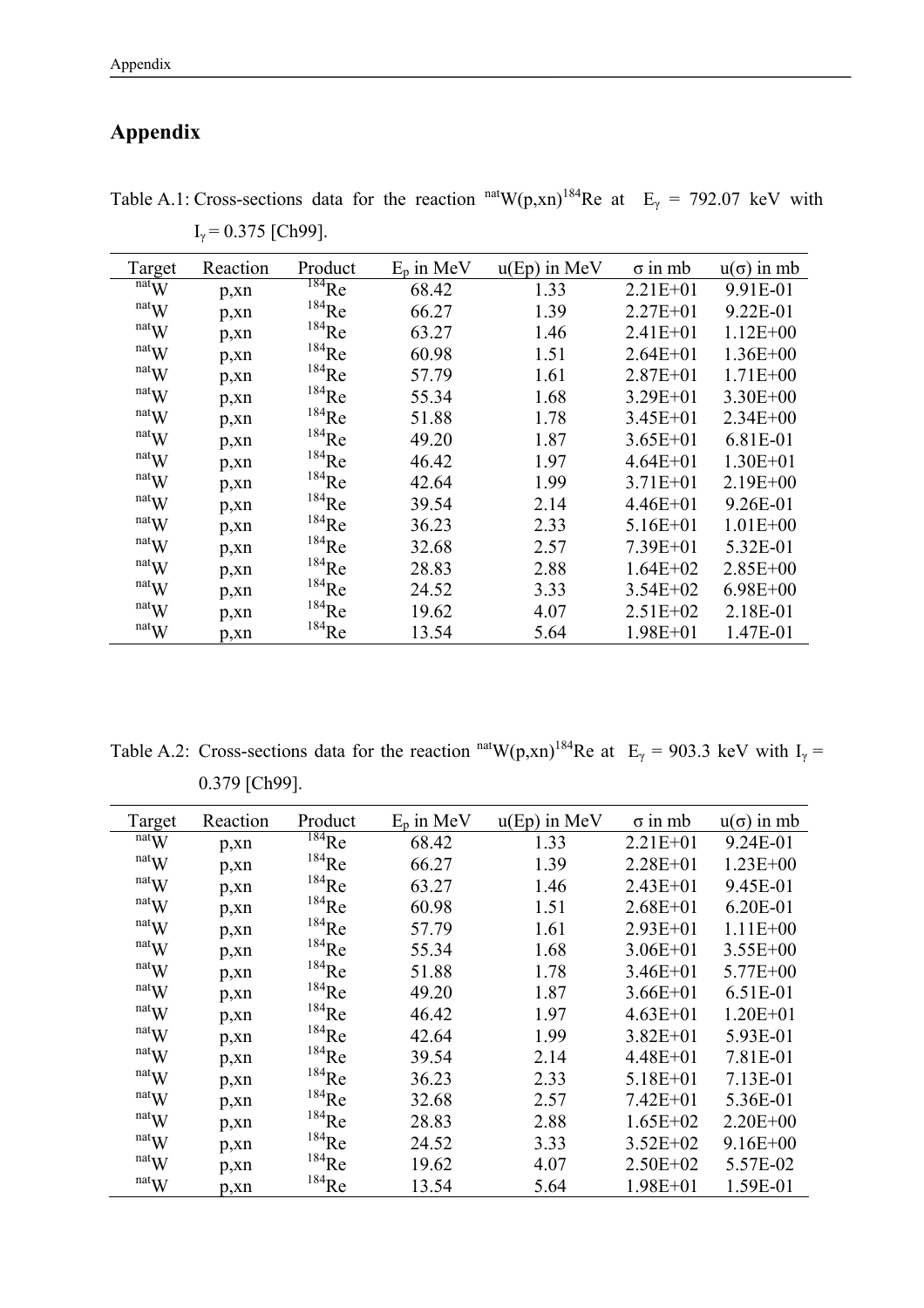# **Appendix**

| Target                        | Reaction | Product             | $E_p$ in MeV | $u(Ep)$ in MeV | $\sigma$ in mb | $u(\sigma)$ in mb |
|-------------------------------|----------|---------------------|--------------|----------------|----------------|-------------------|
| natW                          | p, xn    | $^{184}$ Re         | 68.42        | 1.33           | $2.21E + 01$   | 9.91E-01          |
| natW                          | p, xn    | $184$ Re            | 66.27        | 1.39           | $2.27E + 01$   | 9.22E-01          |
| $\mathrm{nat}_\mathbf{W}$     | p, xn    | $184$ Re            | 63.27        | 1.46           | $2.41E + 01$   | $1.12E + 00$      |
| natW                          | p, xn    | $184$ Re            | 60.98        | 1.51           | $2.64E + 01$   | $1.36E + 00$      |
| $\mathbf{r}$ <sup>nat</sup> W | p, xn    | $184$ Re            | 57.79        | 1.61           | $2.87E + 01$   | $1.71E + 00$      |
| natW                          | p, xn    | $184$ Re            | 55.34        | 1.68           | $3.29E + 01$   | $3.30E + 00$      |
| natW                          | p, xn    | $184$ Re            | 51.88        | 1.78           | $3.45E + 01$   | $2.34E + 00$      |
| natW                          | p, xn    | $^{184}\mathrm{Re}$ | 49.20        | 1.87           | $3.65E + 01$   | 6.81E-01          |
| natW                          | p, xn    | $^{184}\mathrm{Re}$ | 46.42        | 1.97           | $4.64E + 01$   | $1.30E + 01$      |
| natW                          | p, xn    | $184$ Re            | 42.64        | 1.99           | $3.71E + 01$   | $2.19E + 00$      |
| natW                          | p, xn    | $184$ Re            | 39.54        | 2.14           | $4.46E + 01$   | 9.26E-01          |
| natW                          | p, xn    | $184$ Re            | 36.23        | 2.33           | $5.16E + 01$   | $1.01E + 00$      |
| natW                          | p, xn    | $184$ Re            | 32.68        | 2.57           | $7.39E + 01$   | 5.32E-01          |
| natW                          | p, xn    | $184$ Re            | 28.83        | 2.88           | $1.64E + 02$   | $2.85E + 00$      |
| natW                          | p, xn    | $184$ Re            | 24.52        | 3.33           | $3.54E + 02$   | $6.98E + 00$      |
| natW                          | p, xn    | $184$ Re            | 19.62        | 4.07           | $2.51E+02$     | 2.18E-01          |
| $\mathrm{nat}_\mathbf{W}$     | p, xn    | $184$ Re            | 13.54        | 5.64           | $1.98E + 01$   | 1.47E-01          |

Table A.1: Cross-sections data for the reaction  $<sup>nat</sup>W(p,xn)<sup>184</sup>$ Re at  $E<sub>\gamma</sub> = 792.07$  keV with</sup>  $I_{\gamma}$  = 0.375 [Ch99].

Table A.2: Cross-sections data for the reaction <sup>nat</sup>W(p,xn)<sup>184</sup>Re at E<sub>γ</sub> = 903.3 keV with I<sub>γ</sub> = 0.379 [Ch99].

| Target                        | Reaction | Product             | $E_p$ in MeV | $u(Ep)$ in MeV | $\sigma$ in mb | $u(\sigma)$ in mb |
|-------------------------------|----------|---------------------|--------------|----------------|----------------|-------------------|
| $\overline{\text{nat}}$ W     | p, xn    | $184$ <sub>Re</sub> | 68.42        | 1.33           | $2.21E + 01$   | 9.24E-01          |
| natW                          | p, xn    | $^{184}\mathrm{Re}$ | 66.27        | 1.39           | $2.28E + 01$   | $1.23E + 00$      |
| $\mathbf{r}$ <sup>nat</sup> W | p, xn    | $^{184}\mathrm{Re}$ | 63.27        | 1.46           | $2.43E + 01$   | 9.45E-01          |
| natW                          | p, xn    | $^{184}\mathrm{Re}$ | 60.98        | 1.51           | $2.68E + 01$   | 6.20E-01          |
| natW                          | p, xn    | $184$ Re            | 57.79        | 1.61           | $2.93E + 01$   | $1.11E + 00$      |
| natW                          | p, xn    | $184$ Re            | 55.34        | 1.68           | $3.06E + 01$   | $3.55E + 00$      |
| $\mathbf{r}$ <sup>nat</sup> W | p, xn    | $184$ Re            | 51.88        | 1.78           | $3.46E + 01$   | $5.77E + 00$      |
| $\mathbf{r}$ <sup>nat</sup> W | p, xn    | $184$ Re            | 49.20        | 1.87           | $3.66E + 01$   | 6.51E-01          |
| $\mathbf{r}$ <sup>nat</sup> W | p, xn    | $184$ Re            | 46.42        | 1.97           | $4.63E + 01$   | $1.20E + 01$      |
| natW                          | p, xn    | $184$ Re            | 42.64        | 1.99           | $3.82E + 01$   | 5.93E-01          |
| natW                          | p, xn    | $184$ Re            | 39.54        | 2.14           | $4.48E + 01$   | 7.81E-01          |
| natW                          | p, xn    | $184$ Re            | 36.23        | 2.33           | $5.18E + 01$   | 7.13E-01          |
| natW                          | p, xn    | $184$ Re            | 32.68        | 2.57           | $7.42E + 01$   | 5.36E-01          |
| natW                          | p, xn    | $^{184}\mathrm{Re}$ | 28.83        | 2.88           | $1.65E + 02$   | $2.20E + 00$      |
| natW                          | p, xn    | $^{184}\mathrm{Re}$ | 24.52        | 3.33           | $3.52E + 02$   | $9.16E + 00$      |
| natW                          | p, xn    | $^{184}\mathrm{Re}$ | 19.62        | 4.07           | $2.50E + 02$   | 5.57E-02          |
| natW                          | p, xn    | $^{184}\mathrm{Re}$ | 13.54        | 5.64           | $1.98E + 01$   | 1.59E-01          |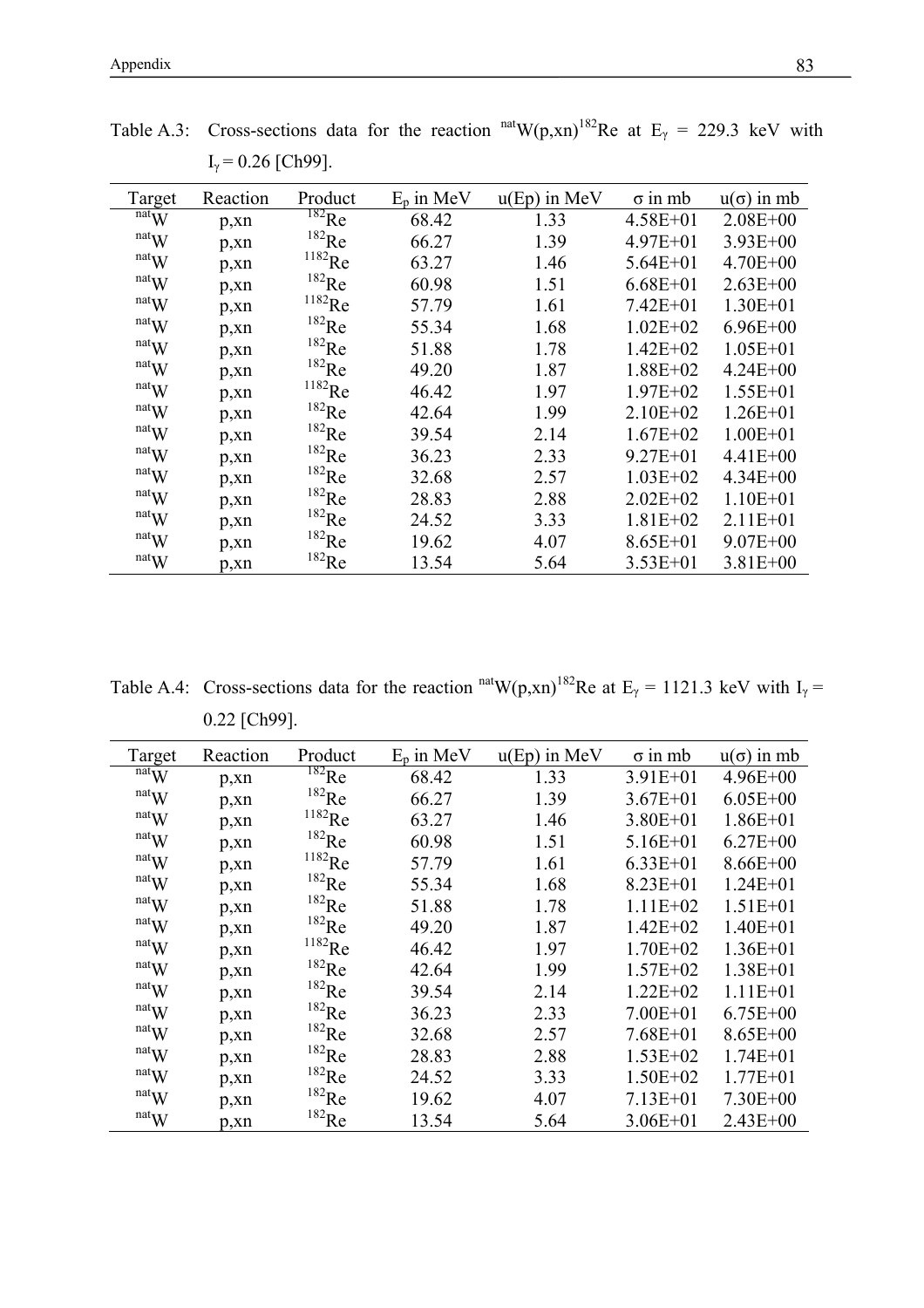| Target                        | Reaction | Product              | $E_n$ in MeV | $u(Ep)$ in MeV | $\sigma$ in mb | $u(\sigma)$ in mb |
|-------------------------------|----------|----------------------|--------------|----------------|----------------|-------------------|
| natW                          | p, xn    | $^{182}\mathrm{Re}$  | 68.42        | 1.33           | $4.58E + 01$   | $2.08E + 00$      |
| natW                          | p, xn    | $^{182}\mathrm{Re}$  | 66.27        | 1.39           | $4.97E + 01$   | $3.93E + 00$      |
| $\mathrm{nat}_\mathbf{W}$     | p, xn    | $^{1182}\mathrm{Re}$ | 63.27        | 1.46           | $5.64E + 01$   | $4.70E + 00$      |
| natW                          | p, xn    | $^{182}\mathrm{Re}$  | 60.98        | 1.51           | $6.68E + 01$   | $2.63E + 00$      |
| $\mathbf{r}$ <sup>nat</sup> W | p, xn    | $^{1182}\mathrm{Re}$ | 57.79        | 1.61           | $7.42E + 01$   | $1.30E + 01$      |
| $\mathrm{nat}_\mathbf{W}$     | p, xn    | $^{182}\mathrm{Re}$  | 55.34        | 1.68           | $1.02E + 02$   | $6.96E + 00$      |
| natW                          | p, xn    | $^{182}\mathrm{Re}$  | 51.88        | 1.78           | $1.42E + 02$   | $1.05E + 01$      |
| natW                          | p, xn    | $^{182}\mathrm{Re}$  | 49.20        | 1.87           | $1.88E + 02$   | $4.24E + 00$      |
| natW                          | p, xn    | $^{1182}\mathrm{Re}$ | 46.42        | 1.97           | $1.97E + 02$   | $1.55E + 01$      |
| natW                          | p, xn    | $^{182}\mathrm{Re}$  | 42.64        | 1.99           | $2.10E + 02$   | $1.26E + 01$      |
| $\mathrm{nat}_\mathbf{W}$     | p, xn    | $^{182}\mathrm{Re}$  | 39.54        | 2.14           | $1.67E + 02$   | $1.00E + 01$      |
| $\mathrm{nat}_{\mathbf{W}}$   | p, xn    | $^{182}\mathrm{Re}$  | 36.23        | 2.33           | $9.27E + 01$   | $4.41E + 00$      |
| natW                          | p, xn    | $^{182}\mathrm{Re}$  | 32.68        | 2.57           | $1.03E + 02$   | $4.34E + 00$      |
| natW                          | p, xn    | $^{182}\mathrm{Re}$  | 28.83        | 2.88           | $2.02E + 02$   | $1.10E + 01$      |
| $\mathrm{nat}_{\mathbf{W}}$   | p, xn    | $^{182}\mathrm{Re}$  | 24.52        | 3.33           | $1.81E + 02$   | $2.11E + 01$      |
| $\mathrm{nat}_{\mathbf{W}}$   | p, xn    | $^{182}\mathrm{Re}$  | 19.62        | 4.07           | $8.65E + 01$   | $9.07E + 00$      |
| natW                          | p, xn    | $182$ Re             | 13.54        | 5.64           | $3.53E + 01$   | $3.81E + 00$      |

Table A.3: Cross-sections data for the reaction  $<sup>nat</sup>W(p,xn)<sup>182</sup>$ Re at E<sub>γ</sub> = 229.3 keV with</sup>  $I_{\gamma}$  = 0.26 [Ch99].

Table A.4: Cross-sections data for the reaction  $n^{\text{nat}}W(p, xn)^{182}$ Re at E<sub>γ</sub> = 1121.3 keV with I<sub>γ</sub> = 0.22 [Ch99].

| Target                        | Reaction | Product              | $E_p$ in MeV | $u(Ep)$ in MeV | $\sigma$ in mb | $u(\sigma)$ in mb |
|-------------------------------|----------|----------------------|--------------|----------------|----------------|-------------------|
| natW                          | p, xn    | $^{182}$ Re          | 68.42        | 1.33           | $3.91E + 01$   | $4.96E + 00$      |
| natW                          | p, xn    | $^{182}\mathrm{Re}$  | 66.27        | 1.39           | $3.67E + 01$   | $6.05E + 00$      |
| natW                          | p, xn    | $^{1182}\mathrm{Re}$ | 63.27        | 1.46           | $3.80E + 01$   | $1.86E + 01$      |
| $\mathrm{nat}_\mathbf{W}$     | p, xn    | $^{182}\mathrm{Re}$  | 60.98        | 1.51           | $5.16E + 01$   | $6.27E + 00$      |
| $\mathrm{nat}_{\mathbf{W}}$   | p, xn    | $^{1182}\mathrm{Re}$ | 57.79        | 1.61           | $6.33E + 01$   | $8.66E + 00$      |
| natW                          | p, xn    | $^{182}\mathrm{Re}$  | 55.34        | 1.68           | $8.23E + 01$   | $1.24E + 01$      |
| $\mathbf{r}$ <sup>nat</sup> W | p, xn    | $^{182}\mathrm{Re}$  | 51.88        | 1.78           | $1.11E+02$     | $1.51E + 01$      |
| natW                          | p, xn    | $182$ Re             | 49.20        | 1.87           | $1.42E + 02$   | $1.40E + 01$      |
| $\mathbf{r}$ <sup>nat</sup> W | p, xn    | $1182$ Re            | 46.42        | 1.97           | $1.70E + 02$   | $1.36E + 01$      |
| $\mathbf{r}$ <sup>nat</sup> W | p, xn    | $182$ Re             | 42.64        | 1.99           | $1.57E + 02$   | $1.38E + 01$      |
| natW                          | p, xn    | $182$ Re             | 39.54        | 2.14           | $1.22E + 02$   | $1.11E + 01$      |
| natW                          | p, xn    | $182$ Re             | 36.23        | 2.33           | $7.00E + 01$   | $6.75E + 00$      |
| natW                          | p, xn    | $182$ Re             | 32.68        | 2.57           | $7.68E + 01$   | $8.65E + 00$      |
| natW                          | p, xn    | $^{182}\mathrm{Re}$  | 28.83        | 2.88           | $1.53E + 02$   | $1.74E + 01$      |
| natW                          | p, xn    | $^{182}\mathrm{Re}$  | 24.52        | 3.33           | $1.50E + 02$   | $1.77E + 01$      |
| natW                          | p, xn    | $^{182}\mathrm{Re}$  | 19.62        | 4.07           | $7.13E + 01$   | $7.30E + 00$      |
| $\mathbf{r}$ <sup>nat</sup> W | p, xn    | $^{182}\mathrm{Re}$  | 13.54        | 5.64           | $3.06E + 01$   | $2.43E + 00$      |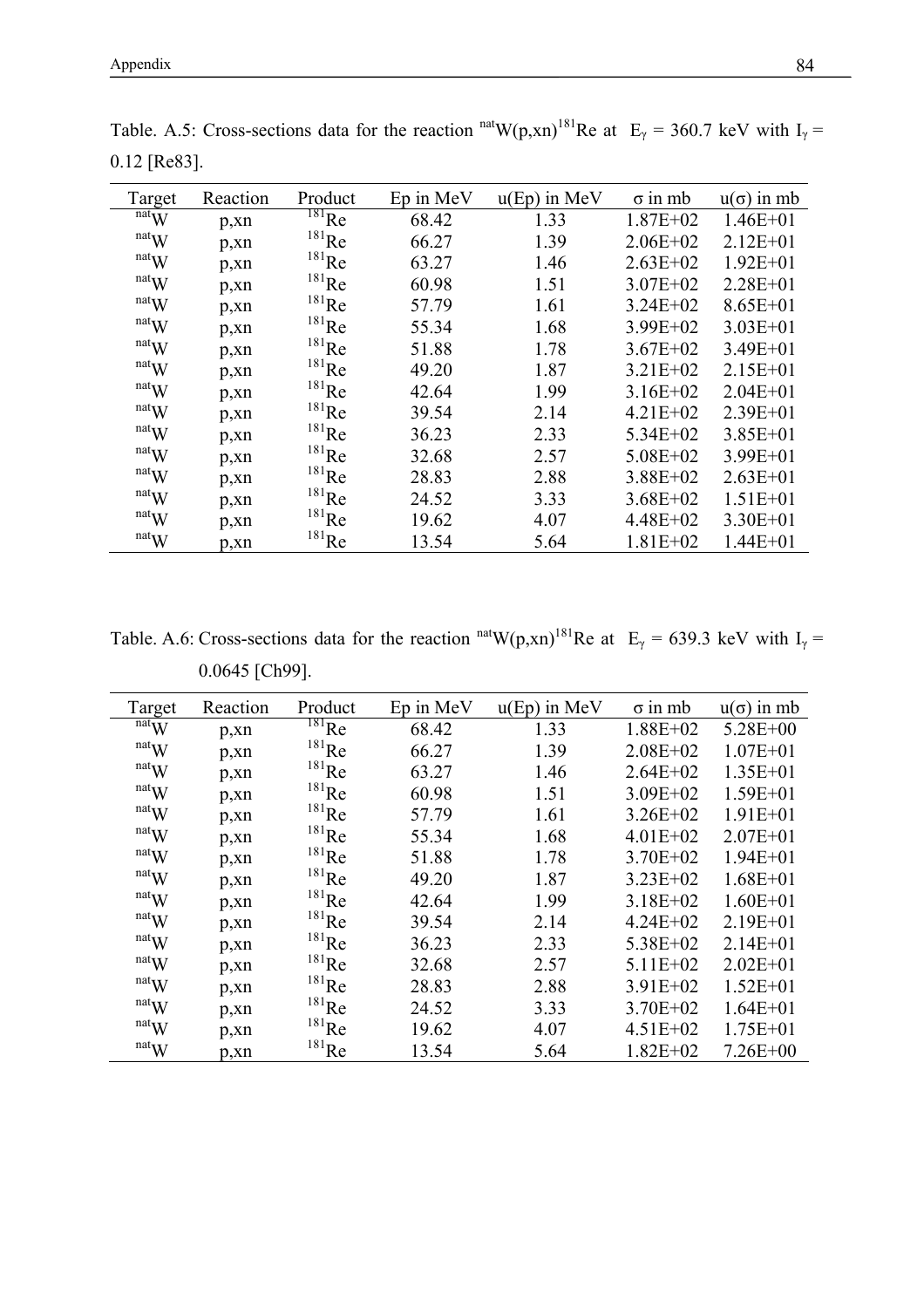| Target                        | Reaction  | Product             | Ep in MeV | $u(Ep)$ in MeV | $\sigma$ in mb | $u(\sigma)$ in mb |
|-------------------------------|-----------|---------------------|-----------|----------------|----------------|-------------------|
| natW                          | p, xn     | $181$ <sub>Re</sub> | 68.42     | 1.33           | $1.87E + 02$   | $1.46E + 01$      |
| $\mathbf{r}$ <sup>nat</sup> W | p, xn     | $181$ <sub>Re</sub> | 66.27     | 1.39           | $2.06E + 02$   | $2.12E + 01$      |
| natW                          | p, xn     | $181$ <sub>Re</sub> | 63.27     | 1.46           | $2.63E + 02$   | $1.92E + 01$      |
| natW                          | p, xn     | $^{181}$ Re         | 60.98     | 1.51           | $3.07E + 02$   | $2.28E + 01$      |
| natW                          | p, xn     | $^{181}$ Re         | 57.79     | 1.61           | $3.24E + 02$   | $8.65E + 01$      |
| natW                          | p, xn     | $^{181}\mathrm{Re}$ | 55.34     | 1.68           | $3.99E + 02$   | $3.03E + 01$      |
| $\mathbf{r}$ nat $\mathbf{W}$ | p, xn     | $^{181}$ Re         | 51.88     | 1.78           | $3.67E + 02$   | $3.49E + 01$      |
| natW                          | p, xn     | $^{181}$ Re         | 49.20     | 1.87           | $3.21E + 02$   | $2.15E + 01$      |
| natW                          | p, xn     | $181$ <sub>Re</sub> | 42.64     | 1.99           | $3.16E + 02$   | $2.04E + 01$      |
| natW                          | p, xn     | $^{181}$ Re         | 39.54     | 2.14           | $4.21E + 02$   | $2.39E + 01$      |
| natW                          | p, xn     | $181$ <sub>Re</sub> | 36.23     | 2.33           | $5.34E + 02$   | $3.85E + 01$      |
| natW                          | p, xn     | $181$ <sub>Re</sub> | 32.68     | 2.57           | $5.08E + 02$   | $3.99E + 01$      |
| natW                          | p, xn     | $181$ <sub>Re</sub> | 28.83     | 2.88           | $3.88E + 02$   | $2.63E + 01$      |
| natW                          | p, xn     | $181$ <sub>Re</sub> | 24.52     | 3.33           | $3.68E + 02$   | $1.51E + 01$      |
| $\mathbf{r}$ <sup>nat</sup> W | $p_{,}xn$ | $181$ <sub>Re</sub> | 19.62     | 4.07           | $4.48E + 02$   | $3.30E + 01$      |
| $\mathbf{r}$ <sup>nat</sup> W | p,xn      | $181$ <sub>Re</sub> | 13.54     | 5.64           | $1.81E + 02$   | $1.44E + 01$      |

Table. A.5: Cross-sections data for the reaction  $\text{natW}(p, xn)^{181}$ Re at  $E_\gamma = 360.7$  keV with  $I_\gamma =$ 0.12 [Re83].

Table. A.6: Cross-sections data for the reaction <sup>nat</sup>W(p,xn)<sup>181</sup>Re at E<sub>γ</sub> = 639.3 keV with I<sub>γ</sub> = 0.0645 [Ch99].

| Target                              | Reaction | Product             | Ep in MeV | $u(Ep)$ in MeV | $\sigma$ in mb | $u(\sigma)$ in mb |
|-------------------------------------|----------|---------------------|-----------|----------------|----------------|-------------------|
| natW                                | p, xn    | $^{181}$ Re         | 68.42     | 1.33           | $1.88E + 02$   | $5.28E + 00$      |
| $\mathbf{r}$ <sup>nat</sup> W       | p, xn    | $^{181}$ Re         | 66.27     | 1.39           | $2.08E + 02$   | $1.07E + 01$      |
| $\mathrm{nat}_\mathbf{W}$           | p, xn    | $^{181}$ Re         | 63.27     | 1.46           | $2.64E + 02$   | $1.35E + 01$      |
| natW                                | p, xn    | $^{181}\mathrm{Re}$ | 60.98     | 1.51           | $3.09E + 02$   | $1.59E + 01$      |
| $\mathbf{r}$ nat $\mathbf{W}$       | p, xn    | $^{181}$ Re         | 57.79     | 1.61           | $3.26E + 02$   | $1.91E + 01$      |
| $\mathbf{r}$ <sup>nat</sup> W       | p, xn    | $^{181}$ Re         | 55.34     | 1.68           | $4.01E + 02$   | $2.07E + 01$      |
| natW                                | p, xn    | $^{181}$ Re         | 51.88     | 1.78           | $3.70E + 02$   | $1.94E + 01$      |
| natW                                | p, xn    | $181$ <sub>Re</sub> | 49.20     | 1.87           | $3.23E + 02$   | $1.68E + 01$      |
| natW                                | p, xn    | $181$ <sub>Re</sub> | 42.64     | 1.99           | $3.18E + 02$   | $1.60E + 01$      |
| natW                                | p, xn    | $^{181}\mathrm{Re}$ | 39.54     | 2.14           | $4.24E + 02$   | $2.19E + 01$      |
| $\mathrm{nat}_\mathbf{W}$           | p, xn    | $^{181}\mathrm{Re}$ | 36.23     | 2.33           | $5.38E + 02$   | $2.14E + 01$      |
| $\mathbf{r}^{\text{nat}}\mathbf{W}$ | p, xn    | $^{181}$ Re         | 32.68     | 2.57           | $5.11E+02$     | $2.02E + 01$      |
| natW                                | p, xn    | $^{181}$ Re         | 28.83     | 2.88           | $3.91E + 02$   | $1.52E + 01$      |
| $\mathrm{nat}_\mathbf{W}$           | p, xn    | $181$ <sub>Re</sub> | 24.52     | 3.33           | $3.70E + 02$   | $1.64E + 01$      |
| natW                                | p, xn    | $181$ <sub>Re</sub> | 19.62     | 4.07           | $4.51E + 02$   | $1.75E + 01$      |
| natW                                | p, xn    | $181$ <sub>Re</sub> | 13.54     | 5.64           | $1.82E + 02$   | $7.26E + 00$      |